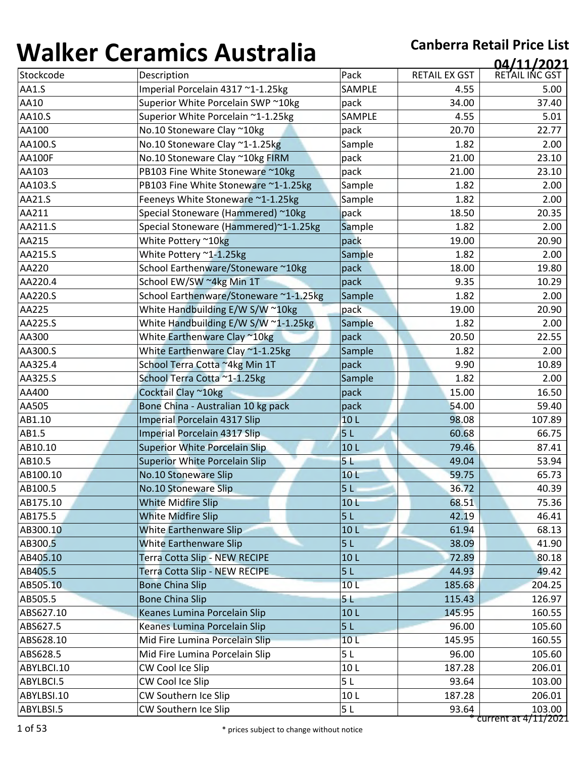| ,,,,,,,,,,,   | <u>sei annes 7 iasceana</u>            |                 |                      | 04/11/2021     |
|---------------|----------------------------------------|-----------------|----------------------|----------------|
| Stockcode     | Description                            | Pack            | <b>RETAIL EX GST</b> | RETAIL INC GST |
| AA1.S         | Imperial Porcelain 4317 ~1-1.25kg      | SAMPLE          | 4.55                 | 5.00           |
| AA10          | Superior White Porcelain SWP ~10kg     | pack            | 34.00                | 37.40          |
| AA10.S        | Superior White Porcelain ~1-1.25kg     | SAMPLE          | 4.55                 | 5.01           |
| AA100         | No.10 Stoneware Clay ~10kg             | pack            | 20.70                | 22.77          |
| AA100.S       | No.10 Stoneware Clay ~1-1.25kg         | Sample          | 1.82                 | 2.00           |
| <b>AA100F</b> | No.10 Stoneware Clay ~10kg FIRM        | pack            | 21.00                | 23.10          |
| AA103         | PB103 Fine White Stoneware ~10kg       | pack            | 21.00                | 23.10          |
| AA103.S       | PB103 Fine White Stoneware ~1-1.25kg   | Sample          | 1.82                 | 2.00           |
| AA21.S        | Feeneys White Stoneware ~1-1.25kg      | Sample          | 1.82                 | 2.00           |
| AA211         | Special Stoneware (Hammered) ~10kg     | pack            | 18.50                | 20.35          |
| AA211.S       | Special Stoneware (Hammered)~1-1.25kg  | Sample          | 1.82                 | 2.00           |
| AA215         | White Pottery ~10kg                    | pack            | 19.00                | 20.90          |
| AA215.S       | White Pottery ~1-1.25kg                | Sample          | 1.82                 | 2.00           |
| AA220         | School Earthenware/Stoneware ~10kg     | pack            | 18.00                | 19.80          |
| AA220.4       | School EW/SW ~4kg Min 1T               | pack            | 9.35                 | 10.29          |
| AA220.S       | School Earthenware/Stoneware ~1-1.25kg | Sample          | 1.82                 | 2.00           |
| AA225         | White Handbuilding E/W S/W ~10kg       | pack            | 19.00                | 20.90          |
| AA225.S       | White Handbuilding E/W S/W ~1-1.25kg   | Sample          | 1.82                 | 2.00           |
| AA300         | White Earthenware Clay ~10kg           | pack            | 20.50                | 22.55          |
| AA300.S       | White Earthenware Clay ~1-1.25kg       | Sample          | 1.82                 | 2.00           |
| AA325.4       | School Terra Cotta ~4kg Min 1T         | pack            | 9.90                 | 10.89          |
| AA325.S       | School Terra Cotta ~1-1.25kg           | Sample          | 1.82                 | 2.00           |
| AA400         | Cocktail Clay ~10kg                    | pack            | 15.00                | 16.50          |
| AA505         | Bone China - Australian 10 kg pack     | pack            | 54.00                | 59.40          |
| AB1.10        | Imperial Porcelain 4317 Slip           | 10L             | 98.08                | 107.89         |
| AB1.5         | Imperial Porcelain 4317 Slip           | 5 <sub>L</sub>  | 60.68                | 66.75          |
| AB10.10       | <b>Superior White Porcelain Slip</b>   | 10 <sub>L</sub> | 79.46                | 87.41          |
| AB10.5        | <b>Superior White Porcelain Slip</b>   | 5 <sub>L</sub>  | 49.04                | 53.94          |
| AB100.10      | No.10 Stoneware Slip                   | 10 L            | 59.75                | 65.73          |
| AB100.5       | No.10 Stoneware Slip                   | 5 <sub>L</sub>  | 36.72                | 40.39          |
| AB175.10      | <b>White Midfire Slip</b>              | 10 <sub>L</sub> | 68.51                | 75.36          |
| AB175.5       | <b>White Midfire Slip</b>              | 5L              | 42.19                | 46.41          |
| AB300.10      | White Earthenware Slip                 | 10 <sub>L</sub> | 61.94                | 68.13          |
| AB300.5       | <b>White Earthenware Slip</b>          | 5 <sub>L</sub>  | 38.09                | 41.90          |
| AB405.10      | Terra Cotta Slip - NEW RECIPE          | 10L             | 72.89                | 80.18          |
| AB405.5       | Terra Cotta Slip - NEW RECIPE          | 5 <sub>L</sub>  | 44.93                | 49.42          |
| AB505.10      | <b>Bone China Slip</b>                 | 10 <sub>L</sub> | 185.68               | 204.25         |
| AB505.5       | <b>Bone China Slip</b>                 | 5 L             | 115.43               | 126.97         |
| ABS627.10     | Keanes Lumina Porcelain Slip           | 10L             | 145.95               | 160.55         |
| ABS627.5      | Keanes Lumina Porcelain Slip           | 5L              | 96.00                | 105.60         |
| ABS628.10     | Mid Fire Lumina Porcelain Slip         | 10 <sub>L</sub> | 145.95               | 160.55         |
| ABS628.5      | Mid Fire Lumina Porcelain Slip         | 5L              | 96.00                | 105.60         |
| ABYLBCI.10    | CW Cool Ice Slip                       | 10L             | 187.28               | 206.01         |
| ABYLBCI.5     | CW Cool Ice Slip                       | 5 <sub>L</sub>  | 93.64                | 103.00         |
| ABYLBSI.10    | CW Southern Ice Slip                   | 10L             | 187.28               | 206.01         |
| ABYLBSI.5     | CW Southern Ice Slip                   | 5 <sub>L</sub>  | 93.64                | 103.00         |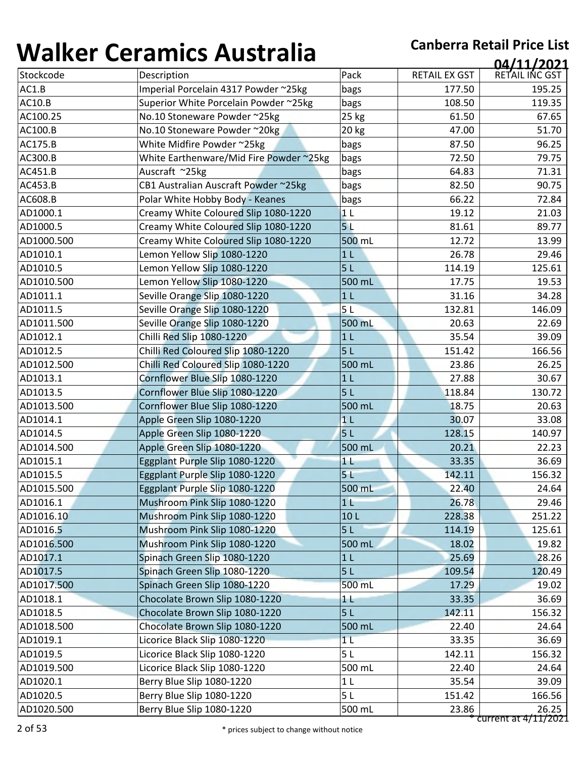| 1 J71 I N V V | 89899999999999999                       |                |               | 04/11/2021     |
|---------------|-----------------------------------------|----------------|---------------|----------------|
| Stockcode     | Description                             | Pack           | RETAIL EX GST | RETAIL INC GST |
| AC1.B         | Imperial Porcelain 4317 Powder ~25kg    | bags           | 177.50        | 195.25         |
| <b>AC10.B</b> | Superior White Porcelain Powder ~25kg   | bags           | 108.50        | 119.35         |
| AC100.25      | No.10 Stoneware Powder ~25kg            | 25 kg          | 61.50         | 67.65          |
| AC100.B       | No.10 Stoneware Powder ~20kg            | 20 kg          | 47.00         | 51.70          |
| AC175.B       | White Midfire Powder ~25kg              | bags           | 87.50         | 96.25          |
| AC300.B       | White Earthenware/Mid Fire Powder ~25kg | bags           | 72.50         | 79.75          |
| AC451.B       | Auscraft ~25kg                          | bags           | 64.83         | 71.31          |
| AC453.B       | CB1 Australian Auscraft Powder ~25kg    | bags           | 82.50         | 90.75          |
| AC608.B       | Polar White Hobby Body - Keanes         | bags           | 66.22         | 72.84          |
| AD1000.1      | Creamy White Coloured Slip 1080-1220    | 1 <sub>L</sub> | 19.12         | 21.03          |
| AD1000.5      | Creamy White Coloured Slip 1080-1220    | 5 <sub>L</sub> | 81.61         | 89.77          |
| AD1000.500    | Creamy White Coloured Slip 1080-1220    | 500 mL         | 12.72         | 13.99          |
| AD1010.1      | Lemon Yellow Slip 1080-1220             | 1 <sub>L</sub> | 26.78         | 29.46          |
| AD1010.5      | Lemon Yellow Slip 1080-1220             | 5 <sub>L</sub> | 114.19        | 125.61         |
| AD1010.500    | Lemon Yellow Slip 1080-1220             | 500 mL         | 17.75         | 19.53          |
| AD1011.1      | Seville Orange Slip 1080-1220           | 1 <sub>L</sub> | 31.16         | 34.28          |
| AD1011.5      | Seville Orange Slip 1080-1220           | 5L             | 132.81        | 146.09         |
| AD1011.500    | Seville Orange Slip 1080-1220           | 500 mL         | 20.63         | 22.69          |
| AD1012.1      | Chilli Red Slip 1080-1220               | 1 <sub>L</sub> | 35.54         | 39.09          |
| AD1012.5      | Chilli Red Coloured Slip 1080-1220      | 5L             | 151.42        | 166.56         |
| AD1012.500    | Chilli Red Coloured Slip 1080-1220      | 500 mL         | 23.86         | 26.25          |
| AD1013.1      | Cornflower Blue Slip 1080-1220          | 1 <sub>L</sub> | 27.88         | 30.67          |
| AD1013.5      | Cornflower Blue Slip 1080-1220          | 5L             | 118.84        | 130.72         |
| AD1013.500    | Cornflower Blue Slip 1080-1220          | 500 mL         | 18.75         | 20.63          |
| AD1014.1      | Apple Green Slip 1080-1220              | 1 <sub>L</sub> | 30.07         | 33.08          |
| AD1014.5      | Apple Green Slip 1080-1220              | 5L             | 128.15        | 140.97         |
| AD1014.500    | Apple Green Slip 1080-1220              | 500 mL         | 20.21         | 22.23          |
| AD1015.1      | Eggplant Purple Slip 1080-1220          | 1 <sub>1</sub> | 33.35         | 36.69          |
| AD1015.5      | Eggplant Purple Slip 1080-1220          | 5 <sub>1</sub> | 142.11        | 156.32         |
| AD1015.500    | Eggplant Purple Slip 1080-1220          | 500 mL         | 22.40         | 24.64          |
| AD1016.1      | Mushroom Pink Slip 1080-1220            | 1 <sub>L</sub> | 26.78         | 29.46          |
| AD1016.10     | Mushroom Pink Slip 1080-1220            | 10L            | 228.38        | 251.22         |
| AD1016.5      | Mushroom Pink Slip 1080-1220            | 5L             | 114.19        | 125.61         |
| AD1016.500    | Mushroom Pink Slip 1080-1220            | 500 mL         | 18.02         | 19.82          |
| AD1017.1      | Spinach Green Slip 1080-1220            | 1 <sub>L</sub> | 25.69         | 28.26          |
| AD1017.5      | Spinach Green Slip 1080-1220            | 5L             | 109.54        | 120.49         |
| AD1017.500    | Spinach Green Slip 1080-1220            | 500 mL         | 17.29         | 19.02          |
| AD1018.1      | Chocolate Brown Slip 1080-1220          | 1 L            | 33.35         | 36.69          |
| AD1018.5      | Chocolate Brown Slip 1080-1220          | 5L             | 142.11        | 156.32         |
| AD1018.500    | Chocolate Brown Slip 1080-1220          | 500 mL         | 22.40         | 24.64          |
| AD1019.1      | Licorice Black Slip 1080-1220           | 1 <sub>L</sub> | 33.35         | 36.69          |
| AD1019.5      | Licorice Black Slip 1080-1220           | 5L             | 142.11        | 156.32         |
| AD1019.500    | Licorice Black Slip 1080-1220           | 500 mL         | 22.40         | 24.64          |
| AD1020.1      | Berry Blue Slip 1080-1220               | 1 <sub>L</sub> | 35.54         | 39.09          |
|               |                                         |                |               |                |
| AD1020.5      | Berry Blue Slip 1080-1220               | 5L             | 151.42        | 166.56         |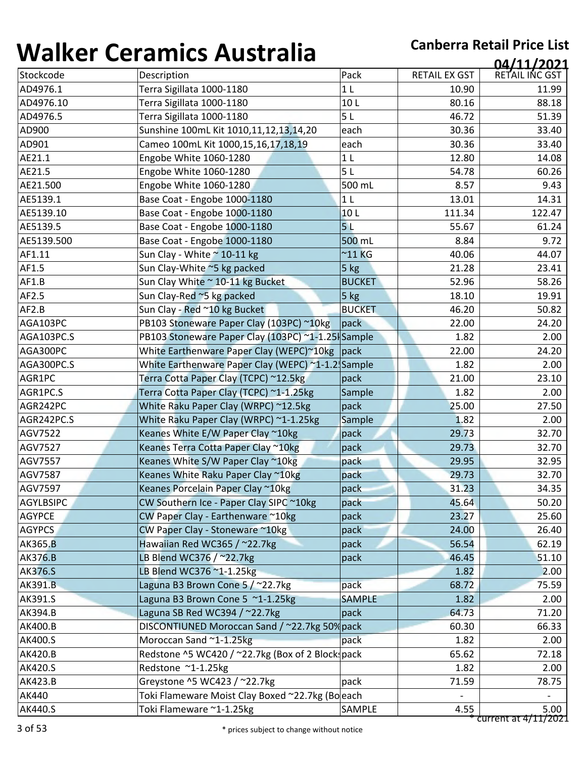| <b></b>          | <u>sei annes 7 iasceana</u>                       |                 |                      | 04/11/2021     |
|------------------|---------------------------------------------------|-----------------|----------------------|----------------|
| Stockcode        | Description                                       | Pack            | <b>RETAIL EX GST</b> | RETAIL INC GST |
| AD4976.1         | Terra Sigillata 1000-1180                         | 1 <sub>L</sub>  | 10.90                | 11.99          |
| AD4976.10        | Terra Sigillata 1000-1180                         | 10L             | 80.16                | 88.18          |
| AD4976.5         | Terra Sigillata 1000-1180                         | 5L              | 46.72                | 51.39          |
| AD900            | Sunshine 100mL Kit 1010,11,12,13,14,20            | each            | 30.36                | 33.40          |
| AD901            | Cameo 100mL Kit 1000,15,16,17,18,19               | each            | 30.36                | 33.40          |
| AE21.1           | Engobe White 1060-1280                            | 1 <sub>L</sub>  | 12.80                | 14.08          |
| AE21.5           | Engobe White 1060-1280                            | 5L              | 54.78                | 60.26          |
| AE21.500         | Engobe White 1060-1280                            | 500 mL          | 8.57                 | 9.43           |
| AE5139.1         | Base Coat - Engobe 1000-1180                      | 1 <sub>L</sub>  | 13.01                | 14.31          |
| AE5139.10        | Base Coat - Engobe 1000-1180                      | 10L             | 111.34               | 122.47         |
| AE5139.5         | Base Coat - Engobe 1000-1180                      | 5 <sub>L</sub>  | 55.67                | 61.24          |
| AE5139.500       | Base Coat - Engobe 1000-1180                      | 500 mL          | 8.84                 | 9.72           |
| AF1.11           | Sun Clay - White ~ 10-11 kg                       | $^{\sim}$ 11 KG | 40.06                | 44.07          |
| AF1.5            | Sun Clay-White ~5 kg packed                       | 5 kg            | 21.28                | 23.41          |
| AF1.B            | Sun Clay White ~ 10-11 kg Bucket                  | <b>BUCKET</b>   | 52.96                | 58.26          |
| AF2.5            | Sun Clay-Red ~5 kg packed                         | $5$ kg          | 18.10                | 19.91          |
| AF2.B            | Sun Clay - Red ~10 kg Bucket                      | <b>BUCKET</b>   | 46.20                | 50.82          |
| AGA103PC         | PB103 Stoneware Paper Clay (103PC) ~10kg          | pack            | 22.00                | 24.20          |
| AGA103PC.S       | PB103 Stoneware Paper Clay (103PC) ~1-1.25 Sample |                 | 1.82                 | 2.00           |
| AGA300PC         | White Earthenware Paper Clay (WEPC)~10kg  pack    |                 | 22.00                | 24.20          |
| AGA300PC.S       | White Earthenware Paper Clay (WEPC) ~1-1.2 Sample |                 | 1.82                 | 2.00           |
| AGR1PC           | Terra Cotta Paper Clay (TCPC) ~12.5kg             | pack            | 21.00                | 23.10          |
| AGR1PC.S         | Terra Cotta Paper Clay (TCPC) ~1-1.25kg           | Sample          | 1.82                 | 2.00           |
| AGR242PC         | White Raku Paper Clay (WRPC) ~12.5kg              | pack            | 25.00                | 27.50          |
| AGR242PC.S       | White Raku Paper Clay (WRPC) ~1-1.25kg            | Sample          | 1.82                 | 2.00           |
| AGV7522          | Keanes White E/W Paper Clay ~10kg                 | pack            | 29.73                | 32.70          |
| AGV7527          | Keanes Terra Cotta Paper Clay ~10kg               | pack            | 29.73                | 32.70          |
| AGV7557          | Keanes White S/W Paper Clay ~10kg                 | pack            | 29.95                | 32.95          |
| AGV7587          | Keanes White Raku Paper Clay ~10kg                | pack            | 29.73                | 32.70          |
| AGV7597          | Keanes Porcelain Paper Clay ~10kg                 | pack            | 31.23                | 34.35          |
| <b>AGYLBSIPC</b> | CW Southern Ice - Paper Clay SIPC ~10kg           | pack            | 45.64                | 50.20          |
| <b>AGYPCE</b>    | CW Paper Clay - Earthenware ~10kg                 | pack            | 23.27                | 25.60          |
| <b>AGYPCS</b>    | CW Paper Clay - Stoneware ~10kg                   | pack            | 24.00                | 26.40          |
| AK365.B          | Hawaiian Red WC365 / ~22.7kg                      | pack            | 56.54                | 62.19          |
| <b>AK376.B</b>   | LB Blend WC376 / ~22.7kg                          | pack            | 46.45                | 51.10          |
| <b>AK376.S</b>   | LB Blend WC376 ~1-1.25kg                          |                 | 1.82                 | 2.00           |
| <b>AK391.B</b>   | Laguna B3 Brown Cone 5 / ~22.7kg                  | pack            | 68.72                | 75.59          |
| AK391.S          | Laguna B3 Brown Cone 5 ~1-1.25kg                  | <b>SAMPLE</b>   | 1.82                 | 2.00           |
| AK394.B          | Laguna SB Red WC394 / ~22.7kg                     | pack            | 64.73                | 71.20          |
| AK400.B          | DISCONTIUNED Moroccan Sand / ~22.7kg 50% pack     |                 | 60.30                | 66.33          |
| AK400.S          | Moroccan Sand ~1-1.25kg                           | pack            | 1.82                 | 2.00           |
| AK420.B          | Redstone ^5 WC420 / ~22.7kg (Box of 2 Block pack  |                 | 65.62                | 72.18          |
| AK420.S          | Redstone ~1-1.25kg                                |                 | 1.82                 | 2.00           |
| AK423.B          | Greystone ^5 WC423 / ~22.7kg                      | pack            | 71.59                | 78.75          |
|                  |                                                   |                 |                      |                |
| AK440            | Toki Flameware Moist Clay Boxed ~22.7kg (Boeach   |                 |                      |                |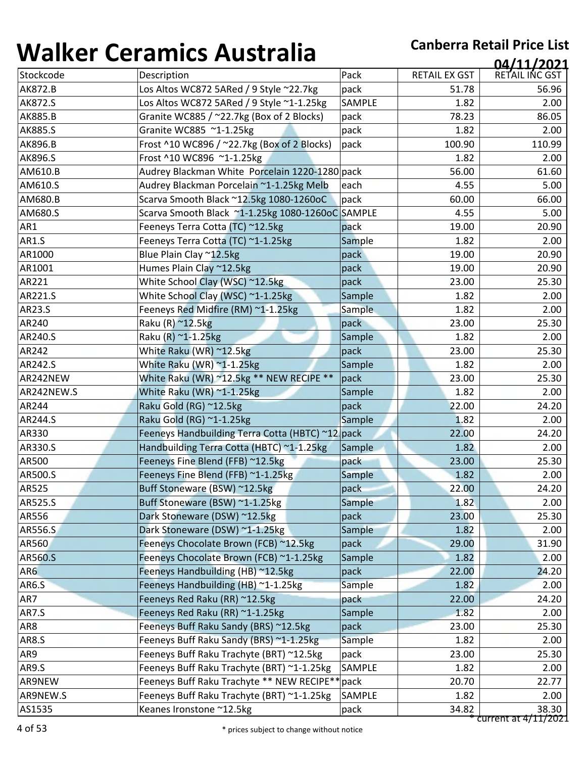| ''''''''        |                                                  |               |                      | 04/11/2021           |
|-----------------|--------------------------------------------------|---------------|----------------------|----------------------|
| Stockcode       | Description                                      | Pack          | <b>RETAIL EX GST</b> | RETAIL INC GST       |
| <b>AK872.B</b>  | Los Altos WC872 5ARed / 9 Style ~22.7kg          | pack          | 51.78                | 56.96                |
| <b>AK872.S</b>  | Los Altos WC872 5ARed / 9 Style ~1-1.25kg        | SAMPLE        | 1.82                 | 2.00                 |
| <b>AK885.B</b>  | Granite WC885 / ~22.7kg (Box of 2 Blocks)        | pack          | 78.23                | 86.05                |
| AK885.S         | Granite WC885 ~1-1.25kg                          | pack          | 1.82                 | 2.00                 |
| AK896.B         | Frost ^10 WC896 / ~22.7kg (Box of 2 Blocks)      | pack          | 100.90               | 110.99               |
| AK896.S         | Frost ^10 WC896 ~1-1.25kg                        |               | 1.82                 | 2.00                 |
| AM610.B         | Audrey Blackman White Porcelain 1220-1280 pack   |               | 56.00                | 61.60                |
| AM610.S         | Audrey Blackman Porcelain ~1-1.25kg Melb         | each          | 4.55                 | 5.00                 |
| AM680.B         | Scarva Smooth Black ~12.5kg 1080-1260oC          | pack          | 60.00                | 66.00                |
| AM680.S         | Scarva Smooth Black ~1-1.25kg 1080-1260oC SAMPLE |               | 4.55                 | 5.00                 |
| AR1             | Feeneys Terra Cotta (TC) ~12.5kg                 | pack          | 19.00                | 20.90                |
| <b>AR1.S</b>    | Feeneys Terra Cotta (TC) ~1-1.25kg               | Sample        | 1.82                 | 2.00                 |
| AR1000          | Blue Plain Clay ~12.5kg                          | pack          | 19.00                | 20.90                |
| AR1001          | Humes Plain Clay ~12.5kg                         | pack          | 19.00                | 20.90                |
| AR221           | White School Clay (WSC) ~12.5kg                  | pack          | 23.00                | 25.30                |
| AR221.S         | White School Clay (WSC) ~1-1.25kg                | Sample        | 1.82                 | 2.00                 |
| AR23.S          | Feeneys Red Midfire (RM) ~1-1.25kg               | <b>Sample</b> | 1.82                 | 2.00                 |
| AR240           | Raku (R) ~12.5kg                                 | pack          | 23.00                | 25.30                |
| AR240.S         | Raku (R) ~1-1.25kg                               | Sample        | 1.82                 | 2.00                 |
| AR242           | White Raku (WR) ~12.5kg                          | pack          | 23.00                | 25.30                |
| AR242.S         | White Raku (WR) $\approx$ 1-1.25kg               | Sample        | 1.82                 | 2.00                 |
| AR242NEW        | White Raku (WR) ~12.5kg ** NEW RECIPE **         | pack          | 23.00                | 25.30                |
| AR242NEW.S      | White Raku (WR) ~1-1.25kg                        | Sample        | 1.82                 | 2.00                 |
| AR244           | Raku Gold (RG) ~12.5kg                           | pack          | 22.00                | 24.20                |
| AR244.S         | Raku Gold (RG) ~1-1.25kg                         | Sample        | 1.82                 | 2.00                 |
| AR330           | Feeneys Handbuilding Terra Cotta (HBTC) ~12 pack |               | 22.00                | 24.20                |
| AR330.S         | Handbuilding Terra Cotta (HBTC) ~1-1.25kg        | Sample        | 1.82                 | 2.00                 |
| AR500           | Feeneys Fine Blend (FFB) ~12.5kg                 | pack          | 23.00                | 25.30                |
| AR500.S         | Feeneys Fine Blend (FFB) ~1-1.25kg               | Sample        | 1.82                 | 2.00                 |
| AR525           | Buff Stoneware (BSW) ~12.5kg                     | pack          | 22.00                | 24.20                |
| AR525.S         | Buff Stoneware (BSW) ~1-1.25kg                   | Sample        | 1.82                 | 2.00                 |
| AR556           | Dark Stoneware (DSW) ~12.5kg                     | pack          | 23.00                | 25.30                |
| AR556.S         | Dark Stoneware (DSW) ~1-1.25kg                   | Sample        | 1.82                 | 2.00                 |
| AR560           | Feeneys Chocolate Brown (FCB) ~12.5kg            | pack          | 29.00                | 31.90                |
| AR560.S         | Feeneys Chocolate Brown (FCB) ~1-1.25kg          | Sample        | 1.82                 | 2.00                 |
| AR <sub>6</sub> | Feeneys Handbuilding (HB) ~12.5kg                | pack          | 22.00                | 24.20                |
| AR6.S           | Feeneys Handbuilding (HB) ~1-1.25kg              | Sample        | 1.82                 | 2.00                 |
| AR7             | Feeneys Red Raku (RR) ~12.5kg                    | pack          | 22.00                | 24.20                |
| <b>AR7.S</b>    | Feeneys Red Raku (RR) ~1-1.25kg                  | Sample        | 1.82                 | 2.00                 |
| AR8             | Feeneys Buff Raku Sandy (BRS) ~12.5kg            | pack          | 23.00                | 25.30                |
| <b>AR8.S</b>    | Feeneys Buff Raku Sandy (BRS) ~1-1.25kg          | Sample        | 1.82                 | 2.00                 |
| AR9             | Feeneys Buff Raku Trachyte (BRT) ~12.5kg         | pack          | 23.00                | 25.30                |
| AR9.S           | Feeneys Buff Raku Trachyte (BRT) ~1-1.25kg       | SAMPLE        | 1.82                 | 2.00                 |
| AR9NEW          | Feeneys Buff Raku Trachyte ** NEW RECIPE**       | pack          | 20.70                | 22.77                |
| AR9NEW.S        | Feeneys Buff Raku Trachyte (BRT) ~1-1.25kg       | SAMPLE        | 1.82                 | 2.00                 |
| AS1535          | Keanes Ironstone ~12.5kg                         | pack          | 34.82                | 38.30                |
|                 |                                                  |               |                      | current at 4/11/2021 |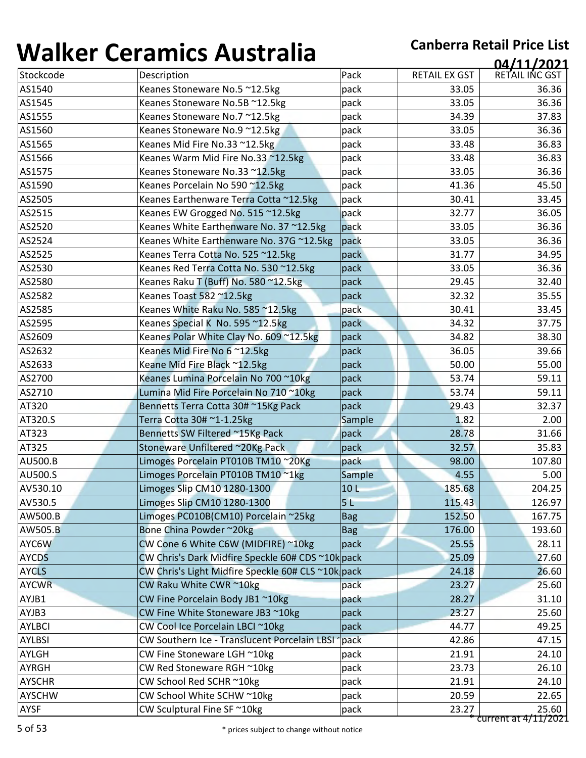| 1 J71 I N V V                  | <u>sei alliles 7 iasti alla</u>                    |            |               | 04/11/2021     |
|--------------------------------|----------------------------------------------------|------------|---------------|----------------|
| Stockcode                      | Description                                        | Pack       | RETAIL EX GST | RETAIL INC GST |
| AS1540                         | Keanes Stoneware No.5 ~12.5kg                      | pack       | 33.05         | 36.36          |
| AS1545                         | Keanes Stoneware No.5B ~12.5kg                     | pack       | 33.05         | 36.36          |
| AS1555                         | Keanes Stoneware No.7 ~12.5kg                      | pack       | 34.39         | 37.83          |
| AS1560                         | Keanes Stoneware No.9 ~12.5kg                      | pack       | 33.05         | 36.36          |
| AS1565                         | Keanes Mid Fire No.33 ~12.5kg                      | pack       | 33.48         | 36.83          |
| AS1566                         | Keanes Warm Mid Fire No.33 ~12.5kg                 | pack       | 33.48         | 36.83          |
| AS1575                         | Keanes Stoneware No.33 ~12.5kg                     | pack       | 33.05         | 36.36          |
| AS1590                         | Keanes Porcelain No 590 ~12.5kg                    | pack       | 41.36         | 45.50          |
| AS2505                         | Keanes Earthenware Terra Cotta ~12.5kg             | pack       | 30.41         | 33.45          |
| AS2515                         | Keanes EW Grogged No. 515 ~12.5kg                  | pack       | 32.77         | 36.05          |
| AS2520                         | Keanes White Earthenware No. 37 ~12.5kg            | pack       | 33.05         | 36.36          |
| AS2524                         | Keanes White Earthenware No. 37G ~12.5kg           | pack       | 33.05         | 36.36          |
| AS2525                         | Keanes Terra Cotta No. 525 ~12.5kg                 | pack       | 31.77         | 34.95          |
| AS2530                         | Keanes Red Terra Cotta No. 530 ~12.5kg             | pack       | 33.05         | 36.36          |
| AS2580                         | Keanes Raku T (Buff) No. 580 ~12.5kg               | pack       | 29.45         | 32.40          |
| AS2582                         | Keanes Toast 582 ~12.5kg                           | pack       | 32.32         | 35.55          |
| AS2585                         | Keanes White Raku No. 585 ~12.5kg                  | pack       | 30.41         | 33.45          |
| AS2595                         | Keanes Special K No. 595 ~12.5kg                   | pack       | 34.32         | 37.75          |
| AS2609                         | Keanes Polar White Clay No. 609 ~12.5kg            | pack       | 34.82         | 38.30          |
| AS2632                         | Keanes Mid Fire No 6 ~12.5kg                       | pack       | 36.05         | 39.66          |
| AS2633                         | Keane Mid Fire Black ~12.5kg                       | pack       | 50.00         | 55.00          |
| AS2700                         | Keanes Lumina Porcelain No 700 ~10kg               | pack       | 53.74         | 59.11          |
| AS2710                         | Lumina Mid Fire Porcelain No 710~10kg              | pack       | 53.74         | 59.11          |
| AT320                          | Bennetts Terra Cotta 30#~15Kg Pack                 | pack       | 29.43         | 32.37          |
| AT320.S                        | Terra Cotta 30# ~1-1.25kg                          | Sample     | 1.82          | 2.00           |
| AT323                          | Bennetts SW Filtered ~15Kg Pack                    | pack       | 28.78         | 31.66          |
| AT325                          | Stoneware Unfiltered ~20Kg Pack                    | pack       | 32.57         | 35.83          |
| <b>AU500.B</b>                 | Limoges Porcelain PT010B TM10~20Kg                 | pack       | 98.00         | 107.80         |
| AU500.S                        | Limoges Porcelain PT010B TM10~1kg                  | Sample     | 4.55          | 5.00           |
| AV530.10                       | Limoges Slip CM10 1280-1300                        | 10L        | 185.68        | 204.25         |
| AV530.5                        | Limoges Slip CM10 1280-1300                        | 5L         | 115.43        | 126.97         |
| AW500.B                        | Limoges PC010B(CM10) Porcelain ~25kg               | <b>Bag</b> | 152.50        | 167.75         |
| AW505.B                        | Bone China Powder ~20kg                            | <b>Bag</b> | 176.00        | 193.60         |
| AYC6W                          | CW Cone 6 White C6W (MIDFIRE) ~10kg                | pack       | 25.55         | 28.11          |
| <b>AYCDS</b>                   | CW Chris's Dark Midfire Speckle 60# CDS ~10k pack  |            | 25.09         | 27.60          |
| <b>AYCLS</b>                   | CW Chris's Light Midfire Speckle 60# CLS ~10k pack |            | 24.18         | 26.60          |
| <b>AYCWR</b>                   | CW Raku White CWR ~10kg                            | pack       | 23.27         | 25.60          |
| AYJB1                          | CW Fine Porcelain Body JB1 ~10kg                   | pack       | 28.27         | 31.10          |
| AYJB3                          | CW Fine White Stoneware JB3 ~10kg                  | pack       | 23.27         | 25.60          |
| <b>AYLBCI</b>                  | CW Cool Ice Porcelain LBCI ~10kg                   | pack       | 44.77         | 49.25          |
| <b>AYLBSI</b>                  | CW Southern Ice - Translucent Porcelain LBSI       | pack       | 42.86         | 47.15          |
| AYLGH                          | CW Fine Stoneware LGH ~10kg                        | pack       | 21.91         | 24.10          |
| <b>AYRGH</b>                   | CW Red Stoneware RGH ~10kg                         | pack       | 23.73         | 26.10          |
|                                |                                                    |            |               |                |
|                                | CW School Red SCHR ~10kg                           | pack       | 21.91         | 24.10          |
| <b>AYSCHR</b><br><b>AYSCHW</b> | CW School White SCHW ~10kg                         | pack       | 20.59         | 22.65          |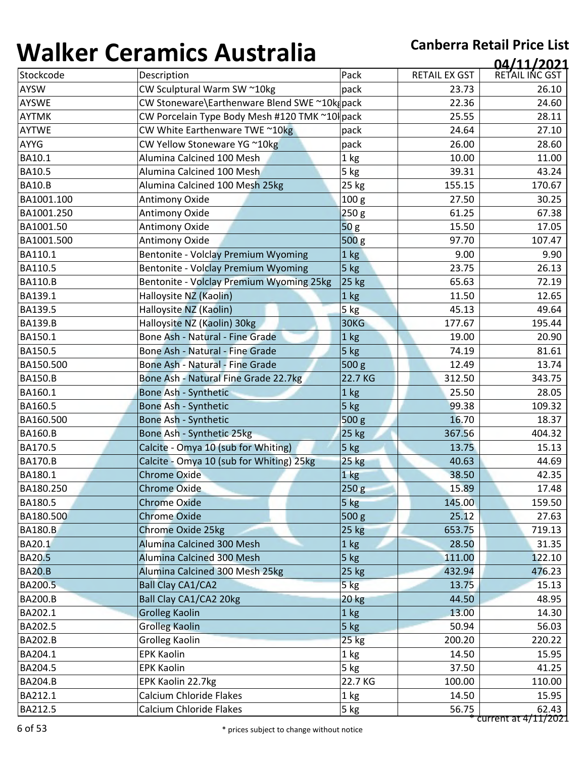| ''''''''       |                                               |                  |                      | 04/11/2021     |
|----------------|-----------------------------------------------|------------------|----------------------|----------------|
| Stockcode      | Description                                   | Pack             | <b>RETAIL EX GST</b> | RETAIL INC GST |
| <b>AYSW</b>    | CW Sculptural Warm SW ~10kg                   | pack             | 23.73                | 26.10          |
| <b>AYSWE</b>   | CW Stoneware\Earthenware Blend SWE ~10kg pack |                  | 22.36                | 24.60          |
| <b>AYTMK</b>   | CW Porcelain Type Body Mesh #120 TMK ~10 pack |                  | 25.55                | 28.11          |
| <b>AYTWE</b>   | CW White Earthenware TWE ~10kg                | pack             | 24.64                | 27.10          |
| <b>AYYG</b>    | CW Yellow Stoneware YG ~10kg                  | pack             | 26.00                | 28.60          |
| BA10.1         | Alumina Calcined 100 Mesh                     | 1 kg             | 10.00                | 11.00          |
| <b>BA10.5</b>  | Alumina Calcined 100 Mesh                     | 5 kg             | 39.31                | 43.24          |
| <b>BA10.B</b>  | Alumina Calcined 100 Mesh 25kg                | 25 kg            | 155.15               | 170.67         |
| BA1001.100     | Antimony Oxide                                | 100 <sub>g</sub> | 27.50                | 30.25          |
| BA1001.250     | <b>Antimony Oxide</b>                         | 250 g            | 61.25                | 67.38          |
| BA1001.50      | Antimony Oxide                                | 50 <sub>g</sub>  | 15.50                | 17.05          |
| BA1001.500     | Antimony Oxide                                | 500 <sub>g</sub> | 97.70                | 107.47         |
| BA110.1        | Bentonite - Volclay Premium Wyoming           | 1 <sub>kg</sub>  | 9.00                 | 9.90           |
| BA110.5        | Bentonite - Volclay Premium Wyoming           | 5 kg             | 23.75                | 26.13          |
| <b>BA110.B</b> | Bentonite - Volclay Premium Wyoming 25kg      | 25 kg            | 65.63                | 72.19          |
| BA139.1        | Halloysite NZ (Kaolin)                        | 1 kg             | 11.50                | 12.65          |
| BA139.5        | Halloysite NZ (Kaolin)                        | 5 kg             | 45.13                | 49.64          |
| <b>BA139.B</b> | Halloysite NZ (Kaolin) 30kg                   | 30KG             | 177.67               | 195.44         |
| BA150.1        | Bone Ash - Natural - Fine Grade               | 1 kg             | 19.00                | 20.90          |
| BA150.5        | Bone Ash - Natural - Fine Grade               | 5 kg             | 74.19                | 81.61          |
| BA150.500      | <b>Bone Ash - Natural - Fine Grade</b>        | 500 <sub>g</sub> | 12.49                | 13.74          |
| <b>BA150.B</b> | Bone Ash - Natural Fine Grade 22.7kg          | 22.7 KG          | 312.50               | 343.75         |
| BA160.1        | Bone Ash - Synthetic                          | 1 <sub>kg</sub>  | 25.50                | 28.05          |
| BA160.5        | Bone Ash - Synthetic                          | $5$ kg           | 99.38                | 109.32         |
| BA160.500      | Bone Ash - Synthetic                          | 500 g            | 16.70                | 18.37          |
| <b>BA160.B</b> | Bone Ash - Synthetic 25kg                     | 25 kg            | 367.56               | 404.32         |
| BA170.5        | Calcite - Omya 10 (sub for Whiting)           | 5 kg             | 13.75                | 15.13          |
| <b>BA170.B</b> | Calcite - Omya 10 (sub for Whiting) 25kg      | 25 kg            | 40.63                | 44.69          |
| BA180.1        | <b>Chrome Oxide</b>                           | 1 kg             | 38.50                | 42.35          |
| BA180.250      | Chrome Oxide                                  | 250g             | 15.89                | 17.48          |
| BA180.5        | <b>Chrome Oxide</b>                           | 5 kg             | 145.00               | 159.50         |
| BA180.500      | <b>Chrome Oxide</b>                           | 500 g            | 25.12                | 27.63          |
| <b>BA180.B</b> | <b>Chrome Oxide 25kg</b>                      | 25 kg            | 653.75               | 719.13         |
| BA20.1         | Alumina Calcined 300 Mesh                     | 1 kg             | 28.50                | 31.35          |
| <b>BA20.5</b>  | Alumina Calcined 300 Mesh                     | 5 kg             | 111.00               | 122.10         |
| <b>BA20.B</b>  | Alumina Calcined 300 Mesh 25kg                | $25$ kg          | 432.94               | 476.23         |
| BA200.5        | <b>Ball Clay CA1/CA2</b>                      | $5$ $kg$         | 13.75                | 15.13          |
| <b>BA200.B</b> | Ball Clay CA1/CA2 20kg                        | <b>20 kg</b>     | 44.50                | 48.95          |
| BA202.1        | <b>Grolleg Kaolin</b>                         | 1 <sub>kg</sub>  | 13.00                | 14.30          |
| BA202.5        | <b>Grolleg Kaolin</b>                         | 5 kg             | 50.94                | 56.03          |
| <b>BA202.B</b> | <b>Grolleg Kaolin</b>                         | $25$ kg          | 200.20               | 220.22         |
| BA204.1        | <b>EPK Kaolin</b>                             | 1 <sub>kg</sub>  | 14.50                | 15.95          |
| BA204.5        | <b>EPK Kaolin</b>                             | 5 kg             | 37.50                | 41.25          |
| <b>BA204.B</b> | EPK Kaolin 22.7kg                             | 22.7 KG          | 100.00               | 110.00         |
| BA212.1        | <b>Calcium Chloride Flakes</b>                | 1 kg             | 14.50                | 15.95          |
| BA212.5        | Calcium Chloride Flakes                       | 5 kg             | 56.75                | 62.43          |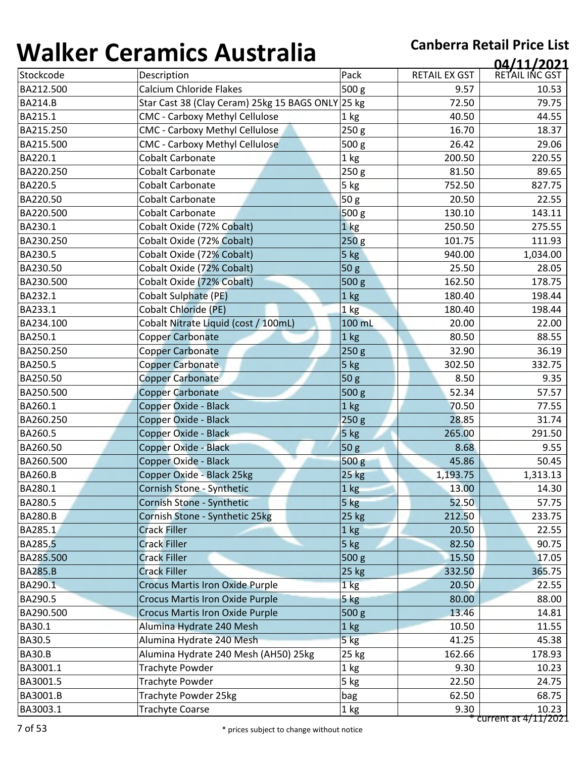| ''''''''       | <u>strathnes i rasti and</u>                      |                  |                      | 04/11/2021     |
|----------------|---------------------------------------------------|------------------|----------------------|----------------|
| Stockcode      | Description                                       | Pack             | <b>RETAIL EX GST</b> | RETAIL INC GST |
| BA212.500      | Calcium Chloride Flakes                           | 500 g            | 9.57                 | 10.53          |
| <b>BA214.B</b> | Star Cast 38 (Clay Ceram) 25kg 15 BAGS ONLY 25 kg |                  | 72.50                | 79.75          |
| BA215.1        | <b>CMC - Carboxy Methyl Cellulose</b>             | 1 kg             | 40.50                | 44.55          |
| BA215.250      | <b>CMC - Carboxy Methyl Cellulose</b>             | 250 <sub>g</sub> | 16.70                | 18.37          |
| BA215.500      | <b>CMC - Carboxy Methyl Cellulose</b>             | 500 g            | 26.42                | 29.06          |
| BA220.1        | <b>Cobalt Carbonate</b>                           | 1 kg             | 200.50               | 220.55         |
| BA220.250      | <b>Cobalt Carbonate</b>                           | 250 <sub>g</sub> | 81.50                | 89.65          |
| BA220.5        | <b>Cobalt Carbonate</b>                           | 5 kg             | 752.50               | 827.75         |
| BA220.50       | <b>Cobalt Carbonate</b>                           | 50 g             | 20.50                | 22.55          |
| BA220.500      | Cobalt Carbonate                                  | 500 g            | 130.10               | 143.11         |
| BA230.1        | Cobalt Oxide (72% Cobalt)                         | 1 <sub>kg</sub>  | 250.50               | 275.55         |
| BA230.250      | Cobalt Oxide (72% Cobalt)                         | 250 <sub>g</sub> | 101.75               | 111.93         |
| BA230.5        | Cobalt Oxide (72% Cobalt)                         | 5 kg             | 940.00               | 1,034.00       |
| BA230.50       | Cobalt Oxide (72% Cobalt)                         | 50 g             | 25.50                | 28.05          |
| BA230.500      | Cobalt Oxide (72% Cobalt)                         | 500 g            | 162.50               | 178.75         |
| BA232.1        | <b>Cobalt Sulphate (PE)</b>                       | 1 kg             | 180.40               | 198.44         |
| BA233.1        | <b>Cobalt Chloride (PE)</b>                       | 1 <sub>kg</sub>  | 180.40               | 198.44         |
| BA234.100      | Cobalt Nitrate Liquid (cost / 100mL)              | 100 mL           | 20.00                | 22.00          |
| BA250.1        | Copper Carbonate                                  | 1 kg             | 80.50                | 88.55          |
| BA250.250      | <b>Copper Carbonate</b>                           | 250g             | 32.90                | 36.19          |
| BA250.5        | <b>Copper Carbonate</b>                           | 5 kg             | 302.50               | 332.75         |
| BA250.50       | <b>Copper Carbonate</b>                           | 50 <sub>g</sub>  | 8.50                 | 9.35           |
| BA250.500      | <b>Copper Carbonate</b>                           | 500 g            | 52.34                | 57.57          |
| BA260.1        | Copper Oxide - Black                              | 1 <sub>kg</sub>  | 70.50                | 77.55          |
| BA260.250      | Copper Oxide - Black                              | 250 g            | 28.85                | 31.74          |
| BA260.5        | Copper Oxide - Black                              | 5 kg             | 265.00               | 291.50         |
| BA260.50       | Copper Oxide - Black                              | 50 <sub>g</sub>  | 8.68                 | 9.55           |
| BA260.500      | Copper Oxide - Black                              | 500 g            | 45.86                | 50.45          |
| <b>BA260.B</b> | Copper Oxide - Black 25kg                         | 25 kg            | 1,193.75             | 1,313.13       |
| BA280.1        | Cornish Stone - Synthetic                         | 1 kg             | 13.00                | 14.30          |
| BA280.5        | Cornish Stone - Synthetic                         | $5$ kg           | 52.50                | 57.75          |
| <b>BA280.B</b> | Cornish Stone - Synthetic 25kg                    | 25 kg            | 212.50               | 233.75         |
| BA285.1        | <b>Crack Filler</b>                               | 1 kg             | 20.50                | 22.55          |
| BA285.5        | <b>Crack Filler</b>                               | $5$ kg           | 82.50                | 90.75          |
| BA285.500      | <b>Crack Filler</b>                               | 500 g            | 15.50                | 17.05          |
| <b>BA285.B</b> | <b>Crack Filler</b>                               | <b>25 kg</b>     | 332.50               | 365.75         |
| BA290.1        | <b>Crocus Martis Iron Oxide Purple</b>            | 1 <sub>kg</sub>  | 20.50                | 22.55          |
| BA290.5        | <b>Crocus Martis Iron Oxide Purple</b>            | 5 kg             | 80.00                | 88.00          |
| BA290.500      | <b>Crocus Martis Iron Oxide Purple</b>            | 500 <sub>g</sub> | 13.46                | 14.81          |
| BA30.1         | Alumina Hydrate 240 Mesh                          | 1 kg             | 10.50                | 11.55          |
| BA30.5         | Alumina Hydrate 240 Mesh                          | 5 kg             | 41.25                | 45.38          |
| <b>BA30.B</b>  | Alumina Hydrate 240 Mesh (AH50) 25kg              | 25 kg            | 162.66               | 178.93         |
| BA3001.1       | Trachyte Powder                                   | 1 kg             | 9.30                 | 10.23          |
| BA3001.5       | Trachyte Powder                                   | 5 kg             | 22.50                | 24.75          |
| BA3001.B       | Trachyte Powder 25kg                              | bag              | 62.50                | 68.75          |
| BA3003.1       | <b>Trachyte Coarse</b>                            | 1 kg             | 9.30                 | 10.23          |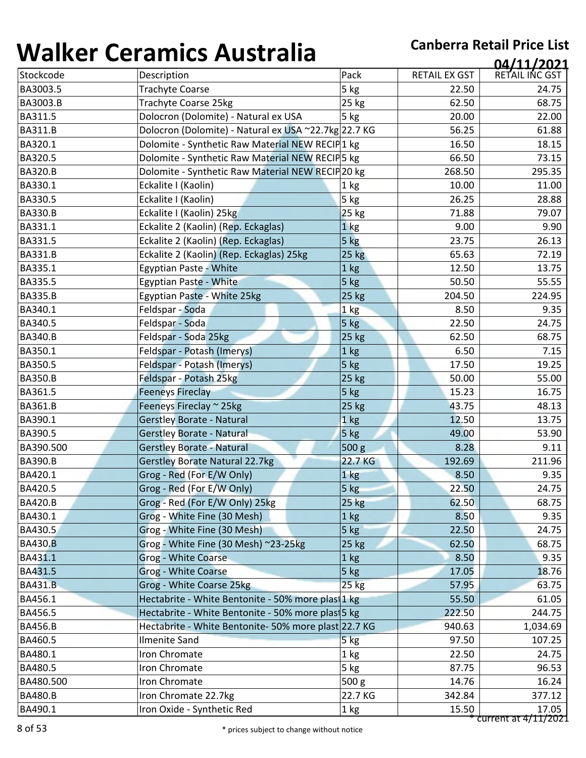| , , , , , , , , , | <u>strathnes i rasti and</u>                         |                  |                      | 04/11/2021     |
|-------------------|------------------------------------------------------|------------------|----------------------|----------------|
| Stockcode         | Description                                          | Pack             | <b>RETAIL EX GST</b> | RETAIL INC GST |
| BA3003.5          | <b>Trachyte Coarse</b>                               | 5 kg             | 22.50                | 24.75          |
| BA3003.B          | Trachyte Coarse 25kg                                 | 25 kg            | 62.50                | 68.75          |
| BA311.5           | Dolocron (Dolomite) - Natural ex USA                 | $5$ kg           | 20.00                | 22.00          |
| <b>BA311.B</b>    | Dolocron (Dolomite) - Natural ex USA ~22.7kg 22.7 KG |                  | 56.25                | 61.88          |
| BA320.1           | Dolomite - Synthetic Raw Material NEW RECIP1 kg      |                  | 16.50                | 18.15          |
| BA320.5           | Dolomite - Synthetic Raw Material NEW RECIP5 kg      |                  | 66.50                | 73.15          |
| <b>BA320.B</b>    | Dolomite - Synthetic Raw Material NEW RECIP 20 kg    |                  | 268.50               | 295.35         |
| BA330.1           | Eckalite I (Kaolin)                                  | 1 kg             | 10.00                | 11.00          |
| BA330.5           | Eckalite I (Kaolin)                                  | 5 kg             | 26.25                | 28.88          |
| <b>BA330.B</b>    | Eckalite I (Kaolin) 25kg                             | 25 kg            | 71.88                | 79.07          |
| BA331.1           | Eckalite 2 (Kaolin) (Rep. Eckaglas)                  | 1 <sub>kg</sub>  | 9.00                 | 9.90           |
| BA331.5           | Eckalite 2 (Kaolin) (Rep. Eckaglas)                  | 5 kg             | 23.75                | 26.13          |
| <b>BA331.B</b>    | Eckalite 2 (Kaolin) (Rep. Eckaglas) 25kg             | $25$ $kg$        | 65.63                | 72.19          |
| BA335.1           | <b>Egyptian Paste - White</b>                        | 1 kg             | 12.50                | 13.75          |
| BA335.5           | <b>Egyptian Paste - White</b>                        | 5 kg             | 50.50                | 55.55          |
| <b>BA335.B</b>    | Egyptian Paste - White 25kg                          | 25 kg            | 204.50               | 224.95         |
| BA340.1           | Feldspar - Soda                                      | 1 kg             | 8.50                 | 9.35           |
| BA340.5           | Feldspar - Soda                                      | 5 kg             | 22.50                | 24.75          |
| <b>BA340.B</b>    | Feldspar - Soda 25kg                                 | 25 kg            | 62.50                | 68.75          |
| BA350.1           | Feldspar - Potash (Imerys)                           | 1 kg             | 6.50                 | 7.15           |
| BA350.5           | Feldspar - Potash (Imerys)                           | 5 kg             | 17.50                | 19.25          |
| <b>BA350.B</b>    | Feldspar - Potash 25kg                               | 25 kg            | 50.00                | 55.00          |
| BA361.5           | <b>Feeneys Fireclay</b>                              | 5 kg             | 15.23                | 16.75          |
| <b>BA361.B</b>    | Feeneys Fireclay ~ 25kg                              | 25 kg            | 43.75                | 48.13          |
| BA390.1           | Gerstley Borate - Natural                            | 1 kg             | 12.50                | 13.75          |
| BA390.5           | <b>Gerstley Borate - Natural</b>                     | 5 kg             | 49.00                | 53.90          |
| BA390.500         | <b>Gerstley Borate - Natural</b>                     | 500 g            | 8.28                 | 9.11           |
| <b>BA390.B</b>    | <b>Gerstley Borate Natural 22.7kg</b>                | 22.7 KG          | 192.69               | 211.96         |
| BA420.1           | Grog - Red (For E/W Only)                            | 1 kg             | 8.50                 | 9.35           |
| BA420.5           | Grog - Red (For E/W Only)                            | 5 kg             | 22.50                | 24.75          |
| <b>BA420.B</b>    | Grog - Red (For E/W Only) 25kg                       | 25 kg            | 62.50                | 68.75          |
| BA430.1           | Grog - White Fine (30 Mesh)                          | 1 <sub>kg</sub>  | 8.50                 | 9.35           |
| BA430.5           | Grog - White Fine (30 Mesh)                          | 5 kg             | 22.50                | 24.75          |
| <b>BA430.B</b>    | Grog - White Fine (30 Mesh) ~23-25kg                 | 25 kg            | 62.50                | 68.75          |
| BA431.1           | Grog - White Coarse                                  | 1 kg             | 8.50                 | 9.35           |
| BA431.5           | <b>Grog - White Coarse</b>                           | 5 kg             | 17.05                | 18.76          |
| <b>BA431.B</b>    | Grog - White Coarse 25kg                             | $25$ kg          | 57.95                | 63.75          |
| BA456.1           | Hectabrite - White Bentonite - 50% more plas 1 kg    |                  | 55.50                | 61.05          |
| BA456.5           | Hectabrite - White Bentonite - 50% more plasi 5 kg   |                  | 222.50               | 244.75         |
| <b>BA456.B</b>    | Hectabrite - White Bentonite- 50% more plast 22.7 KG |                  | 940.63               | 1,034.69       |
| BA460.5           | <b>Ilmenite Sand</b>                                 | 5 kg             | 97.50                | 107.25         |
| BA480.1           | Iron Chromate                                        | 1 kg             | 22.50                | 24.75          |
| BA480.5           | Iron Chromate                                        | 5 kg             | 87.75                | 96.53          |
| BA480.500         | Iron Chromate                                        | 500 <sub>g</sub> | 14.76                | 16.24          |
|                   |                                                      |                  |                      |                |
| <b>BA480.B</b>    | Iron Chromate 22.7kg                                 | 22.7 KG          | 342.84               | 377.12         |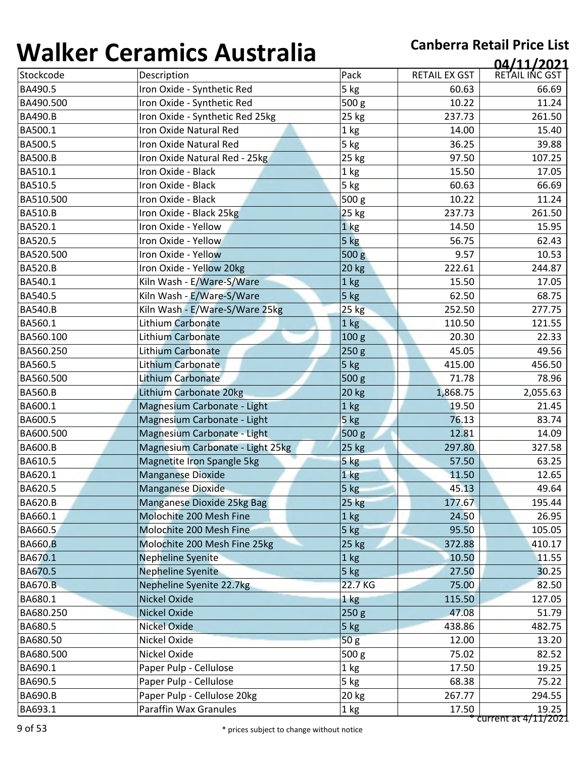| ''''''''       | <u>strathnes i rasti and</u>     |                  |                      | 04/11/2021                    |
|----------------|----------------------------------|------------------|----------------------|-------------------------------|
| Stockcode      | Description                      | Pack             | <b>RETAIL EX GST</b> | RETAIL INC GST                |
| BA490.5        | Iron Oxide - Synthetic Red       | 5 kg             | 60.63                | 66.69                         |
| BA490.500      | Iron Oxide - Synthetic Red       | 500 g            | 10.22                | 11.24                         |
| <b>BA490.B</b> | Iron Oxide - Synthetic Red 25kg  | 25 kg            | 237.73               | 261.50                        |
| BA500.1        | Iron Oxide Natural Red           | 1 kg             | 14.00                | 15.40                         |
| BA500.5        | Iron Oxide Natural Red           | 5 kg             | 36.25                | 39.88                         |
| <b>BA500.B</b> | Iron Oxide Natural Red - 25kg    | 25 kg            | 97.50                | 107.25                        |
| BA510.1        | Iron Oxide - Black               | 1 kg             | 15.50                | 17.05                         |
| BA510.5        | Iron Oxide - Black               | 5 kg             | 60.63                | 66.69                         |
| BA510.500      | Iron Oxide - Black               | 500 g            | 10.22                | 11.24                         |
| <b>BA510.B</b> | Iron Oxide - Black 25kg          | 25 kg            | 237.73               | 261.50                        |
| BA520.1        | Iron Oxide - Yellow              | 1 <sub>kg</sub>  | 14.50                | 15.95                         |
| BA520.5        | Iron Oxide - Yellow              | 5 kg             | 56.75                | 62.43                         |
| BA520.500      | Iron Oxide - Yellow              | 500 g            | 9.57                 | 10.53                         |
| <b>BA520.B</b> | Iron Oxide - Yellow 20kg         | 20 kg            | 222.61               | 244.87                        |
| BA540.1        | Kiln Wash - E/Ware-S/Ware        | 1 kg             | 15.50                | 17.05                         |
| BA540.5        | Kiln Wash - E/Ware-S/Ware        | 5 kg             | 62.50                | 68.75                         |
| <b>BA540.B</b> | Kiln Wash - E/Ware-S/Ware 25kg   | <b>25 kg</b>     | 252.50               | 277.75                        |
| BA560.1        | Lithium Carbonate                | 1 kg             | 110.50               | 121.55                        |
| BA560.100      | Lithium Carbonate                | 100 <sub>g</sub> | 20.30                | 22.33                         |
| BA560.250      | <b>Lithium Carbonate</b>         | 250 g            | 45.05                | 49.56                         |
| BA560.5        | Lithium Carbonate                | 5 kg             | 415.00               | 456.50                        |
| BA560.500      | Lithium Carbonate                | 500 g            | 71.78                | 78.96                         |
| <b>BA560.B</b> | Lithium Carbonate 20kg           | 20 kg            | 1,868.75             | 2,055.63                      |
| BA600.1        | Magnesium Carbonate - Light      | 1 kg             | 19.50                | 21.45                         |
| BA600.5        | Magnesium Carbonate - Light      | 5 kg             | 76.13                | 83.74                         |
| BA600.500      | Magnesium Carbonate - Light      | 500 g            | 12.81                | 14.09                         |
| <b>BA600.B</b> | Magnesium Carbonate - Light 25kg | 25 kg            | 297.80               | 327.58                        |
| BA610.5        | Magnetite Iron Spangle 5kg       | 5 kg             | 57.50                | 63.25                         |
| BA620.1        | <b>Manganese Dioxide</b>         | 1 kg             | 11.50                | 12.65                         |
| BA620.5        | Manganese Dioxide                | 5 kg             | 45.13                | 49.64                         |
| <b>BA620.B</b> | Manganese Dioxide 25kg Bag       | 25 kg            | 177.67               | 195.44                        |
| BA660.1        | Molochite 200 Mesh Fine          | 1 <sub>kg</sub>  | 24.50                | 26.95                         |
| BA660.5        | Molochite 200 Mesh Fine          | 5 kg             | 95.50                | 105.05                        |
| <b>BA660.B</b> | Molochite 200 Mesh Fine 25kg     | 25 kg            | 372.88               | 410.17                        |
| BA670.1        | <b>Nepheline Syenite</b>         | 1 kg             | 10.50                | 11.55                         |
| BA670.5        | <b>Nepheline Syenite</b>         | 5 kg             | 27.50                | 30.25                         |
| <b>BA670.B</b> | Nepheline Syenite 22.7kg         | 22.7 KG          | 75.00                | 82.50                         |
| BA680.1        | <b>Nickel Oxide</b>              | 1 kg             | 115.50               | 127.05                        |
| BA680.250      | <b>Nickel Oxide</b>              | 250 <sub>g</sub> | 47.08                | 51.79                         |
| BA680.5        | <b>Nickel Oxide</b>              | 5 kg             | 438.86               | 482.75                        |
| BA680.50       | Nickel Oxide                     | 50 <sub>g</sub>  | 12.00                | 13.20                         |
| BA680.500      | Nickel Oxide                     | 500 g            | 75.02                | 82.52                         |
| BA690.1        | Paper Pulp - Cellulose           | 1 kg             | 17.50                | 19.25                         |
| BA690.5        | Paper Pulp - Cellulose           | 5 kg             | 68.38                | 75.22                         |
| <b>BA690.B</b> | Paper Pulp - Cellulose 20kg      | 20 kg            | 267.77               | 294.55                        |
| BA693.1        | Paraffin Wax Granules            | 1 kg             | 17.50                | 19.25<br>current at 4/11/2021 |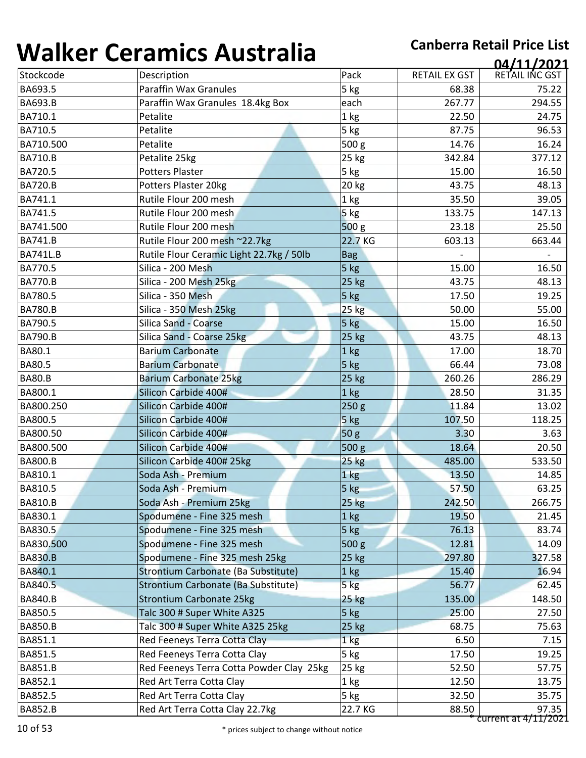| TJTIN V V       | <u>Columno ruscianu</u>                  |                  |                      | 04/11/2021           |
|-----------------|------------------------------------------|------------------|----------------------|----------------------|
| Stockcode       | Description                              | Pack             | <b>RETAIL EX GST</b> | RETAIL INC GST       |
| BA693.5         | <b>Paraffin Wax Granules</b>             | 5 kg             | 68.38                | 75.22                |
| <b>BA693.B</b>  | Paraffin Wax Granules 18.4kg Box         | each             | 267.77               | 294.55               |
| BA710.1         | Petalite                                 | 1 <sub>kg</sub>  | 22.50                | 24.75                |
| BA710.5         | Petalite                                 | 5 kg             | 87.75                | 96.53                |
| BA710.500       | Petalite                                 | 500 g            | 14.76                | 16.24                |
| <b>BA710.B</b>  | Petalite 25kg                            | 25 kg            | 342.84               | 377.12               |
| BA720.5         | <b>Potters Plaster</b>                   | 5 kg             | 15.00                | 16.50                |
| <b>BA720.B</b>  | Potters Plaster 20kg                     | 20 kg            | 43.75                | 48.13                |
| BA741.1         | Rutile Flour 200 mesh                    | 1 kg             | 35.50                | 39.05                |
| BA741.5         | Rutile Flour 200 mesh                    | 5 kg             | 133.75               | 147.13               |
| BA741.500       | Rutile Flour 200 mesh                    | 500 g            | 23.18                | 25.50                |
| <b>BA741.B</b>  | Rutile Flour 200 mesh ~22.7kg            | 22.7 KG          | 603.13               | 663.44               |
| <b>BA741L.B</b> | Rutile Flour Ceramic Light 22.7kg / 50lb | <b>Bag</b>       |                      |                      |
| BA770.5         | Silica - 200 Mesh                        | 5 kg             | 15.00                | 16.50                |
| <b>BA770.B</b>  | Silica - 200 Mesh 25kg                   | 25 kg            | 43.75                | 48.13                |
| BA780.5         | Silica - 350 Mesh                        | 5 kg             | 17.50                | 19.25                |
| <b>BA780.B</b>  | Silica - 350 Mesh 25kg                   | 25 kg            | 50.00                | 55.00                |
| BA790.5         | <b>Silica Sand - Coarse</b>              | 5 kg             | 15.00                | 16.50                |
| <b>BA790.B</b>  | Silica Sand - Coarse 25kg                | 25 kg            | 43.75                | 48.13                |
| BA80.1          | <b>Barium Carbonate</b>                  | 1 <sub>kg</sub>  | 17.00                | 18.70                |
| BA80.5          | <b>Barium Carbonate</b>                  | 5 kg             | 66.44                | 73.08                |
| <b>BA80.B</b>   | <b>Barium Carbonate 25kg</b>             | 25 kg            | 260.26               | 286.29               |
| BA800.1         | Silicon Carbide 400#                     | 1 <sub>kg</sub>  | 28.50                | 31.35                |
| BA800.250       | Silicon Carbide 400#                     | 250 g            | 11.84                | 13.02                |
| BA800.5         | Silicon Carbide 400#                     | 5 kg             | 107.50               | 118.25               |
| BA800.50        | Silicon Carbide 400#                     | 50 g             | 3.30                 | 3.63                 |
| BA800.500       | Silicon Carbide 400#                     | 500 <sub>g</sub> | 18.64                | 20.50                |
| <b>BA800.B</b>  | Silicon Carbide 400# 25kg                | 25 kg            | 485.00               | 533.50               |
| BA810.1         | Soda Ash - Premium                       | 1 kg             | 13.50                | 14.85                |
| BA810.5         | Soda Ash - Premium                       | 5 kg             | 57.50                | 63.25                |
| <b>BA810.B</b>  | Soda Ash - Premium 25kg                  | <b>25 kg</b>     | 242.50               | 266.75               |
| BA830.1         | Spodumene - Fine 325 mesh                | $1$ kg           | 19.50                | 21.45                |
| BA830.5         | Spodumene - Fine 325 mesh                | $5$ kg           | 76.13                | 83.74                |
| BA830.500       | Spodumene - Fine 325 mesh                | 500 g            | 12.81                | 14.09                |
| <b>BA830.B</b>  | Spodumene - Fine 325 mesh 25kg           | 25 kg            | 297.80               | 327.58               |
| BA840.1         | Strontium Carbonate (Ba Substitute)      | $1$ kg           | 15.40                | 16.94                |
| BA840.5         | Strontium Carbonate (Ba Substitute)      | $5$ kg           | 56.77                | 62.45                |
| <b>BA840.B</b>  | <b>Strontium Carbonate 25kg</b>          | <b>25 kg</b>     | 135.00               | 148.50               |
| BA850.5         | Talc 300 # Super White A325              | 5 kg             | 25.00                | 27.50                |
| <b>BA850.B</b>  | Talc 300 # Super White A325 25kg         | <b>25 kg</b>     | 68.75                | 75.63                |
| BA851.1         | Red Feeneys Terra Cotta Clay             | 1 <sub>kg</sub>  | 6.50                 | 7.15                 |
| BA851.5         | Red Feeneys Terra Cotta Clay             | 5 kg             | 17.50                | 19.25                |
| <b>BA851.B</b>  | Red Feeneys Terra Cotta Powder Clay 25kg | 25 kg            | 52.50                | 57.75                |
| BA852.1         | Red Art Terra Cotta Clay                 | 1 kg             | 12.50                | 13.75                |
| BA852.5         | Red Art Terra Cotta Clay                 | 5 kg             | 32.50                | 35.75                |
| <b>BA852.B</b>  | Red Art Terra Cotta Clay 22.7kg          | 22.7 KG          | 88.50                | 97.35                |
|                 |                                          |                  |                      | current at 4/11/2021 |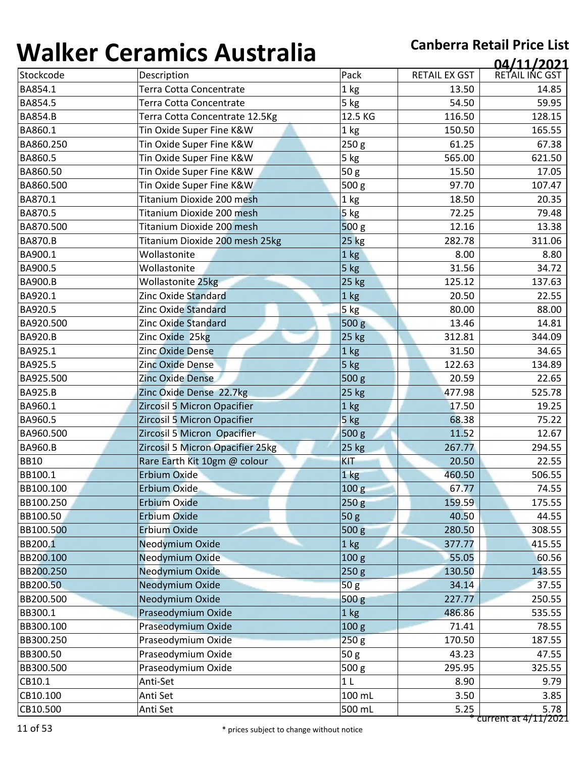| Stockcode      | Description                      |                  |                      |                |
|----------------|----------------------------------|------------------|----------------------|----------------|
|                |                                  | Pack             | <b>RETAIL EX GST</b> | RETAIL INC GST |
| BA854.1        | Terra Cotta Concentrate          | 1 kg             | 13.50                | 14.85          |
| BA854.5        | Terra Cotta Concentrate          | 5 kg             | 54.50                | 59.95          |
| <b>BA854.B</b> | Terra Cotta Concentrate 12.5Kg   | 12.5 KG          | 116.50               | 128.15         |
| BA860.1        | Tin Oxide Super Fine K&W         | 1 kg             | 150.50               | 165.55         |
| BA860.250      | Tin Oxide Super Fine K&W         | 250 g            | 61.25                | 67.38          |
| BA860.5        | Tin Oxide Super Fine K&W         | 5 kg             | 565.00               | 621.50         |
| BA860.50       | Tin Oxide Super Fine K&W         | 50 <sub>g</sub>  | 15.50                | 17.05          |
| BA860.500      | Tin Oxide Super Fine K&W         | 500 g            | 97.70                | 107.47         |
| BA870.1        | Titanium Dioxide 200 mesh        | 1 kg             | 18.50                | 20.35          |
| BA870.5        | Titanium Dioxide 200 mesh        | 5 kg             | 72.25                | 79.48          |
| BA870.500      | Titanium Dioxide 200 mesh        | 500 g            | 12.16                | 13.38          |
| <b>BA870.B</b> | Titanium Dioxide 200 mesh 25kg   | 25 kg            | 282.78               | 311.06         |
| BA900.1        | Wollastonite                     | 1 kg             | 8.00                 | 8.80           |
| BA900.5        | Wollastonite                     | 5 kg             | 31.56                | 34.72          |
| <b>BA900.B</b> | <b>Wollastonite 25kg</b>         | 25 kg            | 125.12               | 137.63         |
| BA920.1        | <b>Zinc Oxide Standard</b>       | 1 kg             | 20.50                | 22.55          |
| BA920.5        | Zinc Oxide Standard              | 5 <sub>kg</sub>  | 80.00                | 88.00          |
| BA920.500      | Zinc Oxide Standard              | 500 g            | 13.46                | 14.81          |
| <b>BA920.B</b> | Zinc Oxide 25kg                  | 25 kg            | 312.81               | 344.09         |
| BA925.1        | <b>Zinc Oxide Dense</b>          | 1 kg             | 31.50                | 34.65          |
| BA925.5        | <b>Zinc Oxide Dense</b>          | 5 kg             | 122.63               | 134.89         |
| BA925.500      | Zinc Oxide Dense                 | 500 g            | 20.59                | 22.65          |
| <b>BA925.B</b> | Zinc Oxide Dense 22.7kg          | 25 kg            | 477.98               | 525.78         |
| BA960.1        | Zircosil 5 Micron Opacifier      | 1 kg             | 17.50                | 19.25          |
| BA960.5        | Zircosil 5 Micron Opacifier      | 5 kg             | 68.38                | 75.22          |
| BA960.500      | Zircosil 5 Micron Opacifier      | 500 g            | 11.52                | 12.67          |
| <b>BA960.B</b> | Zircosil 5 Micron Opacifier 25kg | 25 kg            | 267.77               | 294.55         |
| <b>BB10</b>    | Rare Earth Kit 10gm @ colour     | <b>KIT</b>       | 20.50                | 22.55          |
| BB100.1        | Erbium Oxide                     | 1 kg             | 460.50               | 506.55         |
| BB100.100      | Erbium Oxide                     | 100g             | 67.77                | 74.55          |
| BB100.250      | <b>Erbium Oxide</b>              | 250g             | 159.59               | 175.55         |
| BB100.50       | <b>Erbium Oxide</b>              | 50 <sub>g</sub>  | 40.50                | 44.55          |
| BB100.500      | <b>Erbium Oxide</b>              | 500 g            | 280.50               | 308.55         |
| BB200.1        | Neodymium Oxide                  | 1 <sub>kg</sub>  | 377.77               | 415.55         |
| BB200.100      | Neodymium Oxide                  | 100 <sub>g</sub> | 55.05                | 60.56          |
| BB200.250      | Neodymium Oxide                  | 250g             | 130.50               | 143.55         |
| BB200.50       | Neodymium Oxide                  | 50 <sub>g</sub>  | 34.14                | 37.55          |
| BB200.500      | Neodymium Oxide                  | 500 <sub>g</sub> | 227.77               | 250.55         |
| BB300.1        | Praseodymium Oxide               | 1 <sub>kg</sub>  | 486.86               | 535.55         |
| BB300.100      | Praseodymium Oxide               | 100 <sub>g</sub> | 71.41                | 78.55          |
| BB300.250      | Praseodymium Oxide               | 250g             | 170.50               | 187.55         |
| BB300.50       | Praseodymium Oxide               | 50 g             | 43.23                | 47.55          |
| BB300.500      | Praseodymium Oxide               | 500 g            | 295.95               | 325.55         |
| CB10.1         | Anti-Set                         | 1 <sub>L</sub>   | 8.90                 | 9.79           |
|                |                                  |                  |                      |                |
| CB10.100       | Anti Set                         | 100 mL           | 3.50                 | 3.85           |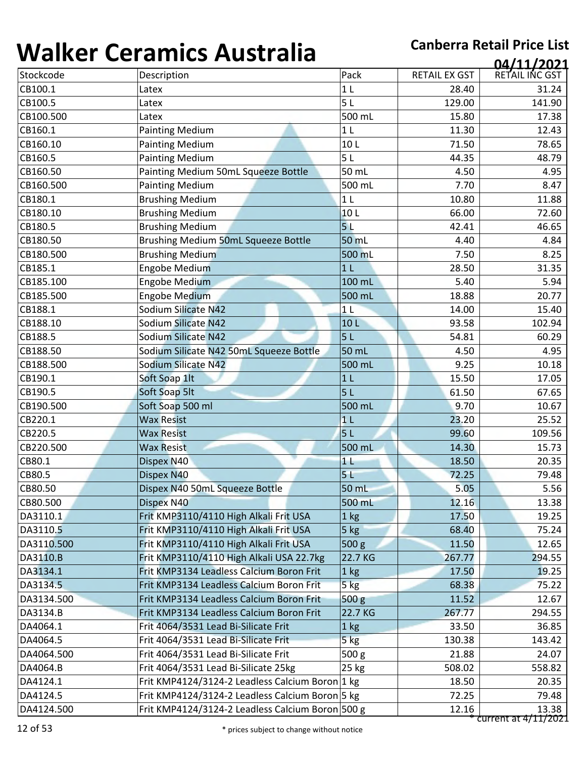| Stockcode<br>Description<br>Pack<br><b>RETAIL EX GST</b><br>CB100.1<br>1 <sub>L</sub><br>28.40<br>Latex<br>5L<br>CB100.5<br>129.00<br>Latex<br>CB100.500<br>500 mL<br>15.80<br>Latex<br>CB160.1<br><b>Painting Medium</b><br>1 <sub>L</sub><br>11.30<br><b>Painting Medium</b><br>10L<br>CB160.10<br>71.50<br><b>Painting Medium</b><br>CB160.5<br>5L<br>44.35<br>CB160.50<br>Painting Medium 50mL Squeeze Bottle<br>50 mL<br>4.50<br>CB160.500<br><b>Painting Medium</b><br>500 mL<br>7.70<br>CB180.1<br><b>Brushing Medium</b><br>1 <sub>L</sub><br>10.80<br><b>Brushing Medium</b><br>10L<br>CB180.10<br>66.00<br><b>Brushing Medium</b><br>5L<br>CB180.5<br>42.41<br>CB180.50<br>Brushing Medium 50mL Squeeze Bottle<br>50 mL<br>4.40<br>CB180.500<br><b>Brushing Medium</b><br>7.50<br>500 mL<br>CB185.1<br>Engobe Medium<br>1 <sub>L</sub><br>28.50<br><b>Engobe Medium</b><br>100 mL<br>CB185.100<br>5.40 | RETAIL INC GST<br>31.24<br>141.90<br>17.38<br>12.43<br>78.65<br>48.79<br>4.95<br>8.47<br>11.88<br>72.60<br>46.65<br>4.84<br>8.25 |
|------------------------------------------------------------------------------------------------------------------------------------------------------------------------------------------------------------------------------------------------------------------------------------------------------------------------------------------------------------------------------------------------------------------------------------------------------------------------------------------------------------------------------------------------------------------------------------------------------------------------------------------------------------------------------------------------------------------------------------------------------------------------------------------------------------------------------------------------------------------------------------------------------------------|----------------------------------------------------------------------------------------------------------------------------------|
|                                                                                                                                                                                                                                                                                                                                                                                                                                                                                                                                                                                                                                                                                                                                                                                                                                                                                                                  |                                                                                                                                  |
|                                                                                                                                                                                                                                                                                                                                                                                                                                                                                                                                                                                                                                                                                                                                                                                                                                                                                                                  |                                                                                                                                  |
|                                                                                                                                                                                                                                                                                                                                                                                                                                                                                                                                                                                                                                                                                                                                                                                                                                                                                                                  |                                                                                                                                  |
|                                                                                                                                                                                                                                                                                                                                                                                                                                                                                                                                                                                                                                                                                                                                                                                                                                                                                                                  |                                                                                                                                  |
|                                                                                                                                                                                                                                                                                                                                                                                                                                                                                                                                                                                                                                                                                                                                                                                                                                                                                                                  |                                                                                                                                  |
|                                                                                                                                                                                                                                                                                                                                                                                                                                                                                                                                                                                                                                                                                                                                                                                                                                                                                                                  |                                                                                                                                  |
|                                                                                                                                                                                                                                                                                                                                                                                                                                                                                                                                                                                                                                                                                                                                                                                                                                                                                                                  |                                                                                                                                  |
|                                                                                                                                                                                                                                                                                                                                                                                                                                                                                                                                                                                                                                                                                                                                                                                                                                                                                                                  |                                                                                                                                  |
|                                                                                                                                                                                                                                                                                                                                                                                                                                                                                                                                                                                                                                                                                                                                                                                                                                                                                                                  |                                                                                                                                  |
|                                                                                                                                                                                                                                                                                                                                                                                                                                                                                                                                                                                                                                                                                                                                                                                                                                                                                                                  |                                                                                                                                  |
|                                                                                                                                                                                                                                                                                                                                                                                                                                                                                                                                                                                                                                                                                                                                                                                                                                                                                                                  |                                                                                                                                  |
|                                                                                                                                                                                                                                                                                                                                                                                                                                                                                                                                                                                                                                                                                                                                                                                                                                                                                                                  |                                                                                                                                  |
|                                                                                                                                                                                                                                                                                                                                                                                                                                                                                                                                                                                                                                                                                                                                                                                                                                                                                                                  |                                                                                                                                  |
|                                                                                                                                                                                                                                                                                                                                                                                                                                                                                                                                                                                                                                                                                                                                                                                                                                                                                                                  |                                                                                                                                  |
|                                                                                                                                                                                                                                                                                                                                                                                                                                                                                                                                                                                                                                                                                                                                                                                                                                                                                                                  | 31.35                                                                                                                            |
|                                                                                                                                                                                                                                                                                                                                                                                                                                                                                                                                                                                                                                                                                                                                                                                                                                                                                                                  | 5.94                                                                                                                             |
| <b>Engobe Medium</b><br>CB185.500<br>500 mL<br>18.88                                                                                                                                                                                                                                                                                                                                                                                                                                                                                                                                                                                                                                                                                                                                                                                                                                                             | 20.77                                                                                                                            |
| CB188.1<br>Sodium Silicate N42<br>14.00<br>1 <sub>L</sub>                                                                                                                                                                                                                                                                                                                                                                                                                                                                                                                                                                                                                                                                                                                                                                                                                                                        | 15.40                                                                                                                            |
| Sodium Silicate N42<br>CB188.10<br>93.58<br>10L                                                                                                                                                                                                                                                                                                                                                                                                                                                                                                                                                                                                                                                                                                                                                                                                                                                                  | 102.94                                                                                                                           |
| <b>Sodium Silicate N42</b><br>5L<br>CB188.5<br>54.81                                                                                                                                                                                                                                                                                                                                                                                                                                                                                                                                                                                                                                                                                                                                                                                                                                                             | 60.29                                                                                                                            |
| Sodium Silicate N42 50mL Squeeze Bottle<br>CB188.50<br>50 mL<br>4.50                                                                                                                                                                                                                                                                                                                                                                                                                                                                                                                                                                                                                                                                                                                                                                                                                                             | 4.95                                                                                                                             |
| Sodium Silicate N42<br>CB188.500<br>500 mL<br>9.25                                                                                                                                                                                                                                                                                                                                                                                                                                                                                                                                                                                                                                                                                                                                                                                                                                                               | 10.18                                                                                                                            |
| CB190.1<br>Soft Soap 1lt<br>1 <sub>L</sub><br>15.50                                                                                                                                                                                                                                                                                                                                                                                                                                                                                                                                                                                                                                                                                                                                                                                                                                                              | 17.05                                                                                                                            |
| CB190.5<br>Soft Soap 5lt<br>5 <sub>L</sub><br>61.50                                                                                                                                                                                                                                                                                                                                                                                                                                                                                                                                                                                                                                                                                                                                                                                                                                                              | 67.65                                                                                                                            |
| CB190.500<br>Soft Soap 500 ml<br>500 mL<br>9.70                                                                                                                                                                                                                                                                                                                                                                                                                                                                                                                                                                                                                                                                                                                                                                                                                                                                  | 10.67                                                                                                                            |
| CB220.1<br><b>Wax Resist</b><br>1 <sub>L</sub><br>23.20                                                                                                                                                                                                                                                                                                                                                                                                                                                                                                                                                                                                                                                                                                                                                                                                                                                          | 25.52                                                                                                                            |
| CB220.5<br>5 <sub>L</sub><br><b>Wax Resist</b><br>99.60                                                                                                                                                                                                                                                                                                                                                                                                                                                                                                                                                                                                                                                                                                                                                                                                                                                          | 109.56                                                                                                                           |
| CB220.500<br>500 mL<br><b>Wax Resist</b><br>14.30                                                                                                                                                                                                                                                                                                                                                                                                                                                                                                                                                                                                                                                                                                                                                                                                                                                                | 15.73                                                                                                                            |
| CB80.1<br>Dispex N40<br>11<br>18.50                                                                                                                                                                                                                                                                                                                                                                                                                                                                                                                                                                                                                                                                                                                                                                                                                                                                              | 20.35                                                                                                                            |
| CB80.5<br>Dispex N40<br>5 <sub>L</sub><br>72.25                                                                                                                                                                                                                                                                                                                                                                                                                                                                                                                                                                                                                                                                                                                                                                                                                                                                  | 79.48                                                                                                                            |
| CB80.50<br>Dispex N40 50mL Squeeze Bottle<br>50 mL<br>5.05                                                                                                                                                                                                                                                                                                                                                                                                                                                                                                                                                                                                                                                                                                                                                                                                                                                       | 5.56                                                                                                                             |
| 12.16<br>CB80.500<br>Dispex N40<br>500 mL                                                                                                                                                                                                                                                                                                                                                                                                                                                                                                                                                                                                                                                                                                                                                                                                                                                                        | 13.38                                                                                                                            |
| DA3110.1<br>Frit KMP3110/4110 High Alkali Frit USA<br>17.50<br>1 <sub>kg</sub>                                                                                                                                                                                                                                                                                                                                                                                                                                                                                                                                                                                                                                                                                                                                                                                                                                   | 19.25                                                                                                                            |
| Frit KMP3110/4110 High Alkali Frit USA<br>DA3110.5<br>68.40<br>$5$ kg                                                                                                                                                                                                                                                                                                                                                                                                                                                                                                                                                                                                                                                                                                                                                                                                                                            | 75.24                                                                                                                            |
| Frit KMP3110/4110 High Alkali Frit USA<br>500 g<br>DA3110.500<br>11.50                                                                                                                                                                                                                                                                                                                                                                                                                                                                                                                                                                                                                                                                                                                                                                                                                                           | 12.65                                                                                                                            |
| DA3110.B<br>Frit KMP3110/4110 High Alkali USA 22.7kg<br>22.7 KG<br>267.77                                                                                                                                                                                                                                                                                                                                                                                                                                                                                                                                                                                                                                                                                                                                                                                                                                        | 294.55                                                                                                                           |
| Frit KMP3134 Leadless Calcium Boron Frit<br>DA3134.1<br>1 kg<br>17.50                                                                                                                                                                                                                                                                                                                                                                                                                                                                                                                                                                                                                                                                                                                                                                                                                                            | 19.25                                                                                                                            |
| $5$ $kg$<br>DA3134.5<br>Frit KMP3134 Leadless Calcium Boron Frit<br>68.38                                                                                                                                                                                                                                                                                                                                                                                                                                                                                                                                                                                                                                                                                                                                                                                                                                        | 75.22                                                                                                                            |
| Frit KMP3134 Leadless Calcium Boron Frit<br>500 <sub>g</sub><br>11.52<br>DA3134.500                                                                                                                                                                                                                                                                                                                                                                                                                                                                                                                                                                                                                                                                                                                                                                                                                              | 12.67                                                                                                                            |
| Frit KMP3134 Leadless Calcium Boron Frit<br>DA3134.B<br>22.7 KG<br>267.77                                                                                                                                                                                                                                                                                                                                                                                                                                                                                                                                                                                                                                                                                                                                                                                                                                        | 294.55                                                                                                                           |
| DA4064.1<br>Frit 4064/3531 Lead Bi-Silicate Frit<br>1 kg<br>33.50                                                                                                                                                                                                                                                                                                                                                                                                                                                                                                                                                                                                                                                                                                                                                                                                                                                | 36.85                                                                                                                            |
| DA4064.5<br>Frit 4064/3531 Lead Bi-Silicate Frit<br>5 kg<br>130.38                                                                                                                                                                                                                                                                                                                                                                                                                                                                                                                                                                                                                                                                                                                                                                                                                                               | 143.42                                                                                                                           |
| Frit 4064/3531 Lead Bi-Silicate Frit<br>500 g<br>DA4064.500<br>21.88                                                                                                                                                                                                                                                                                                                                                                                                                                                                                                                                                                                                                                                                                                                                                                                                                                             | 24.07                                                                                                                            |
| Frit 4064/3531 Lead Bi-Silicate 25kg<br>DA4064.B<br>25 kg<br>508.02                                                                                                                                                                                                                                                                                                                                                                                                                                                                                                                                                                                                                                                                                                                                                                                                                                              | 558.82                                                                                                                           |
| Frit KMP4124/3124-2 Leadless Calcium Boron 1 kg<br>DA4124.1<br>18.50                                                                                                                                                                                                                                                                                                                                                                                                                                                                                                                                                                                                                                                                                                                                                                                                                                             | 20.35                                                                                                                            |
| Frit KMP4124/3124-2 Leadless Calcium Boron 5 kg<br>72.25<br>DA4124.5                                                                                                                                                                                                                                                                                                                                                                                                                                                                                                                                                                                                                                                                                                                                                                                                                                             | 79.48                                                                                                                            |
| Frit KMP4124/3124-2 Leadless Calcium Boron 500 g<br>DA4124.500<br>12.16<br>current at 4/11/2021                                                                                                                                                                                                                                                                                                                                                                                                                                                                                                                                                                                                                                                                                                                                                                                                                  | 13.38                                                                                                                            |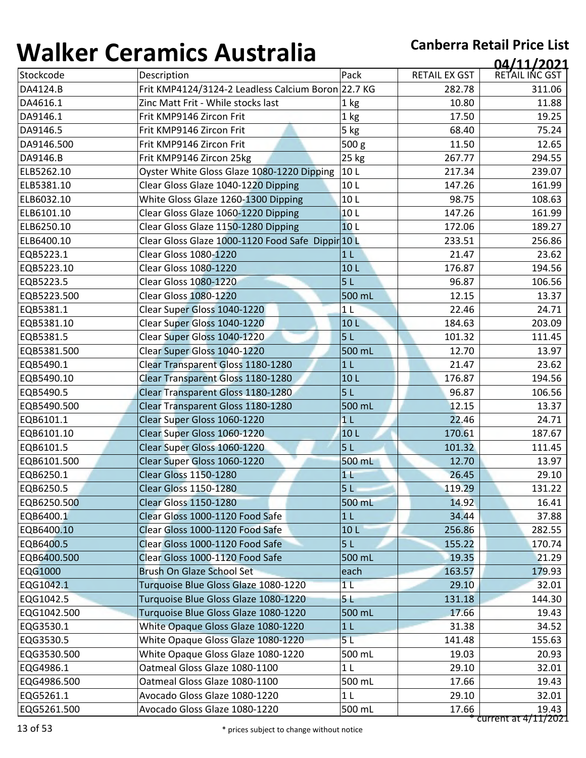| , , , , , , , , , | 97191111997199719119                               |                 |                      | 04/11/2021                    |
|-------------------|----------------------------------------------------|-----------------|----------------------|-------------------------------|
| Stockcode         | Description                                        | Pack            | <b>RETAIL EX GST</b> | RETAIL INC GST                |
| DA4124.B          | Frit KMP4124/3124-2 Leadless Calcium Boron 22.7 KG |                 | 282.78               | 311.06                        |
| DA4616.1          | Zinc Matt Frit - While stocks last                 | 1 kg            | 10.80                | 11.88                         |
| DA9146.1          | Frit KMP9146 Zircon Frit                           | 1 kg            | 17.50                | 19.25                         |
| DA9146.5          | Frit KMP9146 Zircon Frit                           | 5 kg            | 68.40                | 75.24                         |
| DA9146.500        | Frit KMP9146 Zircon Frit                           | 500 g           | 11.50                | 12.65                         |
| DA9146.B          | Frit KMP9146 Zircon 25kg                           | 25 kg           | 267.77               | 294.55                        |
| ELB5262.10        | Oyster White Gloss Glaze 1080-1220 Dipping         | 10L             | 217.34               | 239.07                        |
| ELB5381.10        | Clear Gloss Glaze 1040-1220 Dipping                | 10L             | 147.26               | 161.99                        |
| ELB6032.10        | White Gloss Glaze 1260-1300 Dipping                | 10L             | 98.75                | 108.63                        |
| ELB6101.10        | Clear Gloss Glaze 1060-1220 Dipping                | 10L             | 147.26               | 161.99                        |
| ELB6250.10        | Clear Gloss Glaze 1150-1280 Dipping                | 10L             | 172.06               | 189.27                        |
| ELB6400.10        | Clear Gloss Glaze 1000-1120 Food Safe Dippir 10 L  |                 | 233.51               | 256.86                        |
| EQB5223.1         | <b>Clear Gloss 1080-1220</b>                       | 1 <sub>L</sub>  | 21.47                | 23.62                         |
| EQB5223.10        | <b>Clear Gloss 1080-1220</b>                       | 10L             | 176.87               | 194.56                        |
| EQB5223.5         | <b>Clear Gloss 1080-1220</b>                       | 5L              | 96.87                | 106.56                        |
| EQB5223.500       | <b>Clear Gloss 1080-1220</b>                       | 500 mL          | 12.15                | 13.37                         |
| EQB5381.1         | Clear Super Gloss 1040-1220                        | 1 <sub>L</sub>  | 22.46                | 24.71                         |
| EQB5381.10        | Clear Super Gloss 1040-1220                        | 10 <sub>L</sub> | 184.63               | 203.09                        |
| EQB5381.5         | Clear Super Gloss 1040-1220                        | 5L              | 101.32               | 111.45                        |
| EQB5381.500       | Clear Super Gloss 1040-1220                        | 500 mL          | 12.70                | 13.97                         |
| EQB5490.1         | Clear Transparent Gloss 1180-1280                  | 1 <sub>L</sub>  | 21.47                | 23.62                         |
| EQB5490.10        | Clear Transparent Gloss 1180-1280                  | 10 <sub>L</sub> | 176.87               | 194.56                        |
| EQB5490.5         | Clear Transparent Gloss 1180-1280                  | 5 <sub>L</sub>  | 96.87                | 106.56                        |
| EQB5490.500       | Clear Transparent Gloss 1180-1280                  | 500 mL          | 12.15                | 13.37                         |
| EQB6101.1         | Clear Super Gloss 1060-1220                        | 1 <sub>L</sub>  | 22.46                | 24.71                         |
| EQB6101.10        | Clear Super Gloss 1060-1220                        | 10L             | 170.61               | 187.67                        |
| EQB6101.5         | Clear Super Gloss 1060-1220                        | 5L              | 101.32               | 111.45                        |
| EQB6101.500       | Clear Super Gloss 1060-1220                        | 500 mL          | 12.70                | 13.97                         |
| EQB6250.1         | <b>Clear Gloss 1150-1280</b>                       | 1 <sub>1</sub>  | 26.45                | 29.10                         |
| EQB6250.5         | <b>Clear Gloss 1150-1280</b>                       | 5 <sub>L</sub>  | 119.29               | 131.22                        |
| EQB6250.500       | <b>Clear Gloss 1150-1280</b>                       | 500 mL          | 14.92                | 16.41                         |
| EQB6400.1         | Clear Gloss 1000-1120 Food Safe                    | 1 <sub>L</sub>  | 34.44                | 37.88                         |
| EQB6400.10        | Clear Gloss 1000-1120 Food Safe                    | 10 <sub>L</sub> | 256.86               | 282.55                        |
| EQB6400.5         | Clear Gloss 1000-1120 Food Safe                    | 5L              | 155.22               | 170.74                        |
| EQB6400.500       | Clear Gloss 1000-1120 Food Safe                    | 500 mL          | 19.35                | 21.29                         |
| <b>EQG1000</b>    | Brush On Glaze School Set                          | each            | 163.57               | 179.93                        |
| EQG1042.1         | Turquoise Blue Gloss Glaze 1080-1220               | 1 <sub>L</sub>  | 29.10                | 32.01                         |
| EQG1042.5         | Turquoise Blue Gloss Glaze 1080-1220               | 5 L             | 131.18               | 144.30                        |
| EQG1042.500       | Turquoise Blue Gloss Glaze 1080-1220               | 500 mL          | 17.66                | 19.43                         |
| EQG3530.1         | White Opaque Gloss Glaze 1080-1220                 | 1 <sub>L</sub>  | 31.38                | 34.52                         |
| EQG3530.5         | White Opaque Gloss Glaze 1080-1220                 | 5L              | 141.48               | 155.63                        |
| EQG3530.500       | White Opaque Gloss Glaze 1080-1220                 | 500 mL          | 19.03                | 20.93                         |
| EQG4986.1         | Oatmeal Gloss Glaze 1080-1100                      | 1 <sub>L</sub>  | 29.10                | 32.01                         |
| EQG4986.500       | Oatmeal Gloss Glaze 1080-1100                      | 500 mL          | 17.66                | 19.43                         |
| EQG5261.1         | Avocado Gloss Glaze 1080-1220                      | 1 <sub>L</sub>  | 29.10                | 32.01                         |
| EQG5261.500       | Avocado Gloss Glaze 1080-1220                      | 500 mL          | 17.66                | 19.43<br>current at 4/11/2021 |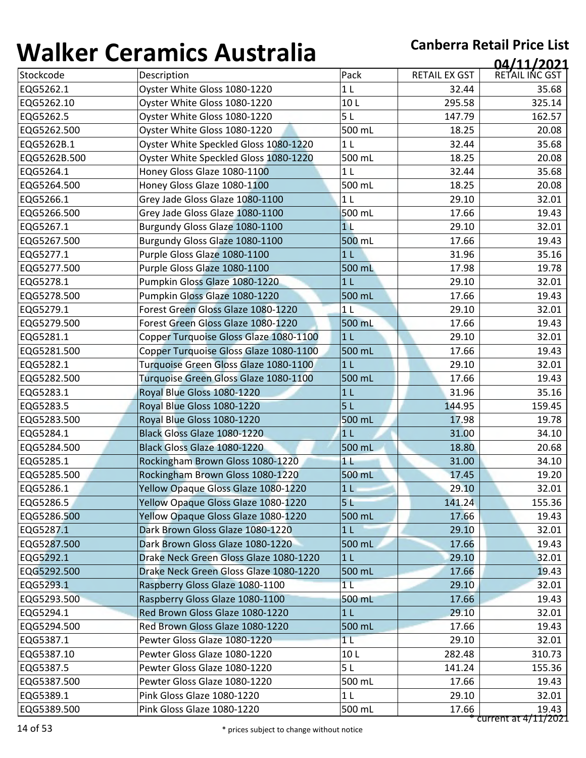| ''''''''     | <u>strathnes i rasti and</u>           |                |                      | 04/11/2021     |
|--------------|----------------------------------------|----------------|----------------------|----------------|
| Stockcode    | Description                            | Pack           | <b>RETAIL EX GST</b> | RETAIL INC GST |
| EQG5262.1    | Oyster White Gloss 1080-1220           | 1 <sub>L</sub> | 32.44                | 35.68          |
| EQG5262.10   | Oyster White Gloss 1080-1220           | 10L            | 295.58               | 325.14         |
| EQG5262.5    | Oyster White Gloss 1080-1220           | 5L             | 147.79               | 162.57         |
| EQG5262.500  | Oyster White Gloss 1080-1220           | 500 mL         | 18.25                | 20.08          |
| EQG5262B.1   | Oyster White Speckled Gloss 1080-1220  | 1 <sub>L</sub> | 32.44                | 35.68          |
| EQG5262B.500 | Oyster White Speckled Gloss 1080-1220  | 500 mL         | 18.25                | 20.08          |
| EQG5264.1    | Honey Gloss Glaze 1080-1100            | 1 <sub>L</sub> | 32.44                | 35.68          |
| EQG5264.500  | Honey Gloss Glaze 1080-1100            | 500 mL         | 18.25                | 20.08          |
| EQG5266.1    | Grey Jade Gloss Glaze 1080-1100        | 1 <sub>L</sub> | 29.10                | 32.01          |
| EQG5266.500  | Grey Jade Gloss Glaze 1080-1100        | 500 mL         | 17.66                | 19.43          |
| EQG5267.1    | Burgundy Gloss Glaze 1080-1100         | 1 <sub>L</sub> | 29.10                | 32.01          |
| EQG5267.500  | Burgundy Gloss Glaze 1080-1100         | 500 mL         | 17.66                | 19.43          |
| EQG5277.1    | Purple Gloss Glaze 1080-1100           | 1 <sub>L</sub> | 31.96                | 35.16          |
| EQG5277.500  | Purple Gloss Glaze 1080-1100           | 500 mL         | 17.98                | 19.78          |
| EQG5278.1    | Pumpkin Gloss Glaze 1080-1220          | 1 <sub>L</sub> | 29.10                | 32.01          |
| EQG5278.500  | Pumpkin Gloss Glaze 1080-1220          | 500 mL         | 17.66                | 19.43          |
| EQG5279.1    | Forest Green Gloss Glaze 1080-1220     | 1 <sub>L</sub> | 29.10                | 32.01          |
| EQG5279.500  | Forest Green Gloss Glaze 1080-1220     | 500 mL         | 17.66                | 19.43          |
| EQG5281.1    | Copper Turquoise Gloss Glaze 1080-1100 | 1 <sub>L</sub> | 29.10                | 32.01          |
| EQG5281.500  | Copper Turquoise Gloss Glaze 1080-1100 | 500 mL         | 17.66                | 19.43          |
| EQG5282.1    | Turquoise Green Gloss Glaze 1080-1100  | 1 <sub>L</sub> | 29.10                | 32.01          |
| EQG5282.500  | Turquoise Green Gloss Glaze 1080-1100  | 500 mL         | 17.66                | 19.43          |
| EQG5283.1    | Royal Blue Gloss 1080-1220             | 1 <sub>L</sub> | 31.96                | 35.16          |
| EQG5283.5    | Royal Blue Gloss 1080-1220             | 5L             | 144.95               | 159.45         |
| EQG5283.500  | Royal Blue Gloss 1080-1220             | 500 mL         | 17.98                | 19.78          |
| EQG5284.1    | Black Gloss Glaze 1080-1220            | 1 <sub>L</sub> | 31.00                | 34.10          |
| EQG5284.500  | Black Gloss Glaze 1080-1220            | 500 mL         | 18.80                | 20.68          |
| EQG5285.1    | Rockingham Brown Gloss 1080-1220       | 11             | 31.00                | 34.10          |
| EQG5285.500  | Rockingham Brown Gloss 1080-1220       | 500 mL         | 17.45                | 19.20          |
| EQG5286.1    | Yellow Opaque Gloss Glaze 1080-1220    | 1 <sub>l</sub> | 29.10                | 32.01          |
| EQG5286.5    | Yellow Opaque Gloss Glaze 1080-1220    | 5 <sub>L</sub> | 141.24               | 155.36         |
| EQG5286.500  | Yellow Opaque Gloss Glaze 1080-1220    | 500 mL         | 17.66                | 19.43          |
| EQG5287.1    | Dark Brown Gloss Glaze 1080-1220       | 1 <sub>L</sub> | 29.10                | 32.01          |
| EQG5287.500  | Dark Brown Gloss Glaze 1080-1220       | 500 mL         | 17.66                | 19.43          |
| EQG5292.1    | Drake Neck Green Gloss Glaze 1080-1220 | 1 <sub>L</sub> | 29.10                | 32.01          |
| EQG5292.500  | Drake Neck Green Gloss Glaze 1080-1220 | 500 mL         | 17.66                | 19.43          |
| EQG5293.1    | Raspberry Gloss Glaze 1080-1100        | 1 <sub>L</sub> | 29.10                | 32.01          |
| EQG5293.500  | Raspberry Gloss Glaze 1080-1100        | 500 mL         | 17.66                | 19.43          |
| EQG5294.1    | Red Brown Gloss Glaze 1080-1220        | 1 <sub>L</sub> | 29.10                | 32.01          |
| EQG5294.500  | Red Brown Gloss Glaze 1080-1220        | 500 mL         | 17.66                | 19.43          |
| EQG5387.1    | Pewter Gloss Glaze 1080-1220           | 1 <sub>L</sub> | 29.10                | 32.01          |
| EQG5387.10   | Pewter Gloss Glaze 1080-1220           | 10L            | 282.48               | 310.73         |
| EQG5387.5    | Pewter Gloss Glaze 1080-1220           | 5L             | 141.24               | 155.36         |
|              |                                        |                |                      |                |
| EQG5387.500  | Pewter Gloss Glaze 1080-1220           | 500 mL         | 17.66                | 19.43          |
| EQG5389.1    | Pink Gloss Glaze 1080-1220             | 1 <sub>L</sub> | 29.10                | 32.01          |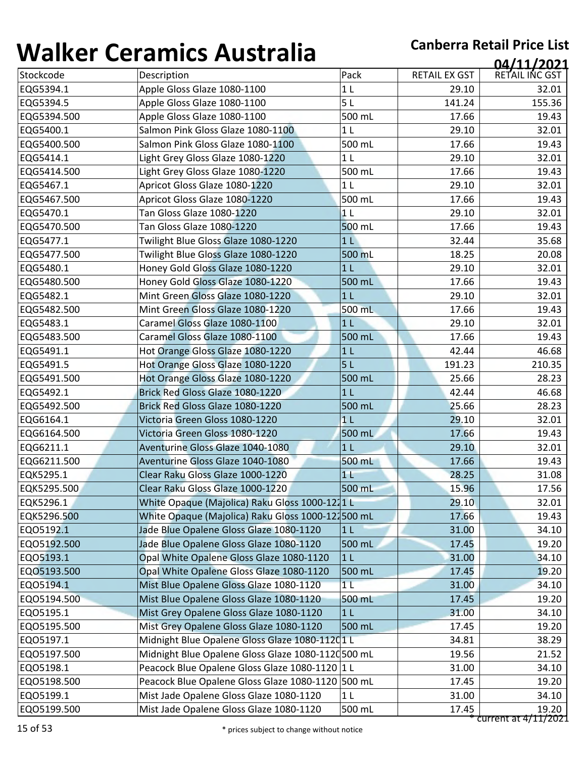| ''''''''    | <u>sei alliles 7 1995: alla</u>                    |                |                      | 04/11/2021             |
|-------------|----------------------------------------------------|----------------|----------------------|------------------------|
| Stockcode   | Description                                        | Pack           | <b>RETAIL EX GST</b> | RETAIL INC GST         |
| EQG5394.1   | Apple Gloss Glaze 1080-1100                        | 1 <sub>L</sub> | 29.10                | 32.01                  |
| EQG5394.5   | Apple Gloss Glaze 1080-1100                        | 5L             | 141.24               | 155.36                 |
| EQG5394.500 | Apple Gloss Glaze 1080-1100                        | 500 mL         | 17.66                | 19.43                  |
| EQG5400.1   | Salmon Pink Gloss Glaze 1080-1100                  | 1 <sub>L</sub> | 29.10                | 32.01                  |
| EQG5400.500 | Salmon Pink Gloss Glaze 1080-1100                  | 500 mL         | 17.66                | 19.43                  |
| EQG5414.1   | Light Grey Gloss Glaze 1080-1220                   | 1 <sub>L</sub> | 29.10                | 32.01                  |
| EQG5414.500 | Light Grey Gloss Glaze 1080-1220                   | 500 mL         | 17.66                | 19.43                  |
| EQG5467.1   | Apricot Gloss Glaze 1080-1220                      | 1 <sub>L</sub> | 29.10                | 32.01                  |
| EQG5467.500 | Apricot Gloss Glaze 1080-1220                      | 500 mL         | 17.66                | 19.43                  |
| EQG5470.1   | Tan Gloss Glaze 1080-1220                          | 1 <sub>L</sub> | 29.10                | 32.01                  |
| EQG5470.500 | Tan Gloss Glaze 1080-1220                          | 500 mL         | 17.66                | 19.43                  |
| EQG5477.1   | Twilight Blue Gloss Glaze 1080-1220                | 1 <sub>L</sub> | 32.44                | 35.68                  |
| EQG5477.500 | Twilight Blue Gloss Glaze 1080-1220                | 500 mL         | 18.25                | 20.08                  |
| EQG5480.1   | Honey Gold Gloss Glaze 1080-1220                   | 1 <sub>L</sub> | 29.10                | 32.01                  |
| EQG5480.500 | Honey Gold Gloss Glaze 1080-1220                   | 500 mL         | 17.66                | 19.43                  |
| EQG5482.1   | Mint Green Gloss Glaze 1080-1220                   | 1 <sub>L</sub> | 29.10                | 32.01                  |
| EQG5482.500 | Mint Green Gloss Glaze 1080-1220                   | 500 mL         | 17.66                | 19.43                  |
| EQG5483.1   | Caramel Gloss Glaze 1080-1100                      | 1 <sub>L</sub> | 29.10                | 32.01                  |
| EQG5483.500 | Caramel Gloss Glaze 1080-1100                      | 500 mL         | 17.66                | 19.43                  |
| EQG5491.1   | Hot Orange Gloss Glaze 1080-1220                   | 1 <sub>L</sub> | 42.44                | 46.68                  |
| EQG5491.5   | Hot Orange Gloss Glaze 1080-1220                   | 5L             | 191.23               | 210.35                 |
| EQG5491.500 | Hot Orange Gloss Glaze 1080-1220                   | 500 mL         | 25.66                | 28.23                  |
| EQG5492.1   | Brick Red Gloss Glaze 1080-1220                    | 1 <sub>L</sub> | 42.44                | 46.68                  |
| EQG5492.500 | Brick Red Gloss Glaze 1080-1220                    | 500 mL         | 25.66                | 28.23                  |
| EQG6164.1   | Victoria Green Gloss 1080-1220                     | 1 <sub>1</sub> | 29.10                | 32.01                  |
| EQG6164.500 | Victoria Green Gloss 1080-1220                     | 500 mL         | 17.66                | 19.43                  |
| EQG6211.1   | Aventurine Gloss Glaze 1040-1080                   | 1 <sub>L</sub> | 29.10                | 32.01                  |
| EQG6211.500 | Aventurine Gloss Glaze 1040-1080                   | 500 mL         | 17.66                | 19.43                  |
| EQK5295.1   | Clear Raku Gloss Glaze 1000-1220                   | 1 <sub>1</sub> | 28.25                | 31.08                  |
| EQK5295.500 | Clear Raku Gloss Glaze 1000-1220                   | 500 mL         | 15.96                | 17.56                  |
| EQK5296.1   | White Opaque (Majolica) Raku Gloss 1000-1211 L     |                | 29.10                | 32.01                  |
| EQK5296.500 | White Opaque (Majolica) Raku Gloss 1000-121500 mL  |                | 17.66                | 19.43                  |
| EQ05192.1   | Jade Blue Opalene Gloss Glaze 1080-1120            | 1 <sub>L</sub> | 31.00                | 34.10                  |
| EQ05192.500 | Jade Blue Opalene Gloss Glaze 1080-1120            | 500 mL         | 17.45                | 19.20                  |
| EQ05193.1   | Opal White Opalene Gloss Glaze 1080-1120           | 1 <sub>L</sub> | 31.00                | 34.10                  |
| EQ05193.500 | Opal White Opalene Gloss Glaze 1080-1120           | 500 mL         | 17.45                | 19.20                  |
| EQ05194.1   | Mist Blue Opalene Gloss Glaze 1080-1120            | 1 <sub>L</sub> | 31.00                | 34.10                  |
| EQ05194.500 | Mist Blue Opalene Gloss Glaze 1080-1120            | 500 mL         | 17.45                | 19.20                  |
| EQ05195.1   | Mist Grey Opalene Gloss Glaze 1080-1120            | 1 <sub>L</sub> | 31.00                | 34.10                  |
| EQ05195.500 | Mist Grey Opalene Gloss Glaze 1080-1120            | 500 mL         | 17.45                | 19.20                  |
| EQ05197.1   | Midnight Blue Opalene Gloss Glaze 1080-11201L      |                | 34.81                | 38.29                  |
| EQ05197.500 | Midnight Blue Opalene Gloss Glaze 1080-1120 500 mL |                | 19.56                | 21.52                  |
| EQ05198.1   | Peacock Blue Opalene Gloss Glaze 1080-1120 1 L     |                | 31.00                | 34.10                  |
| EQ05198.500 | Peacock Blue Opalene Gloss Glaze 1080-1120 500 mL  |                | 17.45                | 19.20                  |
| EQ05199.1   | Mist Jade Opalene Gloss Glaze 1080-1120            | 1 <sub>L</sub> | 31.00                | 34.10                  |
| EQ05199.500 | Mist Jade Opalene Gloss Glaze 1080-1120            | 500 mL         | 17.45                | 19.20                  |
|             |                                                    |                |                      | $current at 4/11/2021$ |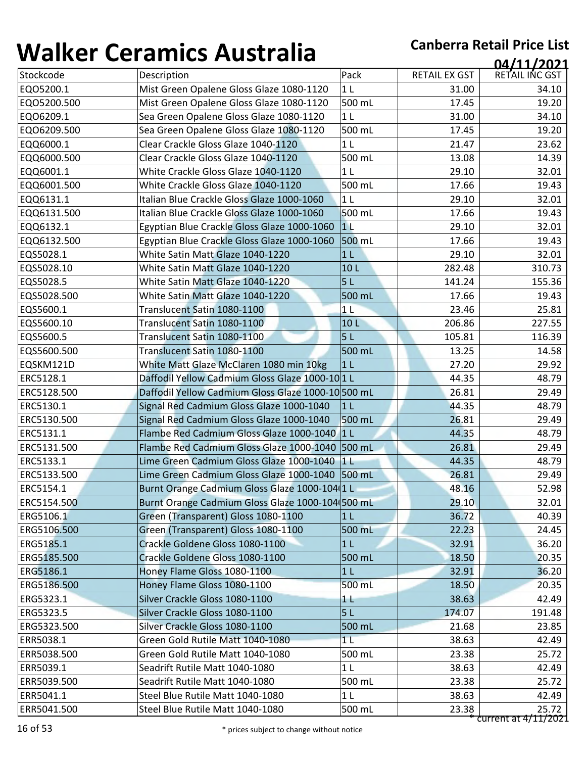| Pack<br><b>RETAIL EX GST</b><br>Stockcode<br>Description<br>Mist Green Opalene Gloss Glaze 1080-1120<br>EQ05200.1<br>1 <sub>L</sub><br>31.00<br>500 mL<br>Mist Green Opalene Gloss Glaze 1080-1120<br>17.45<br>EQ05200.500<br>Sea Green Opalene Gloss Glaze 1080-1120<br>EQ06209.1<br>1 <sub>L</sub><br>31.00<br>EQ06209.500<br>Sea Green Opalene Gloss Glaze 1080-1120<br>500 mL<br>17.45<br>EQQ6000.1<br>Clear Crackle Gloss Glaze 1040-1120<br>1 <sub>L</sub><br>21.47<br>Clear Crackle Gloss Glaze 1040-1120<br>500 mL<br>EQQ6000.500<br>13.08<br>29.10<br>EQQ6001.1<br>White Crackle Gloss Glaze 1040-1120<br>1 <sub>L</sub><br>White Crackle Gloss Glaze 1040-1120<br>500 mL<br>EQQ6001.500<br>17.66<br>EQQ6131.1<br>Italian Blue Crackle Gloss Glaze 1000-1060<br>1 <sub>L</sub><br>29.10<br>500 mL<br>Italian Blue Crackle Gloss Glaze 1000-1060<br>17.66<br>EQQ6131.500<br>1 <sub>L</sub><br>EQQ6132.1<br>Egyptian Blue Crackle Gloss Glaze 1000-1060<br>29.10<br>500 mL<br>Egyptian Blue Crackle Gloss Glaze 1000-1060<br>17.66<br>EQQ6132.500<br>EQS5028.1<br>White Satin Matt Glaze 1040-1220<br>1 <sub>L</sub><br>29.10<br>EQS5028.10<br>White Satin Matt Glaze 1040-1220<br>10L<br>282.48<br>5L<br>EQS5028.5<br>White Satin Matt Glaze 1040-1220<br>141.24<br>EQS5028.500<br>White Satin Matt Glaze 1040-1220<br>500 mL<br>17.66<br>23.46<br>EQS5600.1<br>Translucent Satin 1080-1100<br>1 <sub>L</sub><br>EQS5600.10<br>Translucent Satin 1080-1100<br>206.86<br>10 <sub>L</sub><br>EQS5600.5<br>Translucent Satin 1080-1100<br>5L<br>105.81<br>EQS5600.500<br>Translucent Satin 1080-1100<br>500 mL<br>13.25<br>EQSKM121D<br>White Matt Glaze McClaren 1080 min 10kg<br>1 <sub>L</sub><br>27.20<br>Daffodil Yellow Cadmium Gloss Glaze 1000-10 1 L<br>ERC5128.1<br>44.35<br>26.81<br>ERC5128.500<br>Daffodil Yellow Cadmium Gloss Glaze 1000-10 500 mL<br>ERC5130.1<br>Signal Red Cadmium Gloss Glaze 1000-1040<br>1 <sub>L</sub><br>44.35<br>26.81<br>ERC5130.500<br>Signal Red Cadmium Gloss Glaze 1000-1040<br>500 mL<br>ERC5131.1<br>Flambe Red Cadmium Gloss Glaze 1000-1040 1 L<br>44.35<br>ERC5131.500<br>Flambe Red Cadmium Gloss Glaze 1000-1040 500 mL<br>26.81<br>ERC5133.1<br>Lime Green Cadmium Gloss Glaze 1000-1040 1 L<br>44.35<br>ERC5133.500<br>Lime Green Cadmium Gloss Glaze 1000-1040 500 mL<br>26.81<br>Burnt Orange Cadmium Gloss Glaze 1000-104 1 L<br>48.16<br>ERC5154.500<br>Burnt Orange Cadmium Gloss Glaze 1000-104(500 mL<br>29.10<br>ERG5106.1<br>Green (Transparent) Gloss 1080-1100<br>36.72<br>1 <sub>L</sub><br>Green (Transparent) Gloss 1080-1100<br>ERG5106.500<br>500 mL<br>22.23<br>ERG5185.1<br>Crackle Goldene Gloss 1080-1100<br>1 <sub>L</sub><br>32.91<br>Crackle Goldene Gloss 1080-1100<br>500 mL<br>ERG5185.500<br>18.50<br>ERG5186.1<br>Honey Flame Gloss 1080-1100<br>1 <sub>L</sub><br>32.91<br>ERG5186.500<br>Honey Flame Gloss 1080-1100<br>500 mL<br>18.50<br>ERG5323.1<br>Silver Crackle Gloss 1080-1100<br>38.63<br>$1 \mathsf{L}$<br>Silver Crackle Gloss 1080-1100<br>5L<br>ERG5323.5<br>174.07<br>ERG5323.500<br>Silver Crackle Gloss 1080-1100<br>500 mL<br>21.68<br>ERR5038.1<br>Green Gold Rutile Matt 1040-1080<br>1 <sub>L</sub><br>38.63<br>Green Gold Rutile Matt 1040-1080<br>500 mL<br>23.38<br>ERR5038.500<br>Seadrift Rutile Matt 1040-1080<br>38.63<br>ERR5039.1<br>1 L<br>Seadrift Rutile Matt 1040-1080<br>500 mL<br>23.38<br>ERR5039.500<br>ERR5041.1<br>Steel Blue Rutile Matt 1040-1080<br>1 <sub>L</sub><br>38.63 | , , , , , , , , , | <u>sei annes 7 iasceana</u>      |  | 04/11/2021     |
|----------------------------------------------------------------------------------------------------------------------------------------------------------------------------------------------------------------------------------------------------------------------------------------------------------------------------------------------------------------------------------------------------------------------------------------------------------------------------------------------------------------------------------------------------------------------------------------------------------------------------------------------------------------------------------------------------------------------------------------------------------------------------------------------------------------------------------------------------------------------------------------------------------------------------------------------------------------------------------------------------------------------------------------------------------------------------------------------------------------------------------------------------------------------------------------------------------------------------------------------------------------------------------------------------------------------------------------------------------------------------------------------------------------------------------------------------------------------------------------------------------------------------------------------------------------------------------------------------------------------------------------------------------------------------------------------------------------------------------------------------------------------------------------------------------------------------------------------------------------------------------------------------------------------------------------------------------------------------------------------------------------------------------------------------------------------------------------------------------------------------------------------------------------------------------------------------------------------------------------------------------------------------------------------------------------------------------------------------------------------------------------------------------------------------------------------------------------------------------------------------------------------------------------------------------------------------------------------------------------------------------------------------------------------------------------------------------------------------------------------------------------------------------------------------------------------------------------------------------------------------------------------------------------------------------------------------------------------------------------------------------------------------------------------------------------------------------------------------------------------------------------------------------------------------------------------------------------------------------------------------------------------------------------------------------------------------------------------------------------------------------------------------------------------------------------------------------------------------------------------------------------|-------------------|----------------------------------|--|----------------|
| ERC5154.1                                                                                                                                                                                                                                                                                                                                                                                                                                                                                                                                                                                                                                                                                                                                                                                                                                                                                                                                                                                                                                                                                                                                                                                                                                                                                                                                                                                                                                                                                                                                                                                                                                                                                                                                                                                                                                                                                                                                                                                                                                                                                                                                                                                                                                                                                                                                                                                                                                                                                                                                                                                                                                                                                                                                                                                                                                                                                                                                                                                                                                                                                                                                                                                                                                                                                                                                                                                                                                                                                                      |                   |                                  |  | RETAIL INC GST |
|                                                                                                                                                                                                                                                                                                                                                                                                                                                                                                                                                                                                                                                                                                                                                                                                                                                                                                                                                                                                                                                                                                                                                                                                                                                                                                                                                                                                                                                                                                                                                                                                                                                                                                                                                                                                                                                                                                                                                                                                                                                                                                                                                                                                                                                                                                                                                                                                                                                                                                                                                                                                                                                                                                                                                                                                                                                                                                                                                                                                                                                                                                                                                                                                                                                                                                                                                                                                                                                                                                                |                   |                                  |  | 34.10          |
|                                                                                                                                                                                                                                                                                                                                                                                                                                                                                                                                                                                                                                                                                                                                                                                                                                                                                                                                                                                                                                                                                                                                                                                                                                                                                                                                                                                                                                                                                                                                                                                                                                                                                                                                                                                                                                                                                                                                                                                                                                                                                                                                                                                                                                                                                                                                                                                                                                                                                                                                                                                                                                                                                                                                                                                                                                                                                                                                                                                                                                                                                                                                                                                                                                                                                                                                                                                                                                                                                                                |                   |                                  |  | 19.20          |
|                                                                                                                                                                                                                                                                                                                                                                                                                                                                                                                                                                                                                                                                                                                                                                                                                                                                                                                                                                                                                                                                                                                                                                                                                                                                                                                                                                                                                                                                                                                                                                                                                                                                                                                                                                                                                                                                                                                                                                                                                                                                                                                                                                                                                                                                                                                                                                                                                                                                                                                                                                                                                                                                                                                                                                                                                                                                                                                                                                                                                                                                                                                                                                                                                                                                                                                                                                                                                                                                                                                |                   |                                  |  | 34.10          |
|                                                                                                                                                                                                                                                                                                                                                                                                                                                                                                                                                                                                                                                                                                                                                                                                                                                                                                                                                                                                                                                                                                                                                                                                                                                                                                                                                                                                                                                                                                                                                                                                                                                                                                                                                                                                                                                                                                                                                                                                                                                                                                                                                                                                                                                                                                                                                                                                                                                                                                                                                                                                                                                                                                                                                                                                                                                                                                                                                                                                                                                                                                                                                                                                                                                                                                                                                                                                                                                                                                                |                   |                                  |  | 19.20          |
|                                                                                                                                                                                                                                                                                                                                                                                                                                                                                                                                                                                                                                                                                                                                                                                                                                                                                                                                                                                                                                                                                                                                                                                                                                                                                                                                                                                                                                                                                                                                                                                                                                                                                                                                                                                                                                                                                                                                                                                                                                                                                                                                                                                                                                                                                                                                                                                                                                                                                                                                                                                                                                                                                                                                                                                                                                                                                                                                                                                                                                                                                                                                                                                                                                                                                                                                                                                                                                                                                                                |                   |                                  |  | 23.62          |
|                                                                                                                                                                                                                                                                                                                                                                                                                                                                                                                                                                                                                                                                                                                                                                                                                                                                                                                                                                                                                                                                                                                                                                                                                                                                                                                                                                                                                                                                                                                                                                                                                                                                                                                                                                                                                                                                                                                                                                                                                                                                                                                                                                                                                                                                                                                                                                                                                                                                                                                                                                                                                                                                                                                                                                                                                                                                                                                                                                                                                                                                                                                                                                                                                                                                                                                                                                                                                                                                                                                |                   |                                  |  | 14.39          |
|                                                                                                                                                                                                                                                                                                                                                                                                                                                                                                                                                                                                                                                                                                                                                                                                                                                                                                                                                                                                                                                                                                                                                                                                                                                                                                                                                                                                                                                                                                                                                                                                                                                                                                                                                                                                                                                                                                                                                                                                                                                                                                                                                                                                                                                                                                                                                                                                                                                                                                                                                                                                                                                                                                                                                                                                                                                                                                                                                                                                                                                                                                                                                                                                                                                                                                                                                                                                                                                                                                                |                   |                                  |  | 32.01          |
|                                                                                                                                                                                                                                                                                                                                                                                                                                                                                                                                                                                                                                                                                                                                                                                                                                                                                                                                                                                                                                                                                                                                                                                                                                                                                                                                                                                                                                                                                                                                                                                                                                                                                                                                                                                                                                                                                                                                                                                                                                                                                                                                                                                                                                                                                                                                                                                                                                                                                                                                                                                                                                                                                                                                                                                                                                                                                                                                                                                                                                                                                                                                                                                                                                                                                                                                                                                                                                                                                                                |                   |                                  |  | 19.43          |
|                                                                                                                                                                                                                                                                                                                                                                                                                                                                                                                                                                                                                                                                                                                                                                                                                                                                                                                                                                                                                                                                                                                                                                                                                                                                                                                                                                                                                                                                                                                                                                                                                                                                                                                                                                                                                                                                                                                                                                                                                                                                                                                                                                                                                                                                                                                                                                                                                                                                                                                                                                                                                                                                                                                                                                                                                                                                                                                                                                                                                                                                                                                                                                                                                                                                                                                                                                                                                                                                                                                |                   |                                  |  | 32.01          |
|                                                                                                                                                                                                                                                                                                                                                                                                                                                                                                                                                                                                                                                                                                                                                                                                                                                                                                                                                                                                                                                                                                                                                                                                                                                                                                                                                                                                                                                                                                                                                                                                                                                                                                                                                                                                                                                                                                                                                                                                                                                                                                                                                                                                                                                                                                                                                                                                                                                                                                                                                                                                                                                                                                                                                                                                                                                                                                                                                                                                                                                                                                                                                                                                                                                                                                                                                                                                                                                                                                                |                   |                                  |  | 19.43          |
|                                                                                                                                                                                                                                                                                                                                                                                                                                                                                                                                                                                                                                                                                                                                                                                                                                                                                                                                                                                                                                                                                                                                                                                                                                                                                                                                                                                                                                                                                                                                                                                                                                                                                                                                                                                                                                                                                                                                                                                                                                                                                                                                                                                                                                                                                                                                                                                                                                                                                                                                                                                                                                                                                                                                                                                                                                                                                                                                                                                                                                                                                                                                                                                                                                                                                                                                                                                                                                                                                                                |                   |                                  |  | 32.01          |
|                                                                                                                                                                                                                                                                                                                                                                                                                                                                                                                                                                                                                                                                                                                                                                                                                                                                                                                                                                                                                                                                                                                                                                                                                                                                                                                                                                                                                                                                                                                                                                                                                                                                                                                                                                                                                                                                                                                                                                                                                                                                                                                                                                                                                                                                                                                                                                                                                                                                                                                                                                                                                                                                                                                                                                                                                                                                                                                                                                                                                                                                                                                                                                                                                                                                                                                                                                                                                                                                                                                |                   |                                  |  | 19.43          |
|                                                                                                                                                                                                                                                                                                                                                                                                                                                                                                                                                                                                                                                                                                                                                                                                                                                                                                                                                                                                                                                                                                                                                                                                                                                                                                                                                                                                                                                                                                                                                                                                                                                                                                                                                                                                                                                                                                                                                                                                                                                                                                                                                                                                                                                                                                                                                                                                                                                                                                                                                                                                                                                                                                                                                                                                                                                                                                                                                                                                                                                                                                                                                                                                                                                                                                                                                                                                                                                                                                                |                   |                                  |  | 32.01          |
|                                                                                                                                                                                                                                                                                                                                                                                                                                                                                                                                                                                                                                                                                                                                                                                                                                                                                                                                                                                                                                                                                                                                                                                                                                                                                                                                                                                                                                                                                                                                                                                                                                                                                                                                                                                                                                                                                                                                                                                                                                                                                                                                                                                                                                                                                                                                                                                                                                                                                                                                                                                                                                                                                                                                                                                                                                                                                                                                                                                                                                                                                                                                                                                                                                                                                                                                                                                                                                                                                                                |                   |                                  |  | 310.73         |
|                                                                                                                                                                                                                                                                                                                                                                                                                                                                                                                                                                                                                                                                                                                                                                                                                                                                                                                                                                                                                                                                                                                                                                                                                                                                                                                                                                                                                                                                                                                                                                                                                                                                                                                                                                                                                                                                                                                                                                                                                                                                                                                                                                                                                                                                                                                                                                                                                                                                                                                                                                                                                                                                                                                                                                                                                                                                                                                                                                                                                                                                                                                                                                                                                                                                                                                                                                                                                                                                                                                |                   |                                  |  | 155.36         |
|                                                                                                                                                                                                                                                                                                                                                                                                                                                                                                                                                                                                                                                                                                                                                                                                                                                                                                                                                                                                                                                                                                                                                                                                                                                                                                                                                                                                                                                                                                                                                                                                                                                                                                                                                                                                                                                                                                                                                                                                                                                                                                                                                                                                                                                                                                                                                                                                                                                                                                                                                                                                                                                                                                                                                                                                                                                                                                                                                                                                                                                                                                                                                                                                                                                                                                                                                                                                                                                                                                                |                   |                                  |  | 19.43          |
|                                                                                                                                                                                                                                                                                                                                                                                                                                                                                                                                                                                                                                                                                                                                                                                                                                                                                                                                                                                                                                                                                                                                                                                                                                                                                                                                                                                                                                                                                                                                                                                                                                                                                                                                                                                                                                                                                                                                                                                                                                                                                                                                                                                                                                                                                                                                                                                                                                                                                                                                                                                                                                                                                                                                                                                                                                                                                                                                                                                                                                                                                                                                                                                                                                                                                                                                                                                                                                                                                                                |                   |                                  |  | 25.81          |
|                                                                                                                                                                                                                                                                                                                                                                                                                                                                                                                                                                                                                                                                                                                                                                                                                                                                                                                                                                                                                                                                                                                                                                                                                                                                                                                                                                                                                                                                                                                                                                                                                                                                                                                                                                                                                                                                                                                                                                                                                                                                                                                                                                                                                                                                                                                                                                                                                                                                                                                                                                                                                                                                                                                                                                                                                                                                                                                                                                                                                                                                                                                                                                                                                                                                                                                                                                                                                                                                                                                |                   |                                  |  | 227.55         |
|                                                                                                                                                                                                                                                                                                                                                                                                                                                                                                                                                                                                                                                                                                                                                                                                                                                                                                                                                                                                                                                                                                                                                                                                                                                                                                                                                                                                                                                                                                                                                                                                                                                                                                                                                                                                                                                                                                                                                                                                                                                                                                                                                                                                                                                                                                                                                                                                                                                                                                                                                                                                                                                                                                                                                                                                                                                                                                                                                                                                                                                                                                                                                                                                                                                                                                                                                                                                                                                                                                                |                   |                                  |  | 116.39         |
|                                                                                                                                                                                                                                                                                                                                                                                                                                                                                                                                                                                                                                                                                                                                                                                                                                                                                                                                                                                                                                                                                                                                                                                                                                                                                                                                                                                                                                                                                                                                                                                                                                                                                                                                                                                                                                                                                                                                                                                                                                                                                                                                                                                                                                                                                                                                                                                                                                                                                                                                                                                                                                                                                                                                                                                                                                                                                                                                                                                                                                                                                                                                                                                                                                                                                                                                                                                                                                                                                                                |                   |                                  |  | 14.58          |
|                                                                                                                                                                                                                                                                                                                                                                                                                                                                                                                                                                                                                                                                                                                                                                                                                                                                                                                                                                                                                                                                                                                                                                                                                                                                                                                                                                                                                                                                                                                                                                                                                                                                                                                                                                                                                                                                                                                                                                                                                                                                                                                                                                                                                                                                                                                                                                                                                                                                                                                                                                                                                                                                                                                                                                                                                                                                                                                                                                                                                                                                                                                                                                                                                                                                                                                                                                                                                                                                                                                |                   |                                  |  | 29.92          |
|                                                                                                                                                                                                                                                                                                                                                                                                                                                                                                                                                                                                                                                                                                                                                                                                                                                                                                                                                                                                                                                                                                                                                                                                                                                                                                                                                                                                                                                                                                                                                                                                                                                                                                                                                                                                                                                                                                                                                                                                                                                                                                                                                                                                                                                                                                                                                                                                                                                                                                                                                                                                                                                                                                                                                                                                                                                                                                                                                                                                                                                                                                                                                                                                                                                                                                                                                                                                                                                                                                                |                   |                                  |  | 48.79          |
|                                                                                                                                                                                                                                                                                                                                                                                                                                                                                                                                                                                                                                                                                                                                                                                                                                                                                                                                                                                                                                                                                                                                                                                                                                                                                                                                                                                                                                                                                                                                                                                                                                                                                                                                                                                                                                                                                                                                                                                                                                                                                                                                                                                                                                                                                                                                                                                                                                                                                                                                                                                                                                                                                                                                                                                                                                                                                                                                                                                                                                                                                                                                                                                                                                                                                                                                                                                                                                                                                                                |                   |                                  |  | 29.49          |
|                                                                                                                                                                                                                                                                                                                                                                                                                                                                                                                                                                                                                                                                                                                                                                                                                                                                                                                                                                                                                                                                                                                                                                                                                                                                                                                                                                                                                                                                                                                                                                                                                                                                                                                                                                                                                                                                                                                                                                                                                                                                                                                                                                                                                                                                                                                                                                                                                                                                                                                                                                                                                                                                                                                                                                                                                                                                                                                                                                                                                                                                                                                                                                                                                                                                                                                                                                                                                                                                                                                |                   |                                  |  | 48.79          |
|                                                                                                                                                                                                                                                                                                                                                                                                                                                                                                                                                                                                                                                                                                                                                                                                                                                                                                                                                                                                                                                                                                                                                                                                                                                                                                                                                                                                                                                                                                                                                                                                                                                                                                                                                                                                                                                                                                                                                                                                                                                                                                                                                                                                                                                                                                                                                                                                                                                                                                                                                                                                                                                                                                                                                                                                                                                                                                                                                                                                                                                                                                                                                                                                                                                                                                                                                                                                                                                                                                                |                   |                                  |  | 29.49          |
|                                                                                                                                                                                                                                                                                                                                                                                                                                                                                                                                                                                                                                                                                                                                                                                                                                                                                                                                                                                                                                                                                                                                                                                                                                                                                                                                                                                                                                                                                                                                                                                                                                                                                                                                                                                                                                                                                                                                                                                                                                                                                                                                                                                                                                                                                                                                                                                                                                                                                                                                                                                                                                                                                                                                                                                                                                                                                                                                                                                                                                                                                                                                                                                                                                                                                                                                                                                                                                                                                                                |                   |                                  |  | 48.79          |
|                                                                                                                                                                                                                                                                                                                                                                                                                                                                                                                                                                                                                                                                                                                                                                                                                                                                                                                                                                                                                                                                                                                                                                                                                                                                                                                                                                                                                                                                                                                                                                                                                                                                                                                                                                                                                                                                                                                                                                                                                                                                                                                                                                                                                                                                                                                                                                                                                                                                                                                                                                                                                                                                                                                                                                                                                                                                                                                                                                                                                                                                                                                                                                                                                                                                                                                                                                                                                                                                                                                |                   |                                  |  | 29.49          |
|                                                                                                                                                                                                                                                                                                                                                                                                                                                                                                                                                                                                                                                                                                                                                                                                                                                                                                                                                                                                                                                                                                                                                                                                                                                                                                                                                                                                                                                                                                                                                                                                                                                                                                                                                                                                                                                                                                                                                                                                                                                                                                                                                                                                                                                                                                                                                                                                                                                                                                                                                                                                                                                                                                                                                                                                                                                                                                                                                                                                                                                                                                                                                                                                                                                                                                                                                                                                                                                                                                                |                   |                                  |  | 48.79          |
|                                                                                                                                                                                                                                                                                                                                                                                                                                                                                                                                                                                                                                                                                                                                                                                                                                                                                                                                                                                                                                                                                                                                                                                                                                                                                                                                                                                                                                                                                                                                                                                                                                                                                                                                                                                                                                                                                                                                                                                                                                                                                                                                                                                                                                                                                                                                                                                                                                                                                                                                                                                                                                                                                                                                                                                                                                                                                                                                                                                                                                                                                                                                                                                                                                                                                                                                                                                                                                                                                                                |                   |                                  |  | 29.49          |
|                                                                                                                                                                                                                                                                                                                                                                                                                                                                                                                                                                                                                                                                                                                                                                                                                                                                                                                                                                                                                                                                                                                                                                                                                                                                                                                                                                                                                                                                                                                                                                                                                                                                                                                                                                                                                                                                                                                                                                                                                                                                                                                                                                                                                                                                                                                                                                                                                                                                                                                                                                                                                                                                                                                                                                                                                                                                                                                                                                                                                                                                                                                                                                                                                                                                                                                                                                                                                                                                                                                |                   |                                  |  | 52.98          |
|                                                                                                                                                                                                                                                                                                                                                                                                                                                                                                                                                                                                                                                                                                                                                                                                                                                                                                                                                                                                                                                                                                                                                                                                                                                                                                                                                                                                                                                                                                                                                                                                                                                                                                                                                                                                                                                                                                                                                                                                                                                                                                                                                                                                                                                                                                                                                                                                                                                                                                                                                                                                                                                                                                                                                                                                                                                                                                                                                                                                                                                                                                                                                                                                                                                                                                                                                                                                                                                                                                                |                   |                                  |  | 32.01          |
|                                                                                                                                                                                                                                                                                                                                                                                                                                                                                                                                                                                                                                                                                                                                                                                                                                                                                                                                                                                                                                                                                                                                                                                                                                                                                                                                                                                                                                                                                                                                                                                                                                                                                                                                                                                                                                                                                                                                                                                                                                                                                                                                                                                                                                                                                                                                                                                                                                                                                                                                                                                                                                                                                                                                                                                                                                                                                                                                                                                                                                                                                                                                                                                                                                                                                                                                                                                                                                                                                                                |                   |                                  |  | 40.39          |
|                                                                                                                                                                                                                                                                                                                                                                                                                                                                                                                                                                                                                                                                                                                                                                                                                                                                                                                                                                                                                                                                                                                                                                                                                                                                                                                                                                                                                                                                                                                                                                                                                                                                                                                                                                                                                                                                                                                                                                                                                                                                                                                                                                                                                                                                                                                                                                                                                                                                                                                                                                                                                                                                                                                                                                                                                                                                                                                                                                                                                                                                                                                                                                                                                                                                                                                                                                                                                                                                                                                |                   |                                  |  | 24.45          |
|                                                                                                                                                                                                                                                                                                                                                                                                                                                                                                                                                                                                                                                                                                                                                                                                                                                                                                                                                                                                                                                                                                                                                                                                                                                                                                                                                                                                                                                                                                                                                                                                                                                                                                                                                                                                                                                                                                                                                                                                                                                                                                                                                                                                                                                                                                                                                                                                                                                                                                                                                                                                                                                                                                                                                                                                                                                                                                                                                                                                                                                                                                                                                                                                                                                                                                                                                                                                                                                                                                                |                   |                                  |  | 36.20          |
|                                                                                                                                                                                                                                                                                                                                                                                                                                                                                                                                                                                                                                                                                                                                                                                                                                                                                                                                                                                                                                                                                                                                                                                                                                                                                                                                                                                                                                                                                                                                                                                                                                                                                                                                                                                                                                                                                                                                                                                                                                                                                                                                                                                                                                                                                                                                                                                                                                                                                                                                                                                                                                                                                                                                                                                                                                                                                                                                                                                                                                                                                                                                                                                                                                                                                                                                                                                                                                                                                                                |                   |                                  |  | 20.35          |
|                                                                                                                                                                                                                                                                                                                                                                                                                                                                                                                                                                                                                                                                                                                                                                                                                                                                                                                                                                                                                                                                                                                                                                                                                                                                                                                                                                                                                                                                                                                                                                                                                                                                                                                                                                                                                                                                                                                                                                                                                                                                                                                                                                                                                                                                                                                                                                                                                                                                                                                                                                                                                                                                                                                                                                                                                                                                                                                                                                                                                                                                                                                                                                                                                                                                                                                                                                                                                                                                                                                |                   |                                  |  | 36.20          |
|                                                                                                                                                                                                                                                                                                                                                                                                                                                                                                                                                                                                                                                                                                                                                                                                                                                                                                                                                                                                                                                                                                                                                                                                                                                                                                                                                                                                                                                                                                                                                                                                                                                                                                                                                                                                                                                                                                                                                                                                                                                                                                                                                                                                                                                                                                                                                                                                                                                                                                                                                                                                                                                                                                                                                                                                                                                                                                                                                                                                                                                                                                                                                                                                                                                                                                                                                                                                                                                                                                                |                   |                                  |  | 20.35          |
|                                                                                                                                                                                                                                                                                                                                                                                                                                                                                                                                                                                                                                                                                                                                                                                                                                                                                                                                                                                                                                                                                                                                                                                                                                                                                                                                                                                                                                                                                                                                                                                                                                                                                                                                                                                                                                                                                                                                                                                                                                                                                                                                                                                                                                                                                                                                                                                                                                                                                                                                                                                                                                                                                                                                                                                                                                                                                                                                                                                                                                                                                                                                                                                                                                                                                                                                                                                                                                                                                                                |                   |                                  |  | 42.49          |
|                                                                                                                                                                                                                                                                                                                                                                                                                                                                                                                                                                                                                                                                                                                                                                                                                                                                                                                                                                                                                                                                                                                                                                                                                                                                                                                                                                                                                                                                                                                                                                                                                                                                                                                                                                                                                                                                                                                                                                                                                                                                                                                                                                                                                                                                                                                                                                                                                                                                                                                                                                                                                                                                                                                                                                                                                                                                                                                                                                                                                                                                                                                                                                                                                                                                                                                                                                                                                                                                                                                |                   |                                  |  | 191.48         |
|                                                                                                                                                                                                                                                                                                                                                                                                                                                                                                                                                                                                                                                                                                                                                                                                                                                                                                                                                                                                                                                                                                                                                                                                                                                                                                                                                                                                                                                                                                                                                                                                                                                                                                                                                                                                                                                                                                                                                                                                                                                                                                                                                                                                                                                                                                                                                                                                                                                                                                                                                                                                                                                                                                                                                                                                                                                                                                                                                                                                                                                                                                                                                                                                                                                                                                                                                                                                                                                                                                                |                   |                                  |  | 23.85          |
|                                                                                                                                                                                                                                                                                                                                                                                                                                                                                                                                                                                                                                                                                                                                                                                                                                                                                                                                                                                                                                                                                                                                                                                                                                                                                                                                                                                                                                                                                                                                                                                                                                                                                                                                                                                                                                                                                                                                                                                                                                                                                                                                                                                                                                                                                                                                                                                                                                                                                                                                                                                                                                                                                                                                                                                                                                                                                                                                                                                                                                                                                                                                                                                                                                                                                                                                                                                                                                                                                                                |                   |                                  |  | 42.49          |
|                                                                                                                                                                                                                                                                                                                                                                                                                                                                                                                                                                                                                                                                                                                                                                                                                                                                                                                                                                                                                                                                                                                                                                                                                                                                                                                                                                                                                                                                                                                                                                                                                                                                                                                                                                                                                                                                                                                                                                                                                                                                                                                                                                                                                                                                                                                                                                                                                                                                                                                                                                                                                                                                                                                                                                                                                                                                                                                                                                                                                                                                                                                                                                                                                                                                                                                                                                                                                                                                                                                |                   |                                  |  | 25.72          |
|                                                                                                                                                                                                                                                                                                                                                                                                                                                                                                                                                                                                                                                                                                                                                                                                                                                                                                                                                                                                                                                                                                                                                                                                                                                                                                                                                                                                                                                                                                                                                                                                                                                                                                                                                                                                                                                                                                                                                                                                                                                                                                                                                                                                                                                                                                                                                                                                                                                                                                                                                                                                                                                                                                                                                                                                                                                                                                                                                                                                                                                                                                                                                                                                                                                                                                                                                                                                                                                                                                                |                   |                                  |  | 42.49          |
|                                                                                                                                                                                                                                                                                                                                                                                                                                                                                                                                                                                                                                                                                                                                                                                                                                                                                                                                                                                                                                                                                                                                                                                                                                                                                                                                                                                                                                                                                                                                                                                                                                                                                                                                                                                                                                                                                                                                                                                                                                                                                                                                                                                                                                                                                                                                                                                                                                                                                                                                                                                                                                                                                                                                                                                                                                                                                                                                                                                                                                                                                                                                                                                                                                                                                                                                                                                                                                                                                                                |                   |                                  |  | 25.72          |
|                                                                                                                                                                                                                                                                                                                                                                                                                                                                                                                                                                                                                                                                                                                                                                                                                                                                                                                                                                                                                                                                                                                                                                                                                                                                                                                                                                                                                                                                                                                                                                                                                                                                                                                                                                                                                                                                                                                                                                                                                                                                                                                                                                                                                                                                                                                                                                                                                                                                                                                                                                                                                                                                                                                                                                                                                                                                                                                                                                                                                                                                                                                                                                                                                                                                                                                                                                                                                                                                                                                |                   |                                  |  | 42.49          |
| 23.38<br>ERR5041.500<br>500 mL                                                                                                                                                                                                                                                                                                                                                                                                                                                                                                                                                                                                                                                                                                                                                                                                                                                                                                                                                                                                                                                                                                                                                                                                                                                                                                                                                                                                                                                                                                                                                                                                                                                                                                                                                                                                                                                                                                                                                                                                                                                                                                                                                                                                                                                                                                                                                                                                                                                                                                                                                                                                                                                                                                                                                                                                                                                                                                                                                                                                                                                                                                                                                                                                                                                                                                                                                                                                                                                                                 |                   | Steel Blue Rutile Matt 1040-1080 |  | 25.72          |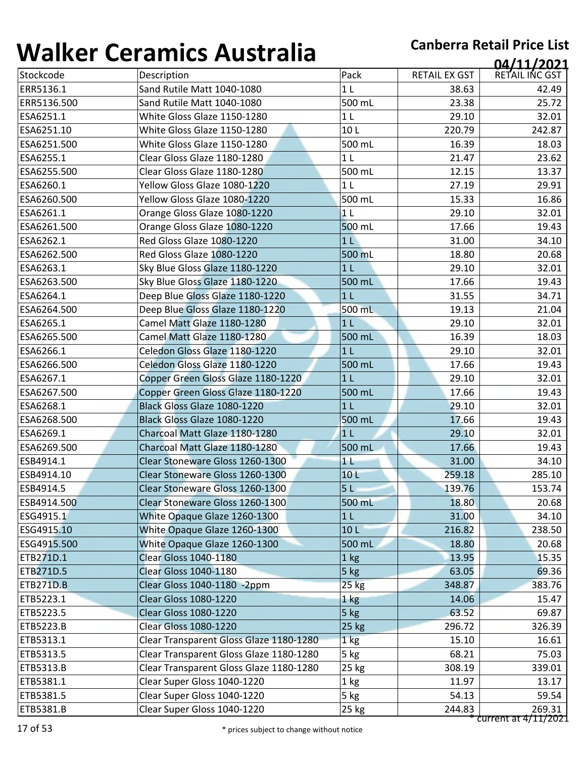| Stockcode<br>ERR5136.1<br>ERR5136.500<br>ESA6251.1 | Description<br>Sand Rutile Matt 1040-1080 | Pack<br>1 <sub>L</sub> | <b>RETAIL EX GST</b><br>38.63 | RETAIL INC GST |
|----------------------------------------------------|-------------------------------------------|------------------------|-------------------------------|----------------|
|                                                    |                                           |                        |                               |                |
|                                                    |                                           |                        |                               | 42.49          |
|                                                    | Sand Rutile Matt 1040-1080                | 500 mL                 | 23.38                         | 25.72          |
|                                                    | White Gloss Glaze 1150-1280               | 1 <sub>L</sub>         | 29.10                         | 32.01          |
| ESA6251.10                                         | White Gloss Glaze 1150-1280               | 10L                    | 220.79                        | 242.87         |
| ESA6251.500                                        | White Gloss Glaze 1150-1280               | 500 mL                 | 16.39                         | 18.03          |
| ESA6255.1                                          | Clear Gloss Glaze 1180-1280               | 1 <sub>L</sub>         | 21.47                         | 23.62          |
| ESA6255.500                                        | Clear Gloss Glaze 1180-1280               | 500 mL                 | 12.15                         | 13.37          |
| ESA6260.1                                          | Yellow Gloss Glaze 1080-1220              | 1 <sub>L</sub>         | 27.19                         | 29.91          |
| ESA6260.500                                        | Yellow Gloss Glaze 1080-1220              | 500 mL                 | 15.33                         | 16.86          |
| ESA6261.1                                          | Orange Gloss Glaze 1080-1220              | 1 <sub>L</sub>         | 29.10                         | 32.01          |
| ESA6261.500                                        | Orange Gloss Glaze 1080-1220              | 500 mL                 | 17.66                         | 19.43          |
| ESA6262.1                                          | Red Gloss Glaze 1080-1220                 | 1 <sub>L</sub>         | 31.00                         | 34.10          |
| ESA6262.500                                        | Red Gloss Glaze 1080-1220                 | 500 mL                 | 18.80                         | 20.68          |
| ESA6263.1                                          | Sky Blue Gloss Glaze 1180-1220            | 1 <sub>L</sub>         | 29.10                         | 32.01          |
| ESA6263.500                                        | Sky Blue Gloss Glaze 1180-1220            | 500 mL                 | 17.66                         | 19.43          |
| ESA6264.1                                          | Deep Blue Gloss Glaze 1180-1220           | 1 <sub>L</sub>         | 31.55                         | 34.71          |
| ESA6264.500                                        | Deep Blue Gloss Glaze 1180-1220           | 500 mL                 | 19.13                         | 21.04          |
| ESA6265.1                                          | Camel Matt Glaze 1180-1280                | 1 <sub>L</sub>         | 29.10                         | 32.01          |
| ESA6265.500                                        | Camel Matt Glaze 1180-1280                | 500 mL                 | 16.39                         | 18.03          |
| ESA6266.1                                          | Celedon Gloss Glaze 1180-1220             | 1 <sub>L</sub>         | 29.10                         | 32.01          |
| ESA6266.500                                        | Celedon Gloss Glaze 1180-1220             | 500 mL                 | 17.66                         | 19.43          |
| ESA6267.1                                          | Copper Green Gloss Glaze 1180-1220        | 1 <sub>L</sub>         | 29.10                         | 32.01          |
| ESA6267.500                                        | Copper Green Gloss Glaze 1180-1220        | 500 mL                 | 17.66                         | 19.43          |
| ESA6268.1                                          | Black Gloss Glaze 1080-1220               | 1 <sub>L</sub>         | 29.10                         | 32.01          |
| ESA6268.500                                        | Black Gloss Glaze 1080-1220               | 500 mL                 | 17.66                         | 19.43          |
| ESA6269.1                                          | Charcoal Matt Glaze 1180-1280             | 1 <sub>L</sub>         | 29.10                         | 32.01          |
| ESA6269.500                                        | Charcoal Matt Glaze 1180-1280             | 500 mL                 | 17.66                         | 19.43          |
| ESB4914.1                                          | Clear Stoneware Gloss 1260-1300           | 11                     | 31.00                         | 34.10          |
| ESB4914.10                                         | Clear Stoneware Gloss 1260-1300           | 10L                    | 259.18                        | 285.10         |
| ESB4914.5                                          | Clear Stoneware Gloss 1260-1300           | 5 <sub>L</sub>         | 139.76                        | 153.74         |
| ESB4914.500                                        | Clear Stoneware Gloss 1260-1300           | 500 mL                 | 18.80                         | 20.68          |
| ESG4915.1                                          | White Opaque Glaze 1260-1300              | 1 <sub>L</sub>         | 31.00                         | 34.10          |
| ESG4915.10                                         | White Opaque Glaze 1260-1300              | 10 <sub>L</sub>        | 216.82                        | 238.50         |
| ESG4915.500                                        | White Opaque Glaze 1260-1300              | 500 mL                 | 18.80                         | 20.68          |
| ETB271D.1                                          | <b>Clear Gloss 1040-1180</b>              | 1 kg                   | 13.95                         | 15.35          |
| ETB271D.5                                          | <b>Clear Gloss 1040-1180</b>              | 5 kg                   | 63.05                         | 69.36          |
| <b>ETB271D.B</b>                                   | Clear Gloss 1040-1180 -2ppm               | $25$ kg                | 348.87                        | 383.76         |
| ETB5223.1                                          | <b>Clear Gloss 1080-1220</b>              | 1 kg                   | 14.06                         | 15.47          |
| ETB5223.5                                          | <b>Clear Gloss 1080-1220</b>              | $5$ kg                 | 63.52                         | 69.87          |
| ETB5223.B                                          | <b>Clear Gloss 1080-1220</b>              | 25 kg                  | 296.72                        | 326.39         |
| ETB5313.1                                          | Clear Transparent Gloss Glaze 1180-1280   | 1 <sub>kg</sub>        | 15.10                         | 16.61          |
| ETB5313.5                                          | Clear Transparent Gloss Glaze 1180-1280   | 5 kg                   | 68.21                         | 75.03          |
| <b>ETB5313.B</b>                                   | Clear Transparent Gloss Glaze 1180-1280   | 25 kg                  | 308.19                        | 339.01         |
| ETB5381.1                                          | Clear Super Gloss 1040-1220               | 1 kg                   | 11.97                         | 13.17          |
| ETB5381.5                                          | Clear Super Gloss 1040-1220               | 5 kg                   | 54.13                         | 59.54          |
|                                                    | Clear Super Gloss 1040-1220               | 25 kg                  | 244.83                        | 269.31         |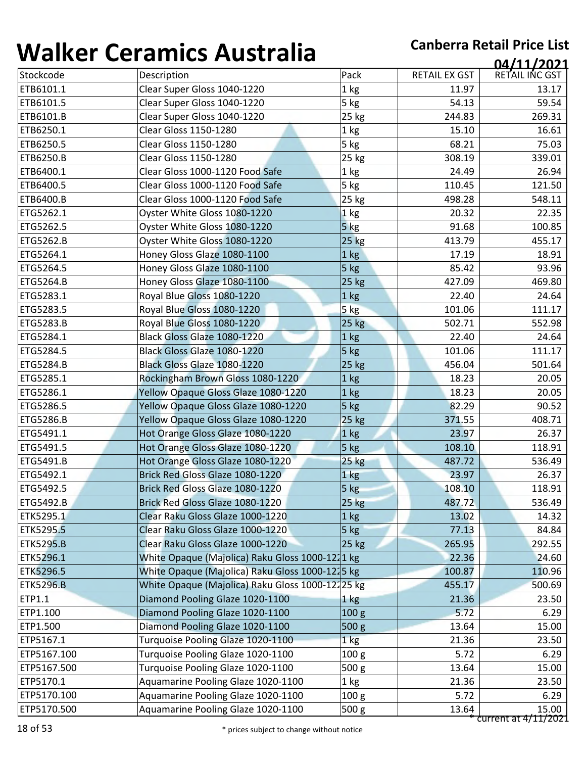| Stockcode        |                                                  |                  |                      | 04/11/2021     |
|------------------|--------------------------------------------------|------------------|----------------------|----------------|
|                  | Description                                      | Pack             | <b>RETAIL EX GST</b> | RETAIL INC GST |
| ETB6101.1        | Clear Super Gloss 1040-1220                      | 1 kg             | 11.97                | 13.17          |
| ETB6101.5        | Clear Super Gloss 1040-1220                      | 5 kg             | 54.13                | 59.54          |
| ETB6101.B        | Clear Super Gloss 1040-1220                      | 25 kg            | 244.83               | 269.31         |
| ETB6250.1        | <b>Clear Gloss 1150-1280</b>                     | 1 kg             | 15.10                | 16.61          |
| ETB6250.5        | <b>Clear Gloss 1150-1280</b>                     | 5 kg             | 68.21                | 75.03          |
| ETB6250.B        | <b>Clear Gloss 1150-1280</b>                     | 25 kg            | 308.19               | 339.01         |
| ETB6400.1        | Clear Gloss 1000-1120 Food Safe                  | 1 kg             | 24.49                | 26.94          |
| ETB6400.5        | Clear Gloss 1000-1120 Food Safe                  | 5 kg             | 110.45               | 121.50         |
| ETB6400.B        | Clear Gloss 1000-1120 Food Safe                  | 25 kg            | 498.28               | 548.11         |
| ETG5262.1        | Oyster White Gloss 1080-1220                     | 1 kg             | 20.32                | 22.35          |
| ETG5262.5        | Oyster White Gloss 1080-1220                     | $5$ kg           | 91.68                | 100.85         |
| <b>ETG5262.B</b> | Oyster White Gloss 1080-1220                     | 25 kg            | 413.79               | 455.17         |
| ETG5264.1        | Honey Gloss Glaze 1080-1100                      | 1 kg             | 17.19                | 18.91          |
| ETG5264.5        | Honey Gloss Glaze 1080-1100                      | 5 kg             | 85.42                | 93.96          |
| <b>ETG5264.B</b> | Honey Gloss Glaze 1080-1100                      | 25 kg            | 427.09               | 469.80         |
| ETG5283.1        | Royal Blue Gloss 1080-1220                       | 1 kg             | 22.40                | 24.64          |
| ETG5283.5        | Royal Blue Gloss 1080-1220                       | 5 kg             | 101.06               | 111.17         |
| ETG5283.B        | Royal Blue Gloss 1080-1220                       | 25 kg            | 502.71               | 552.98         |
| ETG5284.1        | Black Gloss Glaze 1080-1220                      | 1 kg             | 22.40                | 24.64          |
| ETG5284.5        | Black Gloss Glaze 1080-1220                      | 5 kg             | 101.06               | 111.17         |
| ETG5284.B        | Black Gloss Glaze 1080-1220                      | 25 kg            | 456.04               | 501.64         |
| ETG5285.1        | Rockingham Brown Gloss 1080-1220                 | 1 kg             | 18.23                | 20.05          |
| ETG5286.1        | Yellow Opaque Gloss Glaze 1080-1220              | 1 kg             | 18.23                | 20.05          |
| ETG5286.5        | Yellow Opaque Gloss Glaze 1080-1220              | 5 kg             | 82.29                | 90.52          |
| <b>ETG5286.B</b> | Yellow Opaque Gloss Glaze 1080-1220              | 25 kg            | 371.55               | 408.71         |
| ETG5491.1        | Hot Orange Gloss Glaze 1080-1220                 | 1 kg             | 23.97                | 26.37          |
| ETG5491.5        | Hot Orange Gloss Glaze 1080-1220                 | 5 kg             | 108.10               | 118.91         |
| ETG5491.B        | Hot Orange Gloss Glaze 1080-1220                 | $25$ kg          | 487.72               | 536.49         |
| ETG5492.1        | Brick Red Gloss Glaze 1080-1220                  | 1 kg             | 23.97                | 26.37          |
| ETG5492.5        | Brick Red Gloss Glaze 1080-1220                  | 5 kg             | 108.10               | 118.91         |
| <b>ETG5492.B</b> | Brick Red Gloss Glaze 1080-1220                  | 25 kg            | 487.72               | 536.49         |
| ETK5295.1        | Clear Raku Gloss Glaze 1000-1220                 | 1 <sub>kg</sub>  | 13.02                | 14.32          |
| ETK5295.5        | Clear Raku Gloss Glaze 1000-1220                 | 5 kg             | 77.13                | 84.84          |
| <b>ETK5295.B</b> | Clear Raku Gloss Glaze 1000-1220                 | 25 kg            | 265.95               | 292.55         |
| ETK5296.1        | White Opaque (Majolica) Raku Gloss 1000-1211 kg  |                  | 22.36                | 24.60          |
| ETK5296.5        | White Opaque (Majolica) Raku Gloss 1000-1215 kg  |                  | 100.87               | 110.96         |
| <b>ETK5296.B</b> | White Opaque (Majolica) Raku Gloss 1000-12125 kg |                  | 455.17               | 500.69         |
| ETP1.1           | Diamond Pooling Glaze 1020-1100                  | $1 \text{ kg}$   | 21.36                | 23.50          |
| ETP1.100         | Diamond Pooling Glaze 1020-1100                  | 100 <sub>g</sub> | 5.72                 | 6.29           |
| ETP1.500         | Diamond Pooling Glaze 1020-1100                  | 500 <sub>g</sub> | 13.64                | 15.00          |
| ETP5167.1        | Turquoise Pooling Glaze 1020-1100                | 1 kg             | 21.36                | 23.50          |
| ETP5167.100      | Turquoise Pooling Glaze 1020-1100                | 100 <sub>g</sub> | 5.72                 | 6.29           |
| ETP5167.500      | Turquoise Pooling Glaze 1020-1100                | 500 <sub>g</sub> | 13.64                | 15.00          |
| ETP5170.1        | Aquamarine Pooling Glaze 1020-1100               | 1 <sub>kg</sub>  | 21.36                | 23.50          |
|                  |                                                  |                  |                      |                |
| ETP5170.100      | Aquamarine Pooling Glaze 1020-1100               | 100 <sub>g</sub> | 5.72                 | 6.29           |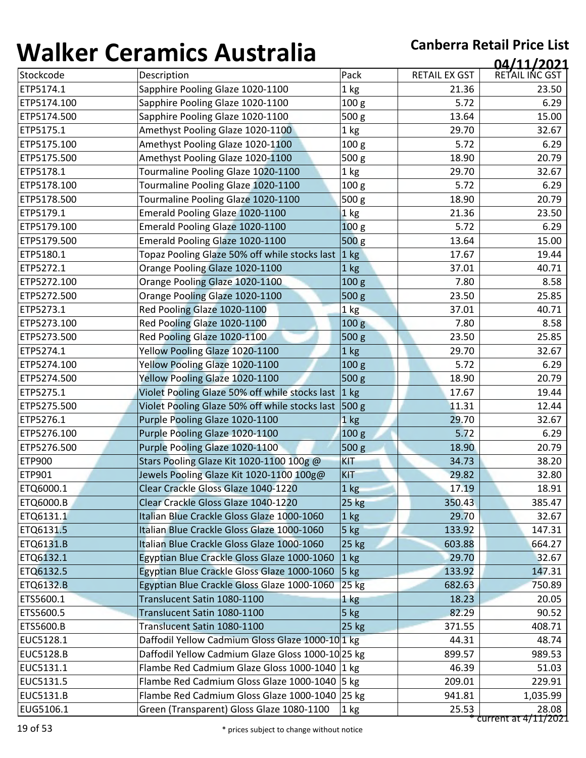|                        |                                                   |                  |                      | 04/11/2021     |
|------------------------|---------------------------------------------------|------------------|----------------------|----------------|
| Stockcode              | Description                                       | Pack             | <b>RETAIL EX GST</b> | RETAIL INC GST |
| ETP5174.1              | Sapphire Pooling Glaze 1020-1100                  | 1 kg             | 21.36                | 23.50          |
| ETP5174.100            | Sapphire Pooling Glaze 1020-1100                  | 100 <sub>g</sub> | 5.72                 | 6.29           |
| ETP5174.500            | Sapphire Pooling Glaze 1020-1100                  | 500 g            | 13.64                | 15.00          |
| ETP5175.1              | Amethyst Pooling Glaze 1020-1100                  | 1 kg             | 29.70                | 32.67          |
| ETP5175.100            | Amethyst Pooling Glaze 1020-1100                  | 100 g            | 5.72                 | 6.29           |
| ETP5175.500            | Amethyst Pooling Glaze 1020-1100                  | 500 g            | 18.90                | 20.79          |
| ETP5178.1              | Tourmaline Pooling Glaze 1020-1100                | 1 <sub>kg</sub>  | 29.70                | 32.67          |
| ETP5178.100            | Tourmaline Pooling Glaze 1020-1100                | 100 <sub>g</sub> | 5.72                 | 6.29           |
| ETP5178.500            | Tourmaline Pooling Glaze 1020-1100                | 500 g            | 18.90                | 20.79          |
| ETP5179.1              | Emerald Pooling Glaze 1020-1100                   | 1 kg             | 21.36                | 23.50          |
| ETP5179.100            | Emerald Pooling Glaze 1020-1100                   | 100 <sub>g</sub> | 5.72                 | 6.29           |
| ETP5179.500            | Emerald Pooling Glaze 1020-1100                   | 500 <sub>g</sub> | 13.64                | 15.00          |
| ETP5180.1              | Topaz Pooling Glaze 50% off while stocks last     | $ 1 \text{ kg} $ | 17.67                | 19.44          |
| ETP5272.1              | Orange Pooling Glaze 1020-1100                    | 1 kg             | 37.01                | 40.71          |
| ETP5272.100            | Orange Pooling Glaze 1020-1100                    | 100 g            | 7.80                 | 8.58           |
| ETP5272.500            | Orange Pooling Glaze 1020-1100                    | 500 g            | 23.50                | 25.85          |
| ETP5273.1              | Red Pooling Glaze 1020-1100                       | 1 kg             | 37.01                | 40.71          |
| ETP5273.100            | Red Pooling Glaze 1020-1100                       | 100 <sub>g</sub> | 7.80                 | 8.58           |
| ETP5273.500            | Red Pooling Glaze 1020-1100                       | 500 g            | 23.50                | 25.85          |
| ETP5274.1              | Yellow Pooling Glaze 1020-1100                    | 1 kg             | 29.70                | 32.67          |
| ETP5274.100            | Yellow Pooling Glaze 1020-1100                    | 100 <sub>g</sub> | 5.72                 | 6.29           |
| ETP5274.500            | Yellow Pooling Glaze 1020-1100                    | 500 g            | 18.90                | 20.79          |
| ETP5275.1              | Violet Pooling Glaze 50% off while stocks last    | 1 kg             | 17.67                | 19.44          |
| ETP5275.500            | Violet Pooling Glaze 50% off while stocks last    | 500 <sub>g</sub> | 11.31                | 12.44          |
| ETP5276.1              | Purple Pooling Glaze 1020-1100                    | 1 kg             | 29.70                | 32.67          |
| ETP5276.100            | Purple Pooling Glaze 1020-1100                    | 100 g            | 5.72                 | 6.29           |
| ETP5276.500            | Purple Pooling Glaze 1020-1100                    | 500 g            | 18.90                | 20.79          |
| <b>ETP900</b>          | Stars Pooling Glaze Kit 1020-1100 100g @          | <b>KIT</b>       | 34.73                | 38.20          |
| <b>ETP901</b>          | Jewels Pooling Glaze Kit 1020-1100 100g@          | KIT              | 29.82                | 32.80          |
| ETQ6000.1              | Clear Crackle Gloss Glaze 1040-1220               | 1 kg             | 17.19                | 18.91          |
| <b>ETQ6000.B</b>       | Clear Crackle Gloss Glaze 1040-1220               | 25 kg            | 350.43               | 385.47         |
| ETQ6131.1              | Italian Blue Crackle Gloss Glaze 1000-1060        | $1$ kg           | 29.70                | 32.67          |
| ETQ6131.5              | Italian Blue Crackle Gloss Glaze 1000-1060        | 5 kg             | 133.92               | 147.31         |
| ETQ6131.B              | Italian Blue Crackle Gloss Glaze 1000-1060        | 25 kg            | 603.88               | 664.27         |
| ETQ6132.1              | Egyptian Blue Crackle Gloss Glaze 1000-1060       | $1$ kg           | 29.70                | 32.67          |
| ETQ6132.5              | Egyptian Blue Crackle Gloss Glaze 1000-1060       | $5$ kg           | 133.92               | 147.31         |
| <b>ETQ6132.B</b>       | Egyptian Blue Crackle Gloss Glaze 1000-1060       | $25$ kg          | 682.63               | 750.89         |
| ETS5600.1              | Translucent Satin 1080-1100                       | 1 kg             | 18.23                | 20.05          |
| ETS5600.5              | Translucent Satin 1080-1100                       | $5$ kg           | 82.29                | 90.52          |
| ETS5600.B              | Translucent Satin 1080-1100                       | $25$ kg          | 371.55               | 408.71         |
| EUC5128.1              | Daffodil Yellow Cadmium Gloss Glaze 1000-10 1 kg  |                  | 44.31                | 48.74          |
| <b>EUC5128.B</b>       | Daffodil Yellow Cadmium Glaze Gloss 1000-10 25 kg |                  | 899.57               | 989.53         |
|                        | Flambe Red Cadmium Glaze Gloss 1000-1040 1 kg     |                  | 46.39                | 51.03          |
|                        |                                                   |                  |                      |                |
| EUC5131.1<br>EUC5131.5 | Flambe Red Cadmium Gloss Glaze 1000-1040 5 kg     |                  | 209.01               | 229.91         |
| <b>EUC5131.B</b>       | Flambe Red Cadmium Gloss Glaze 1000-1040 25 kg    |                  | 941.81               | 1,035.99       |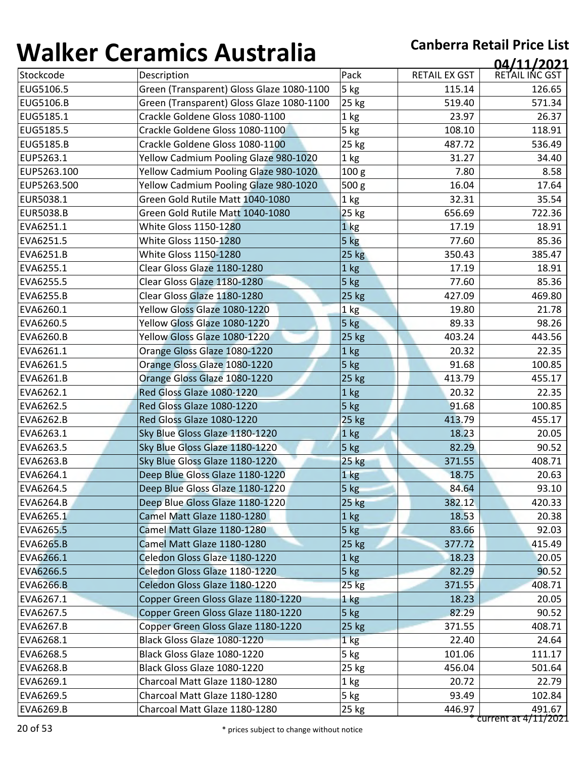| , , , , , , , , , | <u>sei annes 7 iasceana</u>               |                  |                      | 04/11/2021                     |
|-------------------|-------------------------------------------|------------------|----------------------|--------------------------------|
| Stockcode         | Description                               | Pack             | <b>RETAIL EX GST</b> | RETAIL INC GST                 |
| EUG5106.5         | Green (Transparent) Gloss Glaze 1080-1100 | 5 kg             | 115.14               | 126.65                         |
| <b>EUG5106.B</b>  | Green (Transparent) Gloss Glaze 1080-1100 | 25 kg            | 519.40               | 571.34                         |
| EUG5185.1         | Crackle Goldene Gloss 1080-1100           | 1 kg             | 23.97                | 26.37                          |
| EUG5185.5         | Crackle Goldene Gloss 1080-1100           | 5 kg             | 108.10               | 118.91                         |
| <b>EUG5185.B</b>  | Crackle Goldene Gloss 1080-1100           | 25 kg            | 487.72               | 536.49                         |
| EUP5263.1         | Yellow Cadmium Pooling Glaze 980-1020     | 1 kg             | 31.27                | 34.40                          |
| EUP5263.100       | Yellow Cadmium Pooling Glaze 980-1020     | 100 g            | 7.80                 | 8.58                           |
| EUP5263.500       | Yellow Cadmium Pooling Glaze 980-1020     | 500 <sub>g</sub> | 16.04                | 17.64                          |
| EUR5038.1         | Green Gold Rutile Matt 1040-1080          | 1 kg             | 32.31                | 35.54                          |
| <b>EUR5038.B</b>  | Green Gold Rutile Matt 1040-1080          | 25 kg            | 656.69               | 722.36                         |
| EVA6251.1         | White Gloss 1150-1280                     | 1 <sub>kg</sub>  | 17.19                | 18.91                          |
| EVA6251.5         | White Gloss 1150-1280                     | 5 kg             | 77.60                | 85.36                          |
| EVA6251.B         | White Gloss 1150-1280                     | 25 kg            | 350.43               | 385.47                         |
| EVA6255.1         | Clear Gloss Glaze 1180-1280               | 1 kg             | 17.19                | 18.91                          |
| EVA6255.5         | Clear Gloss Glaze 1180-1280               | 5 kg             | 77.60                | 85.36                          |
| EVA6255.B         | Clear Gloss Glaze 1180-1280               | 25 kg            | 427.09               | 469.80                         |
| EVA6260.1         | Yellow Gloss Glaze 1080-1220              | 1 kg             | 19.80                | 21.78                          |
| EVA6260.5         | Yellow Gloss Glaze 1080-1220              | 5 kg             | 89.33                | 98.26                          |
| EVA6260.B         | Yellow Gloss Glaze 1080-1220              | 25 kg            | 403.24               | 443.56                         |
| EVA6261.1         | Orange Gloss Glaze 1080-1220              | 1 kg             | 20.32                | 22.35                          |
| EVA6261.5         | Orange Gloss Glaze 1080-1220              | 5 kg             | 91.68                | 100.85                         |
| EVA6261.B         | Orange Gloss Glaze 1080-1220              | 25 kg            | 413.79               | 455.17                         |
| EVA6262.1         | Red Gloss Glaze 1080-1220                 | 1 kg             | 20.32                | 22.35                          |
| EVA6262.5         | Red Gloss Glaze 1080-1220                 | 5 kg             | 91.68                | 100.85                         |
| <b>EVA6262.B</b>  | Red Gloss Glaze 1080-1220                 | 25 kg            | 413.79               | 455.17                         |
| EVA6263.1         | Sky Blue Gloss Glaze 1180-1220            | 1 kg             | 18.23                | 20.05                          |
| EVA6263.5         | Sky Blue Gloss Glaze 1180-1220            | 5 kg             | 82.29                | 90.52                          |
| EVA6263.B         | Sky Blue Gloss Glaze 1180-1220            | <b>25 kg</b>     | 371.55               | 408.71                         |
| EVA6264.1         | Deep Blue Gloss Glaze 1180-1220           | 1 kg             | 18.75                | 20.63                          |
| EVA6264.5         | Deep Blue Gloss Glaze 1180-1220           | 5 kg             | 84.64                | 93.10                          |
| <b>EVA6264.B</b>  | Deep Blue Gloss Glaze 1180-1220           | 25 kg            | 382.12               | 420.33                         |
| EVA6265.1         | Camel Matt Glaze 1180-1280                | $1$ kg           | 18.53                | 20.38                          |
| EVA6265.5         | Camel Matt Glaze 1180-1280                | 5 kg             | 83.66                | 92.03                          |
| <b>EVA6265.B</b>  | Camel Matt Glaze 1180-1280                | 25 kg            | 377.72               | 415.49                         |
| EVA6266.1         | Celedon Gloss Glaze 1180-1220             | 1 kg             | 18.23                | 20.05                          |
| EVA6266.5         | Celedon Gloss Glaze 1180-1220             | 5 kg             | 82.29                | 90.52                          |
| <b>EVA6266.B</b>  | Celedon Gloss Glaze 1180-1220             | $25$ kg          | 371.55               | 408.71                         |
| EVA6267.1         | Copper Green Gloss Glaze 1180-1220        | $1$ $kg$         | 18.23                | 20.05                          |
| EVA6267.5         | Copper Green Gloss Glaze 1180-1220        | $5$ kg           | 82.29                | 90.52                          |
| EVA6267.B         | Copper Green Gloss Glaze 1180-1220        | 25 kg            | 371.55               | 408.71                         |
| EVA6268.1         | Black Gloss Glaze 1080-1220               | 1 <sub>kg</sub>  | 22.40                | 24.64                          |
| EVA6268.5         | Black Gloss Glaze 1080-1220               | 5 kg             | 101.06               | 111.17                         |
| EVA6268.B         | Black Gloss Glaze 1080-1220               | 25 kg            | 456.04               | 501.64                         |
| EVA6269.1         | Charcoal Matt Glaze 1180-1280             | 1 kg             | 20.72                | 22.79                          |
| EVA6269.5         | Charcoal Matt Glaze 1180-1280             | 5 kg             | 93.49                | 102.84                         |
| EVA6269.B         | Charcoal Matt Glaze 1180-1280             | 25 kg            | 446.97               | 491.67<br>current at 4/11/2021 |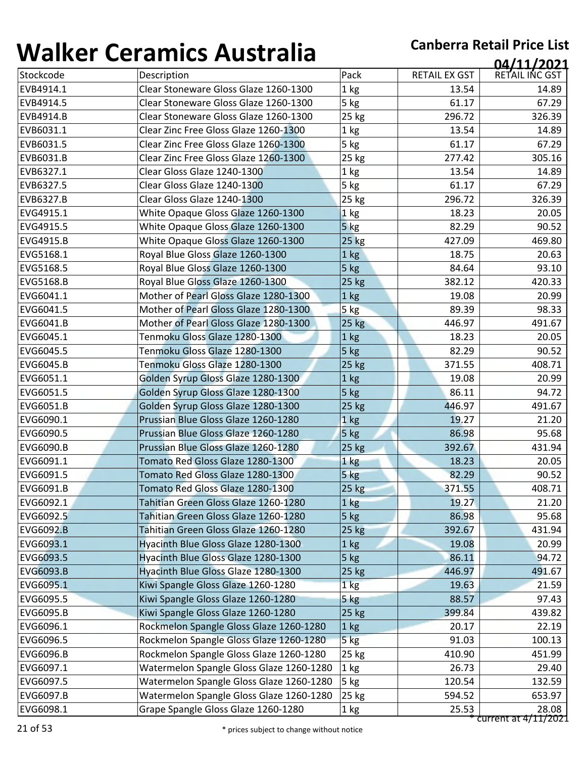| ''''''''         | <u>sei annes 7 iasceana</u>              |                 |                      | 04/11/2021           |
|------------------|------------------------------------------|-----------------|----------------------|----------------------|
| Stockcode        | Description                              | Pack            | <b>RETAIL EX GST</b> | RETAIL INC GST       |
| EVB4914.1        | Clear Stoneware Gloss Glaze 1260-1300    | 1 kg            | 13.54                | 14.89                |
| EVB4914.5        | Clear Stoneware Gloss Glaze 1260-1300    | 5 kg            | 61.17                | 67.29                |
| EVB4914.B        | Clear Stoneware Gloss Glaze 1260-1300    | 25 kg           | 296.72               | 326.39               |
| EVB6031.1        | Clear Zinc Free Gloss Glaze 1260-1300    | 1 kg            | 13.54                | 14.89                |
| EVB6031.5        | Clear Zinc Free Gloss Glaze 1260-1300    | 5 kg            | 61.17                | 67.29                |
| EVB6031.B        | Clear Zinc Free Gloss Glaze 1260-1300    | 25 kg           | 277.42               | 305.16               |
| EVB6327.1        | Clear Gloss Glaze 1240-1300              | 1 kg            | 13.54                | 14.89                |
| EVB6327.5        | Clear Gloss Glaze 1240-1300              | 5 kg            | 61.17                | 67.29                |
| EVB6327.B        | Clear Gloss Glaze 1240-1300              | 25 kg           | 296.72               | 326.39               |
| EVG4915.1        | White Opaque Gloss Glaze 1260-1300       | 1 kg            | 18.23                | 20.05                |
| EVG4915.5        | White Opaque Gloss Glaze 1260-1300       | $5$ kg          | 82.29                | 90.52                |
| EVG4915.B        | White Opaque Gloss Glaze 1260-1300       | <b>25 kg</b>    | 427.09               | 469.80               |
| EVG5168.1        | Royal Blue Gloss Glaze 1260-1300         | 1 kg            | 18.75                | 20.63                |
| EVG5168.5        | Royal Blue Gloss Glaze 1260-1300         | 5 kg            | 84.64                | 93.10                |
| EVG5168.B        | Royal Blue Gloss Glaze 1260-1300         | 25 kg           | 382.12               | 420.33               |
| EVG6041.1        | Mother of Pearl Gloss Glaze 1280-1300    | 1 kg            | 19.08                | 20.99                |
| EVG6041.5        | Mother of Pearl Gloss Glaze 1280-1300    | 5 kg            | 89.39                | 98.33                |
| EVG6041.B        | Mother of Pearl Gloss Glaze 1280-1300    | 25 kg           | 446.97               | 491.67               |
| EVG6045.1        | Tenmoku Gloss Glaze 1280-1300            | 1 kg            | 18.23                | 20.05                |
| EVG6045.5        | Tenmoku Gloss Glaze 1280-1300            | 5 kg            | 82.29                | 90.52                |
| <b>EVG6045.B</b> | Tenmoku Gloss Glaze 1280-1300            | 25 kg           | 371.55               | 408.71               |
| EVG6051.1        | Golden Syrup Gloss Glaze 1280-1300       | 1 <sub>kg</sub> | 19.08                | 20.99                |
| EVG6051.5        | Golden Syrup Gloss Glaze 1280-1300       | $5$ kg          | 86.11                | 94.72                |
| EVG6051.B        | Golden Syrup Gloss Glaze 1280-1300       | 25 kg           | 446.97               | 491.67               |
| EVG6090.1        | Prussian Blue Gloss Glaze 1260-1280      | 1 kg            | 19.27                | 21.20                |
| EVG6090.5        | Prussian Blue Gloss Glaze 1260-1280      | 5 kg            | 86.98                | 95.68                |
| <b>EVG6090.B</b> | Prussian Blue Gloss Glaze 1260-1280      | 25 kg           | 392.67               | 431.94               |
| EVG6091.1        | Tomato Red Gloss Glaze 1280-1300         | 1 <sub>kg</sub> | 18.23                | 20.05                |
| EVG6091.5        | Tomato Red Gloss Glaze 1280-1300         | 5 kg            | 82.29                | 90.52                |
| <b>EVG6091.B</b> | Tomato Red Gloss Glaze 1280-1300         | 25 kg           | 371.55               | 408.71               |
| EVG6092.1        | Tahitian Green Gloss Glaze 1260-1280     | 1 kg            | 19.27                | 21.20                |
| EVG6092.5        | Tahitian Green Gloss Glaze 1260-1280     | 5 kg            | 86.98                | 95.68                |
| <b>EVG6092.B</b> | Tahitian Green Gloss Glaze 1260-1280     | $25$ kg         | 392.67               | 431.94               |
| EVG6093.1        | Hyacinth Blue Gloss Glaze 1280-1300      | 1 kg            | 19.08                | 20.99                |
| EVG6093.5        | Hyacinth Blue Gloss Glaze 1280-1300      | 5 kg            | 86.11                | 94.72                |
| <b>EVG6093.B</b> | Hyacinth Blue Gloss Glaze 1280-1300      | 25 kg           | 446.97               | 491.67               |
| EVG6095.1        | Kiwi Spangle Gloss Glaze 1260-1280       | 1 <sub>kg</sub> | 19.63                | 21.59                |
| EVG6095.5        | Kiwi Spangle Gloss Glaze 1260-1280       | 5 kg            | 88.57                | 97.43                |
| EVG6095.B        | Kiwi Spangle Gloss Glaze 1260-1280       | $25$ kg         | 399.84               | 439.82               |
| EVG6096.1        | Rockmelon Spangle Gloss Glaze 1260-1280  | 1 <sub>kg</sub> | 20.17                | 22.19                |
| EVG6096.5        | Rockmelon Spangle Gloss Glaze 1260-1280  | $5$ $kg$        | 91.03                | 100.13               |
| EVG6096.B        | Rockmelon Spangle Gloss Glaze 1260-1280  | 25 kg           | 410.90               | 451.99               |
| EVG6097.1        | Watermelon Spangle Gloss Glaze 1260-1280 | 1 kg            | 26.73                | 29.40                |
| EVG6097.5        | Watermelon Spangle Gloss Glaze 1260-1280 | 5 kg            | 120.54               | 132.59               |
| EVG6097.B        | Watermelon Spangle Gloss Glaze 1260-1280 | 25 kg           | 594.52               | 653.97               |
| EVG6098.1        | Grape Spangle Gloss Glaze 1260-1280      | 1 kg            | 25.53                | 28.08                |
|                  |                                          |                 |                      | current at 4/11/2021 |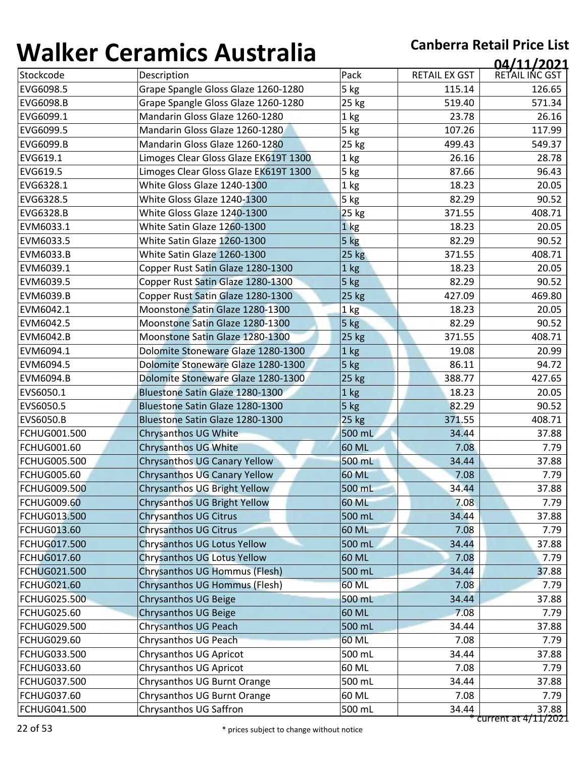| , , , , , , , , ,   | <u>sei annes 7 iasceana</u>           |                 |                      | 04/11/2021     |
|---------------------|---------------------------------------|-----------------|----------------------|----------------|
| Stockcode           | Description                           | Pack            | <b>RETAIL EX GST</b> | RETAIL INC GST |
| EVG6098.5           | Grape Spangle Gloss Glaze 1260-1280   | 5 kg            | 115.14               | 126.65         |
| EVG6098.B           | Grape Spangle Gloss Glaze 1260-1280   | 25 kg           | 519.40               | 571.34         |
| EVG6099.1           | Mandarin Gloss Glaze 1260-1280        | 1 kg            | 23.78                | 26.16          |
| EVG6099.5           | Mandarin Gloss Glaze 1260-1280        | 5 kg            | 107.26               | 117.99         |
| EVG6099.B           | Mandarin Gloss Glaze 1260-1280        | 25 kg           | 499.43               | 549.37         |
| EVG619.1            | Limoges Clear Gloss Glaze EK619T 1300 | 1 kg            | 26.16                | 28.78          |
| EVG619.5            | Limoges Clear Gloss Glaze EK619T 1300 | 5 kg            | 87.66                | 96.43          |
| EVG6328.1           | White Gloss Glaze 1240-1300           | 1 kg            | 18.23                | 20.05          |
| EVG6328.5           | White Gloss Glaze 1240-1300           | 5 kg            | 82.29                | 90.52          |
| EVG6328.B           | White Gloss Glaze 1240-1300           | 25 kg           | 371.55               | 408.71         |
| EVM6033.1           | White Satin Glaze 1260-1300           | 1 <sub>kg</sub> | 18.23                | 20.05          |
| EVM6033.5           | White Satin Glaze 1260-1300           | 5 kg            | 82.29                | 90.52          |
| EVM6033.B           | White Satin Glaze 1260-1300           | $25$ kg         | 371.55               | 408.71         |
| EVM6039.1           | Copper Rust Satin Glaze 1280-1300     | 1 kg            | 18.23                | 20.05          |
| EVM6039.5           | Copper Rust Satin Glaze 1280-1300     | 5 kg            | 82.29                | 90.52          |
| EVM6039.B           | Copper Rust Satin Glaze 1280-1300     | 25 kg           | 427.09               | 469.80         |
| EVM6042.1           | Moonstone Satin Glaze 1280-1300       | 1 kg            | 18.23                | 20.05          |
| EVM6042.5           | Moonstone Satin Glaze 1280-1300       | 5 kg            | 82.29                | 90.52          |
| <b>EVM6042.B</b>    | Moonstone Satin Glaze 1280-1300       | 25 kg           | 371.55               | 408.71         |
| EVM6094.1           | Dolomite Stoneware Glaze 1280-1300    | 1 kg            | 19.08                | 20.99          |
| EVM6094.5           | Dolomite Stoneware Glaze 1280-1300    | 5 kg            | 86.11                | 94.72          |
| EVM6094.B           | Dolomite Stoneware Glaze 1280-1300    | 25 kg           | 388.77               | 427.65         |
| EVS6050.1           | Bluestone Satin Glaze 1280-1300       | 1 <sub>kg</sub> | 18.23                | 20.05          |
| EVS6050.5           | Bluestone Satin Glaze 1280-1300       | 5 kg            | 82.29                | 90.52          |
| EVS6050.B           | Bluestone Satin Glaze 1280-1300       | 25 kg           | 371.55               | 408.71         |
| FCHUG001.500        | Chrysanthos UG White                  | 500 mL          | 34.44                | 37.88          |
| <b>FCHUG001.60</b>  | <b>Chrysanthos UG White</b>           | 60 ML           | 7.08                 | 7.79           |
| <b>FCHUG005.500</b> | <b>Chrysanthos UG Canary Yellow</b>   | 500 mL          | 34.44                | 37.88          |
| <b>FCHUG005.60</b>  | Chrysanthos UG Canary Yellow          | 60 ML           | 7.08                 | 7.79           |
| <b>FCHUG009.500</b> | Chrysanthos UG Bright Yellow          | 500 mL          | 34.44                | 37.88          |
| <b>FCHUG009.60</b>  | <b>Chrysanthos UG Bright Yellow</b>   | 60 ML           | 7.08                 | 7.79           |
| <b>FCHUG013.500</b> | <b>Chrysanthos UG Citrus</b>          | 500 mL          | 34.44                | 37.88          |
| <b>FCHUG013.60</b>  | <b>Chrysanthos UG Citrus</b>          | 60 ML           | 7.08                 | 7.79           |
| <b>FCHUG017.500</b> | Chrysanthos UG Lotus Yellow           | 500 mL          | 34.44                | 37.88          |
| <b>FCHUG017.60</b>  | Chrysanthos UG Lotus Yellow           | 60 ML           | 7.08                 | 7.79           |
| FCHUG021.500        | <b>Chrysanthos UG Hommus (Flesh)</b>  | 500 mL          | 34.44                | 37.88          |
| <b>FCHUG021.60</b>  | Chrysanthos UG Hommus (Flesh)         | 60 ML           | 7.08                 | 7.79           |
| <b>FCHUG025.500</b> | <b>Chrysanthos UG Beige</b>           | 500 mL          | 34.44                | 37.88          |
| <b>FCHUG025.60</b>  | <b>Chrysanthos UG Beige</b>           | 60 ML           | 7.08                 | 7.79           |
| FCHUG029.500        | Chrysanthos UG Peach                  | 500 mL          | 34.44                | 37.88          |
| <b>FCHUG029.60</b>  | Chrysanthos UG Peach                  | 60 ML           | 7.08                 | 7.79           |
| FCHUG033.500        | Chrysanthos UG Apricot                | 500 mL          | 34.44                | 37.88          |
| <b>FCHUG033.60</b>  | <b>Chrysanthos UG Apricot</b>         | 60 ML           | 7.08                 | 7.79           |
| <b>FCHUG037.500</b> | Chrysanthos UG Burnt Orange           | 500 mL          | 34.44                | 37.88          |
|                     |                                       |                 |                      | 7.79           |
| FCHUG037.60         | Chrysanthos UG Burnt Orange           | 60 ML           | 7.08                 |                |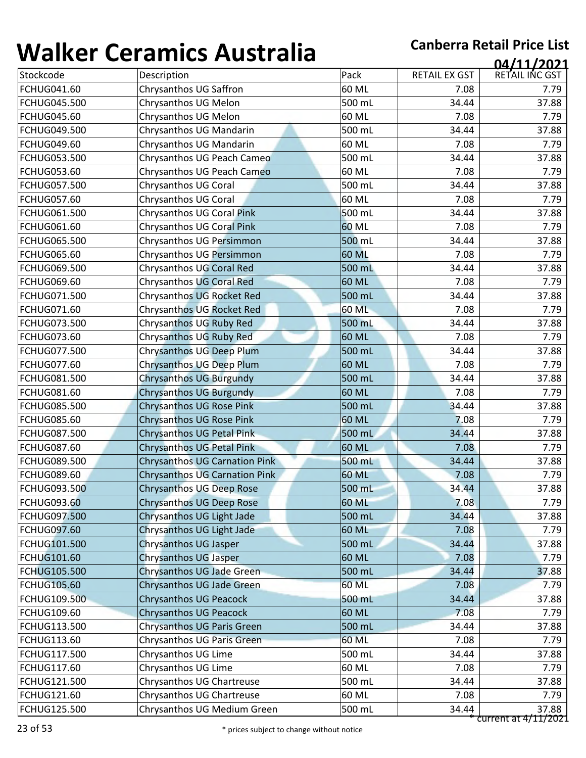| T J J I I V J I     | <u>sei annes 7 iasceana</u>          |              |                      | 04/11/2021             |
|---------------------|--------------------------------------|--------------|----------------------|------------------------|
| Stockcode           | Description                          | Pack         | <b>RETAIL EX GST</b> | RETAIL INC GST         |
| <b>FCHUG041.60</b>  | Chrysanthos UG Saffron               | 60 ML        | 7.08                 | 7.79                   |
| FCHUG045.500        | Chrysanthos UG Melon                 | 500 mL       | 34.44                | 37.88                  |
| <b>FCHUG045.60</b>  | Chrysanthos UG Melon                 | 60 ML        | 7.08                 | 7.79                   |
| FCHUG049.500        | Chrysanthos UG Mandarin              | 500 mL       | 34.44                | 37.88                  |
| <b>FCHUG049.60</b>  | Chrysanthos UG Mandarin              | 60 ML        | 7.08                 | 7.79                   |
| FCHUG053.500        | Chrysanthos UG Peach Cameo           | 500 mL       | 34.44                | 37.88                  |
| <b>FCHUG053.60</b>  | Chrysanthos UG Peach Cameo           | 60 ML        | 7.08                 | 7.79                   |
| <b>FCHUG057.500</b> | Chrysanthos UG Coral                 | 500 mL       | 34.44                | 37.88                  |
| <b>FCHUG057.60</b>  | Chrysanthos UG Coral                 | 60 ML        | 7.08                 | 7.79                   |
| FCHUG061.500        | Chrysanthos UG Coral Pink            | 500 mL       | 34.44                | 37.88                  |
| <b>FCHUG061.60</b>  | Chrysanthos UG Coral Pink            | 60 ML        | 7.08                 | 7.79                   |
| <b>FCHUG065.500</b> | Chrysanthos UG Persimmon             | 500 mL       | 34.44                | 37.88                  |
| <b>FCHUG065.60</b>  | Chrysanthos UG Persimmon             | <b>60 ML</b> | 7.08                 | 7.79                   |
| <b>FCHUG069.500</b> | Chrysanthos UG Coral Red             | 500 mL       | 34.44                | 37.88                  |
| <b>FCHUG069.60</b>  | Chrysanthos UG Coral Red             | 60 ML        | 7.08                 | 7.79                   |
| FCHUG071.500        | Chrysanthos UG Rocket Red            | 500 mL       | 34.44                | 37.88                  |
| <b>FCHUG071.60</b>  | <b>Chrysanthos UG Rocket Red</b>     | 60 ML        | 7.08                 | 7.79                   |
| <b>FCHUG073.500</b> | Chrysanthos UG Ruby Red              | 500 mL       | 34.44                | 37.88                  |
| <b>FCHUG073.60</b>  | Chrysanthos UG Ruby Red              | 60 ML        | 7.08                 | 7.79                   |
| FCHUG077.500        | <b>Chrysanthos UG Deep Plum</b>      | 500 mL       | 34.44                | 37.88                  |
| <b>FCHUG077.60</b>  | <b>Chrysanthos UG Deep Plum</b>      | 60 ML        | 7.08                 | 7.79                   |
| FCHUG081.500        | <b>Chrysanthos UG Burgundy</b>       | 500 mL       | 34.44                | 37.88                  |
| FCHUG081.60         | <b>Chrysanthos UG Burgundy</b>       | 60 ML        | 7.08                 | 7.79                   |
| <b>FCHUG085.500</b> | <b>Chrysanthos UG Rose Pink</b>      | 500 mL       | 34.44                | 37.88                  |
| <b>FCHUG085.60</b>  | <b>Chrysanthos UG Rose Pink</b>      | 60 ML        | 7.08                 | 7.79                   |
| <b>FCHUG087.500</b> | Chrysanthos UG Petal Pink            | 500 mL       | 34.44                | 37.88                  |
| <b>FCHUG087.60</b>  | Chrysanthos UG Petal Pink            | 60 ML        | 7.08                 | 7.79                   |
| <b>FCHUG089.500</b> | <b>Chrysanthos UG Carnation Pink</b> | 500 mL       | 34.44                | 37.88                  |
| <b>FCHUG089.60</b>  | <b>Chrysanthos UG Carnation Pink</b> | 60 ML        | 7.08                 | 7.79                   |
| <b>FCHUG093.500</b> | <b>Chrysanthos UG Deep Rose</b>      | 500 mL       | 34.44                | 37.88                  |
| <b>FCHUG093.60</b>  | <b>Chrysanthos UG Deep Rose</b>      | 60 ML        | 7.08                 | 7.79                   |
| <b>FCHUG097.500</b> | Chrysanthos UG Light Jade            | 500 mL       | 34.44                | 37.88                  |
| <b>FCHUG097.60</b>  | Chrysanthos UG Light Jade            | 60 ML        | 7.08                 | 7.79                   |
| <b>FCHUG101.500</b> | <b>Chrysanthos UG Jasper</b>         | 500 mL       | 34.44                | 37.88                  |
| <b>FCHUG101.60</b>  | Chrysanthos UG Jasper                | 60 ML        | 7.08                 | 7.79                   |
| FCHUG105.500        | Chrysanthos UG Jade Green            | 500 mL       | 34.44                | 37.88                  |
| <b>FCHUG105.60</b>  | Chrysanthos UG Jade Green            | <b>60 ML</b> | 7.08                 | 7.79                   |
| <b>FCHUG109.500</b> | <b>Chrysanthos UG Peacock</b>        | 500 mL       | 34.44                | 37.88                  |
| <b>FCHUG109.60</b>  | <b>Chrysanthos UG Peacock</b>        | 60 ML        | 7.08                 | 7.79                   |
| FCHUG113.500        | Chrysanthos UG Paris Green           | 500 mL       | 34.44                | 37.88                  |
| FCHUG113.60         | Chrysanthos UG Paris Green           | 60 ML        | 7.08                 | 7.79                   |
| FCHUG117.500        | Chrysanthos UG Lime                  | 500 mL       | 34.44                | 37.88                  |
| <b>FCHUG117.60</b>  | Chrysanthos UG Lime                  | 60 ML        | 7.08                 | 7.79                   |
| <b>FCHUG121.500</b> | Chrysanthos UG Chartreuse            | 500 mL       | 34.44                | 37.88                  |
| <b>FCHUG121.60</b>  | Chrysanthos UG Chartreuse            | 60 ML        | 7.08                 | 7.79                   |
| <b>FCHUG125.500</b> | Chrysanthos UG Medium Green          | 500 mL       | 34.44                | 37.88                  |
|                     |                                      |              |                      | current at $4/11/2021$ |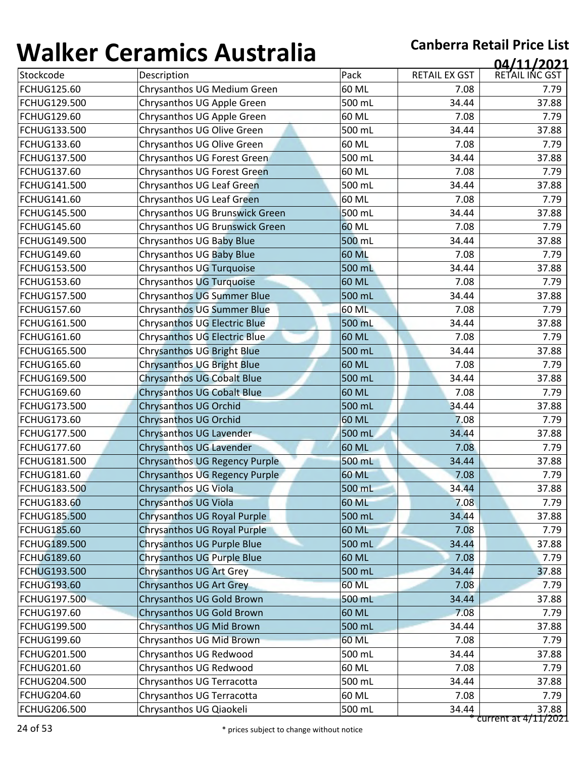| T J J I I V J I     | <u>sei annos 7 iascraila</u>        |              |                      | 04/11/2021             |
|---------------------|-------------------------------------|--------------|----------------------|------------------------|
| Stockcode           | Description                         | Pack         | <b>RETAIL EX GST</b> | RETAIL INC GST         |
| FCHUG125.60         | Chrysanthos UG Medium Green         | 60 ML        | 7.08                 | 7.79                   |
| <b>FCHUG129.500</b> | Chrysanthos UG Apple Green          | 500 mL       | 34.44                | 37.88                  |
| <b>FCHUG129.60</b>  | Chrysanthos UG Apple Green          | 60 ML        | 7.08                 | 7.79                   |
| FCHUG133.500        | Chrysanthos UG Olive Green          | 500 mL       | 34.44                | 37.88                  |
| <b>FCHUG133.60</b>  | Chrysanthos UG Olive Green          | 60 ML        | 7.08                 | 7.79                   |
| <b>FCHUG137.500</b> | Chrysanthos UG Forest Green         | 500 mL       | 34.44                | 37.88                  |
| <b>FCHUG137.60</b>  | Chrysanthos UG Forest Green         | 60 ML        | 7.08                 | 7.79                   |
| <b>FCHUG141.500</b> | Chrysanthos UG Leaf Green           | 500 mL       | 34.44                | 37.88                  |
| <b>FCHUG141.60</b>  | Chrysanthos UG Leaf Green           | 60 ML        | 7.08                 | 7.79                   |
| <b>FCHUG145.500</b> | Chrysanthos UG Brunswick Green      | 500 mL       | 34.44                | 37.88                  |
| <b>FCHUG145.60</b>  | Chrysanthos UG Brunswick Green      | 60 ML        | 7.08                 | 7.79                   |
| <b>FCHUG149.500</b> | Chrysanthos UG Baby Blue            | 500 mL       | 34.44                | 37.88                  |
| <b>FCHUG149.60</b>  | Chrysanthos UG Baby Blue            | 60 ML        | 7.08                 | 7.79                   |
| <b>FCHUG153.500</b> | Chrysanthos UG Turquoise            | 500 mL       | 34.44                | 37.88                  |
| <b>FCHUG153.60</b>  | Chrysanthos UG Turquoise            | 60 ML        | 7.08                 | 7.79                   |
| <b>FCHUG157.500</b> | Chrysanthos UG Summer Blue          | 500 mL       | 34.44                | 37.88                  |
| <b>FCHUG157.60</b>  | <b>Chrysanthos UG Summer Blue</b>   | 60 ML        | 7.08                 | 7.79                   |
| <b>FCHUG161.500</b> | <b>Chrysanthos UG Electric Blue</b> | 500 mL       | 34.44                | 37.88                  |
| <b>FCHUG161.60</b>  | <b>Chrysanthos UG Electric Blue</b> | 60 ML        | 7.08                 | 7.79                   |
| <b>FCHUG165.500</b> | <b>Chrysanthos UG Bright Blue</b>   | 500 mL       | 34.44                | 37.88                  |
| <b>FCHUG165.60</b>  | <b>Chrysanthos UG Bright Blue</b>   | 60 ML        | 7.08                 | 7.79                   |
| <b>FCHUG169.500</b> | <b>Chrysanthos UG Cobalt Blue</b>   | 500 mL       | 34.44                | 37.88                  |
| <b>FCHUG169.60</b>  | <b>Chrysanthos UG Cobalt Blue</b>   | 60 ML        | 7.08                 | 7.79                   |
| <b>FCHUG173.500</b> | Chrysanthos UG Orchid               | 500 mL       | 34.44                | 37.88                  |
| <b>FCHUG173.60</b>  | <b>Chrysanthos UG Orchid</b>        | 60 ML        | 7.08                 | 7.79                   |
| <b>FCHUG177.500</b> | Chrysanthos UG Lavender             | 500 mL       | 34.44                | 37.88                  |
| <b>FCHUG177.60</b>  | <b>Chrysanthos UG Lavender</b>      | 60 ML        | 7.08                 | 7.79                   |
| <b>FCHUG181.500</b> | Chrysanthos UG Regency Purple       | 500 mL       | 34.44                | 37.88                  |
| <b>FCHUG181.60</b>  | Chrysanthos UG Regency Purple       | 60 ML        | 7.08                 | 7.79                   |
| FCHUG183.500        | <b>Chrysanthos UG Viola</b>         | 500 mL       | 34.44                | 37.88                  |
| <b>FCHUG183.60</b>  | Chrysanthos UG Viola                | 60 ML        | 7.08                 | 7.79                   |
| <b>FCHUG185.500</b> | Chrysanthos UG Royal Purple         | 500 mL       | 34.44                | 37.88                  |
| <b>FCHUG185.60</b>  | Chrysanthos UG Royal Purple         | 60 ML        | 7.08                 | 7.79                   |
| <b>FCHUG189.500</b> | <b>Chrysanthos UG Purple Blue</b>   | 500 mL       | 34.44                | 37.88                  |
| <b>FCHUG189.60</b>  | <b>Chrysanthos UG Purple Blue</b>   | 60 ML        | 7.08                 | 7.79                   |
| FCHUG193.500        | <b>Chrysanthos UG Art Grey</b>      | 500 mL       | 34.44                | 37.88                  |
| <b>FCHUG193.60</b>  | Chrysanthos UG Art Grey             | <b>60 ML</b> | 7.08                 | 7.79                   |
| <b>FCHUG197.500</b> | Chrysanthos UG Gold Brown           | 500 mL       | 34.44                | 37.88                  |
| <b>FCHUG197.60</b>  | Chrysanthos UG Gold Brown           | 60 ML        | 7.08                 | 7.79                   |
| FCHUG199.500        | Chrysanthos UG Mid Brown            | 500 mL       | 34.44                | 37.88                  |
| <b>FCHUG199.60</b>  | Chrysanthos UG Mid Brown            | 60 ML        | 7.08                 | 7.79                   |
| FCHUG201.500        | Chrysanthos UG Redwood              | 500 mL       | 34.44                | 37.88                  |
| <b>FCHUG201.60</b>  | Chrysanthos UG Redwood              | 60 ML        | 7.08                 | 7.79                   |
| <b>FCHUG204.500</b> | Chrysanthos UG Terracotta           | 500 mL       | 34.44                | 37.88                  |
| <b>FCHUG204.60</b>  | Chrysanthos UG Terracotta           | 60 ML        | 7.08                 | 7.79                   |
| <b>FCHUG206.500</b> | Chrysanthos UG Qiaokeli             | 500 mL       | 34.44                | 37.88                  |
|                     |                                     |              |                      | $current at 4/11/2021$ |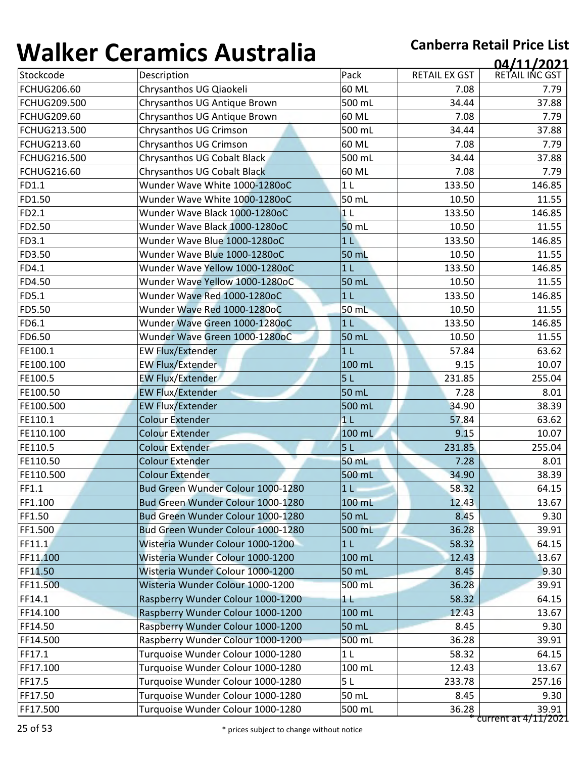| TYTIIN T            | <u>sei annes 7 iascraila</u>      |                |                      | 04/11/2021             |
|---------------------|-----------------------------------|----------------|----------------------|------------------------|
| Stockcode           | Description                       | Pack           | <b>RETAIL EX GST</b> | RETAIL INC GST         |
| <b>FCHUG206.60</b>  | Chrysanthos UG Qiaokeli           | 60 ML          | 7.08                 | 7.79                   |
| <b>FCHUG209.500</b> | Chrysanthos UG Antique Brown      | 500 mL         | 34.44                | 37.88                  |
| <b>FCHUG209.60</b>  | Chrysanthos UG Antique Brown      | 60 ML          | 7.08                 | 7.79                   |
| <b>FCHUG213.500</b> | Chrysanthos UG Crimson            | 500 mL         | 34.44                | 37.88                  |
| <b>FCHUG213.60</b>  | Chrysanthos UG Crimson            | 60 ML          | 7.08                 | 7.79                   |
| <b>FCHUG216.500</b> | Chrysanthos UG Cobalt Black       | 500 mL         | 34.44                | 37.88                  |
| <b>FCHUG216.60</b>  | Chrysanthos UG Cobalt Black       | 60 ML          | 7.08                 | 7.79                   |
| FD1.1               | Wunder Wave White 1000-1280oC     | 1 <sub>L</sub> | 133.50               | 146.85                 |
| FD1.50              | Wunder Wave White 1000-1280oC     | 50 mL          | 10.50                | 11.55                  |
| FD2.1               | Wunder Wave Black 1000-1280oC     | 1 <sub>L</sub> | 133.50               | 146.85                 |
| FD2.50              | Wunder Wave Black 1000-1280oC     | 50 mL          | 10.50                | 11.55                  |
| FD3.1               | Wunder Wave Blue 1000-1280oC      | 1 <sub>L</sub> | 133.50               | 146.85                 |
| FD3.50              | Wunder Wave Blue 1000-1280oC      | 50 mL          | 10.50                | 11.55                  |
| FD4.1               | Wunder Wave Yellow 1000-1280oC    | 1 <sub>L</sub> | 133.50               | 146.85                 |
| FD4.50              | Wunder Wave Yellow 1000-1280oC    | 50 mL          | 10.50                | 11.55                  |
| <b>FD5.1</b>        | Wunder Wave Red 1000-1280oC       | 1 <sub>L</sub> | 133.50               | 146.85                 |
| FD5.50              | Wunder Wave Red 1000-1280oC       | 50 mL          | 10.50                | 11.55                  |
| FD6.1               | Wunder Wave Green 1000-1280oC     | 1 <sub>L</sub> | 133.50               | 146.85                 |
| FD6.50              | Wunder Wave Green 1000-1280oC     | 50 mL          | 10.50                | 11.55                  |
| FE100.1             | <b>EW Flux/Extender</b>           | 1 <sub>L</sub> | 57.84                | 63.62                  |
| FE100.100           | <b>EW Flux/Extender</b>           | 100 mL         | 9.15                 | 10.07                  |
| FE100.5             | <b>EW Flux/Extender</b>           | 5L             | 231.85               | 255.04                 |
| FE100.50            | <b>EW Flux/Extender</b>           | 50 mL          | 7.28                 | 8.01                   |
| FE100.500           | <b>EW Flux/Extender</b>           | 500 mL         | 34.90                | 38.39                  |
| FE110.1             | <b>Colour Extender</b>            | 1 <sub>L</sub> | 57.84                | 63.62                  |
| FE110.100           | <b>Colour Extender</b>            | 100 mL         | 9.15                 | 10.07                  |
| FE110.5             | <b>Colour Extender</b>            | 5L             | 231.85               | 255.04                 |
| FE110.50            | <b>Colour Extender</b>            | 50 mL          | 7.28                 | 8.01                   |
| FE110.500           | <b>Colour Extender</b>            | 500 mL         | 34.90                | 38.39                  |
| FF1.1               | Bud Green Wunder Colour 1000-1280 | 1 <sub>l</sub> | 58.32                | 64.15                  |
| FF1.100             | Bud Green Wunder Colour 1000-1280 | 100 mL         | 12.43                | 13.67                  |
| FF1.50              | Bud Green Wunder Colour 1000-1280 | 50 mL          | 8.45                 | 9.30                   |
| FF1.500             | Bud Green Wunder Colour 1000-1280 | 500 mL         | 36.28                | 39.91                  |
| FF11.1              | Wisteria Wunder Colour 1000-1200  | 1 <sub>L</sub> | 58.32                | 64.15                  |
| FF11.100            | Wisteria Wunder Colour 1000-1200  | 100 mL         | 12.43                | 13.67                  |
| FF11.50             | Wisteria Wunder Colour 1000-1200  | 50 mL          | 8.45                 | 9.30                   |
| FF11.500            | Wisteria Wunder Colour 1000-1200  | 500 mL         | 36.28                | 39.91                  |
| FF14.1              | Raspberry Wunder Colour 1000-1200 | 11             | 58.32                | 64.15                  |
| FF14.100            | Raspberry Wunder Colour 1000-1200 | 100 mL         | 12.43                | 13.67                  |
| FF14.50             | Raspberry Wunder Colour 1000-1200 | 50 mL          | 8.45                 | 9.30                   |
| FF14.500            | Raspberry Wunder Colour 1000-1200 | 500 mL         | 36.28                | 39.91                  |
| FF17.1              | Turquoise Wunder Colour 1000-1280 | 1 <sub>L</sub> | 58.32                | 64.15                  |
| FF17.100            | Turquoise Wunder Colour 1000-1280 | 100 mL         | 12.43                | 13.67                  |
| FF17.5              | Turquoise Wunder Colour 1000-1280 | 5L             | 233.78               | 257.16                 |
| FF17.50             | Turquoise Wunder Colour 1000-1280 | 50 mL          | 8.45                 | 9.30                   |
| FF17.500            | Turquoise Wunder Colour 1000-1280 | 500 mL         | 36.28                | 39.91                  |
|                     |                                   |                |                      | $current at 4/11/2021$ |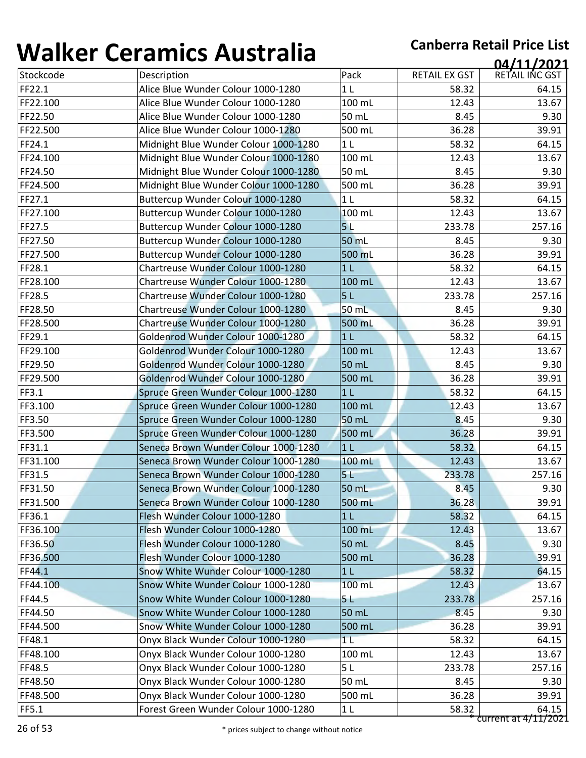| 1 J71 I N V V | <u>sei annus 7 1891 ann</u>           |                |               | 04/11/2021     |
|---------------|---------------------------------------|----------------|---------------|----------------|
| Stockcode     | Description                           | Pack           | RETAIL EX GST | RETAIL INC GST |
| FF22.1        | Alice Blue Wunder Colour 1000-1280    | 1 <sub>L</sub> | 58.32         | 64.15          |
| FF22.100      | Alice Blue Wunder Colour 1000-1280    | 100 mL         | 12.43         | 13.67          |
| FF22.50       | Alice Blue Wunder Colour 1000-1280    | 50 mL          | 8.45          | 9.30           |
| FF22.500      | Alice Blue Wunder Colour 1000-1280    | 500 mL         | 36.28         | 39.91          |
| FF24.1        | Midnight Blue Wunder Colour 1000-1280 | 1 <sub>L</sub> | 58.32         | 64.15          |
| FF24.100      | Midnight Blue Wunder Colour 1000-1280 | 100 mL         | 12.43         | 13.67          |
| FF24.50       | Midnight Blue Wunder Colour 1000-1280 | 50 mL          | 8.45          | 9.30           |
| FF24.500      | Midnight Blue Wunder Colour 1000-1280 | 500 mL         | 36.28         | 39.91          |
| FF27.1        | Buttercup Wunder Colour 1000-1280     | 1 <sub>L</sub> | 58.32         | 64.15          |
| FF27.100      | Buttercup Wunder Colour 1000-1280     | 100 mL         | 12.43         | 13.67          |
| FF27.5        | Buttercup Wunder Colour 1000-1280     | 5 <sub>L</sub> | 233.78        | 257.16         |
| FF27.50       | Buttercup Wunder Colour 1000-1280     | 50 mL          | 8.45          | 9.30           |
| FF27.500      | Buttercup Wunder Colour 1000-1280     | 500 mL         | 36.28         | 39.91          |
| FF28.1        | Chartreuse Wunder Colour 1000-1280    | 1 <sub>L</sub> | 58.32         | 64.15          |
| FF28.100      | Chartreuse Wunder Colour 1000-1280    | 100 mL         | 12.43         | 13.67          |
| FF28.5        | Chartreuse Wunder Colour 1000-1280    | 5 <sub>L</sub> | 233.78        | 257.16         |
| FF28.50       | Chartreuse Wunder Colour 1000-1280    | 50 mL          | 8.45          | 9.30           |
| FF28.500      | Chartreuse Wunder Colour 1000-1280    | 500 mL         | 36.28         | 39.91          |
| FF29.1        | Goldenrod Wunder Colour 1000-1280     | 1 <sub>L</sub> | 58.32         | 64.15          |
| FF29.100      | Goldenrod Wunder Colour 1000-1280     | 100 mL         | 12.43         | 13.67          |
| FF29.50       | Goldenrod Wunder Colour 1000-1280     | 50 mL          | 8.45          | 9.30           |
| FF29.500      | Goldenrod Wunder Colour 1000-1280     | 500 mL         | 36.28         | 39.91          |
| FF3.1         | Spruce Green Wunder Colour 1000-1280  | 1 <sub>L</sub> | 58.32         | 64.15          |
| FF3.100       | Spruce Green Wunder Colour 1000-1280  | 100 mL         | 12.43         | 13.67          |
| FF3.50        | Spruce Green Wunder Colour 1000-1280  | 50 mL          | 8.45          | 9.30           |
| FF3.500       | Spruce Green Wunder Colour 1000-1280  | 500 mL         | 36.28         | 39.91          |
| FF31.1        | Seneca Brown Wunder Colour 1000-1280  | 1 <sub>L</sub> | 58.32         | 64.15          |
| FF31.100      | Seneca Brown Wunder Colour 1000-1280  | 100 mL         | 12.43         | 13.67          |
| FF31.5        | Seneca Brown Wunder Colour 1000-1280  | 5 <sub>1</sub> | 233.78        | 257.16         |
| FF31.50       | Seneca Brown Wunder Colour 1000-1280  | 50 mL          | 8.45          | 9.30           |
| FF31.500      | Seneca Brown Wunder Colour 1000-1280  | 500 mL         | 36.28         | 39.91          |
| FF36.1        | Flesh Wunder Colour 1000-1280         | 1 <sub>L</sub> | 58.32         | 64.15          |
| FF36.100      | Flesh Wunder Colour 1000-1280         | 100 mL         | 12.43         | 13.67          |
| FF36.50       | Flesh Wunder Colour 1000-1280         | 50 mL          | 8.45          | 9.30           |
| FF36.500      | Flesh Wunder Colour 1000-1280         | 500 mL         | 36.28         | 39.91          |
| FF44.1        | Snow White Wunder Colour 1000-1280    | 1 <sub>L</sub> | 58.32         | 64.15          |
| FF44.100      | Snow White Wunder Colour 1000-1280    | 100 mL         | 12.43         | 13.67          |
| FF44.5        | Snow White Wunder Colour 1000-1280    | 5 L            | 233.78        | 257.16         |
| FF44.50       | Snow White Wunder Colour 1000-1280    | 50 mL          | 8.45          | 9.30           |
| FF44.500      | Snow White Wunder Colour 1000-1280    | 500 mL         | 36.28         | 39.91          |
| FF48.1        | Onyx Black Wunder Colour 1000-1280    | 1 <sub>L</sub> | 58.32         | 64.15          |
| FF48.100      | Onyx Black Wunder Colour 1000-1280    | 100 mL         | 12.43         | 13.67          |
| FF48.5        | Onyx Black Wunder Colour 1000-1280    | 5L             | 233.78        | 257.16         |
|               |                                       |                |               |                |
| FF48.50       | Onyx Black Wunder Colour 1000-1280    | 50 mL          | 8.45          | 9.30           |
| FF48.500      | Onyx Black Wunder Colour 1000-1280    | 500 mL         | 36.28         | 39.91          |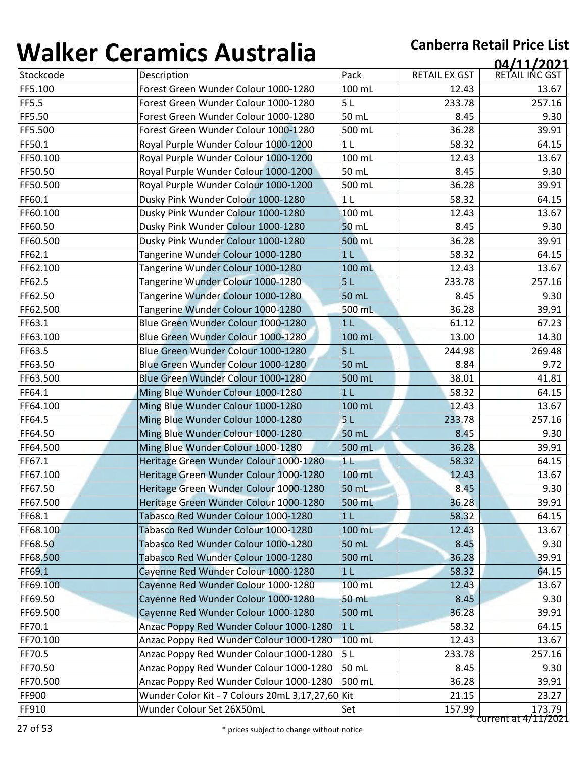| 1771 N V V | <u>sei alliles 7 iasti alla</u>                  |                |               | 04/11/2021     |
|------------|--------------------------------------------------|----------------|---------------|----------------|
| Stockcode  | Description                                      | Pack           | RETAIL EX GST | RETAIL INC GST |
| FF5.100    | Forest Green Wunder Colour 1000-1280             | 100 mL         | 12.43         | 13.67          |
| FF5.5      | Forest Green Wunder Colour 1000-1280             | 5L             | 233.78        | 257.16         |
| FF5.50     | Forest Green Wunder Colour 1000-1280             | 50 mL          | 8.45          | 9.30           |
| FF5.500    | Forest Green Wunder Colour 1000-1280             | 500 mL         | 36.28         | 39.91          |
| FF50.1     | Royal Purple Wunder Colour 1000-1200             | 1 <sub>L</sub> | 58.32         | 64.15          |
| FF50.100   | Royal Purple Wunder Colour 1000-1200             | 100 mL         | 12.43         | 13.67          |
| FF50.50    | Royal Purple Wunder Colour 1000-1200             | 50 mL          | 8.45          | 9.30           |
| FF50.500   | Royal Purple Wunder Colour 1000-1200             | 500 mL         | 36.28         | 39.91          |
| FF60.1     | Dusky Pink Wunder Colour 1000-1280               | 1 <sub>L</sub> | 58.32         | 64.15          |
| FF60.100   | Dusky Pink Wunder Colour 1000-1280               | 100 mL         | 12.43         | 13.67          |
| FF60.50    | Dusky Pink Wunder Colour 1000-1280               | 50 mL          | 8.45          | 9.30           |
| FF60.500   | Dusky Pink Wunder Colour 1000-1280               | 500 mL         | 36.28         | 39.91          |
| FF62.1     | Tangerine Wunder Colour 1000-1280                | 1 <sub>L</sub> | 58.32         | 64.15          |
| FF62.100   | Tangerine Wunder Colour 1000-1280                | 100 mL         | 12.43         | 13.67          |
| FF62.5     | Tangerine Wunder Colour 1000-1280                | 5L             | 233.78        | 257.16         |
| FF62.50    | Tangerine Wunder Colour 1000-1280                | 50 mL          | 8.45          | 9.30           |
| FF62.500   | Tangerine Wunder Colour 1000-1280                | 500 mL         | 36.28         | 39.91          |
| FF63.1     | Blue Green Wunder Colour 1000-1280               | 1 <sub>L</sub> | 61.12         | 67.23          |
| FF63.100   | Blue Green Wunder Colour 1000-1280               | 100 mL         | 13.00         | 14.30          |
| FF63.5     | Blue Green Wunder Colour 1000-1280               | 5L             | 244.98        | 269.48         |
| FF63.50    | Blue Green Wunder Colour 1000-1280               | 50 mL          | 8.84          | 9.72           |
| FF63.500   | Blue Green Wunder Colour 1000-1280               | 500 mL         | 38.01         | 41.81          |
| FF64.1     | Ming Blue Wunder Colour 1000-1280                | 1 <sub>L</sub> | 58.32         | 64.15          |
| FF64.100   | Ming Blue Wunder Colour 1000-1280                | 100 mL         | 12.43         | 13.67          |
| FF64.5     | Ming Blue Wunder Colour 1000-1280                | 5 <sub>L</sub> | 233.78        | 257.16         |
| FF64.50    | Ming Blue Wunder Colour 1000-1280                | 50 mL          | 8.45          | 9.30           |
| FF64.500   | Ming Blue Wunder Colour 1000-1280                | 500 mL         | 36.28         | 39.91          |
| FF67.1     | Heritage Green Wunder Colour 1000-1280           | 11             | 58.32         | 64.15          |
| FF67.100   | Heritage Green Wunder Colour 1000-1280           | 100 mL         | 12.43         | 13.67          |
| FF67.50    | Heritage Green Wunder Colour 1000-1280           | 50 mL          | 8.45          | 9.30           |
| FF67.500   | Heritage Green Wunder Colour 1000-1280           | 500 mL         | 36.28         | 39.91          |
| FF68.1     | Tabasco Red Wunder Colour 1000-1280              | 1 <sub>L</sub> | 58.32         | 64.15          |
| FF68.100   | Tabasco Red Wunder Colour 1000-1280              | 100 mL         | 12.43         | 13.67          |
| FF68.50    | Tabasco Red Wunder Colour 1000-1280              | 50 mL          | 8.45          | 9.30           |
| FF68.500   | Tabasco Red Wunder Colour 1000-1280              | 500 mL         | 36.28         | 39.91          |
| FF69.1     | Cayenne Red Wunder Colour 1000-1280              | 1 <sub>L</sub> | 58.32         | 64.15          |
| FF69.100   | Cayenne Red Wunder Colour 1000-1280              | 100 mL         | 12.43         | 13.67          |
| FF69.50    | Cayenne Red Wunder Colour 1000-1280              | 50 mL          | 8.45          | 9.30           |
| FF69.500   | Cayenne Red Wunder Colour 1000-1280              | 500 mL         | 36.28         | 39.91          |
| FF70.1     | Anzac Poppy Red Wunder Colour 1000-1280          | 1 <sub>L</sub> | 58.32         | 64.15          |
| FF70.100   | Anzac Poppy Red Wunder Colour 1000-1280          | 100 mL         | 12.43         | 13.67          |
| FF70.5     | Anzac Poppy Red Wunder Colour 1000-1280          | 5L             | 233.78        | 257.16         |
| FF70.50    | Anzac Poppy Red Wunder Colour 1000-1280          | 50 mL          | 8.45          | 9.30           |
|            |                                                  |                |               |                |
| FF70.500   | Anzac Poppy Red Wunder Colour 1000-1280          | 500 mL         | 36.28         | 39.91          |
| FF900      | Wunder Color Kit - 7 Colours 20mL 3,17,27,60 Kit |                | 21.15         | 23.27          |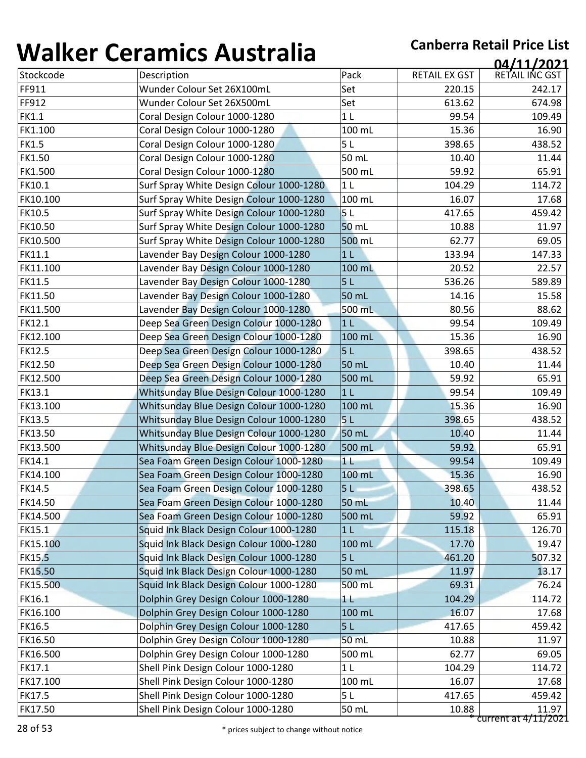| 1 J J I I V V 1 | <u>sei annos 7 iascraila</u>             |                |                      | 04/11/2021           |
|-----------------|------------------------------------------|----------------|----------------------|----------------------|
| Stockcode       | Description                              | Pack           | <b>RETAIL EX GST</b> | RETAIL INC GST       |
| FF911           | Wunder Colour Set 26X100mL               | Set            | 220.15               | 242.17               |
| FF912           | Wunder Colour Set 26X500mL               | Set            | 613.62               | 674.98               |
| <b>FK1.1</b>    | Coral Design Colour 1000-1280            | 1 <sub>L</sub> | 99.54                | 109.49               |
| FK1.100         | Coral Design Colour 1000-1280            | 100 mL         | 15.36                | 16.90                |
| <b>FK1.5</b>    | Coral Design Colour 1000-1280            | 5L             | 398.65               | 438.52               |
| <b>FK1.50</b>   | Coral Design Colour 1000-1280            | 50 mL          | 10.40                | 11.44                |
| FK1.500         | Coral Design Colour 1000-1280            | 500 mL         | 59.92                | 65.91                |
| FK10.1          | Surf Spray White Design Colour 1000-1280 | 1 <sub>L</sub> | 104.29               | 114.72               |
| FK10.100        | Surf Spray White Design Colour 1000-1280 | 100 mL         | 16.07                | 17.68                |
| <b>FK10.5</b>   | Surf Spray White Design Colour 1000-1280 | 5 <sub>L</sub> | 417.65               | 459.42               |
| FK10.50         | Surf Spray White Design Colour 1000-1280 | 50 mL          | 10.88                | 11.97                |
| FK10.500        | Surf Spray White Design Colour 1000-1280 | 500 mL         | 62.77                | 69.05                |
| FK11.1          | Lavender Bay Design Colour 1000-1280     | 1 <sub>L</sub> | 133.94               | 147.33               |
| FK11.100        | Lavender Bay Design Colour 1000-1280     | 100 mL         | 20.52                | 22.57                |
| <b>FK11.5</b>   | Lavender Bay Design Colour 1000-1280     | 5L             | 536.26               | 589.89               |
| FK11.50         | Lavender Bay Design Colour 1000-1280     | 50 mL          | 14.16                | 15.58                |
| FK11.500        | Lavender Bay Design Colour 1000-1280     | 500 mL         | 80.56                | 88.62                |
| <b>FK12.1</b>   | Deep Sea Green Design Colour 1000-1280   | 1 <sub>L</sub> | 99.54                | 109.49               |
| FK12.100        | Deep Sea Green Design Colour 1000-1280   | 100 mL         | 15.36                | 16.90                |
| <b>FK12.5</b>   | Deep Sea Green Design Colour 1000-1280   | 5L             | 398.65               | 438.52               |
| FK12.50         | Deep Sea Green Design Colour 1000-1280   | 50 mL          | 10.40                | 11.44                |
| FK12.500        | Deep Sea Green Design Colour 1000-1280   | 500 mL         | 59.92                | 65.91                |
| <b>FK13.1</b>   | Whitsunday Blue Design Colour 1000-1280  | 1 <sub>L</sub> | 99.54                | 109.49               |
| FK13.100        | Whitsunday Blue Design Colour 1000-1280  | 100 mL         | 15.36                | 16.90                |
| <b>FK13.5</b>   | Whitsunday Blue Design Colour 1000-1280  | 5 <sub>L</sub> | 398.65               | 438.52               |
| FK13.50         | Whitsunday Blue Design Colour 1000-1280  | 50 mL          | 10.40                | 11.44                |
| FK13.500        | Whitsunday Blue Design Colour 1000-1280  | 500 mL         | 59.92                | 65.91                |
| FK14.1          | Sea Foam Green Design Colour 1000-1280   | 1 <sub>L</sub> | 99.54                | 109.49               |
| FK14.100        | Sea Foam Green Design Colour 1000-1280   | 100 mL         | 15.36                | 16.90                |
| <b>FK14.5</b>   | Sea Foam Green Design Colour 1000-1280   | 5L             | 398.65               | 438.52               |
| FK14.50         | Sea Foam Green Design Colour 1000-1280   | 50 mL          | 10.40                | 11.44                |
| FK14.500        | Sea Foam Green Design Colour 1000-1280   | 500 mL         | 59.92                | 65.91                |
| <b>FK15.1</b>   | Squid Ink Black Design Colour 1000-1280  | 1 <sub>L</sub> | 115.18               | 126.70               |
| FK15.100        | Squid Ink Black Design Colour 1000-1280  | 100 mL         | 17.70                | 19.47                |
| <b>FK15.5</b>   | Squid Ink Black Design Colour 1000-1280  | 5L             | 461.20               | 507.32               |
| <b>FK15.50</b>  | Squid Ink Black Design Colour 1000-1280  | 50 mL          | 11.97                | 13.17                |
| FK15.500        | Squid Ink Black Design Colour 1000-1280  | 500 mL         | 69.31                | 76.24                |
| FK16.1          | Dolphin Grey Design Colour 1000-1280     | 11             | 104.29               | 114.72               |
| FK16.100        | Dolphin Grey Design Colour 1000-1280     | 100 mL         | 16.07                | 17.68                |
| FK16.5          | Dolphin Grey Design Colour 1000-1280     | 5L             | 417.65               | 459.42               |
| FK16.50         | Dolphin Grey Design Colour 1000-1280     | 50 mL          | 10.88                | 11.97                |
| FK16.500        | Dolphin Grey Design Colour 1000-1280     | 500 mL         | 62.77                | 69.05                |
| FK17.1          | Shell Pink Design Colour 1000-1280       | 1 <sub>L</sub> | 104.29               | 114.72               |
| FK17.100        | Shell Pink Design Colour 1000-1280       | 100 mL         | 16.07                | 17.68                |
| <b>FK17.5</b>   | Shell Pink Design Colour 1000-1280       | 5L             | 417.65               | 459.42               |
| FK17.50         | Shell Pink Design Colour 1000-1280       | 50 mL          | 10.88                | 11.97                |
|                 |                                          |                |                      | current at 4/11/2021 |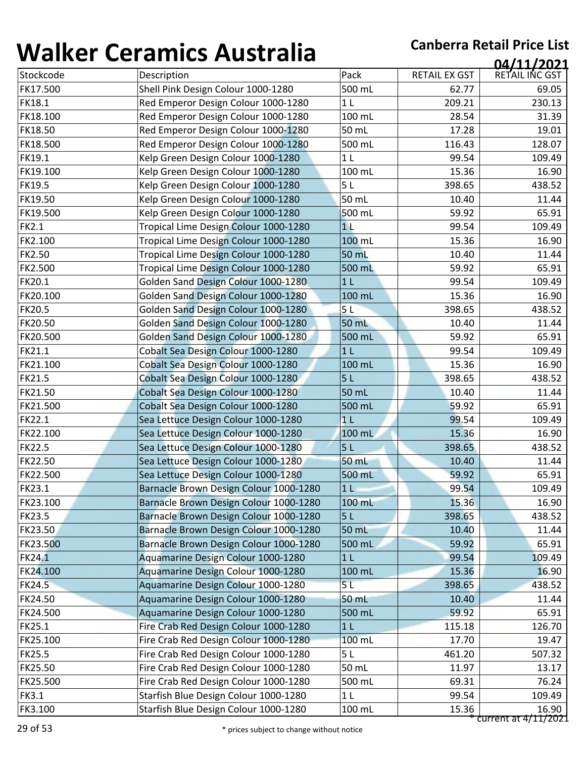| ,,,,,,,,,,    | <u>sei annos 7 iascraila</u>           |                |                      | 04/11/2021                    |
|---------------|----------------------------------------|----------------|----------------------|-------------------------------|
| Stockcode     | Description                            | Pack           | <b>RETAIL EX GST</b> | RETAIL INC GST                |
| FK17.500      | Shell Pink Design Colour 1000-1280     | 500 mL         | 62.77                | 69.05                         |
| <b>FK18.1</b> | Red Emperor Design Colour 1000-1280    | 1 <sub>L</sub> | 209.21               | 230.13                        |
| FK18.100      | Red Emperor Design Colour 1000-1280    | 100 mL         | 28.54                | 31.39                         |
| FK18.50       | Red Emperor Design Colour 1000-1280    | 50 mL          | 17.28                | 19.01                         |
| FK18.500      | Red Emperor Design Colour 1000-1280    | 500 mL         | 116.43               | 128.07                        |
| FK19.1        | Kelp Green Design Colour 1000-1280     | 1 <sub>L</sub> | 99.54                | 109.49                        |
| FK19.100      | Kelp Green Design Colour 1000-1280     | 100 mL         | 15.36                | 16.90                         |
| <b>FK19.5</b> | Kelp Green Design Colour 1000-1280     | 5L             | 398.65               | 438.52                        |
| FK19.50       | Kelp Green Design Colour 1000-1280     | 50 mL          | 10.40                | 11.44                         |
| FK19.500      | Kelp Green Design Colour 1000-1280     | 500 mL         | 59.92                | 65.91                         |
| <b>FK2.1</b>  | Tropical Lime Design Colour 1000-1280  | 11             | 99.54                | 109.49                        |
| FK2.100       | Tropical Lime Design Colour 1000-1280  | 100 mL         | 15.36                | 16.90                         |
| <b>FK2.50</b> | Tropical Lime Design Colour 1000-1280  | 50 mL          | 10.40                | 11.44                         |
| FK2.500       | Tropical Lime Design Colour 1000-1280  | 500 mL         | 59.92                | 65.91                         |
| <b>FK20.1</b> | Golden Sand Design Colour 1000-1280    | 1 <sub>L</sub> | 99.54                | 109.49                        |
| FK20.100      | Golden Sand Design Colour 1000-1280    | 100 mL         | 15.36                | 16.90                         |
| <b>FK20.5</b> | Golden Sand Design Colour 1000-1280    | 5L             | 398.65               | 438.52                        |
| FK20.50       | Golden Sand Design Colour 1000-1280    | 50 mL          | 10.40                | 11.44                         |
| FK20.500      | Golden Sand Design Colour 1000-1280    | 500 mL         | 59.92                | 65.91                         |
| FK21.1        | Cobalt Sea Design Colour 1000-1280     | 1 <sub>L</sub> | 99.54                | 109.49                        |
| FK21.100      | Cobalt Sea Design Colour 1000-1280     | 100 mL         | 15.36                | 16.90                         |
| <b>FK21.5</b> | Cobalt Sea Design Colour 1000-1280     | 5L             | 398.65               | 438.52                        |
| FK21.50       | Cobalt Sea Design Colour 1000-1280     | 50 mL          | 10.40                | 11.44                         |
| FK21.500      | Cobalt Sea Design Colour 1000-1280     | 500 mL         | 59.92                | 65.91                         |
| <b>FK22.1</b> | Sea Lettuce Design Colour 1000-1280    | 1 <sub>L</sub> | 99.54                | 109.49                        |
| FK22.100      | Sea Lettuce Design Colour 1000-1280    | 100 mL         | 15.36                | 16.90                         |
| <b>FK22.5</b> | Sea Lettuce Design Colour 1000-1280    | 5L             | 398.65               | 438.52                        |
| FK22.50       | Sea Lettuce Design Colour 1000-1280    | 50 mL          | 10.40                | 11.44                         |
| FK22.500      | Sea Lettuce Design Colour 1000-1280    | 500 mL         | 59.92                | 65.91                         |
| <b>FK23.1</b> | Barnacle Brown Design Colour 1000-1280 | 1 <sub>L</sub> | 99.54                | 109.49                        |
| FK23.100      | Barnacle Brown Design Colour 1000-1280 | 100 mL         | 15.36                | 16.90                         |
| <b>FK23.5</b> | Barnacle Brown Design Colour 1000-1280 | 5L             | 398.65               | 438.52                        |
| FK23.50       | Barnacle Brown Design Colour 1000-1280 | 50 mL          | 10.40                | 11.44                         |
| FK23.500      | Barnacle Brown Design Colour 1000-1280 | 500 mL         | 59.92                | 65.91                         |
| <b>FK24.1</b> | Aquamarine Design Colour 1000-1280     | 1 <sub>L</sub> | 99.54                | 109.49                        |
| FK24.100      | Aquamarine Design Colour 1000-1280     | 100 mL         | 15.36                | 16.90                         |
| <b>FK24.5</b> | Aquamarine Design Colour 1000-1280     | 5L             | 398.65               | 438.52                        |
| FK24.50       | Aquamarine Design Colour 1000-1280     | 50 mL          | 10.40                | 11.44                         |
| FK24.500      | Aquamarine Design Colour 1000-1280     | 500 mL         | 59.92                | 65.91                         |
| FK25.1        | Fire Crab Red Design Colour 1000-1280  | 1 <sub>L</sub> | 115.18               | 126.70                        |
| FK25.100      | Fire Crab Red Design Colour 1000-1280  | 100 mL         | 17.70                | 19.47                         |
| <b>FK25.5</b> | Fire Crab Red Design Colour 1000-1280  | 5L             | 461.20               | 507.32                        |
| FK25.50       | Fire Crab Red Design Colour 1000-1280  | 50 mL          | 11.97                | 13.17                         |
| FK25.500      | Fire Crab Red Design Colour 1000-1280  | 500 mL         | 69.31                | 76.24                         |
| <b>FK3.1</b>  | Starfish Blue Design Colour 1000-1280  | 1 <sub>L</sub> | 99.54                | 109.49                        |
| FK3.100       | Starfish Blue Design Colour 1000-1280  | 100 mL         | 15.36                | 16.90<br>current at 4/11/2021 |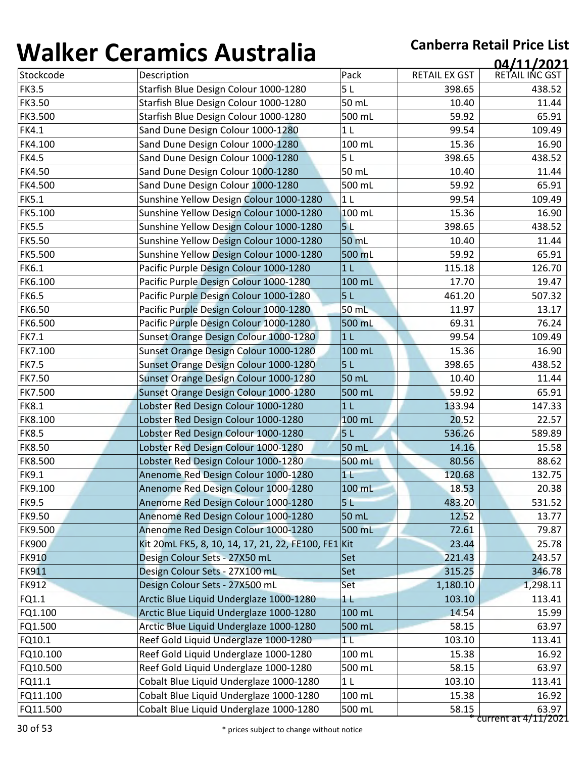| Stockcode<br>Pack<br>RETAIL EX GST<br>Description<br>5L<br><b>FK3.5</b><br>Starfish Blue Design Colour 1000-1280<br><b>FK3.50</b><br>50 mL<br>Starfish Blue Design Colour 1000-1280<br>FK3.500<br>500 mL<br>Starfish Blue Design Colour 1000-1280<br><b>FK4.1</b><br>1 <sub>L</sub><br>Sand Dune Design Colour 1000-1280<br>FK4.100<br>100 mL<br>Sand Dune Design Colour 1000-1280<br><b>FK4.5</b><br>Sand Dune Design Colour 1000-1280<br>5L<br><b>FK4.50</b><br>50 mL<br>Sand Dune Design Colour 1000-1280<br><b>FK4.500</b><br>Sand Dune Design Colour 1000-1280<br>500 mL<br><b>FK5.1</b><br>1 <sub>L</sub><br>Sunshine Yellow Design Colour 1000-1280<br>100 mL<br>FK5.100<br>Sunshine Yellow Design Colour 1000-1280<br>5 <sub>L</sub><br><b>FK5.5</b><br>Sunshine Yellow Design Colour 1000-1280<br><b>FK5.50</b><br>50 mL<br>Sunshine Yellow Design Colour 1000-1280<br><b>FK5.500</b><br>Sunshine Yellow Design Colour 1000-1280<br>500 mL<br><b>FK6.1</b><br>1 <sub>L</sub><br>Pacific Purple Design Colour 1000-1280<br>FK6.100<br>100 mL<br>Pacific Purple Design Colour 1000-1280<br><b>FK6.5</b><br>Pacific Purple Design Colour 1000-1280<br>5L<br><b>FK6.50</b><br>50 mL<br>Pacific Purple Design Colour 1000-1280<br>FK6.500<br>Pacific Purple Design Colour 1000-1280<br>500 mL<br><b>FK7.1</b><br>1 <sub>L</sub><br>Sunset Orange Design Colour 1000-1280<br>100 mL<br>FK7.100<br>Sunset Orange Design Colour 1000-1280 | 398.65<br>10.40<br>59.92<br>99.54<br>15.36<br>398.65<br>10.40<br>59.92<br>99.54<br>15.36<br>398.65<br>10.40<br>59.92<br>115.18<br>17.70<br>461.20<br>11.97<br>69.31<br>99.54<br>15.36 | 04/11/2021<br>RETAIL INC GST<br>438.52<br>11.44<br>65.91<br>109.49<br>16.90<br>438.52<br>11.44<br>65.91<br>109.49<br>16.90<br>438.52<br>11.44<br>65.91<br>126.70<br>19.47<br>507.32<br>13.17<br>76.24<br>109.49 |
|--------------------------------------------------------------------------------------------------------------------------------------------------------------------------------------------------------------------------------------------------------------------------------------------------------------------------------------------------------------------------------------------------------------------------------------------------------------------------------------------------------------------------------------------------------------------------------------------------------------------------------------------------------------------------------------------------------------------------------------------------------------------------------------------------------------------------------------------------------------------------------------------------------------------------------------------------------------------------------------------------------------------------------------------------------------------------------------------------------------------------------------------------------------------------------------------------------------------------------------------------------------------------------------------------------------------------------------------------------------------------------------------------------------------------------------------|---------------------------------------------------------------------------------------------------------------------------------------------------------------------------------------|-----------------------------------------------------------------------------------------------------------------------------------------------------------------------------------------------------------------|
|                                                                                                                                                                                                                                                                                                                                                                                                                                                                                                                                                                                                                                                                                                                                                                                                                                                                                                                                                                                                                                                                                                                                                                                                                                                                                                                                                                                                                                            |                                                                                                                                                                                       |                                                                                                                                                                                                                 |
|                                                                                                                                                                                                                                                                                                                                                                                                                                                                                                                                                                                                                                                                                                                                                                                                                                                                                                                                                                                                                                                                                                                                                                                                                                                                                                                                                                                                                                            |                                                                                                                                                                                       |                                                                                                                                                                                                                 |
|                                                                                                                                                                                                                                                                                                                                                                                                                                                                                                                                                                                                                                                                                                                                                                                                                                                                                                                                                                                                                                                                                                                                                                                                                                                                                                                                                                                                                                            |                                                                                                                                                                                       |                                                                                                                                                                                                                 |
|                                                                                                                                                                                                                                                                                                                                                                                                                                                                                                                                                                                                                                                                                                                                                                                                                                                                                                                                                                                                                                                                                                                                                                                                                                                                                                                                                                                                                                            |                                                                                                                                                                                       |                                                                                                                                                                                                                 |
|                                                                                                                                                                                                                                                                                                                                                                                                                                                                                                                                                                                                                                                                                                                                                                                                                                                                                                                                                                                                                                                                                                                                                                                                                                                                                                                                                                                                                                            |                                                                                                                                                                                       |                                                                                                                                                                                                                 |
|                                                                                                                                                                                                                                                                                                                                                                                                                                                                                                                                                                                                                                                                                                                                                                                                                                                                                                                                                                                                                                                                                                                                                                                                                                                                                                                                                                                                                                            |                                                                                                                                                                                       |                                                                                                                                                                                                                 |
|                                                                                                                                                                                                                                                                                                                                                                                                                                                                                                                                                                                                                                                                                                                                                                                                                                                                                                                                                                                                                                                                                                                                                                                                                                                                                                                                                                                                                                            |                                                                                                                                                                                       |                                                                                                                                                                                                                 |
|                                                                                                                                                                                                                                                                                                                                                                                                                                                                                                                                                                                                                                                                                                                                                                                                                                                                                                                                                                                                                                                                                                                                                                                                                                                                                                                                                                                                                                            |                                                                                                                                                                                       |                                                                                                                                                                                                                 |
|                                                                                                                                                                                                                                                                                                                                                                                                                                                                                                                                                                                                                                                                                                                                                                                                                                                                                                                                                                                                                                                                                                                                                                                                                                                                                                                                                                                                                                            |                                                                                                                                                                                       |                                                                                                                                                                                                                 |
|                                                                                                                                                                                                                                                                                                                                                                                                                                                                                                                                                                                                                                                                                                                                                                                                                                                                                                                                                                                                                                                                                                                                                                                                                                                                                                                                                                                                                                            |                                                                                                                                                                                       |                                                                                                                                                                                                                 |
|                                                                                                                                                                                                                                                                                                                                                                                                                                                                                                                                                                                                                                                                                                                                                                                                                                                                                                                                                                                                                                                                                                                                                                                                                                                                                                                                                                                                                                            |                                                                                                                                                                                       |                                                                                                                                                                                                                 |
|                                                                                                                                                                                                                                                                                                                                                                                                                                                                                                                                                                                                                                                                                                                                                                                                                                                                                                                                                                                                                                                                                                                                                                                                                                                                                                                                                                                                                                            |                                                                                                                                                                                       |                                                                                                                                                                                                                 |
|                                                                                                                                                                                                                                                                                                                                                                                                                                                                                                                                                                                                                                                                                                                                                                                                                                                                                                                                                                                                                                                                                                                                                                                                                                                                                                                                                                                                                                            |                                                                                                                                                                                       |                                                                                                                                                                                                                 |
|                                                                                                                                                                                                                                                                                                                                                                                                                                                                                                                                                                                                                                                                                                                                                                                                                                                                                                                                                                                                                                                                                                                                                                                                                                                                                                                                                                                                                                            |                                                                                                                                                                                       |                                                                                                                                                                                                                 |
|                                                                                                                                                                                                                                                                                                                                                                                                                                                                                                                                                                                                                                                                                                                                                                                                                                                                                                                                                                                                                                                                                                                                                                                                                                                                                                                                                                                                                                            |                                                                                                                                                                                       |                                                                                                                                                                                                                 |
|                                                                                                                                                                                                                                                                                                                                                                                                                                                                                                                                                                                                                                                                                                                                                                                                                                                                                                                                                                                                                                                                                                                                                                                                                                                                                                                                                                                                                                            |                                                                                                                                                                                       |                                                                                                                                                                                                                 |
|                                                                                                                                                                                                                                                                                                                                                                                                                                                                                                                                                                                                                                                                                                                                                                                                                                                                                                                                                                                                                                                                                                                                                                                                                                                                                                                                                                                                                                            |                                                                                                                                                                                       |                                                                                                                                                                                                                 |
|                                                                                                                                                                                                                                                                                                                                                                                                                                                                                                                                                                                                                                                                                                                                                                                                                                                                                                                                                                                                                                                                                                                                                                                                                                                                                                                                                                                                                                            |                                                                                                                                                                                       |                                                                                                                                                                                                                 |
|                                                                                                                                                                                                                                                                                                                                                                                                                                                                                                                                                                                                                                                                                                                                                                                                                                                                                                                                                                                                                                                                                                                                                                                                                                                                                                                                                                                                                                            |                                                                                                                                                                                       |                                                                                                                                                                                                                 |
|                                                                                                                                                                                                                                                                                                                                                                                                                                                                                                                                                                                                                                                                                                                                                                                                                                                                                                                                                                                                                                                                                                                                                                                                                                                                                                                                                                                                                                            |                                                                                                                                                                                       |                                                                                                                                                                                                                 |
|                                                                                                                                                                                                                                                                                                                                                                                                                                                                                                                                                                                                                                                                                                                                                                                                                                                                                                                                                                                                                                                                                                                                                                                                                                                                                                                                                                                                                                            |                                                                                                                                                                                       | 16.90                                                                                                                                                                                                           |
| 5L<br><b>FK7.5</b><br>Sunset Orange Design Colour 1000-1280                                                                                                                                                                                                                                                                                                                                                                                                                                                                                                                                                                                                                                                                                                                                                                                                                                                                                                                                                                                                                                                                                                                                                                                                                                                                                                                                                                                | 398.65                                                                                                                                                                                | 438.52                                                                                                                                                                                                          |
| <b>FK7.50</b><br>Sunset Orange Design Colour 1000-1280<br>50 mL                                                                                                                                                                                                                                                                                                                                                                                                                                                                                                                                                                                                                                                                                                                                                                                                                                                                                                                                                                                                                                                                                                                                                                                                                                                                                                                                                                            | 10.40                                                                                                                                                                                 | 11.44                                                                                                                                                                                                           |
| <b>FK7.500</b><br>Sunset Orange Design Colour 1000-1280<br>500 mL                                                                                                                                                                                                                                                                                                                                                                                                                                                                                                                                                                                                                                                                                                                                                                                                                                                                                                                                                                                                                                                                                                                                                                                                                                                                                                                                                                          | 59.92                                                                                                                                                                                 | 65.91                                                                                                                                                                                                           |
| <b>FK8.1</b><br>1 <sub>L</sub><br>Lobster Red Design Colour 1000-1280                                                                                                                                                                                                                                                                                                                                                                                                                                                                                                                                                                                                                                                                                                                                                                                                                                                                                                                                                                                                                                                                                                                                                                                                                                                                                                                                                                      | 133.94                                                                                                                                                                                | 147.33                                                                                                                                                                                                          |
| FK8.100<br>100 mL<br>Lobster Red Design Colour 1000-1280                                                                                                                                                                                                                                                                                                                                                                                                                                                                                                                                                                                                                                                                                                                                                                                                                                                                                                                                                                                                                                                                                                                                                                                                                                                                                                                                                                                   | 20.52                                                                                                                                                                                 | 22.57                                                                                                                                                                                                           |
| <b>FK8.5</b><br>Lobster Red Design Colour 1000-1280<br>5 <sub>L</sub>                                                                                                                                                                                                                                                                                                                                                                                                                                                                                                                                                                                                                                                                                                                                                                                                                                                                                                                                                                                                                                                                                                                                                                                                                                                                                                                                                                      | 536.26                                                                                                                                                                                | 589.89                                                                                                                                                                                                          |
| <b>FK8.50</b><br>Lobster Red Design Colour 1000-1280<br>50 mL                                                                                                                                                                                                                                                                                                                                                                                                                                                                                                                                                                                                                                                                                                                                                                                                                                                                                                                                                                                                                                                                                                                                                                                                                                                                                                                                                                              | 14.16                                                                                                                                                                                 | 15.58                                                                                                                                                                                                           |
| FK8.500<br>Lobster Red Design Colour 1000-1280<br>500 mL                                                                                                                                                                                                                                                                                                                                                                                                                                                                                                                                                                                                                                                                                                                                                                                                                                                                                                                                                                                                                                                                                                                                                                                                                                                                                                                                                                                   | 80.56                                                                                                                                                                                 | 88.62                                                                                                                                                                                                           |
| <b>FK9.1</b><br>Anenome Red Design Colour 1000-1280<br>1 <sub>1</sub>                                                                                                                                                                                                                                                                                                                                                                                                                                                                                                                                                                                                                                                                                                                                                                                                                                                                                                                                                                                                                                                                                                                                                                                                                                                                                                                                                                      | 120.68                                                                                                                                                                                | 132.75                                                                                                                                                                                                          |
| FK9.100<br>100 mL<br>Anenome Red Design Colour 1000-1280                                                                                                                                                                                                                                                                                                                                                                                                                                                                                                                                                                                                                                                                                                                                                                                                                                                                                                                                                                                                                                                                                                                                                                                                                                                                                                                                                                                   | 18.53                                                                                                                                                                                 | 20.38                                                                                                                                                                                                           |
| Anenome Red Design Colour 1000-1280<br>5L<br><b>FK9.5</b>                                                                                                                                                                                                                                                                                                                                                                                                                                                                                                                                                                                                                                                                                                                                                                                                                                                                                                                                                                                                                                                                                                                                                                                                                                                                                                                                                                                  | 483.20                                                                                                                                                                                | 531.52                                                                                                                                                                                                          |
| <b>FK9.50</b><br>Anenome Red Design Colour 1000-1280<br>50 mL                                                                                                                                                                                                                                                                                                                                                                                                                                                                                                                                                                                                                                                                                                                                                                                                                                                                                                                                                                                                                                                                                                                                                                                                                                                                                                                                                                              | 12.52                                                                                                                                                                                 | 13.77                                                                                                                                                                                                           |
| FK9.500<br>Anenome Red Design Colour 1000-1280<br>500 mL                                                                                                                                                                                                                                                                                                                                                                                                                                                                                                                                                                                                                                                                                                                                                                                                                                                                                                                                                                                                                                                                                                                                                                                                                                                                                                                                                                                   | 72.61                                                                                                                                                                                 | 79.87                                                                                                                                                                                                           |
| <b>FK900</b><br>Kit 20mL FK5, 8, 10, 14, 17, 21, 22, FE100, FE1 Kit                                                                                                                                                                                                                                                                                                                                                                                                                                                                                                                                                                                                                                                                                                                                                                                                                                                                                                                                                                                                                                                                                                                                                                                                                                                                                                                                                                        | 23.44                                                                                                                                                                                 | 25.78                                                                                                                                                                                                           |
| <b>FK910</b><br>Design Colour Sets - 27X50 mL<br>Set                                                                                                                                                                                                                                                                                                                                                                                                                                                                                                                                                                                                                                                                                                                                                                                                                                                                                                                                                                                                                                                                                                                                                                                                                                                                                                                                                                                       | 221.43                                                                                                                                                                                | 243.57                                                                                                                                                                                                          |
| <b>FK911</b><br>Design Colour Sets - 27X100 mL<br>Set                                                                                                                                                                                                                                                                                                                                                                                                                                                                                                                                                                                                                                                                                                                                                                                                                                                                                                                                                                                                                                                                                                                                                                                                                                                                                                                                                                                      | 315.25                                                                                                                                                                                | 346.78                                                                                                                                                                                                          |
| <b>FK912</b><br>Design Colour Sets - 27X500 mL<br>Set                                                                                                                                                                                                                                                                                                                                                                                                                                                                                                                                                                                                                                                                                                                                                                                                                                                                                                                                                                                                                                                                                                                                                                                                                                                                                                                                                                                      | 1,180.10                                                                                                                                                                              | 1,298.11                                                                                                                                                                                                        |
| FQ1.1<br>Arctic Blue Liquid Underglaze 1000-1280<br>1 <sub>L</sub>                                                                                                                                                                                                                                                                                                                                                                                                                                                                                                                                                                                                                                                                                                                                                                                                                                                                                                                                                                                                                                                                                                                                                                                                                                                                                                                                                                         | 103.10                                                                                                                                                                                | 113.41                                                                                                                                                                                                          |
| FQ1.100<br>Arctic Blue Liquid Underglaze 1000-1280<br>100 mL                                                                                                                                                                                                                                                                                                                                                                                                                                                                                                                                                                                                                                                                                                                                                                                                                                                                                                                                                                                                                                                                                                                                                                                                                                                                                                                                                                               | 14.54                                                                                                                                                                                 | 15.99                                                                                                                                                                                                           |
| FQ1.500<br>Arctic Blue Liquid Underglaze 1000-1280<br>500 mL                                                                                                                                                                                                                                                                                                                                                                                                                                                                                                                                                                                                                                                                                                                                                                                                                                                                                                                                                                                                                                                                                                                                                                                                                                                                                                                                                                               | 58.15                                                                                                                                                                                 | 63.97                                                                                                                                                                                                           |
| Reef Gold Liquid Underglaze 1000-1280<br>1 <sub>L</sub><br>FQ10.1                                                                                                                                                                                                                                                                                                                                                                                                                                                                                                                                                                                                                                                                                                                                                                                                                                                                                                                                                                                                                                                                                                                                                                                                                                                                                                                                                                          | 103.10                                                                                                                                                                                | 113.41                                                                                                                                                                                                          |
| Reef Gold Liquid Underglaze 1000-1280<br>100 mL<br>FQ10.100                                                                                                                                                                                                                                                                                                                                                                                                                                                                                                                                                                                                                                                                                                                                                                                                                                                                                                                                                                                                                                                                                                                                                                                                                                                                                                                                                                                | 15.38                                                                                                                                                                                 | 16.92                                                                                                                                                                                                           |
| Reef Gold Liquid Underglaze 1000-1280<br>FQ10.500<br>500 mL                                                                                                                                                                                                                                                                                                                                                                                                                                                                                                                                                                                                                                                                                                                                                                                                                                                                                                                                                                                                                                                                                                                                                                                                                                                                                                                                                                                | 58.15                                                                                                                                                                                 | 63.97                                                                                                                                                                                                           |
| FQ11.1<br>Cobalt Blue Liquid Underglaze 1000-1280<br>1 <sub>L</sub>                                                                                                                                                                                                                                                                                                                                                                                                                                                                                                                                                                                                                                                                                                                                                                                                                                                                                                                                                                                                                                                                                                                                                                                                                                                                                                                                                                        | 103.10                                                                                                                                                                                | 113.41                                                                                                                                                                                                          |
| Cobalt Blue Liquid Underglaze 1000-1280<br>100 mL<br>FQ11.100                                                                                                                                                                                                                                                                                                                                                                                                                                                                                                                                                                                                                                                                                                                                                                                                                                                                                                                                                                                                                                                                                                                                                                                                                                                                                                                                                                              | 15.38                                                                                                                                                                                 | 16.92                                                                                                                                                                                                           |
| Cobalt Blue Liquid Underglaze 1000-1280<br>FQ11.500<br>500 mL                                                                                                                                                                                                                                                                                                                                                                                                                                                                                                                                                                                                                                                                                                                                                                                                                                                                                                                                                                                                                                                                                                                                                                                                                                                                                                                                                                              | 58.15                                                                                                                                                                                 | 63.97                                                                                                                                                                                                           |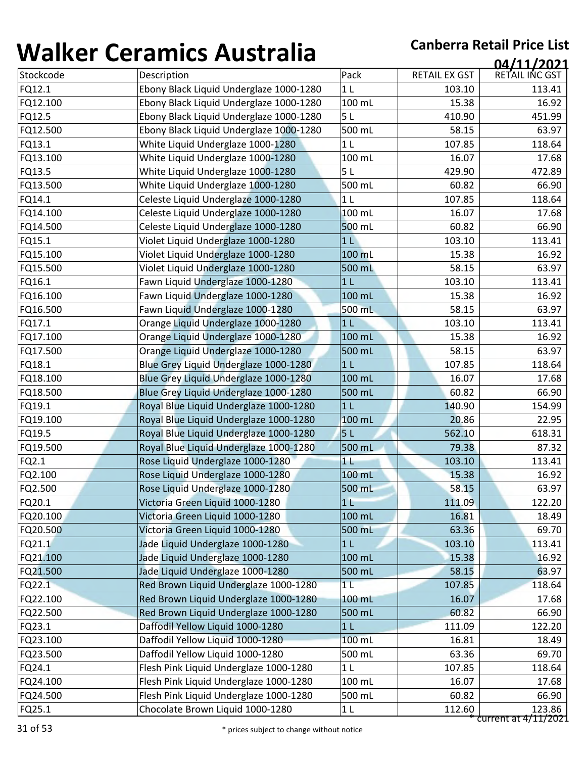| Pack<br>RETAIL EX GST<br>Stockcode<br>Description<br>FQ12.1<br>Ebony Black Liquid Underglaze 1000-1280<br>1 <sub>L</sub><br>103.10<br>FQ12.100<br>100 mL<br>Ebony Black Liquid Underglaze 1000-1280<br>15.38<br>Ebony Black Liquid Underglaze 1000-1280<br>5L<br>FQ12.5<br>410.90<br>FQ12.500<br>Ebony Black Liquid Underglaze 1000-1280<br>500 mL<br>58.15<br>1 <sub>L</sub><br>FQ13.1<br>White Liquid Underglaze 1000-1280<br>107.85<br>FQ13.100<br>White Liquid Underglaze 1000-1280<br>100 mL<br>16.07<br>FQ13.5<br>White Liquid Underglaze 1000-1280<br>5L<br>429.90<br>White Liquid Underglaze 1000-1280<br>500 mL<br>FQ13.500<br>60.82<br>FQ14.1<br>Celeste Liquid Underglaze 1000-1280<br>1 <sub>L</sub><br>107.85<br>Celeste Liquid Underglaze 1000-1280<br>100 mL<br>FQ14.100<br>16.07<br>Celeste Liquid Underglaze 1000-1280<br>500 mL<br>FQ14.500<br>60.82<br>Violet Liquid Underglaze 1000-1280<br>FQ15.1<br>103.10<br>1 <sub>L</sub><br>FQ15.100<br>Violet Liquid Underglaze 1000-1280<br>100 mL<br>15.38<br>FQ15.500<br>Violet Liquid Underglaze 1000-1280<br>500 mL<br>58.15<br>Fawn Liquid Underglaze 1000-1280<br>1 <sub>L</sub><br>FQ16.1<br>103.10<br>FQ16.100<br>Fawn Liquid Underglaze 1000-1280<br>100 mL<br>15.38<br>FQ16.500<br>Fawn Liquid Underglaze 1000-1280<br>500 mL<br>58.15<br>Orange Liquid Underglaze 1000-1280<br>FQ17.1<br>103.10<br>1 <sub>L</sub><br>FQ17.100<br>Orange Liquid Underglaze 1000-1280<br>100 mL<br>15.38<br>Orange Liquid Underglaze 1000-1280<br>FQ17.500<br>500 mL<br>58.15<br>FQ18.1<br>Blue Grey Liquid Underglaze 1000-1280<br>1 <sub>L</sub><br>107.85<br>FQ18.100<br>Blue Grey Liquid Underglaze 1000-1280<br>100 mL<br>16.07<br>Blue Grey Liquid Underglaze 1000-1280<br>FQ18.500<br>500 mL<br>60.82<br>FQ19.1<br>Royal Blue Liquid Underglaze 1000-1280<br>1 <sub>L</sub><br>140.90<br>FQ19.100<br>Royal Blue Liquid Underglaze 1000-1280<br>100 mL<br>20.86<br>FQ19.5<br>Royal Blue Liquid Underglaze 1000-1280<br>5L<br>562.10<br>FQ19.500<br>Royal Blue Liquid Underglaze 1000-1280<br>500 mL<br>79.38<br>FQ2.1<br>Rose Liquid Underglaze 1000-1280<br>1 <sub>1</sub><br>103.10<br>FQ2.100<br>Rose Liquid Underglaze 1000-1280<br>100 mL<br>15.38<br>FQ2.500<br>58.15<br>Rose Liquid Underglaze 1000-1280<br>500 mL<br>Victoria Green Liquid 1000-1280<br>FQ20.1<br>1 <sub>L</sub><br>111.09<br>FQ20.100<br>100 mL<br>Victoria Green Liquid 1000-1280<br>16.81<br>63.36<br>FQ20.500<br>Victoria Green Liquid 1000-1280<br>500 mL<br>FQ21.1<br>Jade Liquid Underglaze 1000-1280<br>1 <sub>L</sub><br>103.10<br>Jade Liquid Underglaze 1000-1280<br>FQ21.100<br>100 mL<br>15.38<br>Jade Liquid Underglaze 1000-1280<br>FQ21.500<br>500 mL<br>58.15<br>Red Brown Liquid Underglaze 1000-1280<br>FQ22.1<br>1 <sub>L</sub><br>107.85<br>FQ22.100<br>Red Brown Liquid Underglaze 1000-1280<br>100 mL<br>16.07<br>FQ22.500<br>Red Brown Liquid Underglaze 1000-1280<br>500 mL<br>60.82<br>Daffodil Yellow Liquid 1000-1280<br>111.09<br>FQ23.1<br>1 <sub>L</sub><br>Daffodil Yellow Liquid 1000-1280<br>FQ23.100<br>100 mL<br>16.81<br>Daffodil Yellow Liquid 1000-1280<br>FQ23.500<br>500 mL<br>63.36<br>Flesh Pink Liquid Underglaze 1000-1280<br>FQ24.1<br>107.85<br>1 <sub>L</sub><br>FQ24.100<br>Flesh Pink Liquid Underglaze 1000-1280<br>100 mL<br>16.07<br>Flesh Pink Liquid Underglaze 1000-1280<br>FQ24.500<br>500 mL<br>60.82 | TJ11177 | <u>condition in community of the set of the set of the set of the set of the set of the set of the set of the set </u> |      |        | 04/11/2021     |
|----------------------------------------------------------------------------------------------------------------------------------------------------------------------------------------------------------------------------------------------------------------------------------------------------------------------------------------------------------------------------------------------------------------------------------------------------------------------------------------------------------------------------------------------------------------------------------------------------------------------------------------------------------------------------------------------------------------------------------------------------------------------------------------------------------------------------------------------------------------------------------------------------------------------------------------------------------------------------------------------------------------------------------------------------------------------------------------------------------------------------------------------------------------------------------------------------------------------------------------------------------------------------------------------------------------------------------------------------------------------------------------------------------------------------------------------------------------------------------------------------------------------------------------------------------------------------------------------------------------------------------------------------------------------------------------------------------------------------------------------------------------------------------------------------------------------------------------------------------------------------------------------------------------------------------------------------------------------------------------------------------------------------------------------------------------------------------------------------------------------------------------------------------------------------------------------------------------------------------------------------------------------------------------------------------------------------------------------------------------------------------------------------------------------------------------------------------------------------------------------------------------------------------------------------------------------------------------------------------------------------------------------------------------------------------------------------------------------------------------------------------------------------------------------------------------------------------------------------------------------------------------------------------------------------------------------------------------------------------------------------------------------------------------------------------------------------------------------------------------------------------------------------------------------------------------------------------------------------------------------------------------------------------------------------------------------------------------------------------------------------------------------------|---------|------------------------------------------------------------------------------------------------------------------------|------|--------|----------------|
|                                                                                                                                                                                                                                                                                                                                                                                                                                                                                                                                                                                                                                                                                                                                                                                                                                                                                                                                                                                                                                                                                                                                                                                                                                                                                                                                                                                                                                                                                                                                                                                                                                                                                                                                                                                                                                                                                                                                                                                                                                                                                                                                                                                                                                                                                                                                                                                                                                                                                                                                                                                                                                                                                                                                                                                                                                                                                                                                                                                                                                                                                                                                                                                                                                                                                                                                                                                                    |         |                                                                                                                        |      |        | RETAIL INC GST |
|                                                                                                                                                                                                                                                                                                                                                                                                                                                                                                                                                                                                                                                                                                                                                                                                                                                                                                                                                                                                                                                                                                                                                                                                                                                                                                                                                                                                                                                                                                                                                                                                                                                                                                                                                                                                                                                                                                                                                                                                                                                                                                                                                                                                                                                                                                                                                                                                                                                                                                                                                                                                                                                                                                                                                                                                                                                                                                                                                                                                                                                                                                                                                                                                                                                                                                                                                                                                    |         |                                                                                                                        |      |        | 113.41         |
|                                                                                                                                                                                                                                                                                                                                                                                                                                                                                                                                                                                                                                                                                                                                                                                                                                                                                                                                                                                                                                                                                                                                                                                                                                                                                                                                                                                                                                                                                                                                                                                                                                                                                                                                                                                                                                                                                                                                                                                                                                                                                                                                                                                                                                                                                                                                                                                                                                                                                                                                                                                                                                                                                                                                                                                                                                                                                                                                                                                                                                                                                                                                                                                                                                                                                                                                                                                                    |         |                                                                                                                        |      |        | 16.92          |
|                                                                                                                                                                                                                                                                                                                                                                                                                                                                                                                                                                                                                                                                                                                                                                                                                                                                                                                                                                                                                                                                                                                                                                                                                                                                                                                                                                                                                                                                                                                                                                                                                                                                                                                                                                                                                                                                                                                                                                                                                                                                                                                                                                                                                                                                                                                                                                                                                                                                                                                                                                                                                                                                                                                                                                                                                                                                                                                                                                                                                                                                                                                                                                                                                                                                                                                                                                                                    |         |                                                                                                                        |      |        | 451.99         |
|                                                                                                                                                                                                                                                                                                                                                                                                                                                                                                                                                                                                                                                                                                                                                                                                                                                                                                                                                                                                                                                                                                                                                                                                                                                                                                                                                                                                                                                                                                                                                                                                                                                                                                                                                                                                                                                                                                                                                                                                                                                                                                                                                                                                                                                                                                                                                                                                                                                                                                                                                                                                                                                                                                                                                                                                                                                                                                                                                                                                                                                                                                                                                                                                                                                                                                                                                                                                    |         |                                                                                                                        |      |        | 63.97          |
|                                                                                                                                                                                                                                                                                                                                                                                                                                                                                                                                                                                                                                                                                                                                                                                                                                                                                                                                                                                                                                                                                                                                                                                                                                                                                                                                                                                                                                                                                                                                                                                                                                                                                                                                                                                                                                                                                                                                                                                                                                                                                                                                                                                                                                                                                                                                                                                                                                                                                                                                                                                                                                                                                                                                                                                                                                                                                                                                                                                                                                                                                                                                                                                                                                                                                                                                                                                                    |         |                                                                                                                        |      |        | 118.64         |
|                                                                                                                                                                                                                                                                                                                                                                                                                                                                                                                                                                                                                                                                                                                                                                                                                                                                                                                                                                                                                                                                                                                                                                                                                                                                                                                                                                                                                                                                                                                                                                                                                                                                                                                                                                                                                                                                                                                                                                                                                                                                                                                                                                                                                                                                                                                                                                                                                                                                                                                                                                                                                                                                                                                                                                                                                                                                                                                                                                                                                                                                                                                                                                                                                                                                                                                                                                                                    |         |                                                                                                                        |      |        | 17.68          |
|                                                                                                                                                                                                                                                                                                                                                                                                                                                                                                                                                                                                                                                                                                                                                                                                                                                                                                                                                                                                                                                                                                                                                                                                                                                                                                                                                                                                                                                                                                                                                                                                                                                                                                                                                                                                                                                                                                                                                                                                                                                                                                                                                                                                                                                                                                                                                                                                                                                                                                                                                                                                                                                                                                                                                                                                                                                                                                                                                                                                                                                                                                                                                                                                                                                                                                                                                                                                    |         |                                                                                                                        |      |        | 472.89         |
|                                                                                                                                                                                                                                                                                                                                                                                                                                                                                                                                                                                                                                                                                                                                                                                                                                                                                                                                                                                                                                                                                                                                                                                                                                                                                                                                                                                                                                                                                                                                                                                                                                                                                                                                                                                                                                                                                                                                                                                                                                                                                                                                                                                                                                                                                                                                                                                                                                                                                                                                                                                                                                                                                                                                                                                                                                                                                                                                                                                                                                                                                                                                                                                                                                                                                                                                                                                                    |         |                                                                                                                        |      |        | 66.90          |
|                                                                                                                                                                                                                                                                                                                                                                                                                                                                                                                                                                                                                                                                                                                                                                                                                                                                                                                                                                                                                                                                                                                                                                                                                                                                                                                                                                                                                                                                                                                                                                                                                                                                                                                                                                                                                                                                                                                                                                                                                                                                                                                                                                                                                                                                                                                                                                                                                                                                                                                                                                                                                                                                                                                                                                                                                                                                                                                                                                                                                                                                                                                                                                                                                                                                                                                                                                                                    |         |                                                                                                                        |      |        | 118.64         |
|                                                                                                                                                                                                                                                                                                                                                                                                                                                                                                                                                                                                                                                                                                                                                                                                                                                                                                                                                                                                                                                                                                                                                                                                                                                                                                                                                                                                                                                                                                                                                                                                                                                                                                                                                                                                                                                                                                                                                                                                                                                                                                                                                                                                                                                                                                                                                                                                                                                                                                                                                                                                                                                                                                                                                                                                                                                                                                                                                                                                                                                                                                                                                                                                                                                                                                                                                                                                    |         |                                                                                                                        |      |        | 17.68          |
|                                                                                                                                                                                                                                                                                                                                                                                                                                                                                                                                                                                                                                                                                                                                                                                                                                                                                                                                                                                                                                                                                                                                                                                                                                                                                                                                                                                                                                                                                                                                                                                                                                                                                                                                                                                                                                                                                                                                                                                                                                                                                                                                                                                                                                                                                                                                                                                                                                                                                                                                                                                                                                                                                                                                                                                                                                                                                                                                                                                                                                                                                                                                                                                                                                                                                                                                                                                                    |         |                                                                                                                        |      |        | 66.90          |
|                                                                                                                                                                                                                                                                                                                                                                                                                                                                                                                                                                                                                                                                                                                                                                                                                                                                                                                                                                                                                                                                                                                                                                                                                                                                                                                                                                                                                                                                                                                                                                                                                                                                                                                                                                                                                                                                                                                                                                                                                                                                                                                                                                                                                                                                                                                                                                                                                                                                                                                                                                                                                                                                                                                                                                                                                                                                                                                                                                                                                                                                                                                                                                                                                                                                                                                                                                                                    |         |                                                                                                                        |      |        | 113.41         |
|                                                                                                                                                                                                                                                                                                                                                                                                                                                                                                                                                                                                                                                                                                                                                                                                                                                                                                                                                                                                                                                                                                                                                                                                                                                                                                                                                                                                                                                                                                                                                                                                                                                                                                                                                                                                                                                                                                                                                                                                                                                                                                                                                                                                                                                                                                                                                                                                                                                                                                                                                                                                                                                                                                                                                                                                                                                                                                                                                                                                                                                                                                                                                                                                                                                                                                                                                                                                    |         |                                                                                                                        |      |        | 16.92          |
|                                                                                                                                                                                                                                                                                                                                                                                                                                                                                                                                                                                                                                                                                                                                                                                                                                                                                                                                                                                                                                                                                                                                                                                                                                                                                                                                                                                                                                                                                                                                                                                                                                                                                                                                                                                                                                                                                                                                                                                                                                                                                                                                                                                                                                                                                                                                                                                                                                                                                                                                                                                                                                                                                                                                                                                                                                                                                                                                                                                                                                                                                                                                                                                                                                                                                                                                                                                                    |         |                                                                                                                        |      |        | 63.97          |
|                                                                                                                                                                                                                                                                                                                                                                                                                                                                                                                                                                                                                                                                                                                                                                                                                                                                                                                                                                                                                                                                                                                                                                                                                                                                                                                                                                                                                                                                                                                                                                                                                                                                                                                                                                                                                                                                                                                                                                                                                                                                                                                                                                                                                                                                                                                                                                                                                                                                                                                                                                                                                                                                                                                                                                                                                                                                                                                                                                                                                                                                                                                                                                                                                                                                                                                                                                                                    |         |                                                                                                                        |      |        | 113.41         |
|                                                                                                                                                                                                                                                                                                                                                                                                                                                                                                                                                                                                                                                                                                                                                                                                                                                                                                                                                                                                                                                                                                                                                                                                                                                                                                                                                                                                                                                                                                                                                                                                                                                                                                                                                                                                                                                                                                                                                                                                                                                                                                                                                                                                                                                                                                                                                                                                                                                                                                                                                                                                                                                                                                                                                                                                                                                                                                                                                                                                                                                                                                                                                                                                                                                                                                                                                                                                    |         |                                                                                                                        |      |        | 16.92          |
|                                                                                                                                                                                                                                                                                                                                                                                                                                                                                                                                                                                                                                                                                                                                                                                                                                                                                                                                                                                                                                                                                                                                                                                                                                                                                                                                                                                                                                                                                                                                                                                                                                                                                                                                                                                                                                                                                                                                                                                                                                                                                                                                                                                                                                                                                                                                                                                                                                                                                                                                                                                                                                                                                                                                                                                                                                                                                                                                                                                                                                                                                                                                                                                                                                                                                                                                                                                                    |         |                                                                                                                        |      |        | 63.97          |
|                                                                                                                                                                                                                                                                                                                                                                                                                                                                                                                                                                                                                                                                                                                                                                                                                                                                                                                                                                                                                                                                                                                                                                                                                                                                                                                                                                                                                                                                                                                                                                                                                                                                                                                                                                                                                                                                                                                                                                                                                                                                                                                                                                                                                                                                                                                                                                                                                                                                                                                                                                                                                                                                                                                                                                                                                                                                                                                                                                                                                                                                                                                                                                                                                                                                                                                                                                                                    |         |                                                                                                                        |      |        | 113.41         |
|                                                                                                                                                                                                                                                                                                                                                                                                                                                                                                                                                                                                                                                                                                                                                                                                                                                                                                                                                                                                                                                                                                                                                                                                                                                                                                                                                                                                                                                                                                                                                                                                                                                                                                                                                                                                                                                                                                                                                                                                                                                                                                                                                                                                                                                                                                                                                                                                                                                                                                                                                                                                                                                                                                                                                                                                                                                                                                                                                                                                                                                                                                                                                                                                                                                                                                                                                                                                    |         |                                                                                                                        |      |        | 16.92          |
|                                                                                                                                                                                                                                                                                                                                                                                                                                                                                                                                                                                                                                                                                                                                                                                                                                                                                                                                                                                                                                                                                                                                                                                                                                                                                                                                                                                                                                                                                                                                                                                                                                                                                                                                                                                                                                                                                                                                                                                                                                                                                                                                                                                                                                                                                                                                                                                                                                                                                                                                                                                                                                                                                                                                                                                                                                                                                                                                                                                                                                                                                                                                                                                                                                                                                                                                                                                                    |         |                                                                                                                        |      |        | 63.97          |
|                                                                                                                                                                                                                                                                                                                                                                                                                                                                                                                                                                                                                                                                                                                                                                                                                                                                                                                                                                                                                                                                                                                                                                                                                                                                                                                                                                                                                                                                                                                                                                                                                                                                                                                                                                                                                                                                                                                                                                                                                                                                                                                                                                                                                                                                                                                                                                                                                                                                                                                                                                                                                                                                                                                                                                                                                                                                                                                                                                                                                                                                                                                                                                                                                                                                                                                                                                                                    |         |                                                                                                                        |      |        | 118.64         |
|                                                                                                                                                                                                                                                                                                                                                                                                                                                                                                                                                                                                                                                                                                                                                                                                                                                                                                                                                                                                                                                                                                                                                                                                                                                                                                                                                                                                                                                                                                                                                                                                                                                                                                                                                                                                                                                                                                                                                                                                                                                                                                                                                                                                                                                                                                                                                                                                                                                                                                                                                                                                                                                                                                                                                                                                                                                                                                                                                                                                                                                                                                                                                                                                                                                                                                                                                                                                    |         |                                                                                                                        |      |        | 17.68          |
|                                                                                                                                                                                                                                                                                                                                                                                                                                                                                                                                                                                                                                                                                                                                                                                                                                                                                                                                                                                                                                                                                                                                                                                                                                                                                                                                                                                                                                                                                                                                                                                                                                                                                                                                                                                                                                                                                                                                                                                                                                                                                                                                                                                                                                                                                                                                                                                                                                                                                                                                                                                                                                                                                                                                                                                                                                                                                                                                                                                                                                                                                                                                                                                                                                                                                                                                                                                                    |         |                                                                                                                        |      |        | 66.90          |
|                                                                                                                                                                                                                                                                                                                                                                                                                                                                                                                                                                                                                                                                                                                                                                                                                                                                                                                                                                                                                                                                                                                                                                                                                                                                                                                                                                                                                                                                                                                                                                                                                                                                                                                                                                                                                                                                                                                                                                                                                                                                                                                                                                                                                                                                                                                                                                                                                                                                                                                                                                                                                                                                                                                                                                                                                                                                                                                                                                                                                                                                                                                                                                                                                                                                                                                                                                                                    |         |                                                                                                                        |      |        | 154.99         |
|                                                                                                                                                                                                                                                                                                                                                                                                                                                                                                                                                                                                                                                                                                                                                                                                                                                                                                                                                                                                                                                                                                                                                                                                                                                                                                                                                                                                                                                                                                                                                                                                                                                                                                                                                                                                                                                                                                                                                                                                                                                                                                                                                                                                                                                                                                                                                                                                                                                                                                                                                                                                                                                                                                                                                                                                                                                                                                                                                                                                                                                                                                                                                                                                                                                                                                                                                                                                    |         |                                                                                                                        |      |        | 22.95          |
|                                                                                                                                                                                                                                                                                                                                                                                                                                                                                                                                                                                                                                                                                                                                                                                                                                                                                                                                                                                                                                                                                                                                                                                                                                                                                                                                                                                                                                                                                                                                                                                                                                                                                                                                                                                                                                                                                                                                                                                                                                                                                                                                                                                                                                                                                                                                                                                                                                                                                                                                                                                                                                                                                                                                                                                                                                                                                                                                                                                                                                                                                                                                                                                                                                                                                                                                                                                                    |         |                                                                                                                        |      |        | 618.31         |
|                                                                                                                                                                                                                                                                                                                                                                                                                                                                                                                                                                                                                                                                                                                                                                                                                                                                                                                                                                                                                                                                                                                                                                                                                                                                                                                                                                                                                                                                                                                                                                                                                                                                                                                                                                                                                                                                                                                                                                                                                                                                                                                                                                                                                                                                                                                                                                                                                                                                                                                                                                                                                                                                                                                                                                                                                                                                                                                                                                                                                                                                                                                                                                                                                                                                                                                                                                                                    |         |                                                                                                                        |      |        | 87.32          |
|                                                                                                                                                                                                                                                                                                                                                                                                                                                                                                                                                                                                                                                                                                                                                                                                                                                                                                                                                                                                                                                                                                                                                                                                                                                                                                                                                                                                                                                                                                                                                                                                                                                                                                                                                                                                                                                                                                                                                                                                                                                                                                                                                                                                                                                                                                                                                                                                                                                                                                                                                                                                                                                                                                                                                                                                                                                                                                                                                                                                                                                                                                                                                                                                                                                                                                                                                                                                    |         |                                                                                                                        |      |        | 113.41         |
|                                                                                                                                                                                                                                                                                                                                                                                                                                                                                                                                                                                                                                                                                                                                                                                                                                                                                                                                                                                                                                                                                                                                                                                                                                                                                                                                                                                                                                                                                                                                                                                                                                                                                                                                                                                                                                                                                                                                                                                                                                                                                                                                                                                                                                                                                                                                                                                                                                                                                                                                                                                                                                                                                                                                                                                                                                                                                                                                                                                                                                                                                                                                                                                                                                                                                                                                                                                                    |         |                                                                                                                        |      |        | 16.92          |
|                                                                                                                                                                                                                                                                                                                                                                                                                                                                                                                                                                                                                                                                                                                                                                                                                                                                                                                                                                                                                                                                                                                                                                                                                                                                                                                                                                                                                                                                                                                                                                                                                                                                                                                                                                                                                                                                                                                                                                                                                                                                                                                                                                                                                                                                                                                                                                                                                                                                                                                                                                                                                                                                                                                                                                                                                                                                                                                                                                                                                                                                                                                                                                                                                                                                                                                                                                                                    |         |                                                                                                                        |      |        | 63.97          |
|                                                                                                                                                                                                                                                                                                                                                                                                                                                                                                                                                                                                                                                                                                                                                                                                                                                                                                                                                                                                                                                                                                                                                                                                                                                                                                                                                                                                                                                                                                                                                                                                                                                                                                                                                                                                                                                                                                                                                                                                                                                                                                                                                                                                                                                                                                                                                                                                                                                                                                                                                                                                                                                                                                                                                                                                                                                                                                                                                                                                                                                                                                                                                                                                                                                                                                                                                                                                    |         |                                                                                                                        |      |        | 122.20         |
|                                                                                                                                                                                                                                                                                                                                                                                                                                                                                                                                                                                                                                                                                                                                                                                                                                                                                                                                                                                                                                                                                                                                                                                                                                                                                                                                                                                                                                                                                                                                                                                                                                                                                                                                                                                                                                                                                                                                                                                                                                                                                                                                                                                                                                                                                                                                                                                                                                                                                                                                                                                                                                                                                                                                                                                                                                                                                                                                                                                                                                                                                                                                                                                                                                                                                                                                                                                                    |         |                                                                                                                        |      |        | 18.49          |
|                                                                                                                                                                                                                                                                                                                                                                                                                                                                                                                                                                                                                                                                                                                                                                                                                                                                                                                                                                                                                                                                                                                                                                                                                                                                                                                                                                                                                                                                                                                                                                                                                                                                                                                                                                                                                                                                                                                                                                                                                                                                                                                                                                                                                                                                                                                                                                                                                                                                                                                                                                                                                                                                                                                                                                                                                                                                                                                                                                                                                                                                                                                                                                                                                                                                                                                                                                                                    |         |                                                                                                                        |      |        | 69.70          |
|                                                                                                                                                                                                                                                                                                                                                                                                                                                                                                                                                                                                                                                                                                                                                                                                                                                                                                                                                                                                                                                                                                                                                                                                                                                                                                                                                                                                                                                                                                                                                                                                                                                                                                                                                                                                                                                                                                                                                                                                                                                                                                                                                                                                                                                                                                                                                                                                                                                                                                                                                                                                                                                                                                                                                                                                                                                                                                                                                                                                                                                                                                                                                                                                                                                                                                                                                                                                    |         |                                                                                                                        |      |        | 113.41         |
|                                                                                                                                                                                                                                                                                                                                                                                                                                                                                                                                                                                                                                                                                                                                                                                                                                                                                                                                                                                                                                                                                                                                                                                                                                                                                                                                                                                                                                                                                                                                                                                                                                                                                                                                                                                                                                                                                                                                                                                                                                                                                                                                                                                                                                                                                                                                                                                                                                                                                                                                                                                                                                                                                                                                                                                                                                                                                                                                                                                                                                                                                                                                                                                                                                                                                                                                                                                                    |         |                                                                                                                        |      |        | 16.92          |
|                                                                                                                                                                                                                                                                                                                                                                                                                                                                                                                                                                                                                                                                                                                                                                                                                                                                                                                                                                                                                                                                                                                                                                                                                                                                                                                                                                                                                                                                                                                                                                                                                                                                                                                                                                                                                                                                                                                                                                                                                                                                                                                                                                                                                                                                                                                                                                                                                                                                                                                                                                                                                                                                                                                                                                                                                                                                                                                                                                                                                                                                                                                                                                                                                                                                                                                                                                                                    |         |                                                                                                                        |      |        | 63.97          |
|                                                                                                                                                                                                                                                                                                                                                                                                                                                                                                                                                                                                                                                                                                                                                                                                                                                                                                                                                                                                                                                                                                                                                                                                                                                                                                                                                                                                                                                                                                                                                                                                                                                                                                                                                                                                                                                                                                                                                                                                                                                                                                                                                                                                                                                                                                                                                                                                                                                                                                                                                                                                                                                                                                                                                                                                                                                                                                                                                                                                                                                                                                                                                                                                                                                                                                                                                                                                    |         |                                                                                                                        |      |        | 118.64         |
|                                                                                                                                                                                                                                                                                                                                                                                                                                                                                                                                                                                                                                                                                                                                                                                                                                                                                                                                                                                                                                                                                                                                                                                                                                                                                                                                                                                                                                                                                                                                                                                                                                                                                                                                                                                                                                                                                                                                                                                                                                                                                                                                                                                                                                                                                                                                                                                                                                                                                                                                                                                                                                                                                                                                                                                                                                                                                                                                                                                                                                                                                                                                                                                                                                                                                                                                                                                                    |         |                                                                                                                        |      |        | 17.68          |
|                                                                                                                                                                                                                                                                                                                                                                                                                                                                                                                                                                                                                                                                                                                                                                                                                                                                                                                                                                                                                                                                                                                                                                                                                                                                                                                                                                                                                                                                                                                                                                                                                                                                                                                                                                                                                                                                                                                                                                                                                                                                                                                                                                                                                                                                                                                                                                                                                                                                                                                                                                                                                                                                                                                                                                                                                                                                                                                                                                                                                                                                                                                                                                                                                                                                                                                                                                                                    |         |                                                                                                                        |      |        | 66.90          |
|                                                                                                                                                                                                                                                                                                                                                                                                                                                                                                                                                                                                                                                                                                                                                                                                                                                                                                                                                                                                                                                                                                                                                                                                                                                                                                                                                                                                                                                                                                                                                                                                                                                                                                                                                                                                                                                                                                                                                                                                                                                                                                                                                                                                                                                                                                                                                                                                                                                                                                                                                                                                                                                                                                                                                                                                                                                                                                                                                                                                                                                                                                                                                                                                                                                                                                                                                                                                    |         |                                                                                                                        |      |        | 122.20         |
|                                                                                                                                                                                                                                                                                                                                                                                                                                                                                                                                                                                                                                                                                                                                                                                                                                                                                                                                                                                                                                                                                                                                                                                                                                                                                                                                                                                                                                                                                                                                                                                                                                                                                                                                                                                                                                                                                                                                                                                                                                                                                                                                                                                                                                                                                                                                                                                                                                                                                                                                                                                                                                                                                                                                                                                                                                                                                                                                                                                                                                                                                                                                                                                                                                                                                                                                                                                                    |         |                                                                                                                        |      |        | 18.49          |
|                                                                                                                                                                                                                                                                                                                                                                                                                                                                                                                                                                                                                                                                                                                                                                                                                                                                                                                                                                                                                                                                                                                                                                                                                                                                                                                                                                                                                                                                                                                                                                                                                                                                                                                                                                                                                                                                                                                                                                                                                                                                                                                                                                                                                                                                                                                                                                                                                                                                                                                                                                                                                                                                                                                                                                                                                                                                                                                                                                                                                                                                                                                                                                                                                                                                                                                                                                                                    |         |                                                                                                                        |      |        | 69.70          |
|                                                                                                                                                                                                                                                                                                                                                                                                                                                                                                                                                                                                                                                                                                                                                                                                                                                                                                                                                                                                                                                                                                                                                                                                                                                                                                                                                                                                                                                                                                                                                                                                                                                                                                                                                                                                                                                                                                                                                                                                                                                                                                                                                                                                                                                                                                                                                                                                                                                                                                                                                                                                                                                                                                                                                                                                                                                                                                                                                                                                                                                                                                                                                                                                                                                                                                                                                                                                    |         |                                                                                                                        |      |        | 118.64         |
|                                                                                                                                                                                                                                                                                                                                                                                                                                                                                                                                                                                                                                                                                                                                                                                                                                                                                                                                                                                                                                                                                                                                                                                                                                                                                                                                                                                                                                                                                                                                                                                                                                                                                                                                                                                                                                                                                                                                                                                                                                                                                                                                                                                                                                                                                                                                                                                                                                                                                                                                                                                                                                                                                                                                                                                                                                                                                                                                                                                                                                                                                                                                                                                                                                                                                                                                                                                                    |         |                                                                                                                        |      |        | 17.68          |
|                                                                                                                                                                                                                                                                                                                                                                                                                                                                                                                                                                                                                                                                                                                                                                                                                                                                                                                                                                                                                                                                                                                                                                                                                                                                                                                                                                                                                                                                                                                                                                                                                                                                                                                                                                                                                                                                                                                                                                                                                                                                                                                                                                                                                                                                                                                                                                                                                                                                                                                                                                                                                                                                                                                                                                                                                                                                                                                                                                                                                                                                                                                                                                                                                                                                                                                                                                                                    |         |                                                                                                                        |      |        | 66.90          |
|                                                                                                                                                                                                                                                                                                                                                                                                                                                                                                                                                                                                                                                                                                                                                                                                                                                                                                                                                                                                                                                                                                                                                                                                                                                                                                                                                                                                                                                                                                                                                                                                                                                                                                                                                                                                                                                                                                                                                                                                                                                                                                                                                                                                                                                                                                                                                                                                                                                                                                                                                                                                                                                                                                                                                                                                                                                                                                                                                                                                                                                                                                                                                                                                                                                                                                                                                                                                    | FQ25.1  | Chocolate Brown Liquid 1000-1280                                                                                       | $1L$ | 112.60 | 123.86         |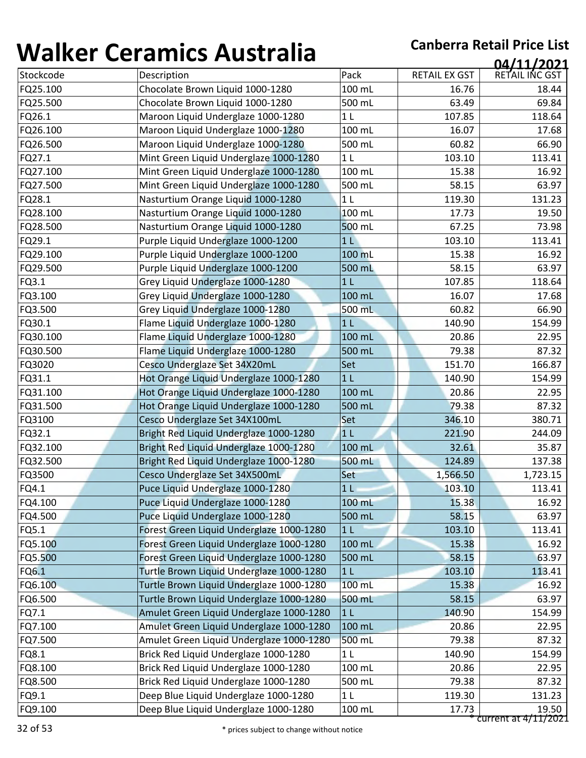| ''''''''  | <u>sei annes 7 iasceana</u>              |                |                      | 04/11/2021           |
|-----------|------------------------------------------|----------------|----------------------|----------------------|
| Stockcode | Description                              | Pack           | <b>RETAIL EX GST</b> | RETAIL INC GST       |
| FQ25.100  | Chocolate Brown Liquid 1000-1280         | 100 mL         | 16.76                | 18.44                |
| FQ25.500  | Chocolate Brown Liquid 1000-1280         | 500 mL         | 63.49                | 69.84                |
| FQ26.1    | Maroon Liquid Underglaze 1000-1280       | 1 <sub>L</sub> | 107.85               | 118.64               |
| FQ26.100  | Maroon Liquid Underglaze 1000-1280       | 100 mL         | 16.07                | 17.68                |
| FQ26.500  | Maroon Liquid Underglaze 1000-1280       | 500 mL         | 60.82                | 66.90                |
| FQ27.1    | Mint Green Liquid Underglaze 1000-1280   | 1 <sub>L</sub> | 103.10               | 113.41               |
| FQ27.100  | Mint Green Liquid Underglaze 1000-1280   | 100 mL         | 15.38                | 16.92                |
| FQ27.500  | Mint Green Liquid Underglaze 1000-1280   | 500 mL         | 58.15                | 63.97                |
| FQ28.1    | Nasturtium Orange Liquid 1000-1280       | 1 <sub>L</sub> | 119.30               | 131.23               |
| FQ28.100  | Nasturtium Orange Liquid 1000-1280       | 100 mL         | 17.73                | 19.50                |
| FQ28.500  | Nasturtium Orange Liquid 1000-1280       | 500 mL         | 67.25                | 73.98                |
| FQ29.1    | Purple Liquid Underglaze 1000-1200       | 1 <sub>L</sub> | 103.10               | 113.41               |
| FQ29.100  | Purple Liquid Underglaze 1000-1200       | 100 mL         | 15.38                | 16.92                |
| FQ29.500  | Purple Liquid Underglaze 1000-1200       | 500 mL         | 58.15                | 63.97                |
| FQ3.1     | Grey Liquid Underglaze 1000-1280         | 1 <sub>L</sub> | 107.85               | 118.64               |
| FQ3.100   | Grey Liquid Underglaze 1000-1280         | 100 mL         | 16.07                | 17.68                |
| FQ3.500   | Grey Liquid Underglaze 1000-1280         | 500 mL         | 60.82                | 66.90                |
| FQ30.1    | Flame Liquid Underglaze 1000-1280        | 1 <sub>L</sub> | 140.90               | 154.99               |
| FQ30.100  | Flame Liquid Underglaze 1000-1280        | 100 mL         | 20.86                | 22.95                |
| FQ30.500  | Flame Liquid Underglaze 1000-1280        | 500 mL         | 79.38                | 87.32                |
| FQ3020    | Cesco Underglaze Set 34X20mL             | Set            | 151.70               | 166.87               |
| FQ31.1    | Hot Orange Liquid Underglaze 1000-1280   | 1 <sub>L</sub> | 140.90               | 154.99               |
| FQ31.100  | Hot Orange Liquid Underglaze 1000-1280   | 100 mL         | 20.86                | 22.95                |
| FQ31.500  | Hot Orange Liquid Underglaze 1000-1280   | 500 mL         | 79.38                | 87.32                |
| FQ3100    | Cesco Underglaze Set 34X100mL            | Set            | 346.10               | 380.71               |
| FQ32.1    | Bright Red Liquid Underglaze 1000-1280   | 1 <sub>L</sub> | 221.90               | 244.09               |
| FQ32.100  | Bright Red Liquid Underglaze 1000-1280   | 100 mL         | 32.61                | 35.87                |
| FQ32.500  | Bright Red Liquid Underglaze 1000-1280   | 500 mL         | 124.89               | 137.38               |
| FQ3500    | Cesco Underglaze Set 34X500mL            | Set            | 1,566.50             | 1,723.15             |
| FQ4.1     | Puce Liquid Underglaze 1000-1280         | 1 <sub>L</sub> | 103.10               | 113.41               |
| FQ4.100   | Puce Liquid Underglaze 1000-1280         | 100 mL         | 15.38                | 16.92                |
| FQ4.500   | Puce Liquid Underglaze 1000-1280         | 500 mL         | 58.15                | 63.97                |
| FQ5.1     | Forest Green Liquid Underglaze 1000-1280 | 1 <sub>L</sub> | 103.10               | 113.41               |
| FQ5.100   | Forest Green Liquid Underglaze 1000-1280 | 100 mL         | 15.38                | 16.92                |
| FQ5.500   | Forest Green Liquid Underglaze 1000-1280 | 500 mL         | 58.15                | 63.97                |
| FQ6.1     | Turtle Brown Liquid Underglaze 1000-1280 | 1 <sub>L</sub> | 103.10               | 113.41               |
| FQ6.100   | Turtle Brown Liquid Underglaze 1000-1280 | 100 mL         | 15.38                | 16.92                |
| FQ6.500   | Turtle Brown Liquid Underglaze 1000-1280 | 500 mL         | 58.15                | 63.97                |
| FQ7.1     | Amulet Green Liquid Underglaze 1000-1280 | 1 <sub>L</sub> | 140.90               | 154.99               |
| FQ7.100   | Amulet Green Liquid Underglaze 1000-1280 | 100 mL         | 20.86                | 22.95                |
| FQ7.500   | Amulet Green Liquid Underglaze 1000-1280 | 500 mL         | 79.38                | 87.32                |
| FQ8.1     | Brick Red Liquid Underglaze 1000-1280    | 1 <sub>L</sub> | 140.90               | 154.99               |
| FQ8.100   | Brick Red Liquid Underglaze 1000-1280    | 100 mL         | 20.86                | 22.95                |
| FQ8.500   | Brick Red Liquid Underglaze 1000-1280    | 500 mL         | 79.38                | 87.32                |
| FQ9.1     | Deep Blue Liquid Underglaze 1000-1280    | 1 <sub>L</sub> | 119.30               | 131.23               |
| FQ9.100   | Deep Blue Liquid Underglaze 1000-1280    | 100 mL         | 17.73                | 19.50                |
|           |                                          |                |                      | current at 4/11/2021 |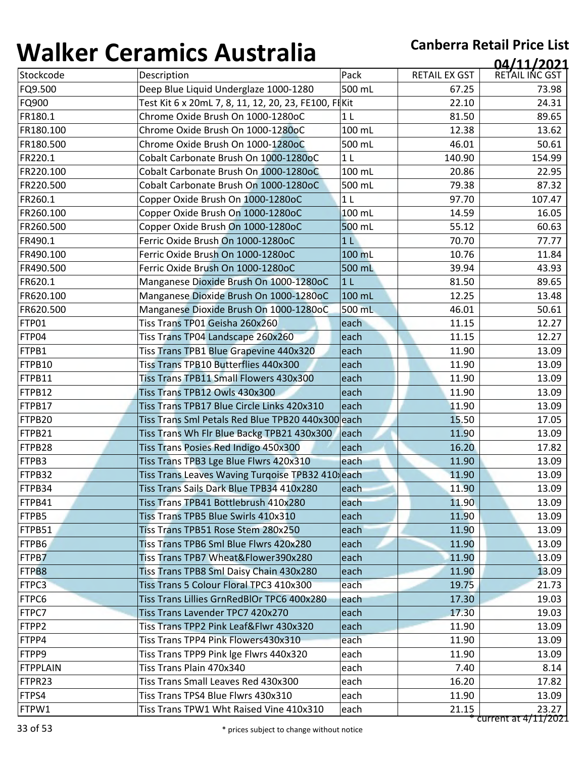| 1 J71 I N V V   | <u>sei annos 7 iascraila</u>                         |                |                      | 04/11/2021           |
|-----------------|------------------------------------------------------|----------------|----------------------|----------------------|
| Stockcode       | Description                                          | Pack           | <b>RETAIL EX GST</b> | RETAIL INC GST       |
| FQ9.500         | Deep Blue Liquid Underglaze 1000-1280                | 500 mL         | 67.25                | 73.98                |
| FQ900           | Test Kit 6 x 20mL 7, 8, 11, 12, 20, 23, FE100, FIKit |                | 22.10                | 24.31                |
| FR180.1         | Chrome Oxide Brush On 1000-1280oC                    | 1 <sub>L</sub> | 81.50                | 89.65                |
| FR180.100       | Chrome Oxide Brush On 1000-1280oC                    | 100 mL         | 12.38                | 13.62                |
| FR180.500       | Chrome Oxide Brush On 1000-1280oC                    | 500 mL         | 46.01                | 50.61                |
| FR220.1         | Cobalt Carbonate Brush On 1000-1280oC                | 1 <sub>L</sub> | 140.90               | 154.99               |
| FR220.100       | Cobalt Carbonate Brush On 1000-1280oC                | 100 mL         | 20.86                | 22.95                |
| FR220.500       | Cobalt Carbonate Brush On 1000-1280oC                | 500 mL         | 79.38                | 87.32                |
| FR260.1         | Copper Oxide Brush On 1000-1280oC                    | 1 <sub>L</sub> | 97.70                | 107.47               |
| FR260.100       | Copper Oxide Brush On 1000-1280oC                    | 100 mL         | 14.59                | 16.05                |
| FR260.500       | Copper Oxide Brush On 1000-1280oC                    | 500 mL         | 55.12                | 60.63                |
| FR490.1         | Ferric Oxide Brush On 1000-1280oC                    | 1 <sub>L</sub> | 70.70                | 77.77                |
| FR490.100       | Ferric Oxide Brush On 1000-1280oC                    | 100 mL         | 10.76                | 11.84                |
| FR490.500       | Ferric Oxide Brush On 1000-1280oC                    | 500 mL         | 39.94                | 43.93                |
| FR620.1         | Manganese Dioxide Brush On 1000-1280oC               | 1 <sub>L</sub> | 81.50                | 89.65                |
| FR620.100       | Manganese Dioxide Brush On 1000-1280oC               | 100 mL         | 12.25                | 13.48                |
| FR620.500       | Manganese Dioxide Brush On 1000-1280oC               | 500 mL         | 46.01                | 50.61                |
| FTP01           | Tiss Trans TP01 Geisha 260x260                       | each           | 11.15                | 12.27                |
| FTP04           | Tiss Trans TP04 Landscape 260x260                    | each           | 11.15                | 12.27                |
| FTPB1           | Tiss Trans TPB1 Blue Grapevine 440x320               | each           | 11.90                | 13.09                |
| FTPB10          | Tiss Trans TPB10 Butterflies 440x300                 | each           | 11.90                | 13.09                |
| FTPB11          | Tiss Trans TPB11 Small Flowers 430x300               | each           | 11.90                | 13.09                |
| FTPB12          | Tiss Trans TPB12 Owls 430x300                        | each           | 11.90                | 13.09                |
| FTPB17          | Tiss Trans TPB17 Blue Circle Links 420x310           | each           | 11.90                | 13.09                |
| FTPB20          | Tiss Trans Sml Petals Red Blue TPB20 440x300 each    |                | 15.50                | 17.05                |
| FTPB21          | Tiss Trans Wh Flr Blue Backg TPB21 430x300           | each           | 11.90                | 13.09                |
| FTPB28          | Tiss Trans Posies Red Indigo 450x300                 | each           | 16.20                | 17.82                |
| FTPB3           | Tiss Trans TPB3 Lge Blue Flwrs 420x310               | each           | 11.90                | 13.09                |
| FTPB32          | Tiss Trans Leaves Waving Turqoise TPB32 410 each     |                | 11.90                | 13.09                |
| FTPB34          | Tiss Trans Sails Dark Blue TPB34 410x280             | each           | 11.90                | 13.09                |
| FTPB41          | Tiss Trans TPB41 Bottlebrush 410x280                 | each           | 11.90                | 13.09                |
| FTPB5           | Tiss Trans TPB5 Blue Swirls 410x310                  | each           | 11.90                | 13.09                |
| FTPB51          | Tiss Trans TPB51 Rose Stem 280x250                   | each           | 11.90                | 13.09                |
| FTPB6           | Tiss Trans TPB6 Sml Blue Flwrs 420x280               | each           | 11.90                | 13.09                |
| FTPB7           | Tiss Trans TPB7 Wheat&Flower390x280                  | each           | 11.90                | 13.09                |
| FTPB8           | Tiss Trans TPB8 Sml Daisy Chain 430x280              | each           | 11.90                | 13.09                |
| FTPC3           | Tiss Trans 5 Colour Floral TPC3 410x300              | each           | 19.75                | 21.73                |
| FTPC6           | Tiss Trans Lillies GrnRedBlOr TPC6 400x280           | each           | 17.30                | 19.03                |
| FTPC7           | Tiss Trans Lavender TPC7 420x270                     | each           | 17.30                | 19.03                |
| FTPP2           | Tiss Trans TPP2 Pink Leaf&Flwr 430x320               | each           | 11.90                | 13.09                |
| FTPP4           | Tiss Trans TPP4 Pink Flowers430x310                  | each           | 11.90                | 13.09                |
| FTPP9           | Tiss Trans TPP9 Pink Ige Flwrs 440x320               | each           | 11.90                | 13.09                |
| <b>FTPPLAIN</b> | Tiss Trans Plain 470x340                             | each           | 7.40                 | 8.14                 |
| FTPR23          | Tiss Trans Small Leaves Red 430x300                  | each           | 16.20                | 17.82                |
| FTPS4           | Tiss Trans TPS4 Blue Flwrs 430x310                   | each           | 11.90                | 13.09                |
|                 |                                                      |                |                      | 23.27                |
| FTPW1           | Tiss Trans TPW1 Wht Raised Vine 410x310              | each           | 21.15                | current at 4/11/2021 |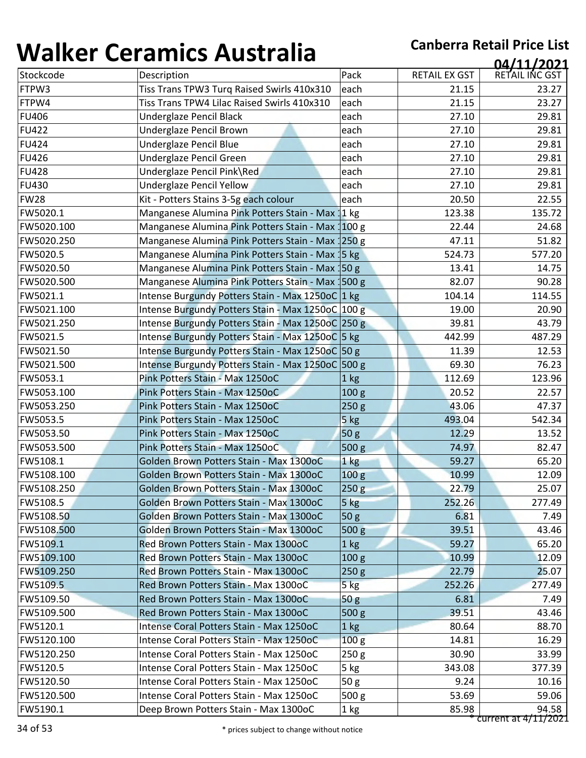| 1771 N V V       | <u>sti millist i imperalim</u>                    |                  |                      | 04/11/2021           |
|------------------|---------------------------------------------------|------------------|----------------------|----------------------|
| Stockcode        | Description                                       | Pack             | <b>RETAIL EX GST</b> | RETAIL INC GST       |
| FTPW3            | Tiss Trans TPW3 Turq Raised Swirls 410x310        | each             | 21.15                | 23.27                |
| FTPW4            | Tiss Trans TPW4 Lilac Raised Swirls 410x310       | each             | 21.15                | 23.27                |
| <b>FU406</b>     | Underglaze Pencil Black                           | each             | 27.10                | 29.81                |
| <b>FU422</b>     | Underglaze Pencil Brown                           | each             | 27.10                | 29.81                |
| <b>FU424</b>     | Underglaze Pencil Blue                            | each             | 27.10                | 29.81                |
| <b>FU426</b>     | Underglaze Pencil Green                           | each             | 27.10                | 29.81                |
| <b>FU428</b>     | Underglaze Pencil Pink\Red                        | each             | 27.10                | 29.81                |
| <b>FU430</b>     | Underglaze Pencil Yellow                          | each             | 27.10                | 29.81                |
| <b>FW28</b>      | Kit - Potters Stains 3-5g each colour             | each             | 20.50                | 22.55                |
| FW5020.1         | Manganese Alumina Pink Potters Stain - Max 11 kg  |                  | 123.38               | 135.72               |
| FW5020.100       | Manganese Alumina Pink Potters Stain - Max 100 g  |                  | 22.44                | 24.68                |
| FW5020.250       | Manganese Alumina Pink Potters Stain - Max 1250 g |                  | 47.11                | 51.82                |
| FW5020.5         | Manganese Alumina Pink Potters Stain - Max 15 kg  |                  | 524.73               | 577.20               |
| FW5020.50        | Manganese Alumina Pink Potters Stain - Max 150 g  |                  | 13.41                | 14.75                |
| FW5020.500       | Manganese Alumina Pink Potters Stain - Max 1500 g |                  | 82.07                | 90.28                |
| FW5021.1         | Intense Burgundy Potters Stain - Max 1250oC 1 kg  |                  | 104.14               | 114.55               |
| FW5021.100       | Intense Burgundy Potters Stain - Max 1250oC 100 g |                  | 19.00                | 20.90                |
| FW5021.250       | Intense Burgundy Potters Stain - Max 1250oC 250 g |                  | 39.81                | 43.79                |
| FW5021.5         | Intense Burgundy Potters Stain - Max 1250oC 5 kg  |                  | 442.99               | 487.29               |
| FW5021.50        | Intense Burgundy Potters Stain - Max 1250oC 50 g  |                  | 11.39                | 12.53                |
| FW5021.500       | Intense Burgundy Potters Stain - Max 1250oC 500 g |                  | 69.30                | 76.23                |
| FW5053.1         | Pink Potters Stain - Max 1250oC                   | 1 <sub>kg</sub>  | 112.69               | 123.96               |
| FW5053.100       | Pink Potters Stain - Max 1250oC                   | 100 <sub>g</sub> | 20.52                | 22.57                |
| FW5053.250       | Pink Potters Stain - Max 1250oC                   | 250g             | 43.06                | 47.37                |
| FW5053.5         | Pink Potters Stain - Max 1250oC                   | 5 kg             | 493.04               | 542.34               |
| FW5053.50        | Pink Potters Stain - Max 1250oC                   | 50 <sub>g</sub>  | 12.29                | 13.52                |
| FW5053.500       | Pink Potters Stain - Max 1250oC                   | 500 g            | 74.97                | 82.47                |
| FW5108.1         | Golden Brown Potters Stain - Max 1300oC           | 1 kg             | 59.27                | 65.20                |
| FW5108.100       | Golden Brown Potters Stain - Max 1300oC           | 100 g            | 10.99                | 12.09                |
| FW5108.250       | Golden Brown Potters Stain - Max 1300oC           | 250g             | 22.79                | 25.07                |
| FW5108.5         | Golden Brown Potters Stain - Max 1300oC           | 5 kg             | 252.26               | 277.49               |
| <b>FW5108.50</b> | Golden Brown Potters Stain - Max 1300oC           | 50 <sub>g</sub>  | 6.81                 | 7.49                 |
| FW5108.500       | Golden Brown Potters Stain - Max 1300oC           | 500 <sub>g</sub> | 39.51                | 43.46                |
| FW5109.1         | Red Brown Potters Stain - Max 1300oC              | 1 <sub>kg</sub>  | 59.27                | 65.20                |
| FW5109.100       | Red Brown Potters Stain - Max 1300oC              | 100 <sub>g</sub> | 10.99                | 12.09                |
| FW5109.250       | Red Brown Potters Stain - Max 1300oC              | 250g             | 22.79                | 25.07                |
| <b>FW5109.5</b>  | Red Brown Potters Stain - Max 1300oC              | $5$ kg           | 252.26               | 277.49               |
| FW5109.50        | Red Brown Potters Stain - Max 1300oC              | 50 <sub>g</sub>  | 6.81                 | 7.49                 |
| FW5109.500       | Red Brown Potters Stain - Max 1300oC              | 500 <sub>g</sub> | 39.51                | 43.46                |
| FW5120.1         | Intense Coral Potters Stain - Max 1250oC          | 1 kg             | 80.64                | 88.70                |
| FW5120.100       | Intense Coral Potters Stain - Max 1250oC          | 100 <sub>g</sub> | 14.81                | 16.29                |
| FW5120.250       | Intense Coral Potters Stain - Max 1250oC          | 250 g            | 30.90                | 33.99                |
| FW5120.5         | Intense Coral Potters Stain - Max 1250oC          | 5 kg             | 343.08               | 377.39               |
| FW5120.50        | Intense Coral Potters Stain - Max 1250oC          | 50g              | 9.24                 | 10.16                |
| FW5120.500       | Intense Coral Potters Stain - Max 1250oC          | 500 <sub>g</sub> | 53.69                | 59.06                |
| FW5190.1         | Deep Brown Potters Stain - Max 1300oC             | 1 kg             | 85.98                | 94.58                |
|                  |                                                   |                  |                      | current at 4/11/2021 |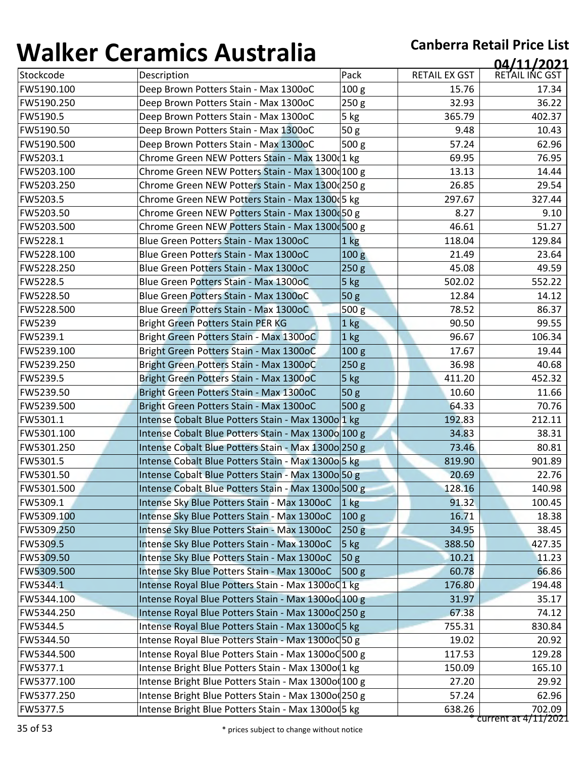| 1771 N V V    | <u>senamnes riascrana</u>                           |                  |                      | 04/11/2021           |
|---------------|-----------------------------------------------------|------------------|----------------------|----------------------|
| Stockcode     | Description                                         | Pack             | <b>RETAIL EX GST</b> | RETAIL INC GST       |
| FW5190.100    | Deep Brown Potters Stain - Max 1300oC               | 100 <sub>g</sub> | 15.76                | 17.34                |
| FW5190.250    | Deep Brown Potters Stain - Max 1300oC               | 250 g            | 32.93                | 36.22                |
| FW5190.5      | Deep Brown Potters Stain - Max 1300oC               | 5 kg             | 365.79               | 402.37               |
| FW5190.50     | Deep Brown Potters Stain - Max 1300oC               | 50g              | 9.48                 | 10.43                |
| FW5190.500    | Deep Brown Potters Stain - Max 1300oC               | 500 g            | 57.24                | 62.96                |
| FW5203.1      | Chrome Green NEW Potters Stain - Max 1300 1 kg      |                  | 69.95                | 76.95                |
| FW5203.100    | Chrome Green NEW Potters Stain - Max 1300 100 g     |                  | 13.13                | 14.44                |
| FW5203.250    | Chrome Green NEW Potters Stain - Max 1300 250 g     |                  | 26.85                | 29.54                |
| FW5203.5      | Chrome Green NEW Potters Stain - Max 1300 5 kg      |                  | 297.67               | 327.44               |
| FW5203.50     | Chrome Green NEW Potters Stain - Max 1300 50 g      |                  | 8.27                 | 9.10                 |
| FW5203.500    | Chrome Green NEW Potters Stain - Max 1300 500 g     |                  | 46.61                | 51.27                |
| FW5228.1      | Blue Green Potters Stain - Max 1300oC               | 1 <sub>kg</sub>  | 118.04               | 129.84               |
| FW5228.100    | Blue Green Potters Stain - Max 1300oC               | 100 <sub>g</sub> | 21.49                | 23.64                |
| FW5228.250    | Blue Green Potters Stain - Max 1300oC               | 250 <sub>g</sub> | 45.08                | 49.59                |
| FW5228.5      | Blue Green Potters Stain - Max 1300oC               | 5 kg             | 502.02               | 552.22               |
| FW5228.50     | Blue Green Potters Stain - Max 1300oC               | 50 <sub>g</sub>  | 12.84                | 14.12                |
| FW5228.500    | Blue Green Potters Stain - Max 1300oC               | 500 <sub>g</sub> | 78.52                | 86.37                |
| <b>FW5239</b> | <b>Bright Green Potters Stain PER KG</b>            | 1 kg             | 90.50                | 99.55                |
| FW5239.1      | Bright Green Potters Stain - Max 1300oC             | $1$ kg           | 96.67                | 106.34               |
| FW5239.100    | Bright Green Potters Stain - Max 1300oC             | 100 <sub>g</sub> | 17.67                | 19.44                |
| FW5239.250    | Bright Green Potters Stain - Max 1300oC             | 250g             | 36.98                | 40.68                |
| FW5239.5      | Bright Green Potters Stain - Max 1300oC             | 5 kg             | 411.20               | 452.32               |
| FW5239.50     | Bright Green Potters Stain - Max 1300oC             | 50 <sub>g</sub>  | 10.60                | 11.66                |
| FW5239.500    | Bright Green Potters Stain - Max 1300oC             | 500 g            | 64.33                | 70.76                |
| FW5301.1      | Intense Cobalt Blue Potters Stain - Max 1300o 1 kg  |                  | 192.83               | 212.11               |
| FW5301.100    | Intense Cobalt Blue Potters Stain - Max 1300o 100 g |                  | 34.83                | 38.31                |
| FW5301.250    | Intense Cobalt Blue Potters Stain - Max 1300o 250 g |                  | 73.46                | 80.81                |
| FW5301.5      | Intense Cobalt Blue Potters Stain - Max 1300o 5 kg  |                  | 819.90               | 901.89               |
| FW5301.50     | Intense Cobalt Blue Potters Stain - Max 13000 50 g  |                  | 20.69                | 22.76                |
| FW5301.500    | Intense Cobalt Blue Potters Stain - Max 1300o 500 g |                  | 128.16               | 140.98               |
| FW5309.1      | Intense Sky Blue Potters Stain - Max 1300oC         | $1 \text{ kg}$   | 91.32                | 100.45               |
| FW5309.100    | Intense Sky Blue Potters Stain - Max 1300oC         | 100 <sub>g</sub> | 16.71                | 18.38                |
| FW5309.250    | Intense Sky Blue Potters Stain - Max 1300oC         | 250g             | 34.95                | 38.45                |
| FW5309.5      | Intense Sky Blue Potters Stain - Max 1300oC         | $5$ kg           | 388.50               | 427.35               |
| FW5309.50     | Intense Sky Blue Potters Stain - Max 1300oC         | 50 <sub>g</sub>  | 10.21                | 11.23                |
| FW5309.500    | Intense Sky Blue Potters Stain - Max 1300oC         | 500 <sub>g</sub> | 60.78                | 66.86                |
| FW5344.1      | Intense Royal Blue Potters Stain - Max 1300o01 kg   |                  | 176.80               | 194.48               |
| FW5344.100    | Intense Royal Blue Potters Stain - Max 1300o 100 g  |                  | 31.97                | 35.17                |
| FW5344.250    | Intense Royal Blue Potters Stain - Max 1300oC 250 g |                  | 67.38                | 74.12                |
| FW5344.5      | Intense Royal Blue Potters Stain - Max 1300oQ5 kg   |                  | 755.31               | 830.84               |
| FW5344.50     | Intense Royal Blue Potters Stain - Max 1300o0 50 g  |                  | 19.02                | 20.92                |
| FW5344.500    | Intense Royal Blue Potters Stain - Max 1300oC 500 g |                  | 117.53               | 129.28               |
| FW5377.1      | Intense Bright Blue Potters Stain - Max 1300o(1 kg  |                  | 150.09               | 165.10               |
| FW5377.100    | Intense Bright Blue Potters Stain - Max 1300o(100 g |                  | 27.20                | 29.92                |
| FW5377.250    | Intense Bright Blue Potters Stain - Max 1300o(250 g |                  | 57.24                | 62.96                |
| FW5377.5      | Intense Bright Blue Potters Stain - Max 1300o(5 kg  |                  | 638.26               | 702.09               |
|               |                                                     |                  |                      | current at 4/11/2021 |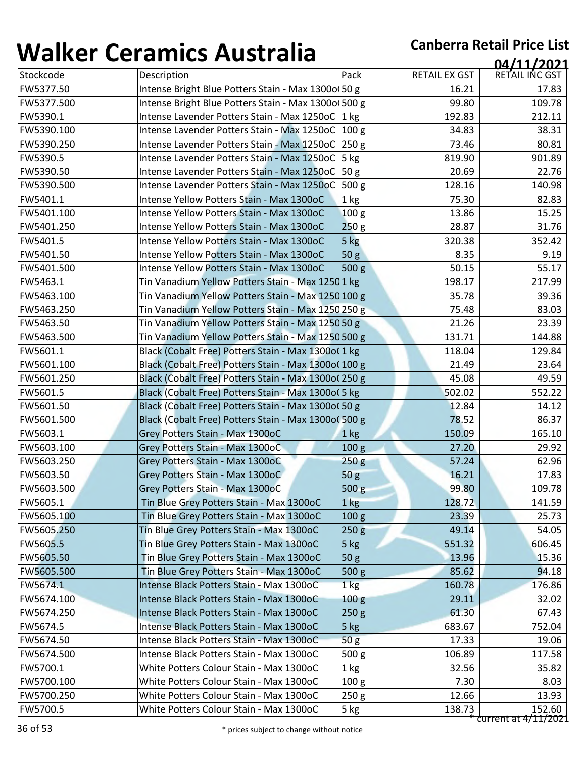| TJ11177    | <u>sei annos 7 iascraila</u>                         |                  |                      | 04/11/2021             |
|------------|------------------------------------------------------|------------------|----------------------|------------------------|
| Stockcode  | Description                                          | Pack             | <b>RETAIL EX GST</b> | RETAIL INC GST         |
| FW5377.50  | Intense Bright Blue Potters Stain - Max 1300o(50 g   |                  | 16.21                | 17.83                  |
| FW5377.500 | Intense Bright Blue Potters Stain - Max 1300o 500 g  |                  | 99.80                | 109.78                 |
| FW5390.1   | Intense Lavender Potters Stain - Max 1250oC 1 kg     |                  | 192.83               | 212.11                 |
| FW5390.100 | Intense Lavender Potters Stain - Max 1250oC 100 g    |                  | 34.83                | 38.31                  |
| FW5390.250 | Intense Lavender Potters Stain - Max 1250oC 250 g    |                  | 73.46                | 80.81                  |
| FW5390.5   | Intense Lavender Potters Stain - Max 1250oC   5 kg   |                  | 819.90               | 901.89                 |
| FW5390.50  | Intense Lavender Potters Stain - Max 1250oC 50 g     |                  | 20.69                | 22.76                  |
| FW5390.500 | Intense Lavender Potters Stain - Max 1250oC          | 500 <sub>g</sub> | 128.16               | 140.98                 |
| FW5401.1   | Intense Yellow Potters Stain - Max 1300oC            | 1 kg             | 75.30                | 82.83                  |
| FW5401.100 | Intense Yellow Potters Stain - Max 1300oC            | 100 <sub>g</sub> | 13.86                | 15.25                  |
| FW5401.250 | Intense Yellow Potters Stain - Max 1300oC            | 250g             | 28.87                | 31.76                  |
| FW5401.5   | Intense Yellow Potters Stain - Max 1300oC            | 5 kg             | 320.38               | 352.42                 |
| FW5401.50  | Intense Yellow Potters Stain - Max 1300oC            | 50 g             | 8.35                 | 9.19                   |
| FW5401.500 | Intense Yellow Potters Stain - Max 1300oC            | 500 <sub>g</sub> | 50.15                | 55.17                  |
| FW5463.1   | Tin Vanadium Yellow Potters Stain - Max 12501 kg     |                  | 198.17               | 217.99                 |
| FW5463.100 | Tin Vanadium Yellow Potters Stain - Max 1250 100 g   |                  | 35.78                | 39.36                  |
| FW5463.250 | Tin Vanadium Yellow Potters Stain - Max 1250 250 g   |                  | 75.48                | 83.03                  |
| FW5463.50  | Tin Vanadium Yellow Potters Stain - Max 1250 50 g    |                  | 21.26                | 23.39                  |
| FW5463.500 | Tin Vanadium Yellow Potters Stain - Max 1250 500 g   |                  | 131.71               | 144.88                 |
| FW5601.1   | Black (Cobalt Free) Potters Stain - Max 1300o(1 kg   |                  | 118.04               | 129.84                 |
| FW5601.100 | Black (Cobalt Free) Potters Stain - Max 1300o(100 g  |                  | 21.49                | 23.64                  |
| FW5601.250 | Black (Cobalt Free) Potters Stain - Max 1300o (250 g |                  | 45.08                | 49.59                  |
| FW5601.5   | Black (Cobalt Free) Potters Stain - Max 1300o (5 kg  |                  | 502.02               | 552.22                 |
| FW5601.50  | Black (Cobalt Free) Potters Stain - Max 1300o (50 g  |                  | 12.84                | 14.12                  |
| FW5601.500 | Black (Cobalt Free) Potters Stain - Max 1300o0500 g  |                  | 78.52                | 86.37                  |
| FW5603.1   | Grey Potters Stain - Max 1300oC                      | 1 kg             | 150.09               | 165.10                 |
| FW5603.100 | Grey Potters Stain - Max 1300oC                      | 100 <sub>g</sub> | 27.20                | 29.92                  |
| FW5603.250 | Grey Potters Stain - Max 1300oC                      | 250 <sub>g</sub> | 57.24                | 62.96                  |
| FW5603.50  | Grey Potters Stain - Max 1300oC                      | 50g              | 16.21                | 17.83                  |
| FW5603.500 | Grey Potters Stain - Max 1300oC                      | 500 g            | 99.80                | 109.78                 |
| FW5605.1   | Tin Blue Grey Potters Stain - Max 1300oC             | $1$ kg           | 128.72               | 141.59                 |
| FW5605.100 | Tin Blue Grey Potters Stain - Max 1300oC             | 100 <sub>g</sub> | 23.39                | 25.73                  |
| FW5605.250 | Tin Blue Grey Potters Stain - Max 1300oC             | 250 <sub>g</sub> | 49.14                | 54.05                  |
| FW5605.5   | Tin Blue Grey Potters Stain - Max 1300oC             | 5 kg             | 551.32               | 606.45                 |
| FW5605.50  | Tin Blue Grey Potters Stain - Max 1300oC             | 50 <sub>g</sub>  | 13.96                | 15.36                  |
| FW5605.500 | Tin Blue Grey Potters Stain - Max 1300oC             | 500 g            | 85.62                | 94.18                  |
| FW5674.1   | Intense Black Potters Stain - Max 1300oC             | 1 <sub>kg</sub>  | 160.78               | 176.86                 |
| FW5674.100 | Intense Black Potters Stain - Max 1300oC             | 100 <sub>g</sub> | 29.11                | 32.02                  |
| FW5674.250 | Intense Black Potters Stain - Max 1300oC             | 250 <sub>g</sub> | 61.30                | 67.43                  |
| FW5674.5   | Intense Black Potters Stain - Max 1300oC             | $5$ kg           | 683.67               | 752.04                 |
| FW5674.50  | Intense Black Potters Stain - Max 1300oC             | 50g              | 17.33                | 19.06                  |
| FW5674.500 | Intense Black Potters Stain - Max 1300oC             | 500 g            | 106.89               | 117.58                 |
| FW5700.1   | White Potters Colour Stain - Max 1300oC              | 1 kg             | 32.56                | 35.82                  |
| FW5700.100 | White Potters Colour Stain - Max 1300oC              | 100 <sub>g</sub> | 7.30                 | 8.03                   |
| FW5700.250 | White Potters Colour Stain - Max 1300oC              | 250g             | 12.66                | 13.93                  |
| FW5700.5   | White Potters Colour Stain - Max 1300oC              | 5 kg             | 138.73               | 152.60                 |
|            |                                                      |                  |                      | $current at 4/11/2021$ |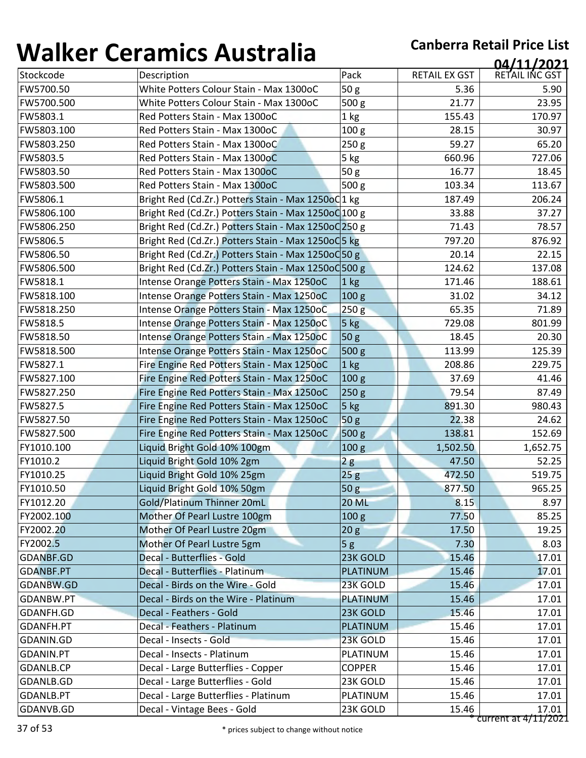| Stockcode<br>Description<br>Pack<br>RETAIL EX GST<br>White Potters Colour Stain - Max 1300oC<br>50 <sub>g</sub><br>FW5700.50<br>5.36<br>White Potters Colour Stain - Max 1300oC<br>500 g<br>21.77<br>FW5700.500<br>FW5803.1<br>Red Potters Stain - Max 1300oC<br>1 <sub>kg</sub><br>155.43<br>FW5803.100<br>100 <sub>g</sub><br>Red Potters Stain - Max 1300oC<br>28.15<br>FW5803.250<br>Red Potters Stain - Max 1300oC<br>250 g<br>59.27<br>FW5803.5<br>Red Potters Stain - Max 1300oC<br>5 kg<br>660.96<br>50g<br>16.77<br>FW5803.50<br>Red Potters Stain - Max 1300oC<br>FW5803.500<br>Red Potters Stain - Max 1300oC<br>500 <sub>g</sub><br>103.34<br>FW5806.1<br>Bright Red (Cd.Zr.) Potters Stain - Max 1250oC1 kg<br>187.49<br>FW5806.100<br>Bright Red (Cd.Zr.) Potters Stain - Max 1250o0 100 g<br>33.88<br>FW5806.250<br>Bright Red (Cd.Zr.) Potters Stain - Max 1250oC 250 g<br>71.43<br>Bright Red (Cd.Zr.) Potters Stain - Max 1250od 5 kg<br>FW5806.5<br>797.20<br>FW5806.50<br>Bright Red (Cd.Zr.) Potters Stain - Max 1250od 50 g<br>20.14<br>FW5806.500<br>Bright Red (Cd.Zr.) Potters Stain - Max 1250oC 500 g<br>124.62<br>FW5818.1<br>Intense Orange Potters Stain - Max 1250oC<br>171.46<br>1 <sub>kg</sub><br>FW5818.100<br>Intense Orange Potters Stain - Max 1250oC<br>31.02<br>100 <sub>g</sub><br>65.35<br>FW5818.250<br>Intense Orange Potters Stain - Max 1250oC<br>250g<br>FW5818.5<br>729.08<br>Intense Orange Potters Stain - Max 1250oC<br>$5$ kg<br>FW5818.50<br>Intense Orange Potters Stain - Max 1250oC<br>50 <sub>g</sub><br>18.45<br>FW5818.500<br>Intense Orange Potters Stain - Max 1250oC<br>500 g<br>113.99<br>FW5827.1<br>Fire Engine Red Potters Stain - Max 1250oC<br>1 kg<br>208.86<br>FW5827.100<br>Fire Engine Red Potters Stain - Max 1250oC<br>100 <sub>g</sub><br>37.69<br>FW5827.250<br>Fire Engine Red Potters Stain - Max 1250oC<br>79.54<br>250g<br>FW5827.5<br>Fire Engine Red Potters Stain - Max 1250oC<br>5 kg<br>891.30<br>FW5827.50<br>50g<br>22.38<br>Fire Engine Red Potters Stain - Max 1250oC<br>FW5827.500<br>500 g<br>Fire Engine Red Potters Stain - Max 1250oC<br>138.81<br>FY1010.100<br>Liquid Bright Gold 10% 100gm<br>100 <sub>g</sub><br>1,502.50<br>FY1010.2<br>Liquid Bright Gold 10% 2gm<br>47.50<br>2g<br>FY1010.25<br>25g<br>472.50<br>Liquid Bright Gold 10% 25gm<br>50 g<br>877.50<br>FY1010.50<br>Liquid Bright Gold 10% 50gm<br>Gold/Platinum Thinner 20mL<br>FY1012.20<br><b>20 ML</b><br>8.15<br>FY2002.100<br>Mother Of Pearl Lustre 100gm<br>100 <sub>g</sub><br>77.50<br>FY2002.20<br>Mother Of Pearl Lustre 20gm<br>17.50<br>20 <sub>g</sub><br>FY2002.5<br>Mother Of Pearl Lustre 5gm<br>5g<br>7.30<br>Decal - Butterflies - Gold<br>23K GOLD<br>15.46<br>GDANBF.GD<br>Decal - Butterflies - Platinum<br><b>GDANBF.PT</b><br><b>PLATINUM</b><br>15.46<br>Decal - Birds on the Wire - Gold<br>23K GOLD<br>GDANBW.GD<br>15.46<br><b>PLATINUM</b><br>15.46<br>GDANBW.PT<br>Decal - Birds on the Wire - Platinum<br>GDANFH.GD<br>Decal - Feathers - Gold<br>23K GOLD<br>15.46<br>Decal - Feathers - Platinum<br>15.46<br>GDANFH.PT<br><b>PLATINUM</b><br>Decal - Insects - Gold<br>GDANIN.GD<br>23K GOLD<br>15.46<br>Decal - Insects - Platinum<br>15.46<br>GDANIN.PT<br>PLATINUM<br>Decal - Large Butterflies - Copper<br>GDANLB.CP<br><b>COPPER</b><br>15.46 | T J J I I V J I | <u>sei ann con an co-</u>        |          |       | 04/11/2021                      |
|------------------------------------------------------------------------------------------------------------------------------------------------------------------------------------------------------------------------------------------------------------------------------------------------------------------------------------------------------------------------------------------------------------------------------------------------------------------------------------------------------------------------------------------------------------------------------------------------------------------------------------------------------------------------------------------------------------------------------------------------------------------------------------------------------------------------------------------------------------------------------------------------------------------------------------------------------------------------------------------------------------------------------------------------------------------------------------------------------------------------------------------------------------------------------------------------------------------------------------------------------------------------------------------------------------------------------------------------------------------------------------------------------------------------------------------------------------------------------------------------------------------------------------------------------------------------------------------------------------------------------------------------------------------------------------------------------------------------------------------------------------------------------------------------------------------------------------------------------------------------------------------------------------------------------------------------------------------------------------------------------------------------------------------------------------------------------------------------------------------------------------------------------------------------------------------------------------------------------------------------------------------------------------------------------------------------------------------------------------------------------------------------------------------------------------------------------------------------------------------------------------------------------------------------------------------------------------------------------------------------------------------------------------------------------------------------------------------------------------------------------------------------------------------------------------------------------------------------------------------------------------------------------------------------------------------------------------------------------------------------------------------------------------------------------------------------------------------------------------------------------------------------------------------------------------------------------------------------------------------------------------------------------------------------------------------------------------------------------|-----------------|----------------------------------|----------|-------|---------------------------------|
|                                                                                                                                                                                                                                                                                                                                                                                                                                                                                                                                                                                                                                                                                                                                                                                                                                                                                                                                                                                                                                                                                                                                                                                                                                                                                                                                                                                                                                                                                                                                                                                                                                                                                                                                                                                                                                                                                                                                                                                                                                                                                                                                                                                                                                                                                                                                                                                                                                                                                                                                                                                                                                                                                                                                                                                                                                                                                                                                                                                                                                                                                                                                                                                                                                                                                                                                                      |                 |                                  |          |       | RETAIL INC GST                  |
|                                                                                                                                                                                                                                                                                                                                                                                                                                                                                                                                                                                                                                                                                                                                                                                                                                                                                                                                                                                                                                                                                                                                                                                                                                                                                                                                                                                                                                                                                                                                                                                                                                                                                                                                                                                                                                                                                                                                                                                                                                                                                                                                                                                                                                                                                                                                                                                                                                                                                                                                                                                                                                                                                                                                                                                                                                                                                                                                                                                                                                                                                                                                                                                                                                                                                                                                                      |                 |                                  |          |       | 5.90                            |
|                                                                                                                                                                                                                                                                                                                                                                                                                                                                                                                                                                                                                                                                                                                                                                                                                                                                                                                                                                                                                                                                                                                                                                                                                                                                                                                                                                                                                                                                                                                                                                                                                                                                                                                                                                                                                                                                                                                                                                                                                                                                                                                                                                                                                                                                                                                                                                                                                                                                                                                                                                                                                                                                                                                                                                                                                                                                                                                                                                                                                                                                                                                                                                                                                                                                                                                                                      |                 |                                  |          |       | 23.95                           |
|                                                                                                                                                                                                                                                                                                                                                                                                                                                                                                                                                                                                                                                                                                                                                                                                                                                                                                                                                                                                                                                                                                                                                                                                                                                                                                                                                                                                                                                                                                                                                                                                                                                                                                                                                                                                                                                                                                                                                                                                                                                                                                                                                                                                                                                                                                                                                                                                                                                                                                                                                                                                                                                                                                                                                                                                                                                                                                                                                                                                                                                                                                                                                                                                                                                                                                                                                      |                 |                                  |          |       | 170.97                          |
|                                                                                                                                                                                                                                                                                                                                                                                                                                                                                                                                                                                                                                                                                                                                                                                                                                                                                                                                                                                                                                                                                                                                                                                                                                                                                                                                                                                                                                                                                                                                                                                                                                                                                                                                                                                                                                                                                                                                                                                                                                                                                                                                                                                                                                                                                                                                                                                                                                                                                                                                                                                                                                                                                                                                                                                                                                                                                                                                                                                                                                                                                                                                                                                                                                                                                                                                                      |                 |                                  |          |       | 30.97                           |
|                                                                                                                                                                                                                                                                                                                                                                                                                                                                                                                                                                                                                                                                                                                                                                                                                                                                                                                                                                                                                                                                                                                                                                                                                                                                                                                                                                                                                                                                                                                                                                                                                                                                                                                                                                                                                                                                                                                                                                                                                                                                                                                                                                                                                                                                                                                                                                                                                                                                                                                                                                                                                                                                                                                                                                                                                                                                                                                                                                                                                                                                                                                                                                                                                                                                                                                                                      |                 |                                  |          |       | 65.20                           |
|                                                                                                                                                                                                                                                                                                                                                                                                                                                                                                                                                                                                                                                                                                                                                                                                                                                                                                                                                                                                                                                                                                                                                                                                                                                                                                                                                                                                                                                                                                                                                                                                                                                                                                                                                                                                                                                                                                                                                                                                                                                                                                                                                                                                                                                                                                                                                                                                                                                                                                                                                                                                                                                                                                                                                                                                                                                                                                                                                                                                                                                                                                                                                                                                                                                                                                                                                      |                 |                                  |          |       | 727.06                          |
|                                                                                                                                                                                                                                                                                                                                                                                                                                                                                                                                                                                                                                                                                                                                                                                                                                                                                                                                                                                                                                                                                                                                                                                                                                                                                                                                                                                                                                                                                                                                                                                                                                                                                                                                                                                                                                                                                                                                                                                                                                                                                                                                                                                                                                                                                                                                                                                                                                                                                                                                                                                                                                                                                                                                                                                                                                                                                                                                                                                                                                                                                                                                                                                                                                                                                                                                                      |                 |                                  |          |       | 18.45                           |
|                                                                                                                                                                                                                                                                                                                                                                                                                                                                                                                                                                                                                                                                                                                                                                                                                                                                                                                                                                                                                                                                                                                                                                                                                                                                                                                                                                                                                                                                                                                                                                                                                                                                                                                                                                                                                                                                                                                                                                                                                                                                                                                                                                                                                                                                                                                                                                                                                                                                                                                                                                                                                                                                                                                                                                                                                                                                                                                                                                                                                                                                                                                                                                                                                                                                                                                                                      |                 |                                  |          |       | 113.67                          |
|                                                                                                                                                                                                                                                                                                                                                                                                                                                                                                                                                                                                                                                                                                                                                                                                                                                                                                                                                                                                                                                                                                                                                                                                                                                                                                                                                                                                                                                                                                                                                                                                                                                                                                                                                                                                                                                                                                                                                                                                                                                                                                                                                                                                                                                                                                                                                                                                                                                                                                                                                                                                                                                                                                                                                                                                                                                                                                                                                                                                                                                                                                                                                                                                                                                                                                                                                      |                 |                                  |          |       | 206.24                          |
|                                                                                                                                                                                                                                                                                                                                                                                                                                                                                                                                                                                                                                                                                                                                                                                                                                                                                                                                                                                                                                                                                                                                                                                                                                                                                                                                                                                                                                                                                                                                                                                                                                                                                                                                                                                                                                                                                                                                                                                                                                                                                                                                                                                                                                                                                                                                                                                                                                                                                                                                                                                                                                                                                                                                                                                                                                                                                                                                                                                                                                                                                                                                                                                                                                                                                                                                                      |                 |                                  |          |       | 37.27                           |
|                                                                                                                                                                                                                                                                                                                                                                                                                                                                                                                                                                                                                                                                                                                                                                                                                                                                                                                                                                                                                                                                                                                                                                                                                                                                                                                                                                                                                                                                                                                                                                                                                                                                                                                                                                                                                                                                                                                                                                                                                                                                                                                                                                                                                                                                                                                                                                                                                                                                                                                                                                                                                                                                                                                                                                                                                                                                                                                                                                                                                                                                                                                                                                                                                                                                                                                                                      |                 |                                  |          |       | 78.57                           |
|                                                                                                                                                                                                                                                                                                                                                                                                                                                                                                                                                                                                                                                                                                                                                                                                                                                                                                                                                                                                                                                                                                                                                                                                                                                                                                                                                                                                                                                                                                                                                                                                                                                                                                                                                                                                                                                                                                                                                                                                                                                                                                                                                                                                                                                                                                                                                                                                                                                                                                                                                                                                                                                                                                                                                                                                                                                                                                                                                                                                                                                                                                                                                                                                                                                                                                                                                      |                 |                                  |          |       | 876.92                          |
|                                                                                                                                                                                                                                                                                                                                                                                                                                                                                                                                                                                                                                                                                                                                                                                                                                                                                                                                                                                                                                                                                                                                                                                                                                                                                                                                                                                                                                                                                                                                                                                                                                                                                                                                                                                                                                                                                                                                                                                                                                                                                                                                                                                                                                                                                                                                                                                                                                                                                                                                                                                                                                                                                                                                                                                                                                                                                                                                                                                                                                                                                                                                                                                                                                                                                                                                                      |                 |                                  |          |       | 22.15                           |
|                                                                                                                                                                                                                                                                                                                                                                                                                                                                                                                                                                                                                                                                                                                                                                                                                                                                                                                                                                                                                                                                                                                                                                                                                                                                                                                                                                                                                                                                                                                                                                                                                                                                                                                                                                                                                                                                                                                                                                                                                                                                                                                                                                                                                                                                                                                                                                                                                                                                                                                                                                                                                                                                                                                                                                                                                                                                                                                                                                                                                                                                                                                                                                                                                                                                                                                                                      |                 |                                  |          |       | 137.08                          |
|                                                                                                                                                                                                                                                                                                                                                                                                                                                                                                                                                                                                                                                                                                                                                                                                                                                                                                                                                                                                                                                                                                                                                                                                                                                                                                                                                                                                                                                                                                                                                                                                                                                                                                                                                                                                                                                                                                                                                                                                                                                                                                                                                                                                                                                                                                                                                                                                                                                                                                                                                                                                                                                                                                                                                                                                                                                                                                                                                                                                                                                                                                                                                                                                                                                                                                                                                      |                 |                                  |          |       | 188.61                          |
|                                                                                                                                                                                                                                                                                                                                                                                                                                                                                                                                                                                                                                                                                                                                                                                                                                                                                                                                                                                                                                                                                                                                                                                                                                                                                                                                                                                                                                                                                                                                                                                                                                                                                                                                                                                                                                                                                                                                                                                                                                                                                                                                                                                                                                                                                                                                                                                                                                                                                                                                                                                                                                                                                                                                                                                                                                                                                                                                                                                                                                                                                                                                                                                                                                                                                                                                                      |                 |                                  |          |       | 34.12                           |
|                                                                                                                                                                                                                                                                                                                                                                                                                                                                                                                                                                                                                                                                                                                                                                                                                                                                                                                                                                                                                                                                                                                                                                                                                                                                                                                                                                                                                                                                                                                                                                                                                                                                                                                                                                                                                                                                                                                                                                                                                                                                                                                                                                                                                                                                                                                                                                                                                                                                                                                                                                                                                                                                                                                                                                                                                                                                                                                                                                                                                                                                                                                                                                                                                                                                                                                                                      |                 |                                  |          |       | 71.89                           |
|                                                                                                                                                                                                                                                                                                                                                                                                                                                                                                                                                                                                                                                                                                                                                                                                                                                                                                                                                                                                                                                                                                                                                                                                                                                                                                                                                                                                                                                                                                                                                                                                                                                                                                                                                                                                                                                                                                                                                                                                                                                                                                                                                                                                                                                                                                                                                                                                                                                                                                                                                                                                                                                                                                                                                                                                                                                                                                                                                                                                                                                                                                                                                                                                                                                                                                                                                      |                 |                                  |          |       | 801.99                          |
|                                                                                                                                                                                                                                                                                                                                                                                                                                                                                                                                                                                                                                                                                                                                                                                                                                                                                                                                                                                                                                                                                                                                                                                                                                                                                                                                                                                                                                                                                                                                                                                                                                                                                                                                                                                                                                                                                                                                                                                                                                                                                                                                                                                                                                                                                                                                                                                                                                                                                                                                                                                                                                                                                                                                                                                                                                                                                                                                                                                                                                                                                                                                                                                                                                                                                                                                                      |                 |                                  |          |       | 20.30                           |
|                                                                                                                                                                                                                                                                                                                                                                                                                                                                                                                                                                                                                                                                                                                                                                                                                                                                                                                                                                                                                                                                                                                                                                                                                                                                                                                                                                                                                                                                                                                                                                                                                                                                                                                                                                                                                                                                                                                                                                                                                                                                                                                                                                                                                                                                                                                                                                                                                                                                                                                                                                                                                                                                                                                                                                                                                                                                                                                                                                                                                                                                                                                                                                                                                                                                                                                                                      |                 |                                  |          |       | 125.39                          |
|                                                                                                                                                                                                                                                                                                                                                                                                                                                                                                                                                                                                                                                                                                                                                                                                                                                                                                                                                                                                                                                                                                                                                                                                                                                                                                                                                                                                                                                                                                                                                                                                                                                                                                                                                                                                                                                                                                                                                                                                                                                                                                                                                                                                                                                                                                                                                                                                                                                                                                                                                                                                                                                                                                                                                                                                                                                                                                                                                                                                                                                                                                                                                                                                                                                                                                                                                      |                 |                                  |          |       | 229.75                          |
|                                                                                                                                                                                                                                                                                                                                                                                                                                                                                                                                                                                                                                                                                                                                                                                                                                                                                                                                                                                                                                                                                                                                                                                                                                                                                                                                                                                                                                                                                                                                                                                                                                                                                                                                                                                                                                                                                                                                                                                                                                                                                                                                                                                                                                                                                                                                                                                                                                                                                                                                                                                                                                                                                                                                                                                                                                                                                                                                                                                                                                                                                                                                                                                                                                                                                                                                                      |                 |                                  |          |       | 41.46                           |
|                                                                                                                                                                                                                                                                                                                                                                                                                                                                                                                                                                                                                                                                                                                                                                                                                                                                                                                                                                                                                                                                                                                                                                                                                                                                                                                                                                                                                                                                                                                                                                                                                                                                                                                                                                                                                                                                                                                                                                                                                                                                                                                                                                                                                                                                                                                                                                                                                                                                                                                                                                                                                                                                                                                                                                                                                                                                                                                                                                                                                                                                                                                                                                                                                                                                                                                                                      |                 |                                  |          |       | 87.49                           |
|                                                                                                                                                                                                                                                                                                                                                                                                                                                                                                                                                                                                                                                                                                                                                                                                                                                                                                                                                                                                                                                                                                                                                                                                                                                                                                                                                                                                                                                                                                                                                                                                                                                                                                                                                                                                                                                                                                                                                                                                                                                                                                                                                                                                                                                                                                                                                                                                                                                                                                                                                                                                                                                                                                                                                                                                                                                                                                                                                                                                                                                                                                                                                                                                                                                                                                                                                      |                 |                                  |          |       | 980.43                          |
|                                                                                                                                                                                                                                                                                                                                                                                                                                                                                                                                                                                                                                                                                                                                                                                                                                                                                                                                                                                                                                                                                                                                                                                                                                                                                                                                                                                                                                                                                                                                                                                                                                                                                                                                                                                                                                                                                                                                                                                                                                                                                                                                                                                                                                                                                                                                                                                                                                                                                                                                                                                                                                                                                                                                                                                                                                                                                                                                                                                                                                                                                                                                                                                                                                                                                                                                                      |                 |                                  |          |       | 24.62                           |
|                                                                                                                                                                                                                                                                                                                                                                                                                                                                                                                                                                                                                                                                                                                                                                                                                                                                                                                                                                                                                                                                                                                                                                                                                                                                                                                                                                                                                                                                                                                                                                                                                                                                                                                                                                                                                                                                                                                                                                                                                                                                                                                                                                                                                                                                                                                                                                                                                                                                                                                                                                                                                                                                                                                                                                                                                                                                                                                                                                                                                                                                                                                                                                                                                                                                                                                                                      |                 |                                  |          |       | 152.69                          |
|                                                                                                                                                                                                                                                                                                                                                                                                                                                                                                                                                                                                                                                                                                                                                                                                                                                                                                                                                                                                                                                                                                                                                                                                                                                                                                                                                                                                                                                                                                                                                                                                                                                                                                                                                                                                                                                                                                                                                                                                                                                                                                                                                                                                                                                                                                                                                                                                                                                                                                                                                                                                                                                                                                                                                                                                                                                                                                                                                                                                                                                                                                                                                                                                                                                                                                                                                      |                 |                                  |          |       | 1,652.75                        |
|                                                                                                                                                                                                                                                                                                                                                                                                                                                                                                                                                                                                                                                                                                                                                                                                                                                                                                                                                                                                                                                                                                                                                                                                                                                                                                                                                                                                                                                                                                                                                                                                                                                                                                                                                                                                                                                                                                                                                                                                                                                                                                                                                                                                                                                                                                                                                                                                                                                                                                                                                                                                                                                                                                                                                                                                                                                                                                                                                                                                                                                                                                                                                                                                                                                                                                                                                      |                 |                                  |          |       | 52.25                           |
|                                                                                                                                                                                                                                                                                                                                                                                                                                                                                                                                                                                                                                                                                                                                                                                                                                                                                                                                                                                                                                                                                                                                                                                                                                                                                                                                                                                                                                                                                                                                                                                                                                                                                                                                                                                                                                                                                                                                                                                                                                                                                                                                                                                                                                                                                                                                                                                                                                                                                                                                                                                                                                                                                                                                                                                                                                                                                                                                                                                                                                                                                                                                                                                                                                                                                                                                                      |                 |                                  |          |       | 519.75                          |
|                                                                                                                                                                                                                                                                                                                                                                                                                                                                                                                                                                                                                                                                                                                                                                                                                                                                                                                                                                                                                                                                                                                                                                                                                                                                                                                                                                                                                                                                                                                                                                                                                                                                                                                                                                                                                                                                                                                                                                                                                                                                                                                                                                                                                                                                                                                                                                                                                                                                                                                                                                                                                                                                                                                                                                                                                                                                                                                                                                                                                                                                                                                                                                                                                                                                                                                                                      |                 |                                  |          |       | 965.25                          |
|                                                                                                                                                                                                                                                                                                                                                                                                                                                                                                                                                                                                                                                                                                                                                                                                                                                                                                                                                                                                                                                                                                                                                                                                                                                                                                                                                                                                                                                                                                                                                                                                                                                                                                                                                                                                                                                                                                                                                                                                                                                                                                                                                                                                                                                                                                                                                                                                                                                                                                                                                                                                                                                                                                                                                                                                                                                                                                                                                                                                                                                                                                                                                                                                                                                                                                                                                      |                 |                                  |          |       | 8.97                            |
|                                                                                                                                                                                                                                                                                                                                                                                                                                                                                                                                                                                                                                                                                                                                                                                                                                                                                                                                                                                                                                                                                                                                                                                                                                                                                                                                                                                                                                                                                                                                                                                                                                                                                                                                                                                                                                                                                                                                                                                                                                                                                                                                                                                                                                                                                                                                                                                                                                                                                                                                                                                                                                                                                                                                                                                                                                                                                                                                                                                                                                                                                                                                                                                                                                                                                                                                                      |                 |                                  |          |       | 85.25                           |
|                                                                                                                                                                                                                                                                                                                                                                                                                                                                                                                                                                                                                                                                                                                                                                                                                                                                                                                                                                                                                                                                                                                                                                                                                                                                                                                                                                                                                                                                                                                                                                                                                                                                                                                                                                                                                                                                                                                                                                                                                                                                                                                                                                                                                                                                                                                                                                                                                                                                                                                                                                                                                                                                                                                                                                                                                                                                                                                                                                                                                                                                                                                                                                                                                                                                                                                                                      |                 |                                  |          |       | 19.25                           |
|                                                                                                                                                                                                                                                                                                                                                                                                                                                                                                                                                                                                                                                                                                                                                                                                                                                                                                                                                                                                                                                                                                                                                                                                                                                                                                                                                                                                                                                                                                                                                                                                                                                                                                                                                                                                                                                                                                                                                                                                                                                                                                                                                                                                                                                                                                                                                                                                                                                                                                                                                                                                                                                                                                                                                                                                                                                                                                                                                                                                                                                                                                                                                                                                                                                                                                                                                      |                 |                                  |          |       | 8.03                            |
|                                                                                                                                                                                                                                                                                                                                                                                                                                                                                                                                                                                                                                                                                                                                                                                                                                                                                                                                                                                                                                                                                                                                                                                                                                                                                                                                                                                                                                                                                                                                                                                                                                                                                                                                                                                                                                                                                                                                                                                                                                                                                                                                                                                                                                                                                                                                                                                                                                                                                                                                                                                                                                                                                                                                                                                                                                                                                                                                                                                                                                                                                                                                                                                                                                                                                                                                                      |                 |                                  |          |       | 17.01                           |
|                                                                                                                                                                                                                                                                                                                                                                                                                                                                                                                                                                                                                                                                                                                                                                                                                                                                                                                                                                                                                                                                                                                                                                                                                                                                                                                                                                                                                                                                                                                                                                                                                                                                                                                                                                                                                                                                                                                                                                                                                                                                                                                                                                                                                                                                                                                                                                                                                                                                                                                                                                                                                                                                                                                                                                                                                                                                                                                                                                                                                                                                                                                                                                                                                                                                                                                                                      |                 |                                  |          |       | 17.01                           |
|                                                                                                                                                                                                                                                                                                                                                                                                                                                                                                                                                                                                                                                                                                                                                                                                                                                                                                                                                                                                                                                                                                                                                                                                                                                                                                                                                                                                                                                                                                                                                                                                                                                                                                                                                                                                                                                                                                                                                                                                                                                                                                                                                                                                                                                                                                                                                                                                                                                                                                                                                                                                                                                                                                                                                                                                                                                                                                                                                                                                                                                                                                                                                                                                                                                                                                                                                      |                 |                                  |          |       | 17.01                           |
|                                                                                                                                                                                                                                                                                                                                                                                                                                                                                                                                                                                                                                                                                                                                                                                                                                                                                                                                                                                                                                                                                                                                                                                                                                                                                                                                                                                                                                                                                                                                                                                                                                                                                                                                                                                                                                                                                                                                                                                                                                                                                                                                                                                                                                                                                                                                                                                                                                                                                                                                                                                                                                                                                                                                                                                                                                                                                                                                                                                                                                                                                                                                                                                                                                                                                                                                                      |                 |                                  |          |       | 17.01                           |
|                                                                                                                                                                                                                                                                                                                                                                                                                                                                                                                                                                                                                                                                                                                                                                                                                                                                                                                                                                                                                                                                                                                                                                                                                                                                                                                                                                                                                                                                                                                                                                                                                                                                                                                                                                                                                                                                                                                                                                                                                                                                                                                                                                                                                                                                                                                                                                                                                                                                                                                                                                                                                                                                                                                                                                                                                                                                                                                                                                                                                                                                                                                                                                                                                                                                                                                                                      |                 |                                  |          |       | 17.01                           |
|                                                                                                                                                                                                                                                                                                                                                                                                                                                                                                                                                                                                                                                                                                                                                                                                                                                                                                                                                                                                                                                                                                                                                                                                                                                                                                                                                                                                                                                                                                                                                                                                                                                                                                                                                                                                                                                                                                                                                                                                                                                                                                                                                                                                                                                                                                                                                                                                                                                                                                                                                                                                                                                                                                                                                                                                                                                                                                                                                                                                                                                                                                                                                                                                                                                                                                                                                      |                 |                                  |          |       | 17.01                           |
|                                                                                                                                                                                                                                                                                                                                                                                                                                                                                                                                                                                                                                                                                                                                                                                                                                                                                                                                                                                                                                                                                                                                                                                                                                                                                                                                                                                                                                                                                                                                                                                                                                                                                                                                                                                                                                                                                                                                                                                                                                                                                                                                                                                                                                                                                                                                                                                                                                                                                                                                                                                                                                                                                                                                                                                                                                                                                                                                                                                                                                                                                                                                                                                                                                                                                                                                                      |                 |                                  |          |       | 17.01                           |
|                                                                                                                                                                                                                                                                                                                                                                                                                                                                                                                                                                                                                                                                                                                                                                                                                                                                                                                                                                                                                                                                                                                                                                                                                                                                                                                                                                                                                                                                                                                                                                                                                                                                                                                                                                                                                                                                                                                                                                                                                                                                                                                                                                                                                                                                                                                                                                                                                                                                                                                                                                                                                                                                                                                                                                                                                                                                                                                                                                                                                                                                                                                                                                                                                                                                                                                                                      |                 |                                  |          |       | 17.01                           |
|                                                                                                                                                                                                                                                                                                                                                                                                                                                                                                                                                                                                                                                                                                                                                                                                                                                                                                                                                                                                                                                                                                                                                                                                                                                                                                                                                                                                                                                                                                                                                                                                                                                                                                                                                                                                                                                                                                                                                                                                                                                                                                                                                                                                                                                                                                                                                                                                                                                                                                                                                                                                                                                                                                                                                                                                                                                                                                                                                                                                                                                                                                                                                                                                                                                                                                                                                      |                 |                                  |          |       | 17.01                           |
|                                                                                                                                                                                                                                                                                                                                                                                                                                                                                                                                                                                                                                                                                                                                                                                                                                                                                                                                                                                                                                                                                                                                                                                                                                                                                                                                                                                                                                                                                                                                                                                                                                                                                                                                                                                                                                                                                                                                                                                                                                                                                                                                                                                                                                                                                                                                                                                                                                                                                                                                                                                                                                                                                                                                                                                                                                                                                                                                                                                                                                                                                                                                                                                                                                                                                                                                                      | GDANLB.GD       | Decal - Large Butterflies - Gold | 23K GOLD | 15.46 | 17.01                           |
| Decal - Large Butterflies - Platinum<br>PLATINUM<br>15.46<br><b>GDANLB.PT</b>                                                                                                                                                                                                                                                                                                                                                                                                                                                                                                                                                                                                                                                                                                                                                                                                                                                                                                                                                                                                                                                                                                                                                                                                                                                                                                                                                                                                                                                                                                                                                                                                                                                                                                                                                                                                                                                                                                                                                                                                                                                                                                                                                                                                                                                                                                                                                                                                                                                                                                                                                                                                                                                                                                                                                                                                                                                                                                                                                                                                                                                                                                                                                                                                                                                                        |                 |                                  |          |       | 17.01                           |
| Decal - Vintage Bees - Gold<br>GDANVB.GD<br>23K GOLD<br>15.46                                                                                                                                                                                                                                                                                                                                                                                                                                                                                                                                                                                                                                                                                                                                                                                                                                                                                                                                                                                                                                                                                                                                                                                                                                                                                                                                                                                                                                                                                                                                                                                                                                                                                                                                                                                                                                                                                                                                                                                                                                                                                                                                                                                                                                                                                                                                                                                                                                                                                                                                                                                                                                                                                                                                                                                                                                                                                                                                                                                                                                                                                                                                                                                                                                                                                        |                 |                                  |          |       | 17.01<br>$current at 4/11/2021$ |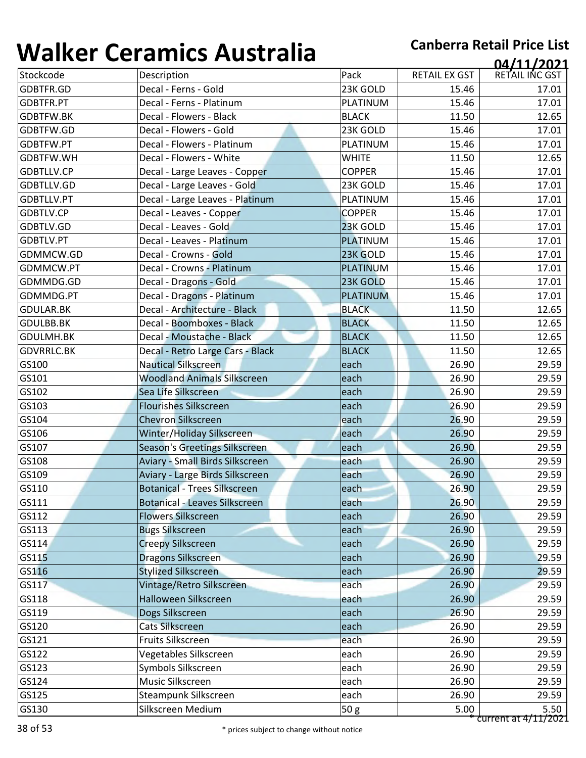| TY UIIVUI         | <u>Columbu Lundi and</u>             |                 |                      | 04/11/2021     |
|-------------------|--------------------------------------|-----------------|----------------------|----------------|
| Stockcode         | Description                          | Pack            | <b>RETAIL EX GST</b> | RETAIL INC GST |
| GDBTFR.GD         | Decal - Ferns - Gold                 | 23K GOLD        | 15.46                | 17.01          |
| GDBTFR.PT         | Decal - Ferns - Platinum             | PLATINUM        | 15.46                | 17.01          |
| <b>GDBTFW.BK</b>  | Decal - Flowers - Black              | <b>BLACK</b>    | 11.50                | 12.65          |
| GDBTFW.GD         | Decal - Flowers - Gold               | 23K GOLD        | 15.46                | 17.01          |
| GDBTFW.PT         | Decal - Flowers - Platinum           | PLATINUM        | 15.46                | 17.01          |
| GDBTFW.WH         | Decal - Flowers - White              | <b>WHITE</b>    | 11.50                | 12.65          |
| GDBTLLV.CP        | Decal - Large Leaves - Copper        | <b>COPPER</b>   | 15.46                | 17.01          |
| GDBTLLV.GD        | Decal - Large Leaves - Gold          | 23K GOLD        | 15.46                | 17.01          |
| GDBTLLV.PT        | Decal - Large Leaves - Platinum      | PLATINUM        | 15.46                | 17.01          |
| <b>GDBTLV.CP</b>  | Decal - Leaves - Copper              | <b>COPPER</b>   | 15.46                | 17.01          |
| GDBTLV.GD         | Decal - Leaves - Gold                | 23K GOLD        | 15.46                | 17.01          |
| GDBTLV.PT         | Decal - Leaves - Platinum            | PLATINUM        | 15.46                | 17.01          |
| GDMMCW.GD         | Decal - Crowns - Gold                | 23K GOLD        | 15.46                | 17.01          |
| GDMMCW.PT         | Decal - Crowns - Platinum            | <b>PLATINUM</b> | 15.46                | 17.01          |
| GDMMDG.GD         | Decal - Dragons - Gold               | 23K GOLD        | 15.46                | 17.01          |
| GDMMDG.PT         | Decal - Dragons - Platinum           | <b>PLATINUM</b> | 15.46                | 17.01          |
| <b>GDULAR.BK</b>  | Decal - Architecture - Black         | <b>BLACK</b>    | 11.50                | 12.65          |
| <b>GDULBB.BK</b>  | Decal - Boomboxes - Black            | <b>BLACK</b>    | 11.50                | 12.65          |
| <b>GDULMH.BK</b>  | Decal - Moustache - Black            | <b>BLACK</b>    | 11.50                | 12.65          |
| <b>GDVRRLC.BK</b> | Decal - Retro Large Cars - Black     | <b>BLACK</b>    | 11.50                | 12.65          |
| GS100             | <b>Nautical Silkscreen</b>           | each            | 26.90                | 29.59          |
| GS101             | <b>Woodland Animals Silkscreen</b>   | each            | 26.90                | 29.59          |
| GS102             | Sea Life Silkscreen                  | each            | 26.90                | 29.59          |
| GS103             | <b>Flourishes Silkscreen</b>         | each            | 26.90                | 29.59          |
| GS104             | <b>Chevron Silkscreen</b>            | each            | 26.90                | 29.59          |
| GS106             | Winter/Holiday Silkscreen            | each            | 26.90                | 29.59          |
| GS107             | Season's Greetings Silkscreen        | each            | 26.90                | 29.59          |
| GS108             | Aviary - Small Birds Silkscreen      | each            | 26.90                | 29.59          |
| GS109             | Aviary - Large Birds Silkscreen      | each            | 26.90                | 29.59          |
| GS110             | <b>Botanical - Trees Silkscreen</b>  | each            | 26.90                | 29.59          |
| GS111             | <b>Botanical - Leaves Silkscreen</b> | each            | 26.90                | 29.59          |
| GS112             | <b>Flowers Silkscreen</b>            | each            | 26.90                | 29.59          |
| GS113             | <b>Bugs Silkscreen</b>               | each            | 26.90                | 29.59          |
| GS114             | <b>Creepy Silkscreen</b>             | each            | 26.90                | 29.59          |
| GS115             | Dragons Silkscreen                   | each            | 26.90                | 29.59          |
| GS116             | <b>Stylized Silkscreen</b>           | each            | 26.90                | 29.59          |
| GS117             | Vintage/Retro Silkscreen             | each            | 26.90                | 29.59          |
| GS118             | Halloween Silkscreen                 | each            | 26.90                | 29.59          |
| GS119             | Dogs Silkscreen                      | each            | 26.90                | 29.59          |
| GS120             | Cats Silkscreen                      | each            | 26.90                | 29.59          |
| GS121             | Fruits Silkscreen                    | each            | 26.90                | 29.59          |
| GS122             | Vegetables Silkscreen                | each            | 26.90                | 29.59          |
| GS123             | Symbols Silkscreen                   | each            | 26.90                | 29.59          |
| GS124             | Music Silkscreen                     | each            | 26.90                | 29.59          |
| GS125             | Steampunk Silkscreen                 | each            | 26.90                | 29.59          |
| GS130             | Silkscreen Medium                    | 50 g            | 5.00                 | 5.50           |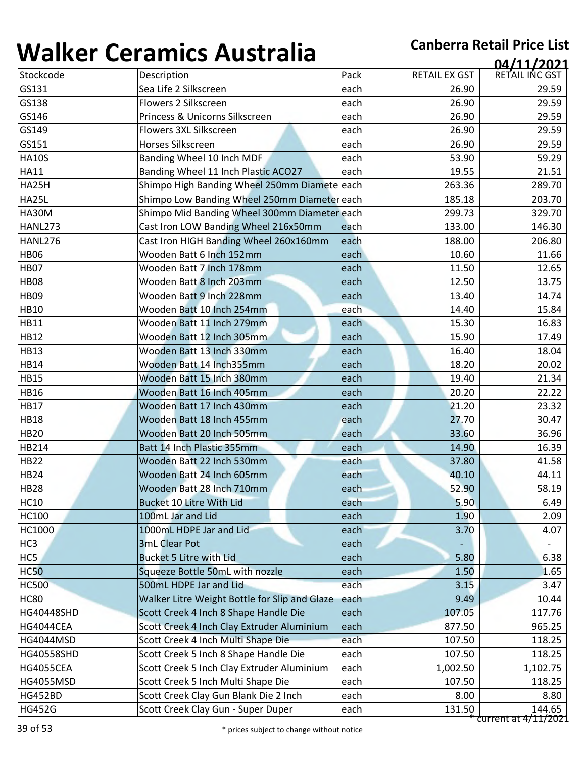| , , , , , , , , , |                                               |      |                      | 04/11/2021     |
|-------------------|-----------------------------------------------|------|----------------------|----------------|
| Stockcode         | Description                                   | Pack | <b>RETAIL EX GST</b> | RETAIL INC GST |
| GS131             | Sea Life 2 Silkscreen                         | each | 26.90                | 29.59          |
| GS138             | Flowers 2 Silkscreen                          | each | 26.90                | 29.59          |
| GS146             | Princess & Unicorns Silkscreen                | each | 26.90                | 29.59          |
| GS149             | Flowers 3XL Silkscreen                        | each | 26.90                | 29.59          |
| GS151             | Horses Silkscreen                             | each | 26.90                | 29.59          |
| <b>HA10S</b>      | Banding Wheel 10 Inch MDF                     | each | 53.90                | 59.29          |
| <b>HA11</b>       | Banding Wheel 11 Inch Plastic ACO27           | each | 19.55                | 21.51          |
| HA25H             | Shimpo High Banding Wheel 250mm Diameteleach  |      | 263.36               | 289.70         |
| <b>HA25L</b>      | Shimpo Low Banding Wheel 250mm Diameter each  |      | 185.18               | 203.70         |
| <b>HA30M</b>      | Shimpo Mid Banding Wheel 300mm Diameter each  |      | 299.73               | 329.70         |
| <b>HANL273</b>    | Cast Iron LOW Banding Wheel 216x50mm          | each | 133.00               | 146.30         |
| HANL276           | Cast Iron HIGH Banding Wheel 260x160mm        | each | 188.00               | 206.80         |
| <b>HB06</b>       | Wooden Batt 6 Inch 152mm                      | each | 10.60                | 11.66          |
| <b>HB07</b>       | Wooden Batt 7 Inch 178mm                      | each | 11.50                | 12.65          |
| <b>HB08</b>       | Wooden Batt 8 Inch 203mm                      | each | 12.50                | 13.75          |
| <b>HB09</b>       | Wooden Batt 9 Inch 228mm                      | each | 13.40                | 14.74          |
| <b>HB10</b>       | Wooden Batt 10 Inch 254mm                     | each | 14.40                | 15.84          |
| <b>HB11</b>       | Wooden Batt 11 Inch 279mm                     | each | 15.30                | 16.83          |
| <b>HB12</b>       | Wooden Batt 12 Inch 305mm                     | each | 15.90                | 17.49          |
| <b>HB13</b>       | Wooden Batt 13 Inch 330mm                     | each | 16.40                | 18.04          |
| <b>HB14</b>       | Wooden Batt 14 Inch355mm                      | each | 18.20                | 20.02          |
| <b>HB15</b>       | Wooden Batt 15 Inch 380mm                     | each | 19.40                | 21.34          |
| <b>HB16</b>       | Wooden Batt 16 Inch 405mm                     | each | 20.20                | 22.22          |
| <b>HB17</b>       | Wooden Batt 17 Inch 430mm                     | each | 21.20                | 23.32          |
| <b>HB18</b>       | Wooden Batt 18 Inch 455mm                     | each | 27.70                | 30.47          |
| <b>HB20</b>       | Wooden Batt 20 Inch 505mm                     | each | 33.60                | 36.96          |
| HB214             | Batt 14 Inch Plastic 355mm                    | each | 14.90                | 16.39          |
| <b>HB22</b>       | Wooden Batt 22 Inch 530mm                     | each | 37.80                | 41.58          |
| HB <sub>24</sub>  | Wooden Batt 24 Inch 605mm                     | each | 40.10                | 44.11          |
| HB28              | Wooden Batt 28 Inch 710mm                     | each | 52.90                | 58.19          |
| <b>HC10</b>       | <b>Bucket 10 Litre With Lid</b>               | each | 5.90                 | 6.49           |
| <b>HC100</b>      | 100mL Jar and Lid                             | each | 1.90                 | 2.09           |
| HC1000            | 1000mL HDPE Jar and Lid                       | each | 3.70                 | 4.07           |
| HC <sub>3</sub>   | <b>3mL Clear Pot</b>                          | each |                      |                |
| HC5               | <b>Bucket 5 Litre with Lid</b>                | each | 5.80                 | 6.38           |
| <b>HC50</b>       | Squeeze Bottle 50mL with nozzle               | each | 1.50                 | 1.65           |
| <b>HC500</b>      | 500mL HDPE Jar and Lid                        | each | 3.15                 | 3.47           |
| <b>HC80</b>       | Walker Litre Weight Bottle for Slip and Glaze | each | 9.49                 | 10.44          |
| <b>HG40448SHD</b> | Scott Creek 4 Inch 8 Shape Handle Die         | each | 107.05               | 117.76         |
| HG4044CEA         | Scott Creek 4 Inch Clay Extruder Aluminium    | each | 877.50               | 965.25         |
| <b>HG4044MSD</b>  | Scott Creek 4 Inch Multi Shape Die            | each | 107.50               | 118.25         |
| HG40558SHD        | Scott Creek 5 Inch 8 Shape Handle Die         | each | 107.50               | 118.25         |
| <b>HG4055CEA</b>  | Scott Creek 5 Inch Clay Extruder Aluminium    | each | 1,002.50             | 1,102.75       |
| <b>HG4055MSD</b>  | Scott Creek 5 Inch Multi Shape Die            | each | 107.50               | 118.25         |
| <b>HG452BD</b>    | Scott Creek Clay Gun Blank Die 2 Inch         | each | 8.00                 | 8.80           |
| <b>HG452G</b>     | Scott Creek Clay Gun - Super Duper            | each | 131.50               | 144.65         |
|                   |                                               |      |                      |                |

\* current at 4/11/2021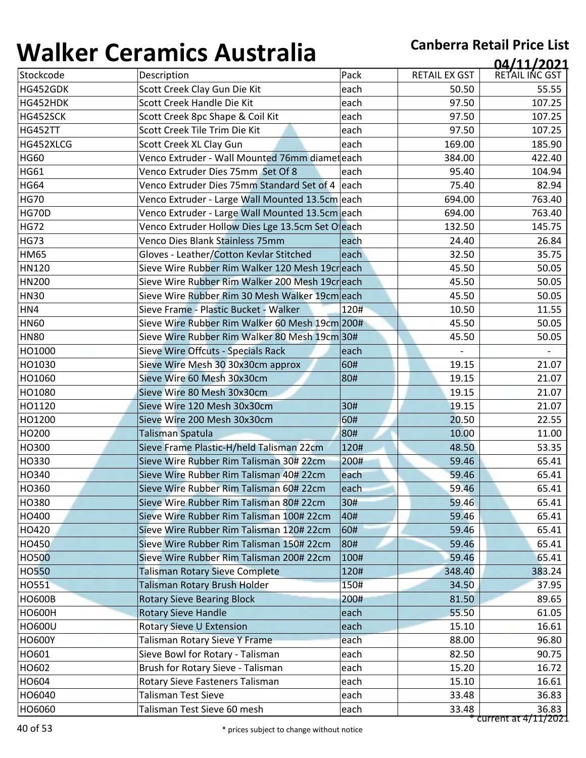| 1 J71 I N V V | <u>sei annes 7 iasceana</u>                      |      |                      | 04/11/2021           |
|---------------|--------------------------------------------------|------|----------------------|----------------------|
| Stockcode     | Description                                      | Pack | <b>RETAIL EX GST</b> | RETAIL INC GST       |
| HG452GDK      | Scott Creek Clay Gun Die Kit                     | each | 50.50                | 55.55                |
| HG452HDK      | Scott Creek Handle Die Kit                       | each | 97.50                | 107.25               |
| HG452SCK      | Scott Creek 8pc Shape & Coil Kit                 | each | 97.50                | 107.25               |
| HG452TT       | Scott Creek Tile Trim Die Kit                    | each | 97.50                | 107.25               |
| HG452XLCG     | Scott Creek XL Clay Gun                          | each | 169.00               | 185.90               |
| <b>HG60</b>   | Venco Extruder - Wall Mounted 76mm diameteach    |      | 384.00               | 422.40               |
| <b>HG61</b>   | Venco Extruder Dies 75mm Set Of 8                | each | 95.40                | 104.94               |
| <b>HG64</b>   | Venco Extruder Dies 75mm Standard Set of 4 each  |      | 75.40                | 82.94                |
| <b>HG70</b>   | Venco Extruder - Large Wall Mounted 13.5cm each  |      | 694.00               | 763.40               |
| <b>HG70D</b>  | Venco Extruder - Large Wall Mounted 13.5cm each  |      | 694.00               | 763.40               |
| <b>HG72</b>   | Venco Extruder Hollow Dies Lge 13.5cm Set Oleach |      | 132.50               | 145.75               |
| <b>HG73</b>   | Venco Dies Blank Stainless 75mm                  | each | 24.40                | 26.84                |
| <b>HM65</b>   | Gloves - Leather/Cotton Kevlar Stitched          | each | 32.50                | 35.75                |
| HN120         | Sieve Wire Rubber Rim Walker 120 Mesh 19creach   |      | 45.50                | 50.05                |
| <b>HN200</b>  | Sieve Wire Rubber Rim Walker 200 Mesh 19creach   |      | 45.50                | 50.05                |
| <b>HN30</b>   | Sieve Wire Rubber Rim 30 Mesh Walker 19cm each   |      | 45.50                | 50.05                |
| HN4           | Sieve Frame - Plastic Bucket - Walker            | 120# | 10.50                | 11.55                |
| <b>HN60</b>   | Sieve Wire Rubber Rim Walker 60 Mesh 19cm 200#   |      | 45.50                | 50.05                |
| <b>HN80</b>   | Sieve Wire Rubber Rim Walker 80 Mesh 19cm 30#    |      | 45.50                | 50.05                |
| HO1000        | Sieve Wire Offcuts - Specials Rack               | each |                      |                      |
| HO1030        | Sieve Wire Mesh 30 30x30cm approx                | 60#  | 19.15                | 21.07                |
| HO1060        | Sieve Wire 60 Mesh 30x30cm                       | 80#  | 19.15                | 21.07                |
| HO1080        | Sieve Wire 80 Mesh 30x30cm                       |      | 19.15                | 21.07                |
| HO1120        | Sieve Wire 120 Mesh 30x30cm                      | 30#  | 19.15                | 21.07                |
| HO1200        | Sieve Wire 200 Mesh 30x30cm                      | 60#  | 20.50                | 22.55                |
| HO200         | Talisman Spatula                                 | 80#  | 10.00                | 11.00                |
| HO300         | Sieve Frame Plastic-H/held Talisman 22cm         | 120# | 48.50                | 53.35                |
| HO330         | Sieve Wire Rubber Rim Talisman 30# 22cm          | 200# | 59.46                | 65.41                |
| HO340         | Sieve Wire Rubber Rim Talisman 40# 22cm          | each | 59.46                | 65.41                |
| HO360         | Sieve Wire Rubber Rim Talisman 60# 22cm          | each | 59.46                | 65.41                |
| HO380         | Sieve Wire Rubber Rim Talisman 80# 22cm          | 30#  | 59.46                | 65.41                |
| HO400         | Sieve Wire Rubber Rim Talisman 100# 22cm         | 40#  | 59.46                | 65.41                |
| HO420         | Sieve Wire Rubber Rim Talisman 120# 22cm         | 60#  | 59.46                | 65.41                |
| <b>HO450</b>  | Sieve Wire Rubber Rim Talisman 150# 22cm         | 80#  | 59.46                | 65.41                |
| <b>HO500</b>  | Sieve Wire Rubber Rim Talisman 200# 22cm         | 100# | 59.46                | 65.41                |
| <b>HO550</b>  | <b>Talisman Rotary Sieve Complete</b>            | 120# | 348.40               | 383.24               |
| HO551         | Talisman Rotary Brush Holder                     | 150# | 34.50                | 37.95                |
| <b>HO600B</b> | <b>Rotary Sieve Bearing Block</b>                | 200# | 81.50                | 89.65                |
| <b>HO600H</b> | <b>Rotary Sieve Handle</b>                       | each | 55.50                | 61.05                |
| <b>HO600U</b> | Rotary Sieve U Extension                         | each | 15.10                | 16.61                |
| <b>HO600Y</b> | Talisman Rotary Sieve Y Frame                    | each | 88.00                | 96.80                |
| HO601         | Sieve Bowl for Rotary - Talisman                 | each | 82.50                | 90.75                |
| HO602         | Brush for Rotary Sieve - Talisman                | each | 15.20                | 16.72                |
| HO604         | Rotary Sieve Fasteners Talisman                  | each | 15.10                | 16.61                |
| HO6040        | <b>Talisman Test Sieve</b>                       | each | 33.48                | 36.83                |
| HO6060        | Talisman Test Sieve 60 mesh                      | each | 33.48                | 36.83                |
|               |                                                  |      |                      | current at 4/11/2021 |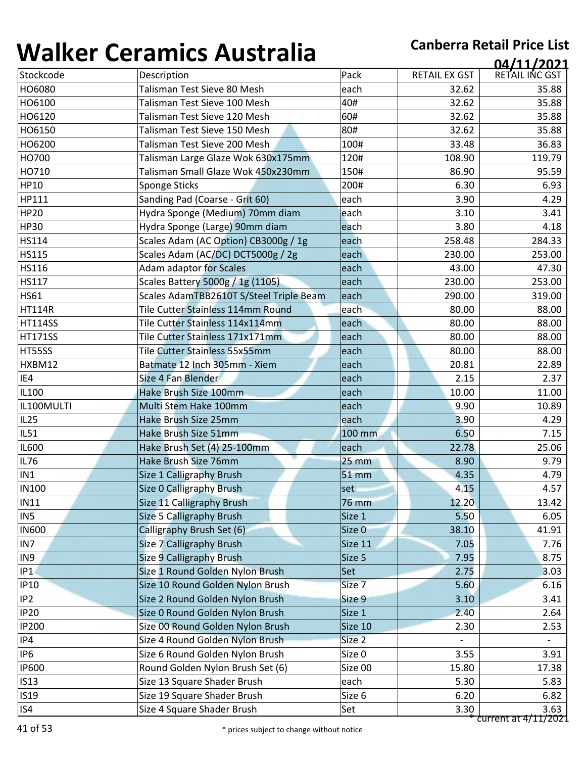| , , , , , , , , , | 97191111997199819119                    |              |                      | 04/11/2021           |
|-------------------|-----------------------------------------|--------------|----------------------|----------------------|
| Stockcode         | Description                             | Pack         | <b>RETAIL EX GST</b> | RETAIL INC GST       |
| HO6080            | Talisman Test Sieve 80 Mesh             | each         | 32.62                | 35.88                |
| HO6100            | Talisman Test Sieve 100 Mesh            | 40#          | 32.62                | 35.88                |
| HO6120            | Talisman Test Sieve 120 Mesh            | 60#          | 32.62                | 35.88                |
| HO6150            | Talisman Test Sieve 150 Mesh            | 80#          | 32.62                | 35.88                |
| HO6200            | Talisman Test Sieve 200 Mesh            | 100#         | 33.48                | 36.83                |
| HO700             | Talisman Large Glaze Wok 630x175mm      | 120#         | 108.90               | 119.79               |
| HO710             | Talisman Small Glaze Wok 450x230mm      | 150#         | 86.90                | 95.59                |
| <b>HP10</b>       | Sponge Sticks                           | 200#         | 6.30                 | 6.93                 |
| HP111             | Sanding Pad (Coarse - Grit 60)          | each         | 3.90                 | 4.29                 |
| <b>HP20</b>       | Hydra Sponge (Medium) 70mm diam         | each         | 3.10                 | 3.41                 |
| <b>HP30</b>       | Hydra Sponge (Large) 90mm diam          | each         | 3.80                 | 4.18                 |
| <b>HS114</b>      | Scales Adam (AC Option) CB3000g / 1g    | each         | 258.48               | 284.33               |
| <b>HS115</b>      | Scales Adam (AC/DC) DCT5000g / 2g       | each         | 230.00               | 253.00               |
| <b>HS116</b>      | Adam adaptor for Scales                 | each         | 43.00                | 47.30                |
| <b>HS117</b>      | Scales Battery 5000g / 1g (1105)        | each         | 230.00               | 253.00               |
| <b>HS61</b>       | Scales AdamTBB2610T S/Steel Triple Beam | each         | 290.00               | 319.00               |
| <b>HT114R</b>     | Tile Cutter Stainless 114mm Round       | each         | 80.00                | 88.00                |
| <b>HT114SS</b>    | Tile Cutter Stainless 114x114mm         | each         | 80.00                | 88.00                |
| <b>HT171SS</b>    | Tile Cutter Stainless 171x171mm         | each         | 80.00                | 88.00                |
| HT55SS            | Tile Cutter Stainless 55x55mm           | each         | 80.00                | 88.00                |
| HXBM12            | Batmate 12 Inch 305mm - Xiem            | each         | 20.81                | 22.89                |
| IE4               | Size 4 Fan Blender                      | each         | 2.15                 | 2.37                 |
| IL100             | Hake Brush Size 100mm                   | each         | 10.00                | 11.00                |
| IL100MULTI        | Multi Stem Hake 100mm                   | each         | 9.90                 | 10.89                |
| <b>IL25</b>       | Hake Brush Size 25mm                    | each         | 3.90                 | 4.29                 |
| <b>IL51</b>       | Hake Brush Size 51mm                    | 100 mm       | 6.50                 | 7.15                 |
| <b>IL600</b>      | Hake Brush Set (4) 25-100mm             | each         | 22.78                | 25.06                |
| <b>IL76</b>       | Hake Brush Size 76mm                    | <b>25 mm</b> | 8.90                 | 9.79                 |
| IN1               | Size 1 Calligraphy Brush                | <b>51 mm</b> | 4.35                 | 4.79                 |
| <b>IN100</b>      | Size O Calligraphy Brush                | set          | 4.15                 | 4.57                 |
| <b>IN11</b>       | Size 11 Calligraphy Brush               | 76 mm        | 12.20                | 13.42                |
| IN <sub>5</sub>   | Size 5 Calligraphy Brush                | Size 1       | 5.50                 | 6.05                 |
| <b>IN600</b>      | Calligraphy Brush Set (6)               | Size 0       | 38.10                | 41.91                |
| IN7               | Size 7 Calligraphy Brush                | Size 11      | 7.05                 | 7.76                 |
| IN9               | <b>Size 9 Calligraphy Brush</b>         | Size 5       | 7.95                 | 8.75                 |
| P1                | Size 1 Round Golden Nylon Brush         | Set          | 2.75                 | 3.03                 |
| <b>IP10</b>       | Size 10 Round Golden Nylon Brush        | Size 7       | 5.60                 | 6.16                 |
| IP <sub>2</sub>   | Size 2 Round Golden Nylon Brush         | Size 9       | 3.10                 | 3.41                 |
| IP20              | Size 0 Round Golden Nylon Brush         | Size 1       | 2.40                 | 2.64                 |
| <b>IP200</b>      | Size 00 Round Golden Nylon Brush        | Size 10      | 2.30                 | 2.53                 |
| IP4               | Size 4 Round Golden Nylon Brush         | Size 2       |                      |                      |
| IP <sub>6</sub>   | Size 6 Round Golden Nylon Brush         | Size 0       | 3.55                 | 3.91                 |
| <b>IP600</b>      | Round Golden Nylon Brush Set (6)        | Size 00      | 15.80                | 17.38                |
| IS13              | Size 13 Square Shader Brush             | each         | 5.30                 | 5.83                 |
| <b>IS19</b>       | Size 19 Square Shader Brush             | Size 6       | 6.20                 | 6.82                 |
| IS4               | Size 4 Square Shader Brush              | Set          | 3.30                 | 3.63                 |
|                   |                                         |              |                      | current at 4/11/2021 |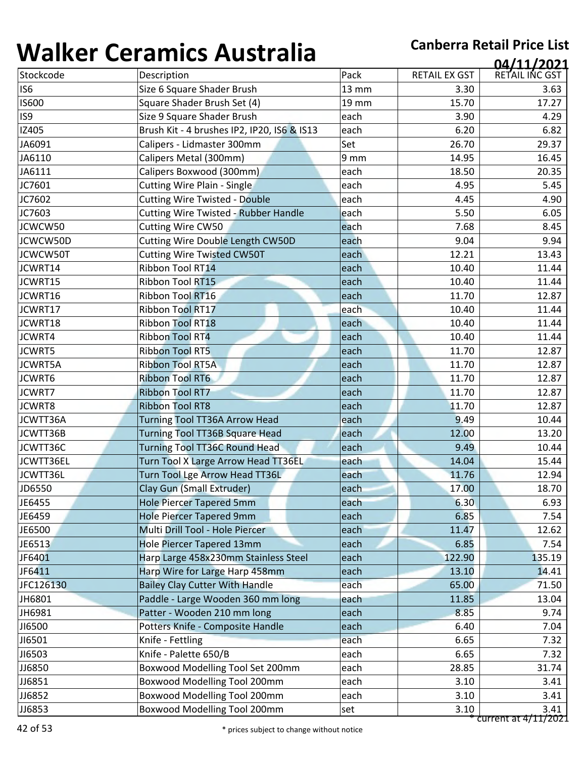| Stockcode       | Description                                 |       |                      | 04/11/2021     |
|-----------------|---------------------------------------------|-------|----------------------|----------------|
|                 |                                             | Pack  | <b>RETAIL EX GST</b> | RETAIL INC GST |
| IS <sub>6</sub> | Size 6 Square Shader Brush                  | 13 mm | 3.30                 | 3.63           |
| <b>IS600</b>    | Square Shader Brush Set (4)                 | 19 mm | 15.70                | 17.27          |
| IS9             | Size 9 Square Shader Brush                  | each  | 3.90                 | 4.29           |
| IZ405           | Brush Kit - 4 brushes IP2, IP20, IS6 & IS13 | each  | 6.20                 | 6.82           |
| JA6091          | Calipers - Lidmaster 300mm                  | Set   | 26.70                | 29.37          |
| JA6110          | Calipers Metal (300mm)                      | 9 mm  | 14.95                | 16.45          |
| JA6111          | Calipers Boxwood (300mm)                    | each  | 18.50                | 20.35          |
| JC7601          | <b>Cutting Wire Plain - Single</b>          | each  | 4.95                 | 5.45           |
| JC7602          | <b>Cutting Wire Twisted - Double</b>        | each  | 4.45                 | 4.90           |
| JC7603          | <b>Cutting Wire Twisted - Rubber Handle</b> | each  | 5.50                 | 6.05           |
| JCWCW50         | <b>Cutting Wire CW50</b>                    | each  | 7.68                 | 8.45           |
| JCWCW50D        | <b>Cutting Wire Double Length CW50D</b>     | each  | 9.04                 | 9.94           |
| JCWCW50T        | <b>Cutting Wire Twisted CW50T</b>           | each  | 12.21                | 13.43          |
| JCWRT14         | Ribbon Tool RT14                            | each  | 10.40                | 11.44          |
| JCWRT15         | Ribbon Tool RT15                            | each  | 10.40                | 11.44          |
| JCWRT16         | Ribbon Tool RT16                            | each  | 11.70                | 12.87          |
| JCWRT17         | <b>Ribbon Tool RT17</b>                     | each  | 10.40                | 11.44          |
| JCWRT18         | <b>Ribbon Tool RT18</b>                     | each  | 10.40                | 11.44          |
| JCWRT4          | <b>Ribbon Tool RT4</b>                      | each  | 10.40                | 11.44          |
| <b>JCWRT5</b>   | <b>Ribbon Tool RT5</b>                      | each  | 11.70                | 12.87          |
| <b>JCWRT5A</b>  | <b>Ribbon Tool RT5A</b>                     | each  | 11.70                | 12.87          |
| JCWRT6          | <b>Ribbon Tool RT6</b>                      | each  | 11.70                | 12.87          |
| <b>JCWRT7</b>   | <b>Ribbon Tool RT7</b>                      | each  | 11.70                | 12.87          |
| <b>JCWRT8</b>   | <b>Ribbon Tool RT8</b>                      | each  | 11.70                | 12.87          |
| JCWTT36A        | <b>Turning Tool TT36A Arrow Head</b>        | each  | 9.49                 | 10.44          |
| JCWTT36B        | <b>Turning Tool TT36B Square Head</b>       | each  | 12.00                | 13.20          |
| JCWTT36C        | <b>Turning Tool TT36C Round Head</b>        | each  | 9.49                 | 10.44          |
| JCWTT36EL       | Turn Tool X Large Arrow Head TT36EL         | each  | 14.04                | 15.44          |
| JCWTT36L        | Turn Tool Lge Arrow Head TT36L              | each  | 11.76                | 12.94          |
| JD6550          | Clay Gun (Small Extruder)                   | each  | 17.00                | 18.70          |
| JE6455          | <b>Hole Piercer Tapered 5mm</b>             | each  | 6.30                 | 6.93           |
| JE6459          | <b>Hole Piercer Tapered 9mm</b>             | each  | 6.85                 | 7.54           |
| JE6500          | Multi Drill Tool - Hole Piercer             | each  | 11.47                | 12.62          |
| JE6513          | Hole Piercer Tapered 13mm                   | each  | 6.85                 | 7.54           |
| JF6401          | Harp Large 458x230mm Stainless Steel        | each  | 122.90               | 135.19         |
| JF6411          | Harp Wire for Large Harp 458mm              | each  | 13.10                | 14.41          |
| JFC126130       | <b>Bailey Clay Cutter With Handle</b>       | each  | 65.00                | 71.50          |
| JH6801          | Paddle - Large Wooden 360 mm long           | each  | 11.85                | 13.04          |
| JH6981          | Patter - Wooden 210 mm long                 | each  | 8.85                 | 9.74           |
| J16500          | Potters Knife - Composite Handle            | each  | 6.40                 | 7.04           |
| JI6501          | Knife - Fettling                            | each  | 6.65                 | 7.32           |
| J16503          | Knife - Palette 650/B                       | each  | 6.65                 | 7.32           |
| JJ6850          | Boxwood Modelling Tool Set 200mm            | each  | 28.85                | 31.74          |
| JJ6851          | Boxwood Modelling Tool 200mm                | each  | 3.10                 | 3.41           |
|                 |                                             |       |                      |                |
| JJ6852          | Boxwood Modelling Tool 200mm                | each  | 3.10                 | 3.41           |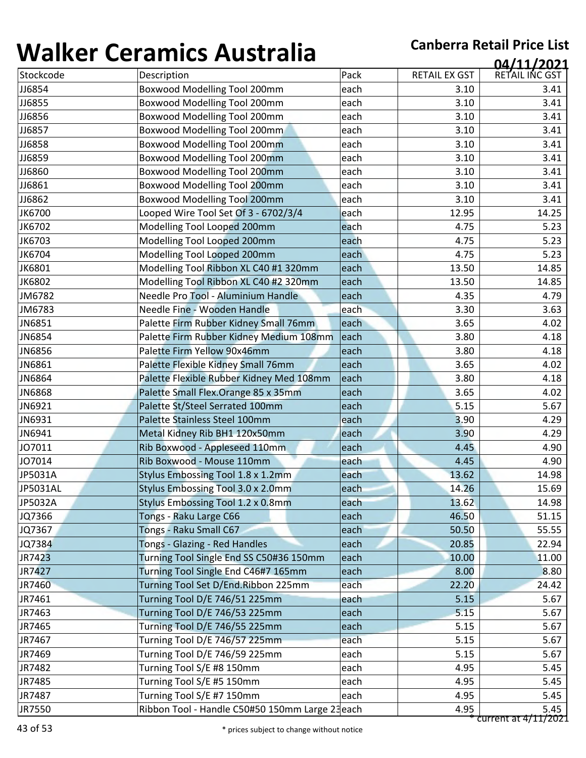| , , , , , , , , , |                                                        |              |                      | 04/11/2021     |
|-------------------|--------------------------------------------------------|--------------|----------------------|----------------|
| Stockcode         | Description                                            | Pack         | <b>RETAIL EX GST</b> | RETAIL INC GST |
| JJ6854            | Boxwood Modelling Tool 200mm                           | each         | 3.10                 | 3.41           |
| JJ6855            | Boxwood Modelling Tool 200mm                           | each         | 3.10                 | 3.41           |
| JJ6856            | Boxwood Modelling Tool 200mm                           | each         | 3.10                 | 3.41           |
| JJ6857            | Boxwood Modelling Tool 200mm                           | each         | 3.10                 | 3.41           |
| JJ6858            | <b>Boxwood Modelling Tool 200mm</b>                    | each         | 3.10                 | 3.41           |
| JJ6859            | <b>Boxwood Modelling Tool 200mm</b>                    | each         | 3.10                 | 3.41           |
| JJ6860            | <b>Boxwood Modelling Tool 200mm</b>                    | each         | 3.10                 | 3.41           |
| JJ6861            | <b>Boxwood Modelling Tool 200mm</b>                    | each         | 3.10                 | 3.41           |
| JJ6862            | <b>Boxwood Modelling Tool 200mm</b>                    | each         | 3.10                 | 3.41           |
| JK6700            | Looped Wire Tool Set Of 3 - 6702/3/4                   | each         | 12.95                | 14.25          |
| JK6702            | Modelling Tool Looped 200mm                            | each         | 4.75                 | 5.23           |
| JK6703            | Modelling Tool Looped 200mm                            | each         | 4.75                 | 5.23           |
| JK6704            | Modelling Tool Looped 200mm                            | each         | 4.75                 | 5.23           |
| JK6801            | Modelling Tool Ribbon XL C40 #1 320mm                  | each         | 13.50                | 14.85          |
| JK6802            | Modelling Tool Ribbon XL C40 #2 320mm                  | each         | 13.50                | 14.85          |
| JM6782            | Needle Pro Tool - Aluminium Handle                     | each         | 4.35                 | 4.79           |
| JM6783            | Needle Fine - Wooden Handle                            | each         | 3.30                 | 3.63           |
| JN6851            | Palette Firm Rubber Kidney Small 76mm                  | each         | 3.65                 | 4.02           |
| JN6854            | Palette Firm Rubber Kidney Medium 108mm                | each         | 3.80                 | 4.18           |
| JN6856            | Palette Firm Yellow 90x46mm                            | each         | 3.80                 | 4.18           |
| JN6861            | Palette Flexible Kidney Small 76mm                     | each         | 3.65                 | 4.02           |
| JN6864            | Palette Flexible Rubber Kidney Med 108mm               | each         | 3.80                 | 4.18           |
| JN6868            | Palette Small Flex. Orange 85 x 35mm                   | each         | 3.65                 | 4.02           |
| JN6921            | Palette St/Steel Serrated 100mm                        | each         | 5.15                 | 5.67           |
| JN6931            | Palette Stainless Steel 100mm                          | each         | 3.90                 | 4.29           |
| JN6941            | Metal Kidney Rib BH1 120x50mm                          | each         | 3.90                 | 4.29           |
| JO7011            | Rib Boxwood - Appleseed 110mm                          | each         | 4.45                 | 4.90           |
| JO7014            | Rib Boxwood - Mouse 110mm                              | each         | 4.45                 | 4.90           |
| JP5031A           | Stylus Embossing Tool 1.8 x 1.2mm                      | each         | 13.62                | 14.98          |
| JP5031AL          | Stylus Embossing Tool 3.0 x 2.0mm                      | each         | 14.26                | 15.69          |
| JP5032A           | Stylus Embossing Tool 1.2 x 0.8mm                      | each         | 13.62                | 14.98          |
| JQ7366            | Tongs - Raku Large C66                                 | each         | 46.50                | 51.15          |
| JQ7367            | Tongs - Raku Small C67                                 | each         | 50.50                | 55.55          |
| JQ7384            | Tongs - Glazing - Red Handles                          | each         | 20.85                | 22.94          |
| JR7423            | Turning Tool Single End SS C50#36 150mm                | each         | 10.00                | 11.00          |
| JR7427            | Turning Tool Single End C46#7 165mm                    | each         | 8.00                 | 8.80           |
| JR7460            | Turning Tool Set D/End.Ribbon 225mm                    | each         | 22.20                | 24.42          |
| JR7461            | Turning Tool D/E 746/51 225mm                          | each         | 5.15                 | 5.67           |
| JR7463            | Turning Tool D/E 746/53 225mm                          | each         | 5.15                 | 5.67           |
| JR7465            | Turning Tool D/E 746/55 225mm                          | each         | 5.15                 | 5.67           |
| JR7467            | Turning Tool D/E 746/57 225mm                          | each         | 5.15                 | 5.67           |
| JR7469            | Turning Tool D/E 746/59 225mm                          | each         | 5.15                 | 5.67           |
| JR7482            | Turning Tool S/E #8 150mm                              | each         | 4.95                 | 5.45           |
|                   |                                                        |              |                      | 5.45           |
|                   |                                                        |              | 4.95                 |                |
| JR7485<br>JR7487  | Turning Tool S/E #5 150mm<br>Turning Tool S/E #7 150mm | each<br>each | 4.95                 | 5.45           |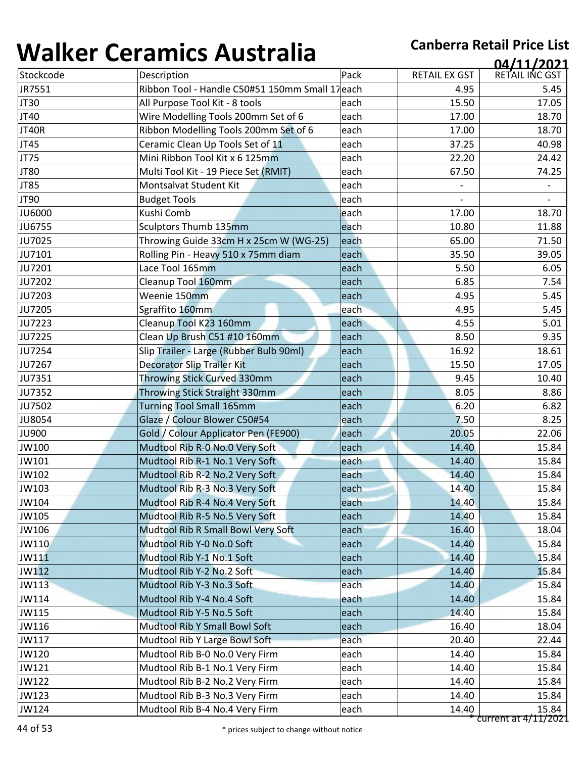| Stockcode<br>JR7551<br>JT30<br>JT40<br>JT40R<br>JT45<br>JT75 | Description<br>Ribbon Tool - Handle C50#51 150mm Small 17each<br>All Purpose Tool Kit - 8 tools<br>Wire Modelling Tools 200mm Set of 6 | Pack<br>each | <b>RETAIL EX GST</b><br>4.95<br>15.50 | 04/11/2021<br>RETAIL INC GST<br>5.45 |
|--------------------------------------------------------------|----------------------------------------------------------------------------------------------------------------------------------------|--------------|---------------------------------------|--------------------------------------|
|                                                              |                                                                                                                                        |              |                                       |                                      |
|                                                              |                                                                                                                                        |              |                                       |                                      |
|                                                              |                                                                                                                                        |              |                                       | 17.05                                |
|                                                              |                                                                                                                                        | each         | 17.00                                 | 18.70                                |
|                                                              | Ribbon Modelling Tools 200mm Set of 6                                                                                                  | each         | 17.00                                 | 18.70                                |
|                                                              | Ceramic Clean Up Tools Set of 11                                                                                                       | each         | 37.25                                 | 40.98                                |
|                                                              | Mini Ribbon Tool Kit x 6 125mm                                                                                                         | each         | 22.20                                 | 24.42                                |
| JT80                                                         | Multi Tool Kit - 19 Piece Set (RMIT)                                                                                                   | each         | 67.50                                 | 74.25                                |
| JT85                                                         | Montsalvat Student Kit                                                                                                                 | each         |                                       |                                      |
| JT90                                                         | <b>Budget Tools</b>                                                                                                                    | each         | $\overline{\phantom{0}}$              |                                      |
| <b>JU6000</b>                                                | Kushi Comb                                                                                                                             | each         | 17.00                                 | 18.70                                |
| <b>JU6755</b>                                                | Sculptors Thumb 135mm                                                                                                                  | each         | 10.80                                 | 11.88                                |
| JU7025                                                       | Throwing Guide 33cm H x 25cm W (WG-25)                                                                                                 | each         | 65.00                                 | 71.50                                |
| JU7101                                                       | Rolling Pin - Heavy 510 x 75mm diam                                                                                                    | each         | 35.50                                 | 39.05                                |
| JU7201                                                       | Lace Tool 165mm                                                                                                                        | each         | 5.50                                  | 6.05                                 |
| JU7202                                                       | Cleanup Tool 160mm                                                                                                                     | each         | 6.85                                  | 7.54                                 |
| JU7203                                                       | Weenie 150mm                                                                                                                           | each         | 4.95                                  | 5.45                                 |
| <b>JU7205</b>                                                | Sgraffito 160mm                                                                                                                        | each         | 4.95                                  | 5.45                                 |
| JU7223                                                       | Cleanup Tool K23 160mm                                                                                                                 | each         | 4.55                                  | 5.01                                 |
| JU7225                                                       | Clean Up Brush C51 #10 160mm                                                                                                           | each         | 8.50                                  | 9.35                                 |
| JU7254                                                       | Slip Trailer - Large (Rubber Bulb 90ml)                                                                                                | each         | 16.92                                 | 18.61                                |
| JU7267                                                       | <b>Decorator Slip Trailer Kit</b>                                                                                                      | each         | 15.50                                 | 17.05                                |
| JU7351                                                       | <b>Throwing Stick Curved 330mm</b>                                                                                                     | each         | 9.45                                  | 10.40                                |
| JU7352                                                       | Throwing Stick Straight 330mm                                                                                                          | each         | 8.05                                  | 8.86                                 |
| JU7502                                                       | <b>Turning Tool Small 165mm</b>                                                                                                        | each         | 6.20                                  | 6.82                                 |
| <b>JU8054</b>                                                | Glaze / Colour Blower C50#54                                                                                                           | each         | 7.50                                  | 8.25                                 |
| <b>JU900</b>                                                 | Gold / Colour Applicator Pen (FE900)                                                                                                   | each         | 20.05                                 | 22.06                                |
| JW100                                                        | Mudtool Rib R-0 No.0 Very Soft                                                                                                         | each         | 14.40                                 | 15.84                                |
| JW101                                                        | Mudtool Rib R-1 No.1 Very Soft                                                                                                         | each         | 14.40                                 | 15.84                                |
| JW102                                                        | Mudtool Rib R-2 No.2 Very Soft                                                                                                         | each         | 14.40                                 | 15.84                                |
| JW103                                                        | Mudtool Rib R-3 No.3 Very Soft                                                                                                         | each         | 14.40                                 | 15.84                                |
| JW104                                                        | Mudtool Rib R-4 No.4 Very Soft                                                                                                         | each         | 14.40                                 | 15.84                                |
| JW105                                                        | Mudtool Rib R-5 No.5 Very Soft                                                                                                         | each         | 14.40                                 | 15.84                                |
| JW106                                                        | Mudtool Rib R Small Bowl Very Soft                                                                                                     | each         | 16.40                                 | 18.04                                |
| JW110                                                        | Mudtool Rib Y-0 No.0 Soft                                                                                                              | each         | 14.40                                 | 15.84                                |
| JW111                                                        | Mudtool Rib Y-1 No.1 Soft                                                                                                              | each         | 14.40                                 | 15.84                                |
| JW112                                                        | Mudtool Rib Y-2 No.2 Soft                                                                                                              | each         | 14.40                                 | 15.84                                |
| JW113                                                        | Mudtool Rib Y-3 No.3 Soft                                                                                                              | each         | 14.40                                 | 15.84                                |
| JW114                                                        | Mudtool Rib Y-4 No.4 Soft                                                                                                              | each         | 14.40                                 | 15.84                                |
| JW115                                                        | Mudtool Rib Y-5 No.5 Soft                                                                                                              | each         | 14.40                                 | 15.84                                |
| JW116                                                        | Mudtool Rib Y Small Bowl Soft                                                                                                          | each         | 16.40                                 | 18.04                                |
| JW117                                                        | Mudtool Rib Y Large Bowl Soft                                                                                                          | each         | 20.40                                 | 22.44                                |
| JW120                                                        | Mudtool Rib B-0 No.0 Very Firm                                                                                                         | each         | 14.40                                 | 15.84                                |
| JW121                                                        | Mudtool Rib B-1 No.1 Very Firm                                                                                                         | each         | 14.40                                 | 15.84                                |
| JW122                                                        | Mudtool Rib B-2 No.2 Very Firm                                                                                                         | each         | 14.40                                 | 15.84                                |
| JW123                                                        | Mudtool Rib B-3 No.3 Very Firm                                                                                                         | each         | 14.40                                 | 15.84                                |
| JW124                                                        | Mudtool Rib B-4 No.4 Very Firm                                                                                                         | each         | 14.40                                 | 15.84<br>$current at 4/11/2021$      |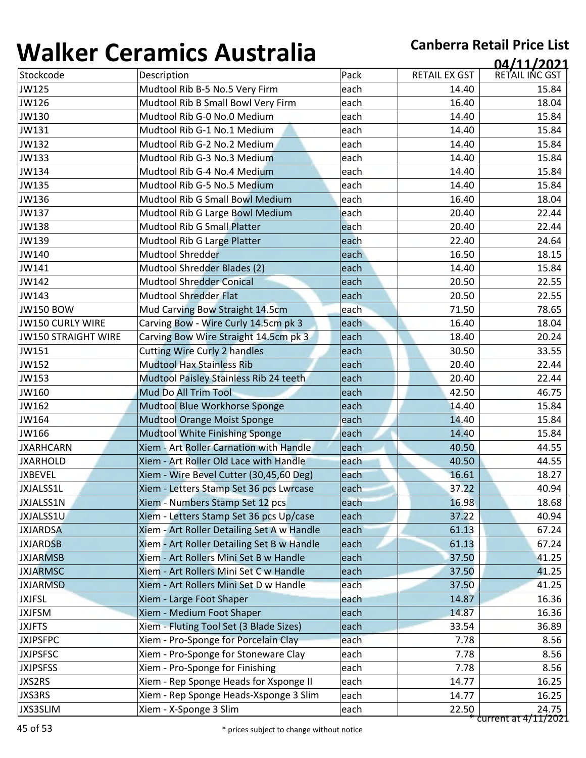| 1771 N V V                 | 89899999999999999                          |      |                      | 04/11/2021     |
|----------------------------|--------------------------------------------|------|----------------------|----------------|
| Stockcode                  | Description                                | Pack | <b>RETAIL EX GST</b> | RETAIL INC GST |
| JW125                      | Mudtool Rib B-5 No.5 Very Firm             | each | 14.40                | 15.84          |
| JW126                      | Mudtool Rib B Small Bowl Very Firm         | each | 16.40                | 18.04          |
| JW130                      | Mudtool Rib G-0 No.0 Medium                | each | 14.40                | 15.84          |
| JW131                      | Mudtool Rib G-1 No.1 Medium                | each | 14.40                | 15.84          |
| JW132                      | Mudtool Rib G-2 No.2 Medium                | each | 14.40                | 15.84          |
| JW133                      | Mudtool Rib G-3 No.3 Medium                | each | 14.40                | 15.84          |
| JW134                      | Mudtool Rib G-4 No.4 Medium                | each | 14.40                | 15.84          |
| JW135                      | Mudtool Rib G-5 No.5 Medium                | each | 14.40                | 15.84          |
| JW136                      | Mudtool Rib G Small Bowl Medium            | each | 16.40                | 18.04          |
| JW137                      | Mudtool Rib G Large Bowl Medium            | each | 20.40                | 22.44          |
| JW138                      | <b>Mudtool Rib G Small Platter</b>         | each | 20.40                | 22.44          |
| JW139                      | Mudtool Rib G Large Platter                | each | 22.40                | 24.64          |
| JW140                      | <b>Mudtool Shredder</b>                    | each | 16.50                | 18.15          |
| JW141                      | Mudtool Shredder Blades (2)                | each | 14.40                | 15.84          |
| JW142                      | <b>Mudtool Shredder Conical</b>            | each | 20.50                | 22.55          |
| JW143                      | <b>Mudtool Shredder Flat</b>               | each | 20.50                | 22.55          |
| <b>JW150 BOW</b>           | Mud Carving Bow Straight 14.5cm            | each | 71.50                | 78.65          |
| JW150 CURLY WIRE           | Carving Bow - Wire Curly 14.5cm pk 3       | each | 16.40                | 18.04          |
| <b>JW150 STRAIGHT WIRE</b> | Carving Bow Wire Straight 14.5cm pk 3      | each | 18.40                | 20.24          |
| JW151                      | <b>Cutting Wire Curly 2 handles</b>        | each | 30.50                | 33.55          |
| JW152                      | <b>Mudtool Hax Stainless Rib</b>           | each | 20.40                | 22.44          |
| JW153                      | Mudtool Paisley Stainless Rib 24 teeth     | each | 20.40                | 22.44          |
| JW160                      | Mud Do All Trim Tool                       | each | 42.50                | 46.75          |
| JW162                      | Mudtool Blue Workhorse Sponge              | each | 14.40                | 15.84          |
| JW164                      | <b>Mudtool Orange Moist Sponge</b>         | each | 14.40                | 15.84          |
| JW166                      | Mudtool White Finishing Sponge             | each | 14.40                | 15.84          |
| <b>JXARHCARN</b>           | Xiem - Art Roller Carnation with Handle    | each | 40.50                | 44.55          |
| <b>JXARHOLD</b>            | Xiem - Art Roller Old Lace with Handle     | each | 40.50                | 44.55          |
| <b>JXBEVEL</b>             | Xiem - Wire Bevel Cutter (30,45,60 Deg)    | each | 16.61                | 18.27          |
| JXJALSS1L                  | Xiem - Letters Stamp Set 36 pcs Lwrcase    | each | 37.22                | 40.94          |
| <b>JXJALSS1N</b>           | Xiem - Numbers Stamp Set 12 pcs            | each | 16.98                | 18.68          |
| JXJALSS1U                  | Xiem - Letters Stamp Set 36 pcs Up/case    | each | 37.22                | 40.94          |
| <b>JXJARDSA</b>            | Xiem - Art Roller Detailing Set A w Handle | each | 61.13                | 67.24          |
| <b>JXJARDSB</b>            | Xiem - Art Roller Detailing Set B w Handle | each | 61.13                | 67.24          |
| <b>JXJARMSB</b>            | Xiem - Art Rollers Mini Set B w Handle     | each | 37.50                | 41.25          |
| <b>JXJARMSC</b>            | Xiem - Art Rollers Mini Set C w Handle     | each | 37.50                | 41.25          |
| <b>JXJARMSD</b>            | Xiem - Art Rollers Mini Set D w Handle     | each | 37.50                | 41.25          |
| <b>JXJFSL</b>              | Xiem - Large Foot Shaper                   | each | 14.87                | 16.36          |
| <b>JXJFSM</b>              | Xiem - Medium Foot Shaper                  | each | 14.87                | 16.36          |
| <b>JXJFTS</b>              | Xiem - Fluting Tool Set (3 Blade Sizes)    | each | 33.54                | 36.89          |
| <b>JXJPSFPC</b>            | Xiem - Pro-Sponge for Porcelain Clay       | each | 7.78                 | 8.56           |
| <b>JXJPSFSC</b>            | Xiem - Pro-Sponge for Stoneware Clay       | each | 7.78                 | 8.56           |
| <b>JXJPSFSS</b>            | Xiem - Pro-Sponge for Finishing            | each | 7.78                 | 8.56           |
| JXS2RS                     | Xiem - Rep Sponge Heads for Xsponge II     | each | 14.77                | 16.25          |
|                            |                                            |      |                      |                |
| JXS3RS                     | Xiem - Rep Sponge Heads-Xsponge 3 Slim     | each | 14.77                | 16.25          |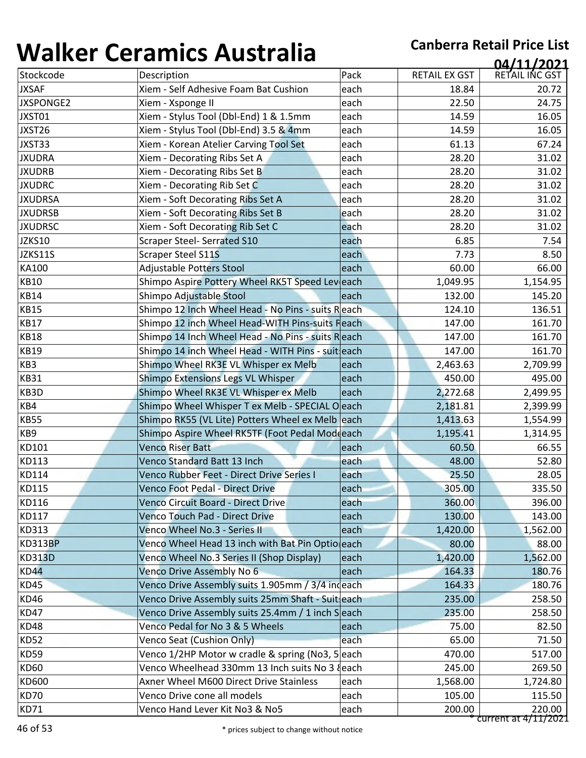| <b></b>        | <u>sei alliles 7 iasti alla</u>                   |      |               | 04/11/2021     |
|----------------|---------------------------------------------------|------|---------------|----------------|
| Stockcode      | Description                                       | Pack | RETAIL EX GST | RETAIL INC GST |
| <b>JXSAF</b>   | Xiem - Self Adhesive Foam Bat Cushion             | each | 18.84         | 20.72          |
| JXSPONGE2      | Xiem - Xsponge II                                 | each | 22.50         | 24.75          |
| JXST01         | Xiem - Stylus Tool (Dbl-End) 1 & 1.5mm            | each | 14.59         | 16.05          |
| JXST26         | Xiem - Stylus Tool (Dbl-End) 3.5 & 4mm            | each | 14.59         | 16.05          |
| JXST33         | Xiem - Korean Atelier Carving Tool Set            | each | 61.13         | 67.24          |
| <b>JXUDRA</b>  | Xiem - Decorating Ribs Set A                      | each | 28.20         | 31.02          |
| <b>JXUDRB</b>  | Xiem - Decorating Ribs Set B                      | each | 28.20         | 31.02          |
| <b>JXUDRC</b>  | Xiem - Decorating Rib Set C                       | each | 28.20         | 31.02          |
| <b>JXUDRSA</b> | Xiem - Soft Decorating Ribs Set A                 | each | 28.20         | 31.02          |
| <b>JXUDRSB</b> | Xiem - Soft Decorating Ribs Set B                 | each | 28.20         | 31.02          |
| <b>JXUDRSC</b> | Xiem - Soft Decorating Rib Set C                  | each | 28.20         | 31.02          |
| JZKS10         | <b>Scraper Steel- Serrated S10</b>                | each | 6.85          | 7.54           |
| JZKS11S        | <b>Scraper Steel S11S</b>                         | each | 7.73          | 8.50           |
| KA100          | Adjustable Potters Stool                          | each | 60.00         | 66.00          |
| <b>KB10</b>    | Shimpo Aspire Pottery Wheel RK5T Speed Leveach    |      | 1,049.95      | 1,154.95       |
| <b>KB14</b>    | Shimpo Adjustable Stool                           | each | 132.00        | 145.20         |
| <b>KB15</b>    | Shimpo 12 Inch Wheel Head - No Pins - suits Reach |      | 124.10        | 136.51         |
| <b>KB17</b>    | Shimpo 12 inch Wheel Head-WITH Pins-suits Fleach  |      | 147.00        | 161.70         |
| <b>KB18</b>    | Shimpo 14 Inch Wheel Head - No Pins - suits Reach |      | 147.00        | 161.70         |
| <b>KB19</b>    | Shimpo 14 inch Wheel Head - WITH Pins - suit each |      | 147.00        | 161.70         |
| KB3            | Shimpo Wheel RK3E VL Whisper ex Melb              | each | 2,463.63      | 2,709.99       |
| <b>KB31</b>    | Shimpo Extensions Legs VL Whisper                 | each | 450.00        | 495.00         |
| KB3D           | Shimpo Wheel RK3E VL Whisper ex Melb              | each | 2,272.68      | 2,499.95       |
| KB4            | Shimpo Wheel Whisper T ex Melb - SPECIAL O each   |      | 2,181.81      | 2,399.99       |
| <b>KB55</b>    | Shimpo RK55 (VL Lite) Potters Wheel ex Melb each  |      | 1,413.63      | 1,554.99       |
| KB9            | Shimpo Aspire Wheel RK5TF (Foot Pedal Modeach     |      | 1,195.41      | 1,314.95       |
| KD101          | <b>Venco Riser Batt</b>                           | each | 60.50         | 66.55          |
| KD113          | Venco Standard Batt 13 Inch                       | each | 48.00         | 52.80          |
| KD114          | Venco Rubber Feet - Direct Drive Series I         | each | 25.50         | 28.05          |
| KD115          | Venco Foot Pedal - Direct Drive                   | each | 305.00        | 335.50         |
| KD116          | Venco Circuit Board - Direct Drive                | each | 360.00        | 396.00         |
| KD117          | <b>Venco Touch Pad - Direct Drive</b>             | each | 130.00        | 143.00         |
| <b>KD313</b>   | Venco Wheel No.3 - Series II                      | each | 1,420.00      | 1,562.00       |
| <b>KD313BP</b> | Venco Wheel Head 13 inch with Bat Pin Optioleach  |      | 80.00         | 88.00          |
| <b>KD313D</b>  | Venco Wheel No.3 Series II (Shop Display)         | each | 1,420.00      | 1,562.00       |
| <b>KD44</b>    | Venco Drive Assembly No 6                         | each | 164.33        | 180.76         |
| KD45           | Venco Drive Assembly suits 1.905mm / 3/4 indeach  |      | 164.33        | 180.76         |
| <b>KD46</b>    | Venco Drive Assembly suits 25mm Shaft - Suit each |      | 235.00        | 258.50         |
| KD47           | Venco Drive Assembly suits 25.4mm / 1 inch Seach  |      | 235.00        | 258.50         |
| <b>KD48</b>    | Venco Pedal for No 3 & 5 Wheels                   | each | 75.00         | 82.50          |
| <b>KD52</b>    | Venco Seat (Cushion Only)                         | each | 65.00         | 71.50          |
| <b>KD59</b>    | Venco 1/2HP Motor w cradle & spring (No3, 5 each  |      | 470.00        | 517.00         |
| <b>KD60</b>    | Venco Wheelhead 330mm 13 Inch suits No 3 {each    |      | 245.00        | 269.50         |
| <b>KD600</b>   | Axner Wheel M600 Direct Drive Stainless           | each | 1,568.00      | 1,724.80       |
|                |                                                   |      |               |                |
| KD70           | Venco Drive cone all models                       | each | 105.00        | 115.50         |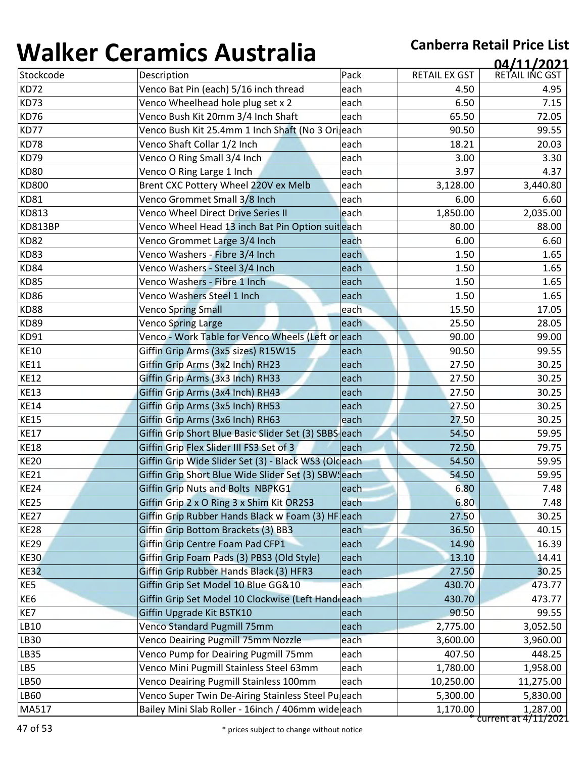| 1771 N V V                | <u>sei annes 7 iascrania</u>                          |      |               | 04/11/2021     |
|---------------------------|-------------------------------------------------------|------|---------------|----------------|
| Stockcode                 | Description                                           | Pack | RETAIL EX GST | RETAIL INC GST |
| KD72                      | Venco Bat Pin (each) 5/16 inch thread                 | each | 4.50          | 4.95           |
| KD73                      | Venco Wheelhead hole plug set x 2                     | each | 6.50          | 7.15           |
| <b>KD76</b>               | Venco Bush Kit 20mm 3/4 Inch Shaft                    | each | 65.50         | 72.05          |
| KD77                      | Venco Bush Kit 25.4mm 1 Inch Shaft (No 3 Oriaech      |      | 90.50         | 99.55          |
| KD78                      | Venco Shaft Collar 1/2 Inch                           | each | 18.21         | 20.03          |
| KD79                      | Venco O Ring Small 3/4 Inch                           | each | 3.00          | 3.30           |
| <b>KD80</b>               | Venco O Ring Large 1 Inch                             | each | 3.97          | 4.37           |
| <b>KD800</b>              | Brent CXC Pottery Wheel 220V ex Melb                  | each | 3,128.00      | 3,440.80       |
| <b>KD81</b>               | Venco Grommet Small 3/8 Inch                          | each | 6.00          | 6.60           |
| KD813                     | Venco Wheel Direct Drive Series II                    | each | 1,850.00      | 2,035.00       |
| KD813BP                   | Venco Wheel Head 13 inch Bat Pin Option suit each     |      | 80.00         | 88.00          |
| <b>KD82</b>               | Venco Grommet Large 3/4 Inch                          | each | 6.00          | 6.60           |
| <b>KD83</b>               | Venco Washers - Fibre 3/4 Inch                        | each | 1.50          | 1.65           |
| KD84                      | Venco Washers - Steel 3/4 Inch                        | each | 1.50          | 1.65           |
| <b>KD85</b>               | Venco Washers - Fibre 1 Inch                          | each | 1.50          | 1.65           |
| <b>KD86</b>               | Venco Washers Steel 1 Inch                            | each | 1.50          | 1.65           |
| <b>KD88</b>               | <b>Venco Spring Small</b>                             | each | 15.50         | 17.05          |
| <b>KD89</b>               | <b>Venco Spring Large</b>                             | each | 25.50         | 28.05          |
| KD91                      | Venco - Work Table for Venco Wheels (Left or each     |      | 90.00         | 99.00          |
| <b>KE10</b>               | Giffin Grip Arms (3x5 sizes) R15W15                   | each | 90.50         | 99.55          |
| <b>KE11</b>               | Giffin Grip Arms (3x2 Inch) RH23                      | each | 27.50         | 30.25          |
| <b>KE12</b>               | Giffin Grip Arms (3x3 Inch) RH33                      | each | 27.50         | 30.25          |
| <b>KE13</b>               | Giffin Grip Arms (3x4 Inch) RH43                      | each | 27.50         | 30.25          |
| <b>KE14</b>               | Giffin Grip Arms (3x5 Inch) RH53                      | each | 27.50         | 30.25          |
| <b>KE15</b>               | Giffin Grip Arms (3x6 Inch) RH63                      | each | 27.50         | 30.25          |
| <b>KE17</b>               | Giffin Grip Short Blue Basic Slider Set (3) SBBS each |      | 54.50         | 59.95          |
| <b>KE18</b>               | Giffin Grip Flex Slider III FS3 Set of 3              | each | 72.50         | 79.75          |
| <b>KE20</b>               | Giffin Grip Wide Slider Set (3) - Black WS3 (Oldeach  |      | 54.50         | 59.95          |
| <b>KE21</b>               | Giffin Grip Short Blue Wide Slider Set (3) SBW each   |      | 54.50         | 59.95          |
| $\overline{\text{KE}}$ 24 | Giffin Grip Nuts and Bolts NBPKG1                     | each | 6.80          | 7.48           |
| <b>KE25</b>               | Giffin Grip 2 x O Ring 3 x Shim Kit OR2S3             | each | 6.80          | 7.48           |
| <b>KE27</b>               | Giffin Grip Rubber Hands Black w Foam (3) HF each     |      | 27.50         | 30.25          |
| <b>KE28</b>               | Giffin Grip Bottom Brackets (3) BB3                   | each | 36.50         | 40.15          |
| <b>KE29</b>               | Giffin Grip Centre Foam Pad CFP1                      | each | 14.90         | 16.39          |
| <b>KE30</b>               | Giffin Grip Foam Pads (3) PBS3 (Old Style)            | each | 13.10         | 14.41          |
| <b>KE32</b>               | Giffin Grip Rubber Hands Black (3) HFR3               | each | 27.50         | 30.25          |
| KE5                       | Giffin Grip Set Model 10 Blue GG&10                   | each | 430.70        | 473.77         |
| KE6                       | Giffin Grip Set Model 10 Clockwise (Left Hand each    |      | 430.70        | 473.77         |
| KE7                       | Giffin Upgrade Kit BSTK10                             | each | 90.50         | 99.55          |
| LB10                      | Venco Standard Pugmill 75mm                           | each | 2,775.00      | 3,052.50       |
| <b>LB30</b>               | <b>Venco Deairing Pugmill 75mm Nozzle</b>             | each | 3,600.00      | 3,960.00       |
| <b>LB35</b>               | Venco Pump for Deairing Pugmill 75mm                  | each | 407.50        | 448.25         |
| LB5                       | Venco Mini Pugmill Stainless Steel 63mm               | each | 1,780.00      | 1,958.00       |
| <b>LB50</b>               | Venco Deairing Pugmill Stainless 100mm                | each | 10,250.00     | 11,275.00      |
| LB60                      | Venco Super Twin De-Airing Stainless Steel Pu each    |      | 5,300.00      | 5,830.00       |
|                           |                                                       |      |               |                |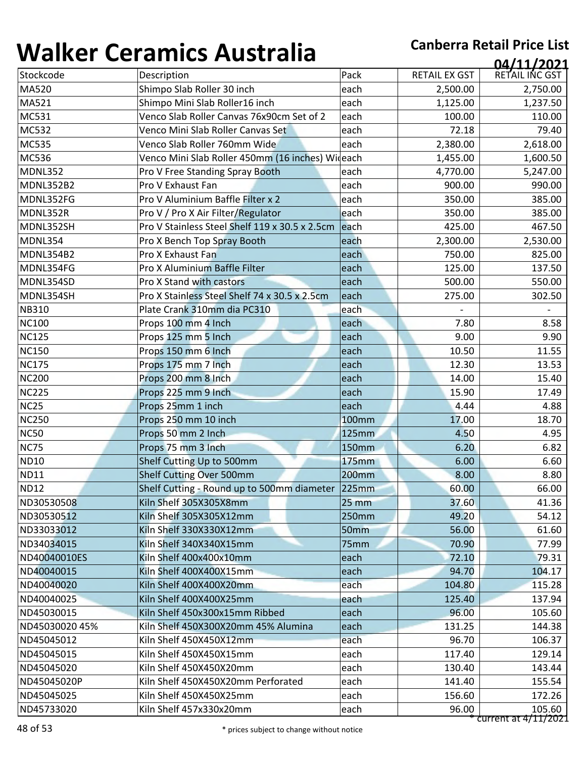| Stockcode<br>Description<br>Pack<br><b>RETAIL EX GST</b><br>MA520<br>Shimpo Slab Roller 30 inch<br>each<br>2,500.00<br>MA521<br>Shimpo Mini Slab Roller16 inch<br>each<br>1,125.00<br>MC531<br>Venco Slab Roller Canvas 76x90cm Set of 2<br>each<br>100.00<br>MC532<br>Venco Mini Slab Roller Canvas Set<br>72.18<br>each<br>Venco Slab Roller 760mm Wide<br>MC535<br>each<br>2,380.00<br><b>MC536</b><br>Venco Mini Slab Roller 450mm (16 inches) Wideach<br>1,455.00<br><b>MDNL352</b><br>Pro V Free Standing Spray Booth<br>each<br>4,770.00<br>Pro V Exhaust Fan<br><b>MDNL352B2</b><br>each<br>900.00<br>Pro V Aluminium Baffle Filter x 2<br>MDNL352FG<br>each<br>350.00<br>Pro V / Pro X Air Filter/Regulator<br>MDNL352R<br>each<br>350.00<br>Pro V Stainless Steel Shelf 119 x 30.5 x 2.5cm<br>MDNL352SH<br>each<br>425.00<br>MDNL354<br>Pro X Bench Top Spray Booth<br>each<br>2,300.00<br>Pro X Exhaust Fan<br>MDNL354B2<br>each<br>750.00<br>MDNL354FG<br>Pro X Aluminium Baffle Filter<br>each<br>125.00<br>Pro X Stand with castors<br>MDNL354SD<br>each<br>500.00<br>Pro X Stainless Steel Shelf 74 x 30.5 x 2.5cm<br>MDNL354SH<br>each<br>275.00<br><b>NB310</b><br>Plate Crank 310mm dia PC310<br>each<br><b>NC100</b><br>7.80<br>Props 100 mm 4 Inch<br>each<br><b>NC125</b><br>Props 125 mm 5 Inch<br>each<br>9.00<br><b>NC150</b><br>Props 150 mm 6 Inch<br>10.50<br>each<br><b>NC175</b><br>Props 175 mm 7 Inch<br>each<br>12.30<br><b>NC200</b><br>Props 200 mm 8 Inch<br>14.00<br>each<br><b>NC225</b><br>Props 225 mm 9 Inch<br>15.90<br>each<br><b>NC25</b><br>Props 25mm 1 inch<br>each<br>4.44<br><b>NC250</b><br>17.00<br>Props 250 mm 10 inch<br>100mm<br><b>NC50</b><br>Props 50 mm 2 Inch<br><b>125mm</b><br>4.50<br><b>NC75</b><br>Props 75 mm 3 Inch<br>150mm<br>6.20<br><b>ND10</b><br>Shelf Cutting Up to 500mm<br><b>175mm</b><br>6.00<br>Shelf Cutting Over 500mm<br>200mm<br>8.00<br>60.00<br>Shelf Cutting - Round up to 500mm diameter 225mm<br>ND30530508<br>Kiln Shelf 305X305X8mm<br>37.60<br>25 mm<br>ND30530512<br>Kiln Shelf 305X305X12mm<br>250mm<br>49.20<br>56.00<br>ND33033012<br>Kiln Shelf 330X330X12mm<br>50 <sub>mm</sub><br>ND34034015<br>75mm<br>70.90<br>Kiln Shelf 340X340X15mm<br>72.10<br>ND40040010ES<br>Kiln Shelf 400x400x10mm<br>each<br>ND40040015<br>Kiln Shelf 400X400X15mm<br>each<br>94.70<br>ND40040020<br>Kiln Shelf 400X400X20mm<br>each<br>104.80<br>ND40040025<br>Kiln Shelf 400X400X25mm<br>125.40<br>each<br>96.00<br>ND45030015<br>Kiln Shelf 450x300x15mm Ribbed<br>each<br>131.25<br>ND45030020 45%<br>Kiln Shelf 450X300X20mm 45% Alumina<br>each<br>each<br>ND45045012<br>Kiln Shelf 450X450X12mm<br>96.70<br>ND45045015<br>Kiln Shelf 450X450X15mm<br>each<br>117.40<br>Kiln Shelf 450X450X20mm<br>ND45045020<br>each<br>130.40 | 04/11/2021     |        |      |                                    | ''''''''    |
|-------------------------------------------------------------------------------------------------------------------------------------------------------------------------------------------------------------------------------------------------------------------------------------------------------------------------------------------------------------------------------------------------------------------------------------------------------------------------------------------------------------------------------------------------------------------------------------------------------------------------------------------------------------------------------------------------------------------------------------------------------------------------------------------------------------------------------------------------------------------------------------------------------------------------------------------------------------------------------------------------------------------------------------------------------------------------------------------------------------------------------------------------------------------------------------------------------------------------------------------------------------------------------------------------------------------------------------------------------------------------------------------------------------------------------------------------------------------------------------------------------------------------------------------------------------------------------------------------------------------------------------------------------------------------------------------------------------------------------------------------------------------------------------------------------------------------------------------------------------------------------------------------------------------------------------------------------------------------------------------------------------------------------------------------------------------------------------------------------------------------------------------------------------------------------------------------------------------------------------------------------------------------------------------------------------------------------------------------------------------------------------------------------------------------------------------------------------------------------------------------------------------------------------------------------------------------------------------------------------------------------------------------------------------------------------------------------------------------------------------------------------------------------------------------------------------|----------------|--------|------|------------------------------------|-------------|
| <b>ND11</b><br><b>ND12</b>                                                                                                                                                                                                                                                                                                                                                                                                                                                                                                                                                                                                                                                                                                                                                                                                                                                                                                                                                                                                                                                                                                                                                                                                                                                                                                                                                                                                                                                                                                                                                                                                                                                                                                                                                                                                                                                                                                                                                                                                                                                                                                                                                                                                                                                                                                                                                                                                                                                                                                                                                                                                                                                                                                                                                                                        | RETAIL INC GST |        |      |                                    |             |
|                                                                                                                                                                                                                                                                                                                                                                                                                                                                                                                                                                                                                                                                                                                                                                                                                                                                                                                                                                                                                                                                                                                                                                                                                                                                                                                                                                                                                                                                                                                                                                                                                                                                                                                                                                                                                                                                                                                                                                                                                                                                                                                                                                                                                                                                                                                                                                                                                                                                                                                                                                                                                                                                                                                                                                                                                   | 2,750.00       |        |      |                                    |             |
|                                                                                                                                                                                                                                                                                                                                                                                                                                                                                                                                                                                                                                                                                                                                                                                                                                                                                                                                                                                                                                                                                                                                                                                                                                                                                                                                                                                                                                                                                                                                                                                                                                                                                                                                                                                                                                                                                                                                                                                                                                                                                                                                                                                                                                                                                                                                                                                                                                                                                                                                                                                                                                                                                                                                                                                                                   | 1,237.50       |        |      |                                    |             |
|                                                                                                                                                                                                                                                                                                                                                                                                                                                                                                                                                                                                                                                                                                                                                                                                                                                                                                                                                                                                                                                                                                                                                                                                                                                                                                                                                                                                                                                                                                                                                                                                                                                                                                                                                                                                                                                                                                                                                                                                                                                                                                                                                                                                                                                                                                                                                                                                                                                                                                                                                                                                                                                                                                                                                                                                                   | 110.00         |        |      |                                    |             |
|                                                                                                                                                                                                                                                                                                                                                                                                                                                                                                                                                                                                                                                                                                                                                                                                                                                                                                                                                                                                                                                                                                                                                                                                                                                                                                                                                                                                                                                                                                                                                                                                                                                                                                                                                                                                                                                                                                                                                                                                                                                                                                                                                                                                                                                                                                                                                                                                                                                                                                                                                                                                                                                                                                                                                                                                                   | 79.40          |        |      |                                    |             |
|                                                                                                                                                                                                                                                                                                                                                                                                                                                                                                                                                                                                                                                                                                                                                                                                                                                                                                                                                                                                                                                                                                                                                                                                                                                                                                                                                                                                                                                                                                                                                                                                                                                                                                                                                                                                                                                                                                                                                                                                                                                                                                                                                                                                                                                                                                                                                                                                                                                                                                                                                                                                                                                                                                                                                                                                                   | 2,618.00       |        |      |                                    |             |
|                                                                                                                                                                                                                                                                                                                                                                                                                                                                                                                                                                                                                                                                                                                                                                                                                                                                                                                                                                                                                                                                                                                                                                                                                                                                                                                                                                                                                                                                                                                                                                                                                                                                                                                                                                                                                                                                                                                                                                                                                                                                                                                                                                                                                                                                                                                                                                                                                                                                                                                                                                                                                                                                                                                                                                                                                   | 1,600.50       |        |      |                                    |             |
|                                                                                                                                                                                                                                                                                                                                                                                                                                                                                                                                                                                                                                                                                                                                                                                                                                                                                                                                                                                                                                                                                                                                                                                                                                                                                                                                                                                                                                                                                                                                                                                                                                                                                                                                                                                                                                                                                                                                                                                                                                                                                                                                                                                                                                                                                                                                                                                                                                                                                                                                                                                                                                                                                                                                                                                                                   | 5,247.00       |        |      |                                    |             |
|                                                                                                                                                                                                                                                                                                                                                                                                                                                                                                                                                                                                                                                                                                                                                                                                                                                                                                                                                                                                                                                                                                                                                                                                                                                                                                                                                                                                                                                                                                                                                                                                                                                                                                                                                                                                                                                                                                                                                                                                                                                                                                                                                                                                                                                                                                                                                                                                                                                                                                                                                                                                                                                                                                                                                                                                                   | 990.00         |        |      |                                    |             |
|                                                                                                                                                                                                                                                                                                                                                                                                                                                                                                                                                                                                                                                                                                                                                                                                                                                                                                                                                                                                                                                                                                                                                                                                                                                                                                                                                                                                                                                                                                                                                                                                                                                                                                                                                                                                                                                                                                                                                                                                                                                                                                                                                                                                                                                                                                                                                                                                                                                                                                                                                                                                                                                                                                                                                                                                                   | 385.00         |        |      |                                    |             |
|                                                                                                                                                                                                                                                                                                                                                                                                                                                                                                                                                                                                                                                                                                                                                                                                                                                                                                                                                                                                                                                                                                                                                                                                                                                                                                                                                                                                                                                                                                                                                                                                                                                                                                                                                                                                                                                                                                                                                                                                                                                                                                                                                                                                                                                                                                                                                                                                                                                                                                                                                                                                                                                                                                                                                                                                                   | 385.00         |        |      |                                    |             |
|                                                                                                                                                                                                                                                                                                                                                                                                                                                                                                                                                                                                                                                                                                                                                                                                                                                                                                                                                                                                                                                                                                                                                                                                                                                                                                                                                                                                                                                                                                                                                                                                                                                                                                                                                                                                                                                                                                                                                                                                                                                                                                                                                                                                                                                                                                                                                                                                                                                                                                                                                                                                                                                                                                                                                                                                                   | 467.50         |        |      |                                    |             |
|                                                                                                                                                                                                                                                                                                                                                                                                                                                                                                                                                                                                                                                                                                                                                                                                                                                                                                                                                                                                                                                                                                                                                                                                                                                                                                                                                                                                                                                                                                                                                                                                                                                                                                                                                                                                                                                                                                                                                                                                                                                                                                                                                                                                                                                                                                                                                                                                                                                                                                                                                                                                                                                                                                                                                                                                                   | 2,530.00       |        |      |                                    |             |
|                                                                                                                                                                                                                                                                                                                                                                                                                                                                                                                                                                                                                                                                                                                                                                                                                                                                                                                                                                                                                                                                                                                                                                                                                                                                                                                                                                                                                                                                                                                                                                                                                                                                                                                                                                                                                                                                                                                                                                                                                                                                                                                                                                                                                                                                                                                                                                                                                                                                                                                                                                                                                                                                                                                                                                                                                   | 825.00         |        |      |                                    |             |
|                                                                                                                                                                                                                                                                                                                                                                                                                                                                                                                                                                                                                                                                                                                                                                                                                                                                                                                                                                                                                                                                                                                                                                                                                                                                                                                                                                                                                                                                                                                                                                                                                                                                                                                                                                                                                                                                                                                                                                                                                                                                                                                                                                                                                                                                                                                                                                                                                                                                                                                                                                                                                                                                                                                                                                                                                   | 137.50         |        |      |                                    |             |
|                                                                                                                                                                                                                                                                                                                                                                                                                                                                                                                                                                                                                                                                                                                                                                                                                                                                                                                                                                                                                                                                                                                                                                                                                                                                                                                                                                                                                                                                                                                                                                                                                                                                                                                                                                                                                                                                                                                                                                                                                                                                                                                                                                                                                                                                                                                                                                                                                                                                                                                                                                                                                                                                                                                                                                                                                   | 550.00         |        |      |                                    |             |
|                                                                                                                                                                                                                                                                                                                                                                                                                                                                                                                                                                                                                                                                                                                                                                                                                                                                                                                                                                                                                                                                                                                                                                                                                                                                                                                                                                                                                                                                                                                                                                                                                                                                                                                                                                                                                                                                                                                                                                                                                                                                                                                                                                                                                                                                                                                                                                                                                                                                                                                                                                                                                                                                                                                                                                                                                   | 302.50         |        |      |                                    |             |
|                                                                                                                                                                                                                                                                                                                                                                                                                                                                                                                                                                                                                                                                                                                                                                                                                                                                                                                                                                                                                                                                                                                                                                                                                                                                                                                                                                                                                                                                                                                                                                                                                                                                                                                                                                                                                                                                                                                                                                                                                                                                                                                                                                                                                                                                                                                                                                                                                                                                                                                                                                                                                                                                                                                                                                                                                   |                |        |      |                                    |             |
|                                                                                                                                                                                                                                                                                                                                                                                                                                                                                                                                                                                                                                                                                                                                                                                                                                                                                                                                                                                                                                                                                                                                                                                                                                                                                                                                                                                                                                                                                                                                                                                                                                                                                                                                                                                                                                                                                                                                                                                                                                                                                                                                                                                                                                                                                                                                                                                                                                                                                                                                                                                                                                                                                                                                                                                                                   | 8.58           |        |      |                                    |             |
|                                                                                                                                                                                                                                                                                                                                                                                                                                                                                                                                                                                                                                                                                                                                                                                                                                                                                                                                                                                                                                                                                                                                                                                                                                                                                                                                                                                                                                                                                                                                                                                                                                                                                                                                                                                                                                                                                                                                                                                                                                                                                                                                                                                                                                                                                                                                                                                                                                                                                                                                                                                                                                                                                                                                                                                                                   | 9.90           |        |      |                                    |             |
|                                                                                                                                                                                                                                                                                                                                                                                                                                                                                                                                                                                                                                                                                                                                                                                                                                                                                                                                                                                                                                                                                                                                                                                                                                                                                                                                                                                                                                                                                                                                                                                                                                                                                                                                                                                                                                                                                                                                                                                                                                                                                                                                                                                                                                                                                                                                                                                                                                                                                                                                                                                                                                                                                                                                                                                                                   | 11.55          |        |      |                                    |             |
|                                                                                                                                                                                                                                                                                                                                                                                                                                                                                                                                                                                                                                                                                                                                                                                                                                                                                                                                                                                                                                                                                                                                                                                                                                                                                                                                                                                                                                                                                                                                                                                                                                                                                                                                                                                                                                                                                                                                                                                                                                                                                                                                                                                                                                                                                                                                                                                                                                                                                                                                                                                                                                                                                                                                                                                                                   | 13.53          |        |      |                                    |             |
|                                                                                                                                                                                                                                                                                                                                                                                                                                                                                                                                                                                                                                                                                                                                                                                                                                                                                                                                                                                                                                                                                                                                                                                                                                                                                                                                                                                                                                                                                                                                                                                                                                                                                                                                                                                                                                                                                                                                                                                                                                                                                                                                                                                                                                                                                                                                                                                                                                                                                                                                                                                                                                                                                                                                                                                                                   | 15.40          |        |      |                                    |             |
|                                                                                                                                                                                                                                                                                                                                                                                                                                                                                                                                                                                                                                                                                                                                                                                                                                                                                                                                                                                                                                                                                                                                                                                                                                                                                                                                                                                                                                                                                                                                                                                                                                                                                                                                                                                                                                                                                                                                                                                                                                                                                                                                                                                                                                                                                                                                                                                                                                                                                                                                                                                                                                                                                                                                                                                                                   | 17.49          |        |      |                                    |             |
|                                                                                                                                                                                                                                                                                                                                                                                                                                                                                                                                                                                                                                                                                                                                                                                                                                                                                                                                                                                                                                                                                                                                                                                                                                                                                                                                                                                                                                                                                                                                                                                                                                                                                                                                                                                                                                                                                                                                                                                                                                                                                                                                                                                                                                                                                                                                                                                                                                                                                                                                                                                                                                                                                                                                                                                                                   | 4.88           |        |      |                                    |             |
|                                                                                                                                                                                                                                                                                                                                                                                                                                                                                                                                                                                                                                                                                                                                                                                                                                                                                                                                                                                                                                                                                                                                                                                                                                                                                                                                                                                                                                                                                                                                                                                                                                                                                                                                                                                                                                                                                                                                                                                                                                                                                                                                                                                                                                                                                                                                                                                                                                                                                                                                                                                                                                                                                                                                                                                                                   | 18.70          |        |      |                                    |             |
|                                                                                                                                                                                                                                                                                                                                                                                                                                                                                                                                                                                                                                                                                                                                                                                                                                                                                                                                                                                                                                                                                                                                                                                                                                                                                                                                                                                                                                                                                                                                                                                                                                                                                                                                                                                                                                                                                                                                                                                                                                                                                                                                                                                                                                                                                                                                                                                                                                                                                                                                                                                                                                                                                                                                                                                                                   | 4.95           |        |      |                                    |             |
|                                                                                                                                                                                                                                                                                                                                                                                                                                                                                                                                                                                                                                                                                                                                                                                                                                                                                                                                                                                                                                                                                                                                                                                                                                                                                                                                                                                                                                                                                                                                                                                                                                                                                                                                                                                                                                                                                                                                                                                                                                                                                                                                                                                                                                                                                                                                                                                                                                                                                                                                                                                                                                                                                                                                                                                                                   | 6.82           |        |      |                                    |             |
|                                                                                                                                                                                                                                                                                                                                                                                                                                                                                                                                                                                                                                                                                                                                                                                                                                                                                                                                                                                                                                                                                                                                                                                                                                                                                                                                                                                                                                                                                                                                                                                                                                                                                                                                                                                                                                                                                                                                                                                                                                                                                                                                                                                                                                                                                                                                                                                                                                                                                                                                                                                                                                                                                                                                                                                                                   | 6.60           |        |      |                                    |             |
|                                                                                                                                                                                                                                                                                                                                                                                                                                                                                                                                                                                                                                                                                                                                                                                                                                                                                                                                                                                                                                                                                                                                                                                                                                                                                                                                                                                                                                                                                                                                                                                                                                                                                                                                                                                                                                                                                                                                                                                                                                                                                                                                                                                                                                                                                                                                                                                                                                                                                                                                                                                                                                                                                                                                                                                                                   | 8.80           |        |      |                                    |             |
|                                                                                                                                                                                                                                                                                                                                                                                                                                                                                                                                                                                                                                                                                                                                                                                                                                                                                                                                                                                                                                                                                                                                                                                                                                                                                                                                                                                                                                                                                                                                                                                                                                                                                                                                                                                                                                                                                                                                                                                                                                                                                                                                                                                                                                                                                                                                                                                                                                                                                                                                                                                                                                                                                                                                                                                                                   | 66.00          |        |      |                                    |             |
|                                                                                                                                                                                                                                                                                                                                                                                                                                                                                                                                                                                                                                                                                                                                                                                                                                                                                                                                                                                                                                                                                                                                                                                                                                                                                                                                                                                                                                                                                                                                                                                                                                                                                                                                                                                                                                                                                                                                                                                                                                                                                                                                                                                                                                                                                                                                                                                                                                                                                                                                                                                                                                                                                                                                                                                                                   | 41.36          |        |      |                                    |             |
|                                                                                                                                                                                                                                                                                                                                                                                                                                                                                                                                                                                                                                                                                                                                                                                                                                                                                                                                                                                                                                                                                                                                                                                                                                                                                                                                                                                                                                                                                                                                                                                                                                                                                                                                                                                                                                                                                                                                                                                                                                                                                                                                                                                                                                                                                                                                                                                                                                                                                                                                                                                                                                                                                                                                                                                                                   | 54.12          |        |      |                                    |             |
|                                                                                                                                                                                                                                                                                                                                                                                                                                                                                                                                                                                                                                                                                                                                                                                                                                                                                                                                                                                                                                                                                                                                                                                                                                                                                                                                                                                                                                                                                                                                                                                                                                                                                                                                                                                                                                                                                                                                                                                                                                                                                                                                                                                                                                                                                                                                                                                                                                                                                                                                                                                                                                                                                                                                                                                                                   | 61.60          |        |      |                                    |             |
|                                                                                                                                                                                                                                                                                                                                                                                                                                                                                                                                                                                                                                                                                                                                                                                                                                                                                                                                                                                                                                                                                                                                                                                                                                                                                                                                                                                                                                                                                                                                                                                                                                                                                                                                                                                                                                                                                                                                                                                                                                                                                                                                                                                                                                                                                                                                                                                                                                                                                                                                                                                                                                                                                                                                                                                                                   | 77.99          |        |      |                                    |             |
|                                                                                                                                                                                                                                                                                                                                                                                                                                                                                                                                                                                                                                                                                                                                                                                                                                                                                                                                                                                                                                                                                                                                                                                                                                                                                                                                                                                                                                                                                                                                                                                                                                                                                                                                                                                                                                                                                                                                                                                                                                                                                                                                                                                                                                                                                                                                                                                                                                                                                                                                                                                                                                                                                                                                                                                                                   | 79.31          |        |      |                                    |             |
|                                                                                                                                                                                                                                                                                                                                                                                                                                                                                                                                                                                                                                                                                                                                                                                                                                                                                                                                                                                                                                                                                                                                                                                                                                                                                                                                                                                                                                                                                                                                                                                                                                                                                                                                                                                                                                                                                                                                                                                                                                                                                                                                                                                                                                                                                                                                                                                                                                                                                                                                                                                                                                                                                                                                                                                                                   | 104.17         |        |      |                                    |             |
|                                                                                                                                                                                                                                                                                                                                                                                                                                                                                                                                                                                                                                                                                                                                                                                                                                                                                                                                                                                                                                                                                                                                                                                                                                                                                                                                                                                                                                                                                                                                                                                                                                                                                                                                                                                                                                                                                                                                                                                                                                                                                                                                                                                                                                                                                                                                                                                                                                                                                                                                                                                                                                                                                                                                                                                                                   | 115.28         |        |      |                                    |             |
|                                                                                                                                                                                                                                                                                                                                                                                                                                                                                                                                                                                                                                                                                                                                                                                                                                                                                                                                                                                                                                                                                                                                                                                                                                                                                                                                                                                                                                                                                                                                                                                                                                                                                                                                                                                                                                                                                                                                                                                                                                                                                                                                                                                                                                                                                                                                                                                                                                                                                                                                                                                                                                                                                                                                                                                                                   | 137.94         |        |      |                                    |             |
|                                                                                                                                                                                                                                                                                                                                                                                                                                                                                                                                                                                                                                                                                                                                                                                                                                                                                                                                                                                                                                                                                                                                                                                                                                                                                                                                                                                                                                                                                                                                                                                                                                                                                                                                                                                                                                                                                                                                                                                                                                                                                                                                                                                                                                                                                                                                                                                                                                                                                                                                                                                                                                                                                                                                                                                                                   | 105.60         |        |      |                                    |             |
|                                                                                                                                                                                                                                                                                                                                                                                                                                                                                                                                                                                                                                                                                                                                                                                                                                                                                                                                                                                                                                                                                                                                                                                                                                                                                                                                                                                                                                                                                                                                                                                                                                                                                                                                                                                                                                                                                                                                                                                                                                                                                                                                                                                                                                                                                                                                                                                                                                                                                                                                                                                                                                                                                                                                                                                                                   | 144.38         |        |      |                                    |             |
|                                                                                                                                                                                                                                                                                                                                                                                                                                                                                                                                                                                                                                                                                                                                                                                                                                                                                                                                                                                                                                                                                                                                                                                                                                                                                                                                                                                                                                                                                                                                                                                                                                                                                                                                                                                                                                                                                                                                                                                                                                                                                                                                                                                                                                                                                                                                                                                                                                                                                                                                                                                                                                                                                                                                                                                                                   | 106.37         |        |      |                                    |             |
|                                                                                                                                                                                                                                                                                                                                                                                                                                                                                                                                                                                                                                                                                                                                                                                                                                                                                                                                                                                                                                                                                                                                                                                                                                                                                                                                                                                                                                                                                                                                                                                                                                                                                                                                                                                                                                                                                                                                                                                                                                                                                                                                                                                                                                                                                                                                                                                                                                                                                                                                                                                                                                                                                                                                                                                                                   | 129.14         |        |      |                                    |             |
|                                                                                                                                                                                                                                                                                                                                                                                                                                                                                                                                                                                                                                                                                                                                                                                                                                                                                                                                                                                                                                                                                                                                                                                                                                                                                                                                                                                                                                                                                                                                                                                                                                                                                                                                                                                                                                                                                                                                                                                                                                                                                                                                                                                                                                                                                                                                                                                                                                                                                                                                                                                                                                                                                                                                                                                                                   | 143.44         |        |      |                                    |             |
|                                                                                                                                                                                                                                                                                                                                                                                                                                                                                                                                                                                                                                                                                                                                                                                                                                                                                                                                                                                                                                                                                                                                                                                                                                                                                                                                                                                                                                                                                                                                                                                                                                                                                                                                                                                                                                                                                                                                                                                                                                                                                                                                                                                                                                                                                                                                                                                                                                                                                                                                                                                                                                                                                                                                                                                                                   | 155.54         | 141.40 | each | Kiln Shelf 450X450X20mm Perforated | ND45045020P |
| 156.60<br>ND45045025<br>Kiln Shelf 450X450X25mm<br>each                                                                                                                                                                                                                                                                                                                                                                                                                                                                                                                                                                                                                                                                                                                                                                                                                                                                                                                                                                                                                                                                                                                                                                                                                                                                                                                                                                                                                                                                                                                                                                                                                                                                                                                                                                                                                                                                                                                                                                                                                                                                                                                                                                                                                                                                                                                                                                                                                                                                                                                                                                                                                                                                                                                                                           | 172.26         |        |      |                                    |             |
| ND45733020<br>Kiln Shelf 457x330x20mm<br>96.00<br>each                                                                                                                                                                                                                                                                                                                                                                                                                                                                                                                                                                                                                                                                                                                                                                                                                                                                                                                                                                                                                                                                                                                                                                                                                                                                                                                                                                                                                                                                                                                                                                                                                                                                                                                                                                                                                                                                                                                                                                                                                                                                                                                                                                                                                                                                                                                                                                                                                                                                                                                                                                                                                                                                                                                                                            | 105.60         |        |      |                                    |             |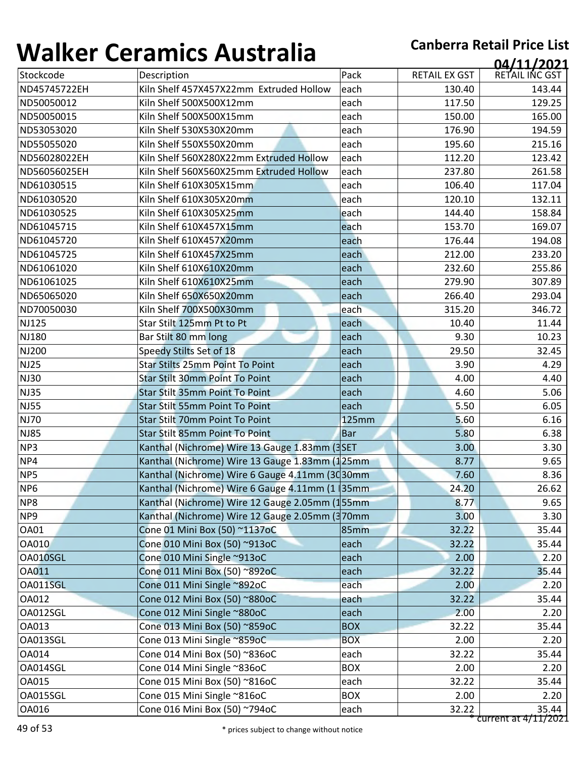| ,,,,,,,,,,        | 97191111997199819119                                         |                          |                      | 04/11/2021             |
|-------------------|--------------------------------------------------------------|--------------------------|----------------------|------------------------|
| Stockcode         | Description                                                  | Pack                     | <b>RETAIL EX GST</b> | RETAIL INC GST         |
| ND45745722EH      | Kiln Shelf 457X457X22mm Extruded Hollow                      | each                     | 130.40               | 143.44                 |
| ND50050012        | Kiln Shelf 500X500X12mm                                      | each                     | 117.50               | 129.25                 |
| ND50050015        | Kiln Shelf 500X500X15mm                                      | each                     | 150.00               | 165.00                 |
| ND53053020        | Kiln Shelf 530X530X20mm                                      | each                     | 176.90               | 194.59                 |
| ND55055020        | Kiln Shelf 550X550X20mm                                      | each                     | 195.60               | 215.16                 |
| ND56028022EH      | Kiln Shelf 560X280X22mm Extruded Hollow                      | each                     | 112.20               | 123.42                 |
| ND56056025EH      | Kiln Shelf 560X560X25mm Extruded Hollow                      | each                     | 237.80               | 261.58                 |
| ND61030515        | Kiln Shelf 610X305X15mm                                      | each                     | 106.40               | 117.04                 |
| ND61030520        | Kiln Shelf 610X305X20mm                                      | each                     | 120.10               | 132.11                 |
| ND61030525        | Kiln Shelf 610X305X25mm                                      | each                     | 144.40               | 158.84                 |
| ND61045715        | Kiln Shelf 610X457X15mm                                      | each                     | 153.70               | 169.07                 |
| ND61045720        | Kiln Shelf 610X457X20mm                                      | each                     | 176.44               | 194.08                 |
| ND61045725        | Kiln Shelf 610X457X25mm                                      | each                     | 212.00               | 233.20                 |
| ND61061020        | Kiln Shelf 610X610X20mm                                      | each                     | 232.60               | 255.86                 |
| ND61061025        | Kiln Shelf 610X610X25mm                                      | each                     | 279.90               | 307.89                 |
| ND65065020        | Kiln Shelf 650X650X20mm                                      | each                     | 266.40               | 293.04                 |
| ND70050030        | Kiln Shelf 700X500X30mm                                      | each                     | 315.20               | 346.72                 |
| <b>NJ125</b>      | Star Stilt 125mm Pt to Pt                                    | each                     | 10.40                | 11.44                  |
| <b>NJ180</b>      | Bar Stilt 80 mm long                                         | each                     | 9.30                 | 10.23                  |
| <b>NJ200</b>      | Speedy Stilts Set of 18                                      | each                     | 29.50                | 32.45                  |
| <b>NJ25</b>       | <b>Star Stilts 25mm Point To Point</b>                       | each                     | 3.90                 | 4.29                   |
| <b>NJ30</b>       | <b>Star Stilt 30mm Point To Point</b>                        | each                     | 4.00                 | 4.40                   |
| <b>NJ35</b>       | <b>Star Stilt 35mm Point To Point</b>                        | each                     | 4.60                 | 5.06                   |
| <b>NJ55</b>       | <b>Star Stilt 55mm Point To Point</b>                        | each                     | 5.50                 | 6.05                   |
| <b>NJ70</b>       | Star Stilt 70mm Point To Point                               | <b>125mm</b>             | 5.60                 | 6.16                   |
| <b>NJ85</b>       | Star Stilt 85mm Point To Point                               | <b>Bar</b>               | 5.80                 | 6.38                   |
| NP3               | Kanthal (Nichrome) Wire 13 Gauge 1.83mm (3SET                |                          | 3.00                 | 3.30                   |
| NP4               | Kanthal (Nichrome) Wire 13 Gauge 1.83mm (125mm               |                          | 8.77                 | 9.65                   |
| NP5               | Kanthal (Nichrome) Wire 6 Gauge 4.11mm (3030mm               |                          | 7.60                 | 8.36                   |
| NP <sub>6</sub>   | Kanthal (Nichrome) Wire 6 Gauge 4.11mm (1 35mm               |                          | 24.20                | 26.62                  |
| NP8               | Kanthal (Nichrome) Wire 12 Gauge 2.05mm (155mm               |                          | 8.77                 | 9.65                   |
| NP9               | Kanthal (Nichrome) Wire 12 Gauge 2.05mm (370mm               |                          | 3.00                 | 3.30                   |
| <b>OA01</b>       | Cone 01 Mini Box (50) ~1137oC                                | 85mm                     | 32.22                | 35.44                  |
| <b>OA010</b>      | Cone 010 Mini Box (50) ~913oC                                | each                     | 32.22                | 35.44                  |
| OA010SGL          | Cone 010 Mini Single ~913oC                                  | each                     | 2.00                 | 2.20                   |
| <b>OA011</b>      | Cone 011 Mini Box (50) ~892oC                                | each                     | 32.22                | 35.44                  |
| OA011SGL          | Cone 011 Mini Single ~892oC                                  | each                     | 2.00                 | 2.20                   |
| OA012<br>OA012SGL | Cone 012 Mini Box (50) ~880oC                                | each                     | 32.22                | 35.44                  |
|                   | Cone 012 Mini Single ~880oC                                  | each                     | 2.00                 | 2.20                   |
| OA013<br>OA013SGL | Cone 013 Mini Box (50) ~859oC<br>Cone 013 Mini Single ~859oC | <b>BOX</b><br><b>BOX</b> | 32.22<br>2.00        | 35.44<br>2.20          |
| <b>OA014</b>      | Cone 014 Mini Box (50) ~836oC                                |                          | 32.22                | 35.44                  |
| OA014SGL          | Cone 014 Mini Single ~836oC                                  | each<br><b>BOX</b>       | 2.00                 | 2.20                   |
| <b>OA015</b>      | Cone 015 Mini Box (50) ~816oC                                | each                     | 32.22                | 35.44                  |
| OA015SGL          | Cone 015 Mini Single ~816oC                                  | <b>BOX</b>               | 2.00                 | 2.20                   |
| OA016             | Cone 016 Mini Box (50) ~794oC                                | each                     | 32.22                | 35.44                  |
|                   |                                                              |                          |                      | current at $4/11/2021$ |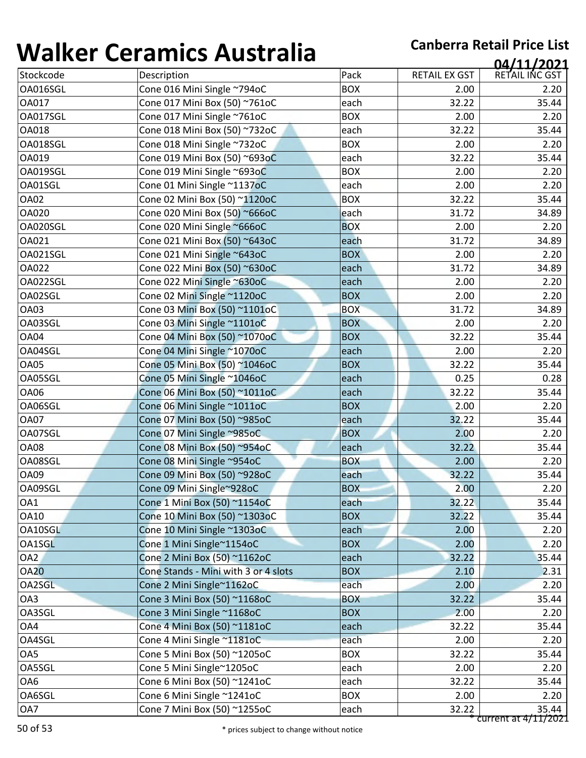| TJ11177         | <u>sei alliles 7 iasti alla</u>      |            |                      | 04/11/2021           |
|-----------------|--------------------------------------|------------|----------------------|----------------------|
| Stockcode       | Description                          | Pack       | <b>RETAIL EX GST</b> | RETAIL INC GST       |
| OA016SGL        | Cone 016 Mini Single ~794oC          | <b>BOX</b> | 2.00                 | 2.20                 |
| OA017           | Cone 017 Mini Box (50) ~761oC        | each       | 32.22                | 35.44                |
| OA017SGL        | Cone 017 Mini Single ~761oC          | <b>BOX</b> | 2.00                 | 2.20                 |
| OA018           | Cone 018 Mini Box (50) ~732oC        | each       | 32.22                | 35.44                |
| OA018SGL        | Cone 018 Mini Single ~732oC          | <b>BOX</b> | 2.00                 | 2.20                 |
| OA019           | Cone 019 Mini Box (50) ~693oC        | each       | 32.22                | 35.44                |
| OA019SGL        | Cone 019 Mini Single ~693oC          | <b>BOX</b> | 2.00                 | 2.20                 |
| OA01SGL         | Cone 01 Mini Single ~1137oC          | each       | 2.00                 | 2.20                 |
| <b>OA02</b>     | Cone 02 Mini Box (50) ~1120oC        | <b>BOX</b> | 32.22                | 35.44                |
| <b>OA020</b>    | Cone 020 Mini Box (50) ~666oC        | each       | 31.72                | 34.89                |
| OA020SGL        | Cone 020 Mini Single ~666oC          | <b>BOX</b> | 2.00                 | 2.20                 |
| OA021           | Cone 021 Mini Box (50) ~643oC        | each       | 31.72                | 34.89                |
| OA021SGL        | Cone 021 Mini Single ~643oC          | <b>BOX</b> | 2.00                 | 2.20                 |
| <b>OA022</b>    | Cone 022 Mini Box (50) ~630oC        | each       | 31.72                | 34.89                |
| OA022SGL        | Cone 022 Mini Single ~630oC          | each       | 2.00                 | 2.20                 |
| OA02SGL         | Cone 02 Mini Single ~1120oC          | <b>BOX</b> | 2.00                 | 2.20                 |
| <b>OA03</b>     | Cone 03 Mini Box (50) ~1101oC        | <b>BOX</b> | 31.72                | 34.89                |
| OA03SGL         | Cone 03 Mini Single ~1101oC          | <b>BOX</b> | 2.00                 | 2.20                 |
| OA04            | Cone 04 Mini Box (50) ~1070oC        | <b>BOX</b> | 32.22                | 35.44                |
| OA04SGL         | Cone 04 Mini Single ~1070oC          | each       | 2.00                 | 2.20                 |
| <b>OA05</b>     | Cone 05 Mini Box (50) ~1046oC        | <b>BOX</b> | 32.22                | 35.44                |
| OA05SGL         | Cone 05 Mini Single ~1046oC          | each       | 0.25                 | 0.28                 |
| <b>OA06</b>     | Cone 06 Mini Box (50) ~1011oC        | each       | 32.22                | 35.44                |
| OA06SGL         | Cone 06 Mini Single ~1011oC          | <b>BOX</b> | 2.00                 | 2.20                 |
| <b>OA07</b>     | Cone 07 Mini Box (50) ~985oC         | each       | 32.22                | 35.44                |
| OA07SGL         | Cone 07 Mini Single ~985oC           | <b>BOX</b> | 2.00                 | 2.20                 |
| <b>OA08</b>     | Cone 08 Mini Box (50) ~954oC         | each       | 32.22                | 35.44                |
| OA08SGL         | Cone 08 Mini Single ~954oC           | <b>BOX</b> | 2.00                 | 2.20                 |
| <b>OA09</b>     | Cone 09 Mini Box (50) ~928oC         | each       | 32.22                | 35.44                |
| OA09SGL         | Cone 09 Mini Single~928oC            | <b>BOX</b> | 2.00                 | 2.20                 |
| OA1             | Cone 1 Mini Box (50) ~1154oC         | each       | 32.22                | 35.44                |
| <b>OA10</b>     | Cone 10 Mini Box (50) ~1303oC        | <b>BOX</b> | 32.22                | 35.44                |
| OA10SGL         | Cone 10 Mini Single ~1303oC          | each       | 2.00                 | 2.20                 |
| OA1SGL          | Cone 1 Mini Single~1154oC            | <b>BOX</b> | 2.00                 | 2.20                 |
| OA <sub>2</sub> | Cone 2 Mini Box (50) ~1162oC         | each       | 32.22                | 35.44                |
| <b>OA20</b>     | Cone Stands - Mini with 3 or 4 slots | <b>BOX</b> | 2.10                 | 2.31                 |
| OA2SGL          | Cone 2 Mini Single~1162oC            | each       | 2.00                 | 2.20                 |
| OA3             | Cone 3 Mini Box (50) ~1168oC         | <b>BOX</b> | 32.22                | 35.44                |
| OA3SGL          | Cone 3 Mini Single ~1168oC           | <b>BOX</b> | 2.00                 | 2.20                 |
| OA4             | Cone 4 Mini Box (50) ~1181oC         | each       | 32.22                | 35.44                |
| OA4SGL          | Cone 4 Mini Single ~1181oC           | each       | 2.00                 | 2.20                 |
| OA5             | Cone 5 Mini Box (50) ~1205oC         | <b>BOX</b> | 32.22                | 35.44                |
| OA5SGL          | Cone 5 Mini Single~1205oC            | each       | 2.00                 | 2.20                 |
| OA6             | Cone 6 Mini Box (50) ~1241oC         | each       | 32.22                | 35.44                |
| OA6SGL          | Cone 6 Mini Single ~1241oC           | <b>BOX</b> | 2.00                 | 2.20                 |
| OA7             | Cone 7 Mini Box (50) ~1255oC         | each       | 32.22                | 35.44                |
|                 |                                      |            |                      | current at 4/11/2021 |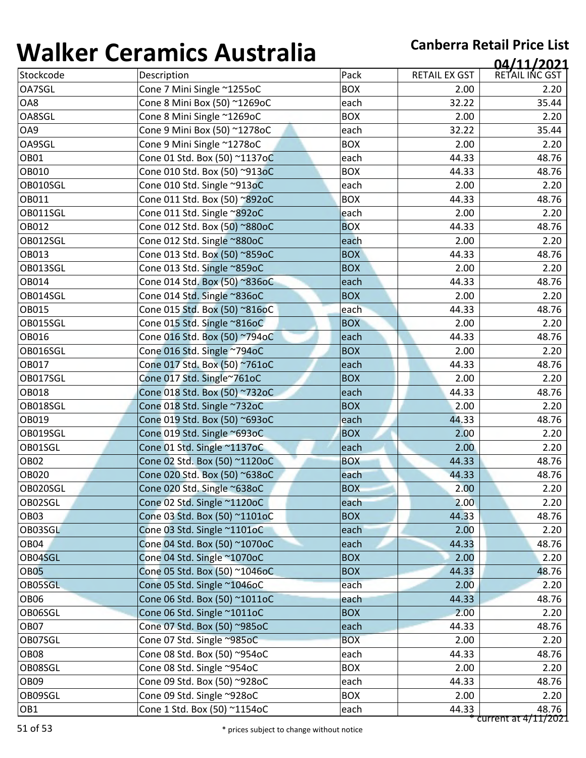| <b></b>          | 89899999999999999             |            |                      | 04/11/2021           |
|------------------|-------------------------------|------------|----------------------|----------------------|
| Stockcode        | Description                   | Pack       | <b>RETAIL EX GST</b> | RETAIL INC GST       |
| OA7SGL           | Cone 7 Mini Single ~1255oC    | <b>BOX</b> | 2.00                 | 2.20                 |
| OA8              | Cone 8 Mini Box (50) ~1269oC  | each       | 32.22                | 35.44                |
| OA8SGL           | Cone 8 Mini Single ~1269oC    | <b>BOX</b> | 2.00                 | 2.20                 |
| OA9              | Cone 9 Mini Box (50) ~1278oC  | each       | 32.22                | 35.44                |
| OA9SGL           | Cone 9 Mini Single ~1278oC    | <b>BOX</b> | 2.00                 | 2.20                 |
| OB01             | Cone 01 Std. Box (50) ~1137oC | each       | 44.33                | 48.76                |
| OB010            | Cone 010 Std. Box (50) ~913oC | <b>BOX</b> | 44.33                | 48.76                |
| OB010SGL         | Cone 010 Std. Single ~913oC   | each       | 2.00                 | 2.20                 |
| OB011            | Cone 011 Std. Box (50) ~892oC | <b>BOX</b> | 44.33                | 48.76                |
| OB011SGL         | Cone 011 Std. Single ~892oC   | each       | 2.00                 | 2.20                 |
| OB012            | Cone 012 Std. Box (50) ~880oC | <b>BOX</b> | 44.33                | 48.76                |
| OB012SGL         | Cone 012 Std. Single ~880oC   | each       | 2.00                 | 2.20                 |
| OB013            | Cone 013 Std. Box (50) ~859oC | <b>BOX</b> | 44.33                | 48.76                |
| OB013SGL         | Cone 013 Std. Single ~859oC   | <b>BOX</b> | 2.00                 | 2.20                 |
| OB014            | Cone 014 Std. Box (50) ~836oC | each       | 44.33                | 48.76                |
| OB014SGL         | Cone 014 Std. Single ~836oC   | <b>BOX</b> | 2.00                 | 2.20                 |
| OB015            | Cone 015 Std. Box (50) ~816oC | each       | 44.33                | 48.76                |
| OB015SGL         | Cone 015 Std. Single ~816oC   | <b>BOX</b> | 2.00                 | 2.20                 |
| OB016            | Cone 016 Std. Box (50) ~794oC | each       | 44.33                | 48.76                |
| OB016SGL         | Cone 016 Std. Single ~794oC   | <b>BOX</b> | 2.00                 | 2.20                 |
| OB017            | Cone 017 Std. Box (50) ~761oC | each       | 44.33                | 48.76                |
| OB017SGL         | Cone 017 Std. Single~761oC    | <b>BOX</b> | 2.00                 | 2.20                 |
| OB018            | Cone 018 Std. Box (50) ~732oC | each       | 44.33                | 48.76                |
| OB018SGL         | Cone 018 Std. Single ~732oC   | <b>BOX</b> | 2.00                 | 2.20                 |
| OB019            | Cone 019 Std. Box (50) ~693oC | each       | 44.33                | 48.76                |
| OB019SGL         | Cone 019 Std. Single ~693oC   | <b>BOX</b> | 2.00                 | 2.20                 |
| OB01SGL          | Cone 01 Std. Single ~1137oC   | each       | 2.00                 | 2.20                 |
| OB <sub>02</sub> | Cone 02 Std. Box (50) ~1120oC | <b>BOX</b> | 44.33                | 48.76                |
| OB020            | Cone 020 Std. Box (50) ~638oC | each       | 44.33                | 48.76                |
| OB020SGL         | Cone 020 Std. Single ~638oC   | <b>BOX</b> | 2.00                 | 2.20                 |
| OB02SGL          | Cone 02 Std. Single ~1120oC   | each       | 2.00                 | 2.20                 |
| <b>OB03</b>      | Cone 03 Std. Box (50) ~1101oC | <b>BOX</b> | 44.33                | 48.76                |
| OB03SGL          | Cone 03 Std. Single ~1101oC   | each       | 2.00                 | 2.20                 |
| OB04             | Cone 04 Std. Box (50) ~1070oC | each       | 44.33                | 48.76                |
| OB04SGL          | Cone 04 Std. Single ~1070oC   | <b>BOX</b> | 2.00                 | 2.20                 |
| <b>OB05</b>      | Cone 05 Std. Box (50) ~1046oC | <b>BOX</b> | 44.33                | 48.76                |
| OB05SGL          | Cone 05 Std. Single ~1046oC   | each       | 2.00                 | 2.20                 |
| OB <sub>06</sub> | Cone 06 Std. Box (50) ~1011oC | each       | 44.33                | 48.76                |
| OB06SGL          | Cone 06 Std. Single ~1011oC   | <b>BOX</b> | 2.00                 | 2.20                 |
| OB <sub>07</sub> | Cone 07 Std. Box (50) ~985oC  | each       | 44.33                | 48.76                |
| OB07SGL          | Cone 07 Std. Single ~985oC    | <b>BOX</b> | 2.00                 | 2.20                 |
| <b>OB08</b>      | Cone 08 Std. Box (50) ~954oC  | each       | 44.33                | 48.76                |
| OB08SGL          | Cone 08 Std. Single ~954oC    | <b>BOX</b> | 2.00                 | 2.20                 |
| OB <sub>09</sub> | Cone 09 Std. Box (50) ~928oC  | each       | 44.33                | 48.76                |
| OB09SGL          | Cone 09 Std. Single ~928oC    | <b>BOX</b> | 2.00                 | 2.20                 |
| OB1              | Cone 1 Std. Box (50) ~1154oC  | each       | 44.33                | 48.76                |
|                  |                               |            |                      | current at 4/11/2021 |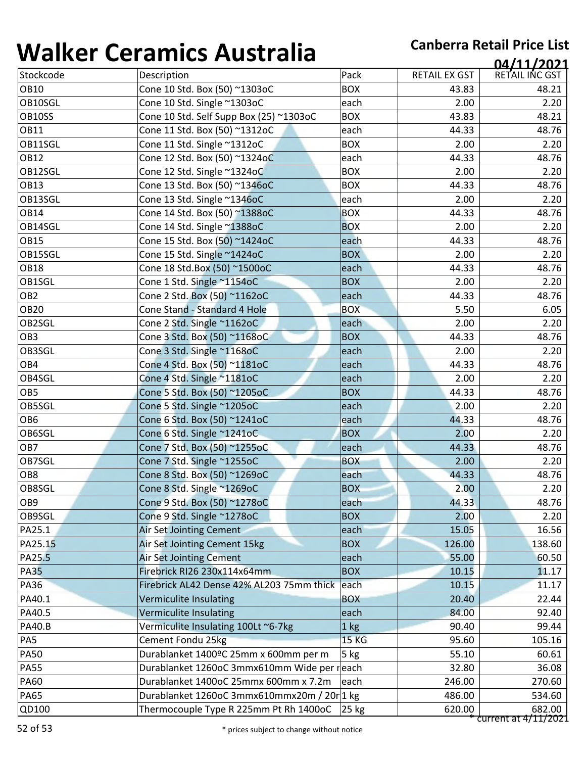| Pack<br>RETAIL EX GST<br>Stockcode<br>Description<br><b>OB10</b><br>Cone 10 Std. Box (50) ~1303oC<br><b>BOX</b><br>43.83<br>OB10SGL<br>Cone 10 Std. Single ~1303oC<br>each<br>2.00<br>OB10SS<br>Cone 10 Std. Self Supp Box (25) ~1303oC<br><b>BOX</b><br>43.83<br><b>OB11</b><br>Cone 11 Std. Box (50) ~1312oC<br>each<br>44.33<br>OB11SGL<br><b>BOX</b><br>Cone 11 Std. Single ~1312oC<br>2.00<br><b>OB12</b><br>Cone 12 Std. Box (50) ~1324oC<br>each<br>44.33<br>OB12SGL<br>Cone 12 Std. Single ~1324oC<br><b>BOX</b><br>2.00<br><b>OB13</b><br>Cone 13 Std. Box (50) ~1346oC<br><b>BOX</b><br>44.33<br>OB13SGL<br>Cone 13 Std. Single ~1346oC<br>each<br>2.00<br><b>BOX</b><br><b>OB14</b><br>Cone 14 Std. Box (50) ~1388oC<br>44.33<br>OB14SGL<br>Cone 14 Std. Single ~1388oC<br><b>BOX</b><br>2.00<br><b>OB15</b><br>Cone 15 Std. Box (50) ~1424oC<br>44.33<br>each<br>OB15SGL<br>Cone 15 Std. Single ~1424oC<br><b>BOX</b><br>2.00<br><b>OB18</b><br>Cone 18 Std.Box (50) ~1500oC<br>44.33<br>each<br>OB1SGL<br>Cone 1 Std. Single ~1154oC<br><b>BOX</b><br>2.00<br>OB <sub>2</sub><br>Cone 2 Std. Box (50) ~1162oC<br>44.33<br>each<br><b>OB20</b><br>Cone Stand - Standard 4 Hole<br><b>BOX</b><br>5.50<br>OB2SGL<br>Cone 2 Std. Single ~1162oC<br>each<br>2.00<br>OB <sub>3</sub><br>Cone 3 Std. Box (50) ~1168oC<br><b>BOX</b><br>44.33<br>OB3SGL<br>Cone 3 Std. Single ~1168oC<br>each<br>2.00<br>OB4<br>Cone 4 Std. Box (50) ~1181oC<br>44.33<br>each<br>OB4SGL<br>Cone 4 Std. Single ~1181oC<br>2.00<br>each<br>OB <sub>5</sub><br>Cone 5 Std. Box (50) ~1205oC<br><b>BOX</b><br>44.33<br>OB5SGL<br>Cone 5 Std. Single ~1205oC<br>each<br>2.00<br>OB <sub>6</sub><br>Cone 6 Std. Box (50) ~1241oC<br>each<br>44.33<br>OB6SGL<br>Cone 6 Std. Single ~1241oC<br><b>BOX</b><br>2.00<br>OB7<br>Cone 7 Std. Box (50) ~1255oC<br>each<br>44.33<br>OB7SGL<br>Cone 7 Std. Single ~1255oC<br><b>BOX</b><br>2.00<br>OB <sub>8</sub><br>Cone 8 Std. Box (50) ~1269oC<br>each<br>44.33<br>OB8SGL<br><b>BOX</b><br>2.00<br>Cone 8 Std. Single ~1269oC<br>Cone 9 Std. Box (50) ~1278oC<br>OB <sub>9</sub><br>each<br>44.33<br>OB9SGL<br>Cone 9 Std. Single ~1278oC<br><b>BOX</b><br>2.00<br>PA25.1<br><b>Air Set Jointing Cement</b><br>15.05<br>each<br>PA25.15<br>Air Set Jointing Cement 15kg<br><b>BOX</b><br>126.00<br>PA25.5<br><b>Air Set Jointing Cement</b><br>55.00<br>each<br><b>PA35</b><br>Firebrick RI26 230x114x64mm<br><b>BOX</b><br>10.15<br><b>PA36</b><br>Firebrick AL42 Dense 42% AL203 75mm thick<br>each<br>10.15<br>PA40.1<br><b>BOX</b><br>20.40<br><b>Vermiculite Insulating</b><br>PA40.5<br>Vermiculite Insulating<br>84.00<br>each<br><b>PA40.B</b><br>Vermiculite Insulating 100Lt ~6-7kg<br>90.40<br>1 kg<br>PA5<br>Cement Fondu 25kg<br><b>15 KG</b><br>95.60 | 04/11/2021     |
|----------------------------------------------------------------------------------------------------------------------------------------------------------------------------------------------------------------------------------------------------------------------------------------------------------------------------------------------------------------------------------------------------------------------------------------------------------------------------------------------------------------------------------------------------------------------------------------------------------------------------------------------------------------------------------------------------------------------------------------------------------------------------------------------------------------------------------------------------------------------------------------------------------------------------------------------------------------------------------------------------------------------------------------------------------------------------------------------------------------------------------------------------------------------------------------------------------------------------------------------------------------------------------------------------------------------------------------------------------------------------------------------------------------------------------------------------------------------------------------------------------------------------------------------------------------------------------------------------------------------------------------------------------------------------------------------------------------------------------------------------------------------------------------------------------------------------------------------------------------------------------------------------------------------------------------------------------------------------------------------------------------------------------------------------------------------------------------------------------------------------------------------------------------------------------------------------------------------------------------------------------------------------------------------------------------------------------------------------------------------------------------------------------------------------------------------------------------------------------------------------------------------------------------------------------------------------------------------------------------------------------------------------------------------------------------------------------------------------------------------------------------------------------------------|----------------|
|                                                                                                                                                                                                                                                                                                                                                                                                                                                                                                                                                                                                                                                                                                                                                                                                                                                                                                                                                                                                                                                                                                                                                                                                                                                                                                                                                                                                                                                                                                                                                                                                                                                                                                                                                                                                                                                                                                                                                                                                                                                                                                                                                                                                                                                                                                                                                                                                                                                                                                                                                                                                                                                                                                                                                                                              | RETAIL INC GST |
|                                                                                                                                                                                                                                                                                                                                                                                                                                                                                                                                                                                                                                                                                                                                                                                                                                                                                                                                                                                                                                                                                                                                                                                                                                                                                                                                                                                                                                                                                                                                                                                                                                                                                                                                                                                                                                                                                                                                                                                                                                                                                                                                                                                                                                                                                                                                                                                                                                                                                                                                                                                                                                                                                                                                                                                              | 48.21          |
|                                                                                                                                                                                                                                                                                                                                                                                                                                                                                                                                                                                                                                                                                                                                                                                                                                                                                                                                                                                                                                                                                                                                                                                                                                                                                                                                                                                                                                                                                                                                                                                                                                                                                                                                                                                                                                                                                                                                                                                                                                                                                                                                                                                                                                                                                                                                                                                                                                                                                                                                                                                                                                                                                                                                                                                              | 2.20           |
|                                                                                                                                                                                                                                                                                                                                                                                                                                                                                                                                                                                                                                                                                                                                                                                                                                                                                                                                                                                                                                                                                                                                                                                                                                                                                                                                                                                                                                                                                                                                                                                                                                                                                                                                                                                                                                                                                                                                                                                                                                                                                                                                                                                                                                                                                                                                                                                                                                                                                                                                                                                                                                                                                                                                                                                              | 48.21          |
|                                                                                                                                                                                                                                                                                                                                                                                                                                                                                                                                                                                                                                                                                                                                                                                                                                                                                                                                                                                                                                                                                                                                                                                                                                                                                                                                                                                                                                                                                                                                                                                                                                                                                                                                                                                                                                                                                                                                                                                                                                                                                                                                                                                                                                                                                                                                                                                                                                                                                                                                                                                                                                                                                                                                                                                              | 48.76          |
|                                                                                                                                                                                                                                                                                                                                                                                                                                                                                                                                                                                                                                                                                                                                                                                                                                                                                                                                                                                                                                                                                                                                                                                                                                                                                                                                                                                                                                                                                                                                                                                                                                                                                                                                                                                                                                                                                                                                                                                                                                                                                                                                                                                                                                                                                                                                                                                                                                                                                                                                                                                                                                                                                                                                                                                              | 2.20           |
|                                                                                                                                                                                                                                                                                                                                                                                                                                                                                                                                                                                                                                                                                                                                                                                                                                                                                                                                                                                                                                                                                                                                                                                                                                                                                                                                                                                                                                                                                                                                                                                                                                                                                                                                                                                                                                                                                                                                                                                                                                                                                                                                                                                                                                                                                                                                                                                                                                                                                                                                                                                                                                                                                                                                                                                              | 48.76          |
|                                                                                                                                                                                                                                                                                                                                                                                                                                                                                                                                                                                                                                                                                                                                                                                                                                                                                                                                                                                                                                                                                                                                                                                                                                                                                                                                                                                                                                                                                                                                                                                                                                                                                                                                                                                                                                                                                                                                                                                                                                                                                                                                                                                                                                                                                                                                                                                                                                                                                                                                                                                                                                                                                                                                                                                              | 2.20           |
|                                                                                                                                                                                                                                                                                                                                                                                                                                                                                                                                                                                                                                                                                                                                                                                                                                                                                                                                                                                                                                                                                                                                                                                                                                                                                                                                                                                                                                                                                                                                                                                                                                                                                                                                                                                                                                                                                                                                                                                                                                                                                                                                                                                                                                                                                                                                                                                                                                                                                                                                                                                                                                                                                                                                                                                              | 48.76          |
|                                                                                                                                                                                                                                                                                                                                                                                                                                                                                                                                                                                                                                                                                                                                                                                                                                                                                                                                                                                                                                                                                                                                                                                                                                                                                                                                                                                                                                                                                                                                                                                                                                                                                                                                                                                                                                                                                                                                                                                                                                                                                                                                                                                                                                                                                                                                                                                                                                                                                                                                                                                                                                                                                                                                                                                              | 2.20           |
|                                                                                                                                                                                                                                                                                                                                                                                                                                                                                                                                                                                                                                                                                                                                                                                                                                                                                                                                                                                                                                                                                                                                                                                                                                                                                                                                                                                                                                                                                                                                                                                                                                                                                                                                                                                                                                                                                                                                                                                                                                                                                                                                                                                                                                                                                                                                                                                                                                                                                                                                                                                                                                                                                                                                                                                              | 48.76          |
|                                                                                                                                                                                                                                                                                                                                                                                                                                                                                                                                                                                                                                                                                                                                                                                                                                                                                                                                                                                                                                                                                                                                                                                                                                                                                                                                                                                                                                                                                                                                                                                                                                                                                                                                                                                                                                                                                                                                                                                                                                                                                                                                                                                                                                                                                                                                                                                                                                                                                                                                                                                                                                                                                                                                                                                              | 2.20           |
|                                                                                                                                                                                                                                                                                                                                                                                                                                                                                                                                                                                                                                                                                                                                                                                                                                                                                                                                                                                                                                                                                                                                                                                                                                                                                                                                                                                                                                                                                                                                                                                                                                                                                                                                                                                                                                                                                                                                                                                                                                                                                                                                                                                                                                                                                                                                                                                                                                                                                                                                                                                                                                                                                                                                                                                              | 48.76          |
|                                                                                                                                                                                                                                                                                                                                                                                                                                                                                                                                                                                                                                                                                                                                                                                                                                                                                                                                                                                                                                                                                                                                                                                                                                                                                                                                                                                                                                                                                                                                                                                                                                                                                                                                                                                                                                                                                                                                                                                                                                                                                                                                                                                                                                                                                                                                                                                                                                                                                                                                                                                                                                                                                                                                                                                              | 2.20           |
|                                                                                                                                                                                                                                                                                                                                                                                                                                                                                                                                                                                                                                                                                                                                                                                                                                                                                                                                                                                                                                                                                                                                                                                                                                                                                                                                                                                                                                                                                                                                                                                                                                                                                                                                                                                                                                                                                                                                                                                                                                                                                                                                                                                                                                                                                                                                                                                                                                                                                                                                                                                                                                                                                                                                                                                              | 48.76          |
|                                                                                                                                                                                                                                                                                                                                                                                                                                                                                                                                                                                                                                                                                                                                                                                                                                                                                                                                                                                                                                                                                                                                                                                                                                                                                                                                                                                                                                                                                                                                                                                                                                                                                                                                                                                                                                                                                                                                                                                                                                                                                                                                                                                                                                                                                                                                                                                                                                                                                                                                                                                                                                                                                                                                                                                              | 2.20           |
|                                                                                                                                                                                                                                                                                                                                                                                                                                                                                                                                                                                                                                                                                                                                                                                                                                                                                                                                                                                                                                                                                                                                                                                                                                                                                                                                                                                                                                                                                                                                                                                                                                                                                                                                                                                                                                                                                                                                                                                                                                                                                                                                                                                                                                                                                                                                                                                                                                                                                                                                                                                                                                                                                                                                                                                              | 48.76          |
|                                                                                                                                                                                                                                                                                                                                                                                                                                                                                                                                                                                                                                                                                                                                                                                                                                                                                                                                                                                                                                                                                                                                                                                                                                                                                                                                                                                                                                                                                                                                                                                                                                                                                                                                                                                                                                                                                                                                                                                                                                                                                                                                                                                                                                                                                                                                                                                                                                                                                                                                                                                                                                                                                                                                                                                              | 6.05           |
|                                                                                                                                                                                                                                                                                                                                                                                                                                                                                                                                                                                                                                                                                                                                                                                                                                                                                                                                                                                                                                                                                                                                                                                                                                                                                                                                                                                                                                                                                                                                                                                                                                                                                                                                                                                                                                                                                                                                                                                                                                                                                                                                                                                                                                                                                                                                                                                                                                                                                                                                                                                                                                                                                                                                                                                              | 2.20           |
|                                                                                                                                                                                                                                                                                                                                                                                                                                                                                                                                                                                                                                                                                                                                                                                                                                                                                                                                                                                                                                                                                                                                                                                                                                                                                                                                                                                                                                                                                                                                                                                                                                                                                                                                                                                                                                                                                                                                                                                                                                                                                                                                                                                                                                                                                                                                                                                                                                                                                                                                                                                                                                                                                                                                                                                              | 48.76          |
|                                                                                                                                                                                                                                                                                                                                                                                                                                                                                                                                                                                                                                                                                                                                                                                                                                                                                                                                                                                                                                                                                                                                                                                                                                                                                                                                                                                                                                                                                                                                                                                                                                                                                                                                                                                                                                                                                                                                                                                                                                                                                                                                                                                                                                                                                                                                                                                                                                                                                                                                                                                                                                                                                                                                                                                              | 2.20           |
|                                                                                                                                                                                                                                                                                                                                                                                                                                                                                                                                                                                                                                                                                                                                                                                                                                                                                                                                                                                                                                                                                                                                                                                                                                                                                                                                                                                                                                                                                                                                                                                                                                                                                                                                                                                                                                                                                                                                                                                                                                                                                                                                                                                                                                                                                                                                                                                                                                                                                                                                                                                                                                                                                                                                                                                              | 48.76          |
|                                                                                                                                                                                                                                                                                                                                                                                                                                                                                                                                                                                                                                                                                                                                                                                                                                                                                                                                                                                                                                                                                                                                                                                                                                                                                                                                                                                                                                                                                                                                                                                                                                                                                                                                                                                                                                                                                                                                                                                                                                                                                                                                                                                                                                                                                                                                                                                                                                                                                                                                                                                                                                                                                                                                                                                              | 2.20           |
|                                                                                                                                                                                                                                                                                                                                                                                                                                                                                                                                                                                                                                                                                                                                                                                                                                                                                                                                                                                                                                                                                                                                                                                                                                                                                                                                                                                                                                                                                                                                                                                                                                                                                                                                                                                                                                                                                                                                                                                                                                                                                                                                                                                                                                                                                                                                                                                                                                                                                                                                                                                                                                                                                                                                                                                              | 48.76          |
|                                                                                                                                                                                                                                                                                                                                                                                                                                                                                                                                                                                                                                                                                                                                                                                                                                                                                                                                                                                                                                                                                                                                                                                                                                                                                                                                                                                                                                                                                                                                                                                                                                                                                                                                                                                                                                                                                                                                                                                                                                                                                                                                                                                                                                                                                                                                                                                                                                                                                                                                                                                                                                                                                                                                                                                              | 2.20           |
|                                                                                                                                                                                                                                                                                                                                                                                                                                                                                                                                                                                                                                                                                                                                                                                                                                                                                                                                                                                                                                                                                                                                                                                                                                                                                                                                                                                                                                                                                                                                                                                                                                                                                                                                                                                                                                                                                                                                                                                                                                                                                                                                                                                                                                                                                                                                                                                                                                                                                                                                                                                                                                                                                                                                                                                              | 48.76          |
|                                                                                                                                                                                                                                                                                                                                                                                                                                                                                                                                                                                                                                                                                                                                                                                                                                                                                                                                                                                                                                                                                                                                                                                                                                                                                                                                                                                                                                                                                                                                                                                                                                                                                                                                                                                                                                                                                                                                                                                                                                                                                                                                                                                                                                                                                                                                                                                                                                                                                                                                                                                                                                                                                                                                                                                              | 2.20           |
|                                                                                                                                                                                                                                                                                                                                                                                                                                                                                                                                                                                                                                                                                                                                                                                                                                                                                                                                                                                                                                                                                                                                                                                                                                                                                                                                                                                                                                                                                                                                                                                                                                                                                                                                                                                                                                                                                                                                                                                                                                                                                                                                                                                                                                                                                                                                                                                                                                                                                                                                                                                                                                                                                                                                                                                              | 48.76          |
|                                                                                                                                                                                                                                                                                                                                                                                                                                                                                                                                                                                                                                                                                                                                                                                                                                                                                                                                                                                                                                                                                                                                                                                                                                                                                                                                                                                                                                                                                                                                                                                                                                                                                                                                                                                                                                                                                                                                                                                                                                                                                                                                                                                                                                                                                                                                                                                                                                                                                                                                                                                                                                                                                                                                                                                              | 2.20           |
|                                                                                                                                                                                                                                                                                                                                                                                                                                                                                                                                                                                                                                                                                                                                                                                                                                                                                                                                                                                                                                                                                                                                                                                                                                                                                                                                                                                                                                                                                                                                                                                                                                                                                                                                                                                                                                                                                                                                                                                                                                                                                                                                                                                                                                                                                                                                                                                                                                                                                                                                                                                                                                                                                                                                                                                              | 48.76          |
|                                                                                                                                                                                                                                                                                                                                                                                                                                                                                                                                                                                                                                                                                                                                                                                                                                                                                                                                                                                                                                                                                                                                                                                                                                                                                                                                                                                                                                                                                                                                                                                                                                                                                                                                                                                                                                                                                                                                                                                                                                                                                                                                                                                                                                                                                                                                                                                                                                                                                                                                                                                                                                                                                                                                                                                              | 2.20           |
|                                                                                                                                                                                                                                                                                                                                                                                                                                                                                                                                                                                                                                                                                                                                                                                                                                                                                                                                                                                                                                                                                                                                                                                                                                                                                                                                                                                                                                                                                                                                                                                                                                                                                                                                                                                                                                                                                                                                                                                                                                                                                                                                                                                                                                                                                                                                                                                                                                                                                                                                                                                                                                                                                                                                                                                              | 48.76          |
|                                                                                                                                                                                                                                                                                                                                                                                                                                                                                                                                                                                                                                                                                                                                                                                                                                                                                                                                                                                                                                                                                                                                                                                                                                                                                                                                                                                                                                                                                                                                                                                                                                                                                                                                                                                                                                                                                                                                                                                                                                                                                                                                                                                                                                                                                                                                                                                                                                                                                                                                                                                                                                                                                                                                                                                              | 2.20           |
|                                                                                                                                                                                                                                                                                                                                                                                                                                                                                                                                                                                                                                                                                                                                                                                                                                                                                                                                                                                                                                                                                                                                                                                                                                                                                                                                                                                                                                                                                                                                                                                                                                                                                                                                                                                                                                                                                                                                                                                                                                                                                                                                                                                                                                                                                                                                                                                                                                                                                                                                                                                                                                                                                                                                                                                              | 16.56          |
|                                                                                                                                                                                                                                                                                                                                                                                                                                                                                                                                                                                                                                                                                                                                                                                                                                                                                                                                                                                                                                                                                                                                                                                                                                                                                                                                                                                                                                                                                                                                                                                                                                                                                                                                                                                                                                                                                                                                                                                                                                                                                                                                                                                                                                                                                                                                                                                                                                                                                                                                                                                                                                                                                                                                                                                              | 138.60         |
|                                                                                                                                                                                                                                                                                                                                                                                                                                                                                                                                                                                                                                                                                                                                                                                                                                                                                                                                                                                                                                                                                                                                                                                                                                                                                                                                                                                                                                                                                                                                                                                                                                                                                                                                                                                                                                                                                                                                                                                                                                                                                                                                                                                                                                                                                                                                                                                                                                                                                                                                                                                                                                                                                                                                                                                              | 60.50          |
|                                                                                                                                                                                                                                                                                                                                                                                                                                                                                                                                                                                                                                                                                                                                                                                                                                                                                                                                                                                                                                                                                                                                                                                                                                                                                                                                                                                                                                                                                                                                                                                                                                                                                                                                                                                                                                                                                                                                                                                                                                                                                                                                                                                                                                                                                                                                                                                                                                                                                                                                                                                                                                                                                                                                                                                              | 11.17          |
|                                                                                                                                                                                                                                                                                                                                                                                                                                                                                                                                                                                                                                                                                                                                                                                                                                                                                                                                                                                                                                                                                                                                                                                                                                                                                                                                                                                                                                                                                                                                                                                                                                                                                                                                                                                                                                                                                                                                                                                                                                                                                                                                                                                                                                                                                                                                                                                                                                                                                                                                                                                                                                                                                                                                                                                              | 11.17          |
|                                                                                                                                                                                                                                                                                                                                                                                                                                                                                                                                                                                                                                                                                                                                                                                                                                                                                                                                                                                                                                                                                                                                                                                                                                                                                                                                                                                                                                                                                                                                                                                                                                                                                                                                                                                                                                                                                                                                                                                                                                                                                                                                                                                                                                                                                                                                                                                                                                                                                                                                                                                                                                                                                                                                                                                              | 22.44          |
|                                                                                                                                                                                                                                                                                                                                                                                                                                                                                                                                                                                                                                                                                                                                                                                                                                                                                                                                                                                                                                                                                                                                                                                                                                                                                                                                                                                                                                                                                                                                                                                                                                                                                                                                                                                                                                                                                                                                                                                                                                                                                                                                                                                                                                                                                                                                                                                                                                                                                                                                                                                                                                                                                                                                                                                              | 92.40          |
|                                                                                                                                                                                                                                                                                                                                                                                                                                                                                                                                                                                                                                                                                                                                                                                                                                                                                                                                                                                                                                                                                                                                                                                                                                                                                                                                                                                                                                                                                                                                                                                                                                                                                                                                                                                                                                                                                                                                                                                                                                                                                                                                                                                                                                                                                                                                                                                                                                                                                                                                                                                                                                                                                                                                                                                              | 99.44          |
|                                                                                                                                                                                                                                                                                                                                                                                                                                                                                                                                                                                                                                                                                                                                                                                                                                                                                                                                                                                                                                                                                                                                                                                                                                                                                                                                                                                                                                                                                                                                                                                                                                                                                                                                                                                                                                                                                                                                                                                                                                                                                                                                                                                                                                                                                                                                                                                                                                                                                                                                                                                                                                                                                                                                                                                              | 105.16         |
| Durablanket 1400°C 25mm x 600mm per m<br>5 kg<br>55.10<br><b>PA50</b>                                                                                                                                                                                                                                                                                                                                                                                                                                                                                                                                                                                                                                                                                                                                                                                                                                                                                                                                                                                                                                                                                                                                                                                                                                                                                                                                                                                                                                                                                                                                                                                                                                                                                                                                                                                                                                                                                                                                                                                                                                                                                                                                                                                                                                                                                                                                                                                                                                                                                                                                                                                                                                                                                                                        | 60.61          |
| <b>PA55</b><br>Durablanket 1260oC 3mmx610mm Wide per reach<br>32.80                                                                                                                                                                                                                                                                                                                                                                                                                                                                                                                                                                                                                                                                                                                                                                                                                                                                                                                                                                                                                                                                                                                                                                                                                                                                                                                                                                                                                                                                                                                                                                                                                                                                                                                                                                                                                                                                                                                                                                                                                                                                                                                                                                                                                                                                                                                                                                                                                                                                                                                                                                                                                                                                                                                          | 36.08          |
| <b>PA60</b><br>Durablanket 1400oC 25mmx 600mm x 7.2m<br>each<br>246.00                                                                                                                                                                                                                                                                                                                                                                                                                                                                                                                                                                                                                                                                                                                                                                                                                                                                                                                                                                                                                                                                                                                                                                                                                                                                                                                                                                                                                                                                                                                                                                                                                                                                                                                                                                                                                                                                                                                                                                                                                                                                                                                                                                                                                                                                                                                                                                                                                                                                                                                                                                                                                                                                                                                       | 270.60         |
| <b>PA65</b><br>Durablanket 1260oC 3mmx610mmx20m / 20r  1 kg<br>486.00                                                                                                                                                                                                                                                                                                                                                                                                                                                                                                                                                                                                                                                                                                                                                                                                                                                                                                                                                                                                                                                                                                                                                                                                                                                                                                                                                                                                                                                                                                                                                                                                                                                                                                                                                                                                                                                                                                                                                                                                                                                                                                                                                                                                                                                                                                                                                                                                                                                                                                                                                                                                                                                                                                                        | 534.60         |
| QD100<br>Thermocouple Type R 225mm Pt Rh 1400oC<br>25 kg<br>620.00                                                                                                                                                                                                                                                                                                                                                                                                                                                                                                                                                                                                                                                                                                                                                                                                                                                                                                                                                                                                                                                                                                                                                                                                                                                                                                                                                                                                                                                                                                                                                                                                                                                                                                                                                                                                                                                                                                                                                                                                                                                                                                                                                                                                                                                                                                                                                                                                                                                                                                                                                                                                                                                                                                                           | 682.00         |